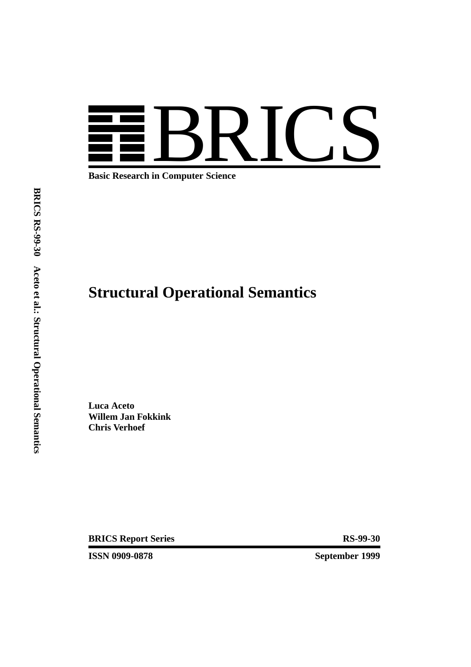

**Basic Research in Computer Science**

# **Structural Operational Semantics**

**Luca Aceto Willem Jan Fokkink Chris Verhoef**

**BRICS Report Series** RS-99-30

**ISSN 0909-0878 September 1999**

**BRICS RS-99-30 Aceto et al.: StructuralOperationalSemantics**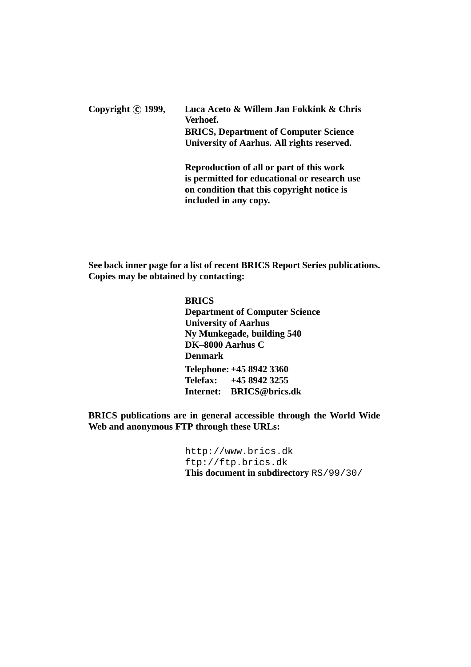Copyright **c** 1999, Luca Aceto & Willem Jan Fokkink & Chris **Verhoef. BRICS, Department of Computer Science University of Aarhus. All rights reserved. Reproduction of all or part of this work**

**is permitted for educational or research use on condition that this copyright notice is included in any copy.**

**See back inner page for a list of recent BRICS Report Series publications. Copies may be obtained by contacting:**

## **BRICS**

**Department of Computer Science University of Aarhus Ny Munkegade, building 540 DK–8000 Aarhus C Denmark Telephone: +45 8942 3360 Telefax: +45 8942 3255 Internet: BRICS@brics.dk**

**BRICS publications are in general accessible through the World Wide Web and anonymous FTP through these URLs:**

> http://www.brics.dk ftp://ftp.brics.dk **This document in subdirectory** RS/99/30/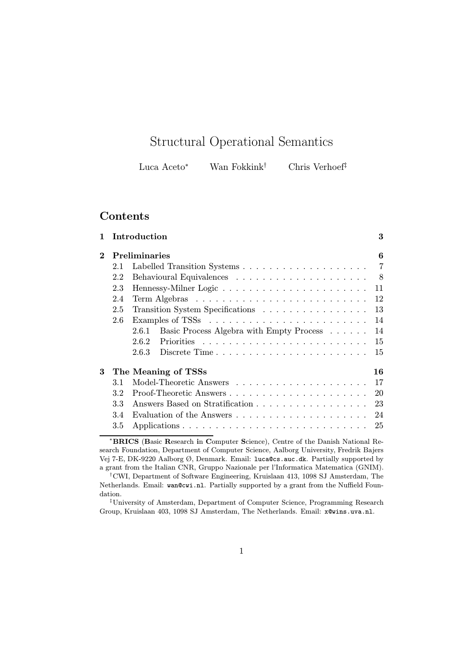## Structural Operational Semantics

| Chris Verhoef <sup>‡</sup> | Luca Aceto* | Wan Fokkink <sup>†</sup> |  |
|----------------------------|-------------|--------------------------|--|
|----------------------------|-------------|--------------------------|--|

## Contents

| 1                        |     | Introduction                                      | 3              |
|--------------------------|-----|---------------------------------------------------|----------------|
| $\bf{2}$                 |     | <b>Preliminaries</b>                              | 6              |
|                          | 2.1 |                                                   | $\overline{7}$ |
|                          | 2.2 |                                                   | - 8            |
|                          | 2.3 |                                                   | 11             |
|                          | 2.4 |                                                   | 12             |
|                          | 2.5 |                                                   | 13             |
|                          | 2.6 |                                                   | 14             |
|                          |     | Basic Process Algebra with Empty Process<br>2.6.1 | 14             |
|                          |     | 2.6.2                                             | 15             |
|                          |     | Discrete Time<br>2.6.3                            | 15             |
| 3<br>The Meaning of TSSs |     |                                                   | 16             |
|                          | 3.1 |                                                   | 17             |
|                          | 3.2 |                                                   | 20             |
|                          | 3.3 | Answers Based on Stratification                   | 23             |
|                          | 3.4 |                                                   | 24             |
|                          | 3.5 |                                                   | 25             |
|                          |     |                                                   |                |

<sup>∗</sup>BRICS (Basic Research in Computer Science), Centre of the Danish National Research Foundation, Department of Computer Science, Aalborg University, Fredrik Bajers Vej 7-E, DK-9220 Aalborg Ø, Denmark. Email: luca@cs.auc.dk. Partially supported by a grant from the Italian CNR, Gruppo Nazionale per l'Informatica Matematica (GNIM).

‡University of Amsterdam, Department of Computer Science, Programming Research Group, Kruislaan 403, 1098 SJ Amsterdam, The Netherlands. Email: x@wins.uva.nl.

<sup>†</sup>CWI, Department of Software Engineering, Kruislaan 413, 1098 SJ Amsterdam, The Netherlands. Email: wan@cwi.nl. Partially supported by a grant from the Nuffield Foundation.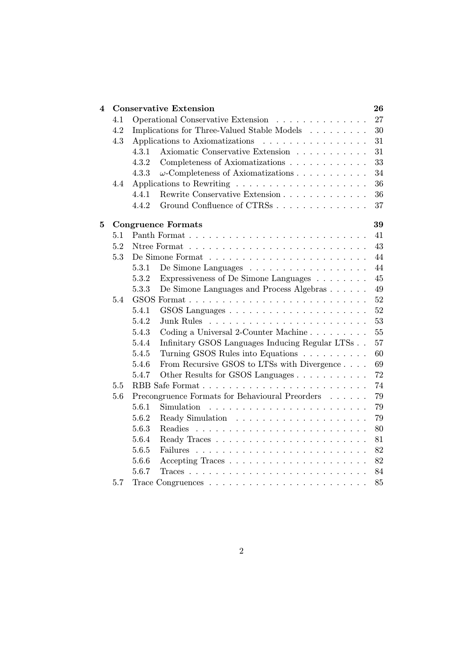| 4 |     | <b>Conservative Extension</b>                                                | 26 |
|---|-----|------------------------------------------------------------------------------|----|
|   | 4.1 | Operational Conservative Extension                                           | 27 |
|   | 4.2 | Implications for Three-Valued Stable Models $\hfill\ldots\ldots\ldots\ldots$ | 30 |
|   | 4.3 | Applications to Axiomatizations<br>.                                         | 31 |
|   |     | Axiomatic Conservative Extension<br>4.3.1                                    | 31 |
|   |     | 4.3.2<br>Completeness of Axiomatizations                                     | 33 |
|   |     | 4.3.3<br>$\omega$ -Completeness of Axiomatizations $\ldots \ldots \ldots$    | 34 |
|   | 4.4 | Applications to Rewriting $\ldots \ldots \ldots \ldots \ldots \ldots$        | 36 |
|   |     | 4.4.1<br>Rewrite Conservative Extension                                      | 36 |
|   |     | Ground Confluence of CTRSs<br>4.4.2                                          | 37 |
| 5 |     | <b>Congruence Formats</b>                                                    | 39 |
|   | 5.1 |                                                                              | 41 |
|   | 5.2 |                                                                              | 43 |
|   | 5.3 |                                                                              | 44 |
|   |     | 5.3.1                                                                        | 44 |
|   |     | Expressiveness of De Simone Languages $\hfill\ldots\ldots\ldots$<br>5.3.2    | 45 |
|   |     | De Simone Languages and Process Algebras<br>5.3.3                            | 49 |
|   | 5.4 |                                                                              | 52 |
|   |     | 5.4.1                                                                        | 52 |
|   |     | 5.4.2<br>Junk Rules                                                          | 53 |
|   |     | Coding a Universal 2-Counter Machine<br>5.4.3                                | 55 |
|   |     | 5.4.4<br>Infinitary GSOS Languages Inducing Regular LTSs                     | 57 |
|   |     | Turning GSOS Rules into Equations<br>5.4.5                                   | 60 |
|   |     | From Recursive GSOS to LTSs with Divergence<br>5.4.6                         | 69 |
|   |     | Other Results for GSOS Languages<br>5.4.7                                    | 72 |
|   | 5.5 |                                                                              | 74 |
|   | 5.6 | Precongruence Formats for Behavioural Preorders                              | 79 |
|   |     | 5.6.1<br>Simulation                                                          | 79 |
|   |     | 5.6.2                                                                        | 79 |
|   |     | 5.6.3                                                                        | 80 |
|   |     | 5.6.4                                                                        | 81 |
|   |     | 5.6.5                                                                        | 82 |
|   |     | 5.6.6                                                                        | 82 |
|   |     | 5.6.7                                                                        | 84 |
|   | 5.7 |                                                                              | 85 |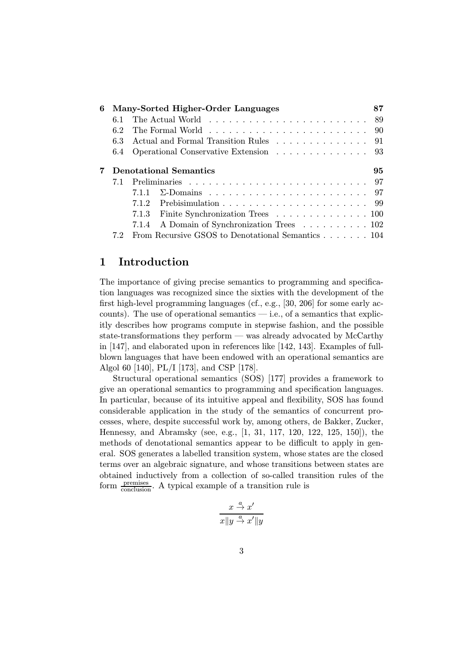| 6 |     | Many-Sorted Higher-Order Languages                | 87 |
|---|-----|---------------------------------------------------|----|
|   | 6.1 |                                                   |    |
|   | 6.2 |                                                   |    |
|   | 6.3 |                                                   |    |
|   | 6.4 | Operational Conservative Extension 93             |    |
|   |     | <b>Denotational Semantics</b>                     | 95 |
|   | 7.1 |                                                   |    |
|   |     | 7.1.1                                             |    |
|   |     | 7.1.2                                             |    |
|   |     | 7.1.3 Finite Synchronization Trees 100            |    |
|   |     | 7.1.4 A Domain of Synchronization Trees 102       |    |
|   |     | From Recursive GSOS to Denotational Semantics 104 |    |

## 1 Introduction

The importance of giving precise semantics to programming and specification languages was recognized since the sixties with the development of the first high-level programming languages (cf., e.g., [30, 206] for some early accounts). The use of operational semantics  $-$  i.e., of a semantics that explicitly describes how programs compute in stepwise fashion, and the possible state-transformations they perform — was already advocated by McCarthy in [147], and elaborated upon in references like [142, 143]. Examples of fullblown languages that have been endowed with an operational semantics are Algol 60 [140], PL/I [173], and CSP [178].

Structural operational semantics (SOS) [177] provides a framework to give an operational semantics to programming and specification languages. In particular, because of its intuitive appeal and flexibility, SOS has found considerable application in the study of the semantics of concurrent processes, where, despite successful work by, among others, de Bakker, Zucker, Hennessy, and Abramsky (see, e.g., [1, 31, 117, 120, 122, 125, 150]), the methods of denotational semantics appear to be difficult to apply in general. SOS generates a labelled transition system, whose states are the closed terms over an algebraic signature, and whose transitions between states are obtained inductively from a collection of so-called transition rules of the form  $\frac{\text{premiss}}{\text{conclusion}}$ . A typical example of a transition rule is

$$
\frac{x \stackrel{a}{\to} x'}{x \|y \stackrel{a}{\to} x'\|y}
$$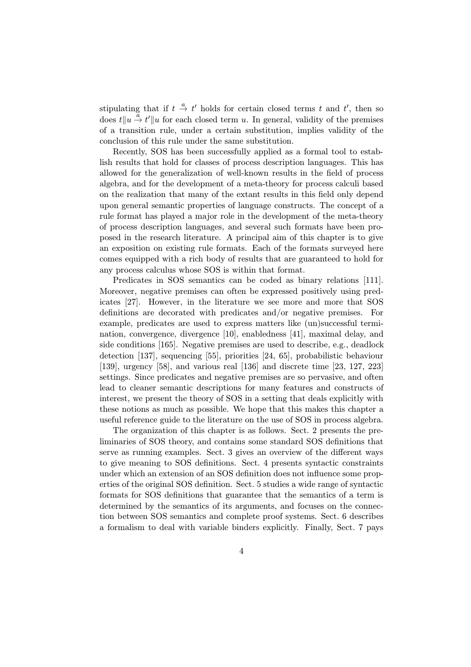stipulating that if  $t \stackrel{a}{\rightarrow} t'$  holds for certain closed terms t and t', then so does  $t||u \stackrel{a}{\rightarrow} t'||u$  for each closed term u. In general, validity of the premises of a transition rule, under a certain substitution, implies validity of the conclusion of this rule under the same substitution.

Recently, SOS has been successfully applied as a formal tool to establish results that hold for classes of process description languages. This has allowed for the generalization of well-known results in the field of process algebra, and for the development of a meta-theory for process calculi based on the realization that many of the extant results in this field only depend upon general semantic properties of language constructs. The concept of a rule format has played a major role in the development of the meta-theory of process description languages, and several such formats have been proposed in the research literature. A principal aim of this chapter is to give an exposition on existing rule formats. Each of the formats surveyed here comes equipped with a rich body of results that are guaranteed to hold for any process calculus whose SOS is within that format.

Predicates in SOS semantics can be coded as binary relations [111]. Moreover, negative premises can often be expressed positively using predicates [27]. However, in the literature we see more and more that SOS definitions are decorated with predicates and/or negative premises. For example, predicates are used to express matters like (un)successful termination, convergence, divergence [10], enabledness [41], maximal delay, and side conditions [165]. Negative premises are used to describe, e.g., deadlock detection [137], sequencing [55], priorities [24, 65], probabilistic behaviour [139], urgency [58], and various real [136] and discrete time [23, 127, 223] settings. Since predicates and negative premises are so pervasive, and often lead to cleaner semantic descriptions for many features and constructs of interest, we present the theory of SOS in a setting that deals explicitly with these notions as much as possible. We hope that this makes this chapter a useful reference guide to the literature on the use of SOS in process algebra.

The organization of this chapter is as follows. Sect. 2 presents the preliminaries of SOS theory, and contains some standard SOS definitions that serve as running examples. Sect. 3 gives an overview of the different ways to give meaning to SOS definitions. Sect. 4 presents syntactic constraints under which an extension of an SOS definition does not influence some properties of the original SOS definition. Sect. 5 studies a wide range of syntactic formats for SOS definitions that guarantee that the semantics of a term is determined by the semantics of its arguments, and focuses on the connection between SOS semantics and complete proof systems. Sect. 6 describes a formalism to deal with variable binders explicitly. Finally, Sect. 7 pays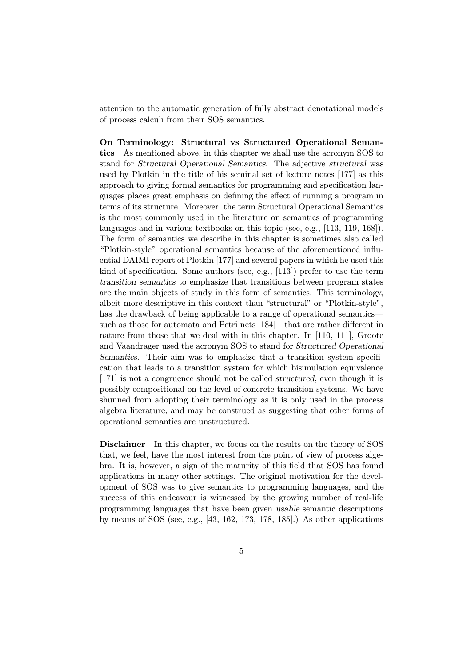attention to the automatic generation of fully abstract denotational models of process calculi from their SOS semantics.

On Terminology: Structural vs Structured Operational Semantics As mentioned above, in this chapter we shall use the acronym SOS to stand for Structural Operational Semantics. The adjective structural was used by Plotkin in the title of his seminal set of lecture notes [177] as this approach to giving formal semantics for programming and specification languages places great emphasis on defining the effect of running a program in terms of its structure. Moreover, the term Structural Operational Semantics is the most commonly used in the literature on semantics of programming languages and in various textbooks on this topic (see, e.g., [113, 119, 168]). The form of semantics we describe in this chapter is sometimes also called "Plotkin-style" operational semantics because of the aforementioned influential DAIMI report of Plotkin [177] and several papers in which he used this kind of specification. Some authors (see, e.g., [113]) prefer to use the term transition semantics to emphasize that transitions between program states are the main objects of study in this form of semantics. This terminology, albeit more descriptive in this context than "structural" or "Plotkin-style", has the drawback of being applicable to a range of operational semantics such as those for automata and Petri nets [184]—that are rather different in nature from those that we deal with in this chapter. In [110, 111], Groote and Vaandrager used the acronym SOS to stand for Structured Operational Semantics. Their aim was to emphasize that a transition system specification that leads to a transition system for which bisimulation equivalence [171] is not a congruence should not be called structured, even though it is possibly compositional on the level of concrete transition systems. We have shunned from adopting their terminology as it is only used in the process algebra literature, and may be construed as suggesting that other forms of operational semantics are unstructured.

Disclaimer In this chapter, we focus on the results on the theory of SOS that, we feel, have the most interest from the point of view of process algebra. It is, however, a sign of the maturity of this field that SOS has found applications in many other settings. The original motivation for the development of SOS was to give semantics to programming languages, and the success of this endeavour is witnessed by the growing number of real-life programming languages that have been given usable semantic descriptions by means of SOS (see, e.g., [43, 162, 173, 178, 185].) As other applications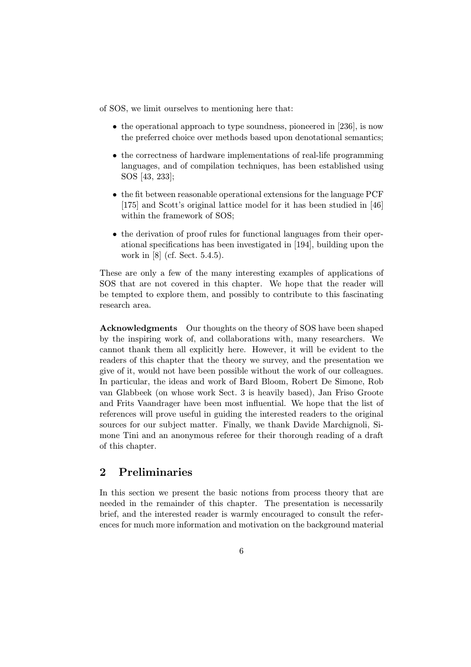of SOS, we limit ourselves to mentioning here that:

- the operational approach to type soundness, pioneered in [236], is now the preferred choice over methods based upon denotational semantics;
- the correctness of hardware implementations of real-life programming languages, and of compilation techniques, has been established using SOS [43, 233];
- the fit between reasonable operational extensions for the language PCF [175] and Scott's original lattice model for it has been studied in [46] within the framework of SOS;
- the derivation of proof rules for functional languages from their operational specifications has been investigated in [194], building upon the work in [8] (cf. Sect. 5.4.5).

These are only a few of the many interesting examples of applications of SOS that are not covered in this chapter. We hope that the reader will be tempted to explore them, and possibly to contribute to this fascinating research area.

Acknowledgments Our thoughts on the theory of SOS have been shaped by the inspiring work of, and collaborations with, many researchers. We cannot thank them all explicitly here. However, it will be evident to the readers of this chapter that the theory we survey, and the presentation we give of it, would not have been possible without the work of our colleagues. In particular, the ideas and work of Bard Bloom, Robert De Simone, Rob van Glabbeek (on whose work Sect. 3 is heavily based), Jan Friso Groote and Frits Vaandrager have been most influential. We hope that the list of references will prove useful in guiding the interested readers to the original sources for our subject matter. Finally, we thank Davide Marchignoli, Simone Tini and an anonymous referee for their thorough reading of a draft of this chapter.

## 2 Preliminaries

In this section we present the basic notions from process theory that are needed in the remainder of this chapter. The presentation is necessarily brief, and the interested reader is warmly encouraged to consult the references for much more information and motivation on the background material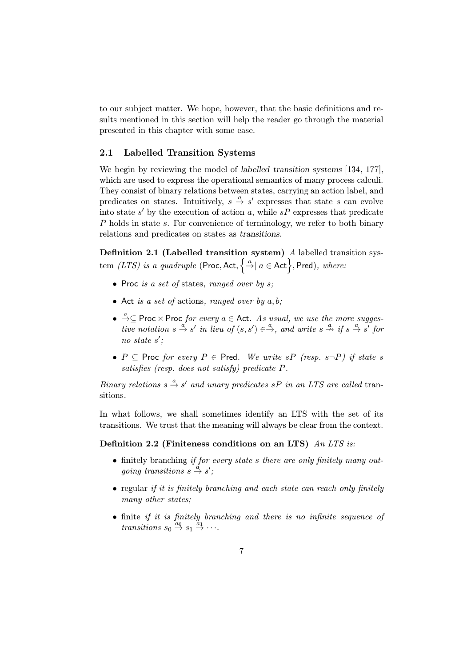to our subject matter. We hope, however, that the basic definitions and results mentioned in this section will help the reader go through the material presented in this chapter with some ease.

#### 2.1 Labelled Transition Systems

We begin by reviewing the model of *labelled transition systems* [134, 177], which are used to express the operational semantics of many process calculi. They consist of binary relations between states, carrying an action label, and predicates on states. Intuitively,  $s \stackrel{a}{\rightarrow} s'$  expresses that state s can evolve into state s' by the execution of action a, while  $sP$  expresses that predicate P holds in state s. For convenience of terminology, we refer to both binary relations and predicates on states as transitions.

Definition 2.1 (Labelled transition system) A labelled transition system *(LTS)* is a quadruple (Proc, Act,  $\left\{\stackrel{a}{\rightarrow} \mid a \in \text{Act}\right\}$ , Pred), where:

- Proc is a set of states, ranged over by  $s$ ;
- Act is a set of actions, ranged over by  $a, b$ ;
- $\stackrel{a}{\rightarrow} \subseteq$  Proc  $\times$  Proc for every  $a \in$  Act. As usual, we use the more suggestive notation  $s \stackrel{a}{\rightarrow} s'$  in lieu of  $(s, s') \in \stackrel{a}{\rightarrow}$ , and write  $s \stackrel{a}{\rightarrow} s'$  if  $s \stackrel{a}{\rightarrow} s'$  for no state  $s'$ ;
- P  $\subseteq$  Proc for every P  $\in$  Pred. We write sP (resp. s-P) if state s satisfies (resp. does not satisfy) predicate P.

Binary relations  $s \stackrel{a}{\rightarrow} s'$  and unary predicates  $sP$  in an LTS are called transitions.

In what follows, we shall sometimes identify an LTS with the set of its transitions. We trust that the meaning will always be clear from the context.

#### Definition 2.2 (Finiteness conditions on an LTS) An LTS is:

- finitely branching if for every state s there are only finitely many outgoing transitions  $s \stackrel{a}{\rightarrow} s'$ ;
- regular if it is finitely branching and each state can reach only finitely many other states:
- finite if it is finitely branching and there is no infinite sequence of transitions  $s_0 \stackrel{a_0}{\rightarrow} s_1 \stackrel{a_1}{\rightarrow} \cdots$ .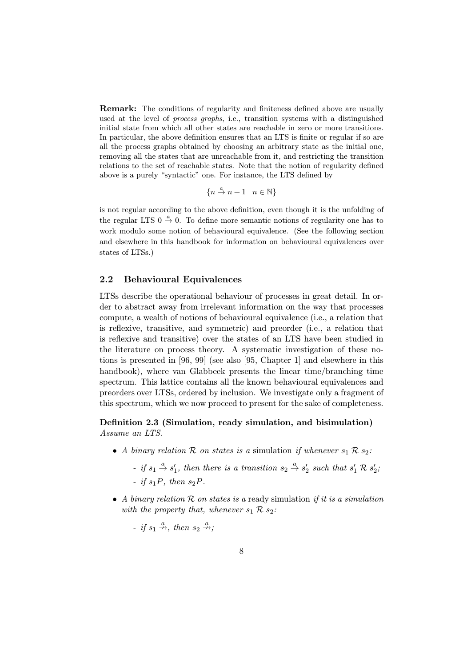Remark: The conditions of regularity and finiteness defined above are usually used at the level of process graphs, i.e., transition systems with a distinguished initial state from which all other states are reachable in zero or more transitions. In particular, the above definition ensures that an LTS is finite or regular if so are all the process graphs obtained by choosing an arbitrary state as the initial one, removing all the states that are unreachable from it, and restricting the transition relations to the set of reachable states. Note that the notion of regularity defined above is a purely "syntactic" one. For instance, the LTS defined by

 ${n \stackrel{a}{\rightarrow} n+1 \mid n \in \mathbb{N}}$ 

is not regular according to the above definition, even though it is the unfolding of the regular LTS  $0 \stackrel{a}{\rightarrow} 0$ . To define more semantic notions of regularity one has to work modulo some notion of behavioural equivalence. (See the following section and elsewhere in this handbook for information on behavioural equivalences over states of LTSs.)

#### 2.2 Behavioural Equivalences

LTSs describe the operational behaviour of processes in great detail. In order to abstract away from irrelevant information on the way that processes compute, a wealth of notions of behavioural equivalence (i.e., a relation that is reflexive, transitive, and symmetric) and preorder (i.e., a relation that is reflexive and transitive) over the states of an LTS have been studied in the literature on process theory. A systematic investigation of these notions is presented in [96, 99] (see also [95, Chapter 1] and elsewhere in this handbook), where van Glabbeek presents the linear time/branching time spectrum. This lattice contains all the known behavioural equivalences and preorders over LTSs, ordered by inclusion. We investigate only a fragment of this spectrum, which we now proceed to present for the sake of completeness.

## Definition 2.3 (Simulation, ready simulation, and bisimulation) Assume an LTS.

- A binary relation R on states is a simulation if whenever  $s_1 \mathcal{R} s_2$ :
	- if  $s_1 \stackrel{a}{\rightarrow} s'_1$ , then there is a transition  $s_2 \stackrel{a}{\rightarrow} s'_2$  such that  $s'_1 \mathcal{R} s'_2$ ; - if  $s_1P$ , then  $s_2P$ .
- A binary relation  $R$  on states is a ready simulation if it is a simulation with the property that, whenever  $s_1 \mathcal{R} s_2$ :
	- if  $s_1 \stackrel{a}{\nrightarrow}$ , then  $s_2 \stackrel{a}{\nrightarrow}$ ;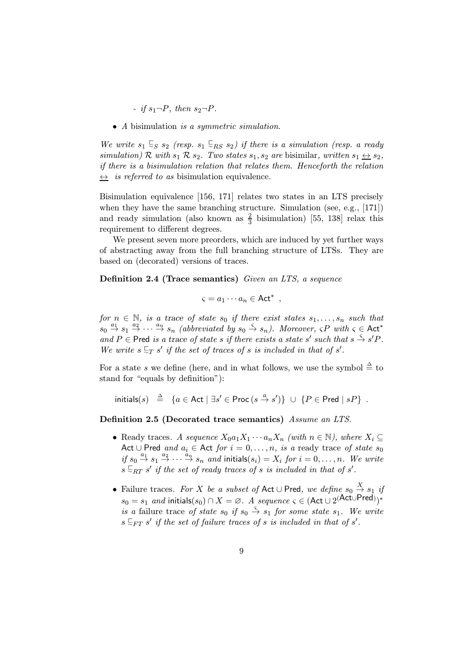- if  $s_1\neg P$ , then  $s_2\neg P$ .

• A bisimulation is a symmetric simulation.

We write  $s_1 \leq s_2$  (resp.  $s_1 \leq_{RS} s_2$ ) if there is a simulation (resp. a ready simulation) R with  $s_1$  R  $s_2$ . Two states  $s_1, s_2$  are bisimilar, written  $s_1 \leftrightarrow s_2$ , if there is a bisimulation relation that relates them. Henceforth the relation  $\leftrightarrow$  is referred to as bisimulation equivalence.

Bisimulation equivalence [156, 171] relates two states in an LTS precisely when they have the same branching structure. Simulation (see, e.g., [171]) and ready simulation (also known as  $\frac{2}{3}$  bisimulation) [55, 138] relax this requirement to different degrees.

We present seven more preorders, which are induced by yet further ways of abstracting away from the full branching structure of LTSs. They are based on (decorated) versions of traces.

Definition 2.4 (Trace semantics) Given an LTS, a sequence

$$
\varsigma = a_1 \cdots a_n \in \mathsf{Act}^* ,
$$

for  $n \in \mathbb{N}$ , is a trace of state  $s_0$  if there exist states  $s_1, \ldots, s_n$  such that  $s_0 \stackrel{a_1}{\rightarrow} s_1 \stackrel{a_2}{\rightarrow} \cdots \stackrel{a_n}{\rightarrow} s_n$  (abbreviated by  $s_0 \stackrel{\varsigma}{\rightarrow} s_n$ ). Moreover,  $\varsigma P$  with  $\varsigma \in \mathsf{Act}^*$ and P  $\in$  Pred is a trace of state s if there exists a state s' such that  $s \stackrel{\varsigma}{\to} s'P$ . We write  $s \subseteq_T s'$  if the set of traces of s is included in that of s'.

For a state s we define (here, and in what follows, we use the symbol  $\stackrel{\Delta}{=}$  to stand for "equals by definition"):

 $\text{initials}(s) \triangleq \{a \in \text{Act} \mid \exists s' \in \text{Proc}(s \stackrel{a}{\rightarrow} s')\} \cup \{P \in \text{Pred} \mid sP\}$ .

Definition 2.5 (Decorated trace semantics) Assume an LTS.

- Ready traces. A sequence  $X_0a_1X_1\cdots a_nX_n$  (with  $n \in \mathbb{N}$ ), where  $X_i \subseteq$ Act ∪ Pred and  $a_i \in$  Act for  $i = 0, \ldots, n$ , is a ready trace of state  $s_0$ if  $s_0 \stackrel{a_1}{\rightarrow} s_1 \stackrel{a_2}{\rightarrow} \cdots \stackrel{a_n}{\rightarrow} s_n$  and initials $(s_i) = X_i$  for  $i = 0, \ldots, n$ . We write  $s \in_{RT} s'$  if the set of ready traces of s is included in that of s'.
- Failure traces. For X be a subset of Act ∪ Pred, we define  $s_0 \stackrel{X}{\rightarrow} s_1$  if  $s_0 = s_1$  and initials $(s_0) \cap X = \varnothing$ . A sequence  $\varsigma \in (\mathsf{Act} \cup 2^{(\mathsf{Act} \cup \mathsf{Pred})})^*$ is a failure trace of state  $s_0$  if  $s_0 \stackrel{\varsigma}{\rightarrow} s_1$  for some state  $s_1$ . We write  $s \mathrel{\sqsubseteq_{FT}} s'$  if the set of failure traces of s is included in that of s'.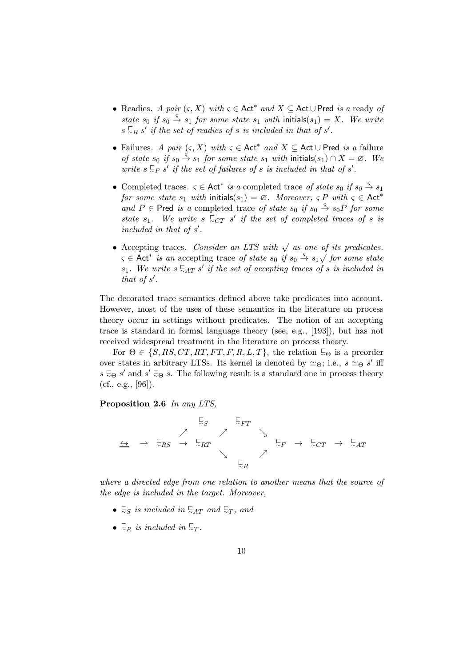- Readies. A pair  $(s, X)$  with  $s \in \text{Act}^*$  and  $X \subseteq \text{Act} \cup \text{Pred}$  is a ready of state  $s_0$  if  $s_0 \stackrel{\varsigma}{\rightarrow} s_1$  for some state  $s_1$  with initials( $s_1$ ) = X. We write  $s \mathrel{\sqsubseteq}_R s'$  if the set of readies of s is included in that of s'.
- Failures. A pair  $(\varsigma, X)$  with  $\varsigma \in \mathsf{Act}^*$  and  $X \subseteq \mathsf{Act} \cup \mathsf{Pred}$  is a failure of state  $s_0$  if  $s_0 \stackrel{\rightarrow}{\to} s_1$  for some state  $s_1$  with initials( $s_1$ )  $\cap X = \emptyset$ . We write  $s \subseteq_F s'$  if the set of failures of s is included in that of s'.
- Completed traces.  $\varsigma \in \mathsf{Act}^*$  is a completed trace of state  $s_0$  if  $s_0 \stackrel{\varsigma}{\to} s_1$ for some state  $s_1$  with initials( $s_1$ ) =  $\emptyset$ . Moreover,  $\varsigma P$  with  $\varsigma \in$  Act<sup>\*</sup> and P  $\in$  Pred is a completed trace of state  $s_0$  if  $s_0 \stackrel{\varsigma}{\rightarrow} s_0P$  for some state  $s_1$ . We write  $s \in C_T$  s' if the set of completed traces of s is included in that of  $s'$ .
- Accepting traces. Consider an LTS with  $\sqrt{a}$  as one of its predicates.  $\zeta \in$  Act<sup>\*</sup> is an accepting trace of state s<sub>0</sub> if s<sub>0</sub>  $\stackrel{\zeta}{\to}$  s<sub>1</sub> $\sqrt$  for some state  $s_1$ . We write  $s \in_{AT} s'$  if the set of accepting traces of s is included in that of  $s'$ .

The decorated trace semantics defined above take predicates into account. However, most of the uses of these semantics in the literature on process theory occur in settings without predicates. The notion of an accepting trace is standard in formal language theory (see, e.g., [193]), but has not received widespread treatment in the literature on process theory.

For  $\Theta \in \{S, RS, CT, RT, FT, F, R, L, T\}$ , the relation  $\Xi_{\Theta}$  is a preorder over states in arbitrary LTSs. Its kernel is denoted by  $\simeq_{\Theta}$ ; i.e.,  $s \simeq_{\Theta} s'$  iff  $s \subseteq_{\Theta} s'$  and  $s' \subseteq_{\Theta} s$ . The following result is a standard one in process theory  $(cf., e.g., [96]).$ 

#### Proposition 2.6 In any LTS,



where a directed edge from one relation to another means that the source of the edge is included in the target. Moreover,

- $\subseteq_S$  is included in  $\subseteq_{AT}$  and  $\subseteq_T$ , and
- $\overline{\phantom{a}}$  is included in  $\overline{\phantom{a}}$ .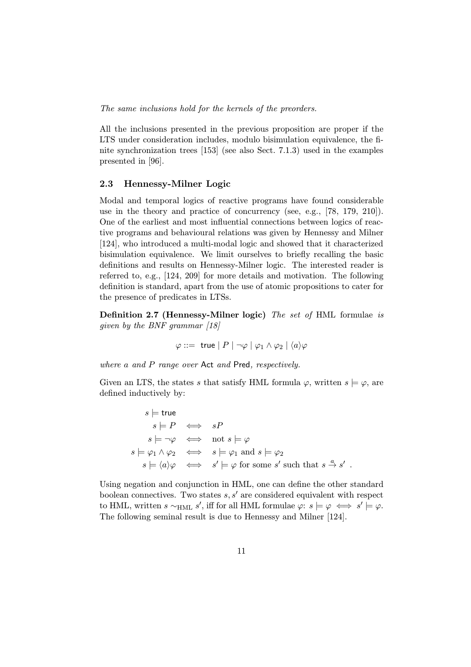The same inclusions hold for the kernels of the preorders.

All the inclusions presented in the previous proposition are proper if the LTS under consideration includes, modulo bisimulation equivalence, the finite synchronization trees [153] (see also Sect. 7.1.3) used in the examples presented in [96].

#### 2.3 Hennessy-Milner Logic

Modal and temporal logics of reactive programs have found considerable use in the theory and practice of concurrency (see, e.g., [78, 179, 210]). One of the earliest and most influential connections between logics of reactive programs and behavioural relations was given by Hennessy and Milner [124], who introduced a multi-modal logic and showed that it characterized bisimulation equivalence. We limit ourselves to briefly recalling the basic definitions and results on Hennessy-Milner logic. The interested reader is referred to, e.g., [124, 209] for more details and motivation. The following definition is standard, apart from the use of atomic propositions to cater for the presence of predicates in LTSs.

Definition 2.7 (Hennessy-Milner logic) The set of HML formulae is given by the BNF grammar [18]

$$
\varphi ::= \mathsf{ true} \mid P \mid \neg \varphi \mid \varphi_1 \land \varphi_2 \mid \langle a \rangle \varphi
$$

where a and P range over Act and Pred, respectively.

Given an LTS, the states s that satisfy HML formula  $\varphi$ , written  $s \models \varphi$ , are defined inductively by:

> $s \models$  true  $s \models P \iff sP$  $s \models \neg \varphi \iff \text{not } s \models \varphi$  $s \models \varphi_1 \land \varphi_2 \iff s \models \varphi_1 \text{ and } s \models \varphi_2$  $s \models \langle a \rangle \varphi \iff s' \models \varphi \text{ for some } s' \text{ such that } s \stackrel{a}{\rightarrow} s' .$

Using negation and conjunction in HML, one can define the other standard boolean connectives. Two states  $s, s'$  are considered equivalent with respect to HML, written  $s \sim_{\text{HML}} s'$ , iff for all HML formulae  $\varphi: s \models \varphi \iff s' \models \varphi$ . The following seminal result is due to Hennessy and Milner [124].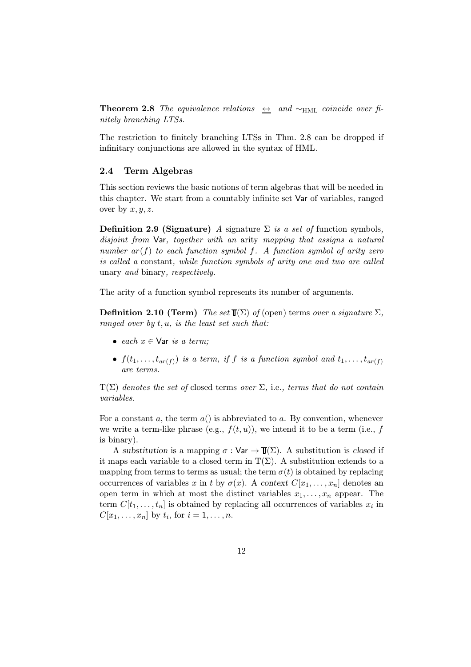**Theorem 2.8** The equivalence relations  $\leftrightarrow$  and ~HML coincide over finitely branching LTSs.

The restriction to finitely branching LTSs in Thm. 2.8 can be dropped if infinitary conjunctions are allowed in the syntax of HML.

#### 2.4 Term Algebras

This section reviews the basic notions of term algebras that will be needed in this chapter. We start from a countably infinite set Var of variables, ranged over by  $x, y, z$ .

Definition 2.9 (Signature) A signature  $\Sigma$  is a set of function symbols, disjoint from Var, together with an arity mapping that assigns a natural number  $ar(f)$  to each function symbol f. A function symbol of arity zero is called a constant, while function symbols of arity one and two are called unary and binary, respectively.

The arity of a function symbol represents its number of arguments.

**Definition 2.10 (Term)** The set  $\mathbb{T}(\Sigma)$  of (open) terms over a signature  $\Sigma$ , ranged over by  $t, u$ , is the least set such that:

- each  $x \in \text{Var}$  is a term;
- $f(t_1,\ldots,t_{ar(f)})$  is a term, if f is a function symbol and  $t_1,\ldots,t_{ar(f)}$ are terms.

 $T(\Sigma)$  denotes the set of closed terms over  $\Sigma$ , i.e., terms that do not contain variables.

For a constant a, the term  $a()$  is abbreviated to a. By convention, whenever we write a term-like phrase (e.g.,  $f(t, u)$ ), we intend it to be a term (i.e., f is binary).

A substitution is a mapping  $\sigma : \mathsf{Var} \to \mathbb{T}(\Sigma)$ . A substitution is closed if it maps each variable to a closed term in  $T(\Sigma)$ . A substitution extends to a mapping from terms to terms as usual; the term  $\sigma(t)$  is obtained by replacing occurrences of variables x in t by  $\sigma(x)$ . A context  $C[x_1,\ldots,x_n]$  denotes an open term in which at most the distinct variables  $x_1, \ldots, x_n$  appear. The term  $C[t_1,\ldots,t_n]$  is obtained by replacing all occurrences of variables  $x_i$  in  $C[x_1,\ldots,x_n]$  by  $t_i$ , for  $i=1,\ldots,n$ .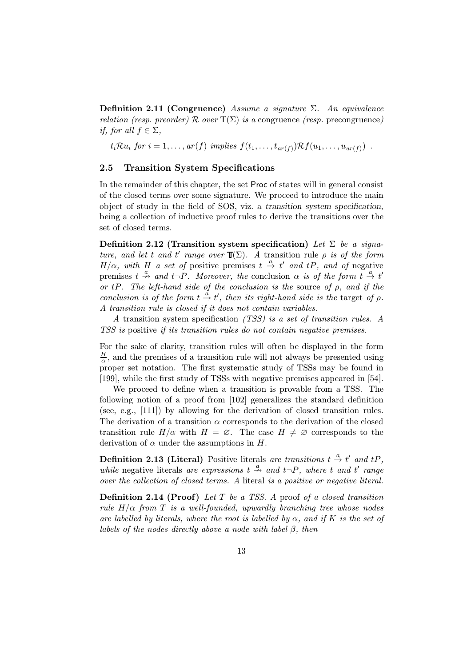Definition 2.11 (Congruence) Assume a signature  $\Sigma$ . An equivalence relation (resp. preorder) R over  $T(\Sigma)$  is a congruence (resp. precongruence) if, for all  $f \in \Sigma$ ,

 $t_i\mathcal{R}u_i$  for  $i=1,\ldots,ar(f)$  implies  $f(t_1,\ldots,t_{ar(f)})\mathcal{R}f(u_1,\ldots,u_{ar(f)})$ .

#### 2.5 Transition System Specifications

In the remainder of this chapter, the set Proc of states will in general consist of the closed terms over some signature. We proceed to introduce the main object of study in the field of SOS, viz. a transition system specification, being a collection of inductive proof rules to derive the transitions over the set of closed terms.

Definition 2.12 (Transition system specification) Let  $\Sigma$  be a signature, and let t and t' range over  $\mathbb{I}(\Sigma)$ . A transition rule  $\rho$  is of the form  $H/\alpha$ , with H a set of positive premises  $t \stackrel{a}{\rightarrow} t'$  and  $tP$ , and of negative premises  $t \stackrel{a}{\rightarrow} and t \stackrel{b}{\rightarrow}$ . Moreover, the conclusion  $\alpha$  is of the form  $t \stackrel{a}{\rightarrow} t'$ or tP. The left-hand side of the conclusion is the source of  $\rho$ , and if the conclusion is of the form  $t \stackrel{\alpha}{\to} t'$ , then its right-hand side is the target of  $\rho$ . A transition rule is closed if it does not contain variables.

A transition system specification (TSS) is a set of transition rules. A TSS is positive if its transition rules do not contain negative premises.

For the sake of clarity, transition rules will often be displayed in the form  $\frac{H}{\alpha}$ , and the premises of a transition rule will not always be presented using proper set notation. The first systematic study of TSSs may be found in [199], while the first study of TSSs with negative premises appeared in [54].

We proceed to define when a transition is provable from a TSS. The following notion of a proof from [102] generalizes the standard definition (see, e.g., [111]) by allowing for the derivation of closed transition rules. The derivation of a transition  $\alpha$  corresponds to the derivation of the closed transition rule  $H/\alpha$  with  $H = \emptyset$ . The case  $H \neq \emptyset$  corresponds to the derivation of  $\alpha$  under the assumptions in H.

**Definition 2.13 (Literal)** Positive literals are transitions  $t \stackrel{a}{\rightarrow} t'$  and  $tP$ , while negative literals are expressions  $t \stackrel{a}{\rightarrow}$  and  $t \neg P$ , where t and t' range over the collection of closed terms. A literal is a positive or negative literal.

**Definition 2.14 (Proof)** Let  $T$  be a TSS. A proof of a closed transition rule  $H/\alpha$  from T is a well-founded, upwardly branching tree whose nodes are labelled by literals, where the root is labelled by  $\alpha$ , and if K is the set of labels of the nodes directly above a node with label  $\beta$ , then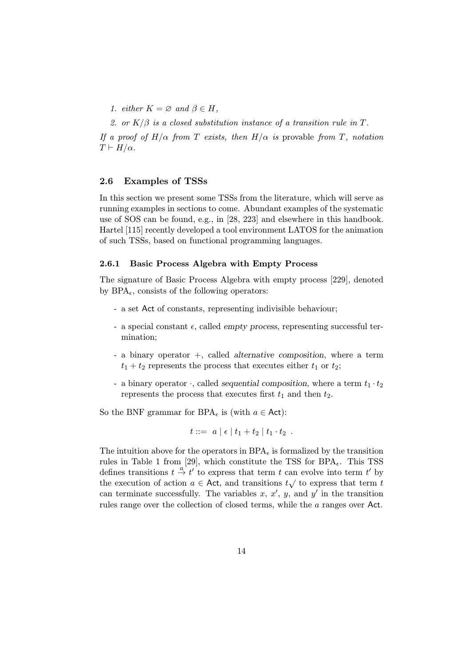1. either  $K = \emptyset$  and  $\beta \in H$ ,

2. or  $K/\beta$  is a closed substitution instance of a transition rule in T.

If a proof of  $H/\alpha$  from T exists, then  $H/\alpha$  is provable from T, notation  $T \vdash H/\alpha$ .

#### 2.6 Examples of TSSs

In this section we present some TSSs from the literature, which will serve as running examples in sections to come. Abundant examples of the systematic use of SOS can be found, e.g., in [28, 223] and elsewhere in this handbook. Hartel [115] recently developed a tool environment LATOS for the animation of such TSSs, based on functional programming languages.

#### 2.6.1 Basic Process Algebra with Empty Process

The signature of Basic Process Algebra with empty process [229], denoted by  $BPA_{\epsilon}$ , consists of the following operators:

- a set Act of constants, representing indivisible behaviour;
- a special constant  $\epsilon$ , called empty process, representing successful termination;
- a binary operator +, called alternative composition, where a term  $t_1 + t_2$  represents the process that executes either  $t_1$  or  $t_2$ ;
- a binary operator  $\cdot$ , called sequential composition, where a term  $t_1 \cdot t_2$ represents the process that executes first  $t_1$  and then  $t_2$ .

So the BNF grammar for BPA<sub> $\epsilon$ </sub> is (with  $a \in$  Act):

$$
t ::= a | \epsilon | t_1 + t_2 | t_1 \cdot t_2 .
$$

The intuition above for the operators in  $BPA_{\epsilon}$  is formalized by the transition rules in Table 1 from [29], which constitute the TSS for  $BPA_{\epsilon}$ . This TSS defines transitions  $t \stackrel{a}{\rightarrow} t'$  to express that term t can evolve into term t' by the execution of action  $a \in \text{Act}$ , and transitions  $t\sqrt{t}$  to express that term t can terminate successfully. The variables  $x, x', y$ , and  $y'$  in the transition rules range over the collection of closed terms, while the a ranges over Act.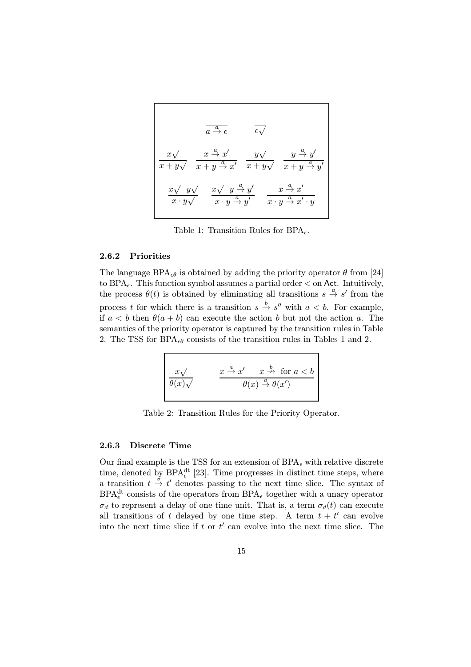$$
\frac{a}{a \stackrel{a}{\rightarrow} \epsilon} \qquad \overline{\epsilon \sqrt{}}
$$
\n
$$
\frac{x \sqrt{ } \quad x \stackrel{a}{\rightarrow} x' }{x + y \sqrt{ } \quad x + y \stackrel{a}{\rightarrow} x' } \quad \frac{y \sqrt{ } \quad y \stackrel{a}{\rightarrow} y' }{x + y \sqrt{ } \quad x + y \stackrel{a}{\rightarrow} y' } \quad \frac{y \stackrel{a}{\rightarrow} y' }{x \cdot y \sqrt{ } \quad x \cdot y \stackrel{a}{\rightarrow} y' } \qquad \frac{x \stackrel{a}{\rightarrow} x' }{x \cdot y \stackrel{a}{\rightarrow} y' } \quad \frac{x \stackrel{a}{\rightarrow} x' }{x \cdot y \stackrel{a}{\rightarrow} x' \cdot y} \qquad \frac{x \stackrel{a}{\rightarrow} x' }{x \cdot y \stackrel{a}{\rightarrow} x' \cdot y} \qquad \frac{x \stackrel{a}{\rightarrow} x' }{x \cdot y \stackrel{a}{\rightarrow} x' \cdot y} \qquad \frac{x \stackrel{a}{\rightarrow} x' }{x \cdot y \stackrel{a}{\rightarrow} x' \cdot y} \qquad \frac{x \stackrel{a}{\rightarrow} x' \stackrel{a}{\rightarrow} x' \stackrel{a}{\rightarrow} y' }{x \cdot y \stackrel{a}{\rightarrow} x' \cdot y} \qquad \frac{x \stackrel{a}{\rightarrow} x' \stackrel{a}{\rightarrow} y' }{x \cdot y \stackrel{a}{\rightarrow} x' \cdot y} \qquad \frac{x \stackrel{a}{\rightarrow} x' \stackrel{a}{\rightarrow} y' }{x \cdot y \stackrel{a}{\rightarrow} x' \cdot y} \qquad \frac{x \stackrel{a}{\rightarrow} x' \stackrel{a}{\rightarrow} y' }{x \cdot y \stackrel{a}{\rightarrow} x' \cdot y} \qquad \frac{x \stackrel{a}{\rightarrow} x' \stackrel{a}{\rightarrow} y' }{x \cdot y \stackrel{a}{\rightarrow} y' \cdot y} \qquad \frac{x \stackrel{a}{\rightarrow} x' \stackrel{a}{\rightarrow} y' }{x \cdot y \stackrel{a}{\rightarrow} y' \cdot y} \qquad \frac{x \stackrel{a}{\rightarrow} x' \stackrel{a}{\rightarrow} y' }{x \cdot y \stackrel{a}{\rightarrow} y' \cdot y} \qquad \frac{x \stackrel{a}{\rightarrow} x' \stackrel{a}{\rightarrow} y' }{x \cdot y \stackrel{a}{
$$

Table 1: Transition Rules for  $BPA_{\epsilon}$ .

#### 2.6.2 Priorities

The language BPA<sub> $\epsilon_{\theta}$ </sub> is obtained by adding the priority operator  $\theta$  from [24] to BPA<sub> $\epsilon$ </sub>. This function symbol assumes a partial order  $\epsilon$  on Act. Intuitively, the process  $\theta(t)$  is obtained by eliminating all transitions  $s \stackrel{a}{\rightarrow} s'$  from the process t for which there is a transition  $s \stackrel{b}{\rightarrow} s''$  with  $a < b$ . For example, if  $a < b$  then  $\theta(a + b)$  can execute the action b but not the action a. The semantics of the priority operator is captured by the transition rules in Table 2. The TSS for BPA<sub> $\epsilon\theta$ </sub> consists of the transition rules in Tables 1 and 2.

$$
\frac{x\sqrt{ } }{\theta(x)\sqrt{ }} \qquad \quad \frac{x \stackrel{a}{\rightarrow} x' \qquad x \stackrel{b}{\rightarrow} \text{ for } a < b }{\theta(x) \stackrel{a}{\rightarrow} \theta(x')}
$$

Table 2: Transition Rules for the Priority Operator.

#### 2.6.3 Discrete Time

Our final example is the TSS for an extension of  $BPA_{\epsilon}$  with relative discrete time, denoted by BPA<sup>dt</sup> [23]. Time progresses in distinct time steps, where a transition  $t \stackrel{\sigma}{\rightarrow} t'$  denotes passing to the next time slice. The syntax of  $\text{BPA}_{\epsilon}^{\text{dt}}$  consists of the operators from  $\text{BPA}_{\epsilon}$  together with a unary operator  $\sigma_d$  to represent a delay of one time unit. That is, a term  $\sigma_d(t)$  can execute all transitions of t delayed by one time step. A term  $t + t'$  can evolve into the next time slice if  $t$  or  $t'$  can evolve into the next time slice. The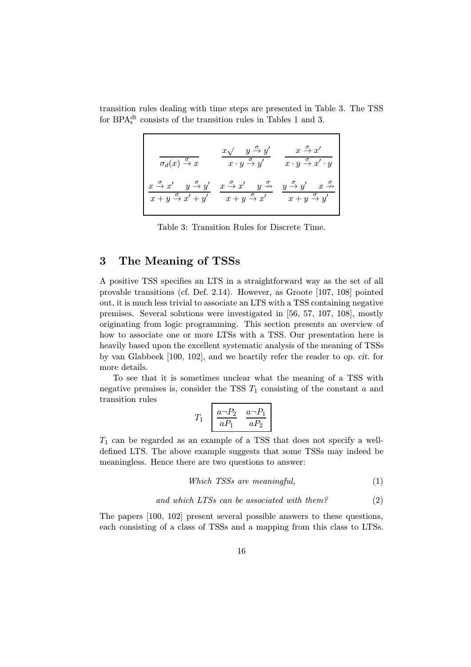transition rules dealing with time steps are presented in Table 3. The TSS for BPA<sup>dt</sup> consists of the transition rules in Tables 1 and 3.

| $\sigma_d(x) \stackrel{\sigma}{\rightarrow} x$                              | $x \sqrt{y} \rightarrow y'$<br>$x \cdot y \stackrel{\sigma}{\rightarrow} y'$ | $x \stackrel{\sigma}{\rightarrow} x'$<br>$x \cdot y \stackrel{\sigma}{\rightarrow} x' \cdot y$ |
|-----------------------------------------------------------------------------|------------------------------------------------------------------------------|------------------------------------------------------------------------------------------------|
| $x \stackrel{\sigma}{\rightarrow} x'$ $y \stackrel{\sigma}{\rightarrow} y'$ | $x \stackrel{\sigma}{\rightarrow} x'$ $y \stackrel{\sigma}{\nrightarrow}$    | $y \stackrel{\sigma}{\rightarrow} y'$ $x \stackrel{\sigma}{\nrightarrow}$                      |
| $x + y \stackrel{\sigma}{\rightarrow} x' + y'$                              | $x + y \stackrel{\sigma}{\rightarrow} x'$                                    | $x + y \stackrel{\sigma}{\rightarrow} y'$                                                      |

Table 3: Transition Rules for Discrete Time.

## 3 The Meaning of TSSs

A positive TSS specifies an LTS in a straightforward way as the set of all provable transitions (cf. Def. 2.14). However, as Groote [107, 108] pointed out, it is much less trivial to associate an LTS with a TSS containing negative premises. Several solutions were investigated in [56, 57, 107, 108], mostly originating from logic programming. This section presents an overview of how to associate one or more LTSs with a TSS. Our presentation here is heavily based upon the excellent systematic analysis of the meaning of TSSs by van Glabbeek [100, 102], and we heartily refer the reader to op. cit. for more details.

To see that it is sometimes unclear what the meaning of a TSS with negative premises is, consider the TSS  $T_1$  consisting of the constant a and transition rules

$$
T_1 \begin{bmatrix} \frac{a - P_2}{a P_1} & \frac{a - P_1}{a P_2} \end{bmatrix}
$$

 $T_1$  can be regarded as an example of a TSS that does not specify a welldefined LTS. The above example suggests that some TSSs may indeed be meaningless. Hence there are two questions to answer:

$$
Which TSSs are meaningful,
$$
\n
$$
(1)
$$

and which  $LTSs$  can be associated with them? (2)

The papers [100, 102] present several possible answers to these questions, each consisting of a class of TSSs and a mapping from this class to LTSs.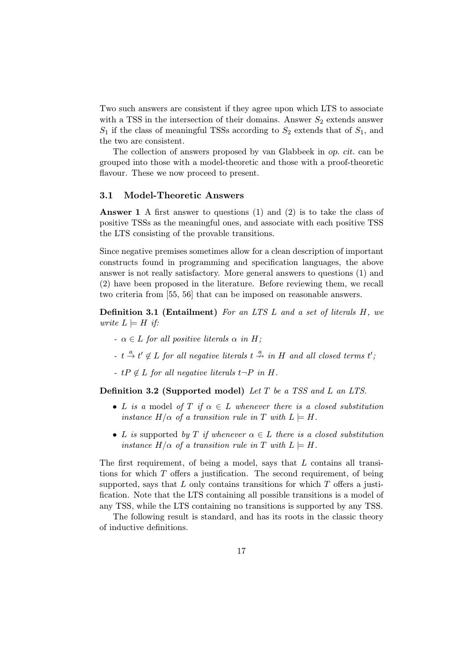Two such answers are consistent if they agree upon which LTS to associate with a TSS in the intersection of their domains. Answer  $S_2$  extends answer  $S_1$  if the class of meaningful TSSs according to  $S_2$  extends that of  $S_1$ , and the two are consistent.

The collection of answers proposed by van Glabbeek in op. cit. can be grouped into those with a model-theoretic and those with a proof-theoretic flavour. These we now proceed to present.

#### 3.1 Model-Theoretic Answers

Answer 1 A first answer to questions (1) and (2) is to take the class of positive TSSs as the meaningful ones, and associate with each positive TSS the LTS consisting of the provable transitions.

Since negative premises sometimes allow for a clean description of important constructs found in programming and specification languages, the above answer is not really satisfactory. More general answers to questions (1) and (2) have been proposed in the literature. Before reviewing them, we recall two criteria from [55, 56] that can be imposed on reasonable answers.

**Definition 3.1 (Entailment)** For an LTS L and a set of literals  $H$ , we write  $L \models H$  if:

- $\alpha \in L$  for all positive literals  $\alpha$  in H;
- $t \stackrel{a}{\rightarrow} t' \notin L$  for all negative literals  $t \stackrel{a}{\rightarrow}$  in H and all closed terms  $t'$ ;
- $tP \notin L$  for all negative literals  $t\neg P$  in H.

Definition 3.2 (Supported model) Let T be a TSS and L an LTS.

- L is a model of T if  $\alpha \in L$  whenever there is a closed substitution instance  $H/\alpha$  of a transition rule in T with  $L \models H$ .
- L is supported by T if whenever  $\alpha \in L$  there is a closed substitution instance  $H/\alpha$  of a transition rule in T with  $L \models H$ .

The first requirement, of being a model, says that  $L$  contains all transitions for which  $T$  offers a justification. The second requirement, of being supported, says that  $L$  only contains transitions for which  $T$  offers a justification. Note that the LTS containing all possible transitions is a model of any TSS, while the LTS containing no transitions is supported by any TSS.

The following result is standard, and has its roots in the classic theory of inductive definitions.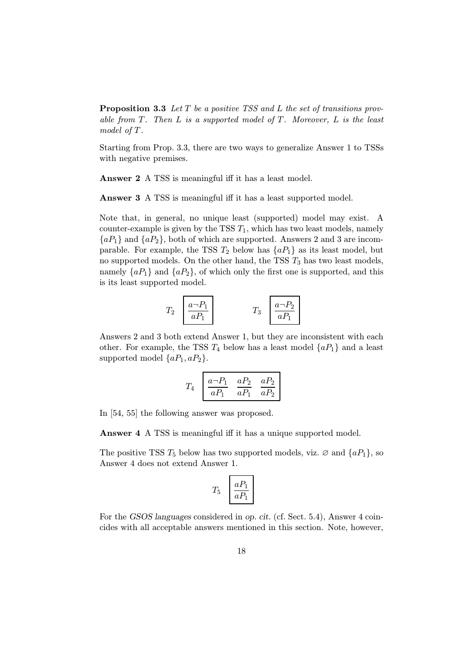**Proposition 3.3** Let  $T$  be a positive TSS and  $L$  the set of transitions provable from  $T$ . Then  $L$  is a supported model of  $T$ . Moreover,  $L$  is the least model of T.

Starting from Prop. 3.3, there are two ways to generalize Answer 1 to TSSs with negative premises.

Answer 2 A TSS is meaningful iff it has a least model.

Answer 3 A TSS is meaningful iff it has a least supported model.

Note that, in general, no unique least (supported) model may exist. A counter-example is given by the TSS  $T_1$ , which has two least models, namely  ${aP_1}$  and  ${aP_2}$ , both of which are supported. Answers 2 and 3 are incomparable. For example, the TSS  $T_2$  below has  $\{aP_1\}$  as its least model, but no supported models. On the other hand, the TSS  $T_3$  has two least models, namely  $\{aP_1\}$  and  $\{aP_2\}$ , of which only the first one is supported, and this is its least supported model.

$$
T_2 \begin{array}{|c|c|} \hline a \neg P_1 \\ \hline aP_1 \\ \hline \end{array} \qquad T_3 \begin{array}{|c|} \hline a \neg P_2 \\ \hline aP_1 \\ \hline \end{array}
$$

Answers 2 and 3 both extend Answer 1, but they are inconsistent with each other. For example, the TSS  $T_4$  below has a least model  $\{aP_1\}$  and a least supported model  $\{aP_1, aP_2\}.$ 

$$
T_4 \quad \boxed{\frac{a \neg P_1}{a P_1} \quad \frac{a P_2}{a P_1} \quad \frac{a P_2}{a P_2}}
$$

In [54, 55] the following answer was proposed.

Answer 4 A TSS is meaningful iff it has a unique supported model.

The positive TSS  $T_5$  below has two supported models, viz.  $\varnothing$  and  $\{aP_1\}$ , so Answer 4 does not extend Answer 1.

$$
T_5 \quad \boxed{\frac{aP_1}{aP_1}}
$$

For the GSOS languages considered in op. cit. (cf. Sect. 5.4), Answer 4 coincides with all acceptable answers mentioned in this section. Note, however,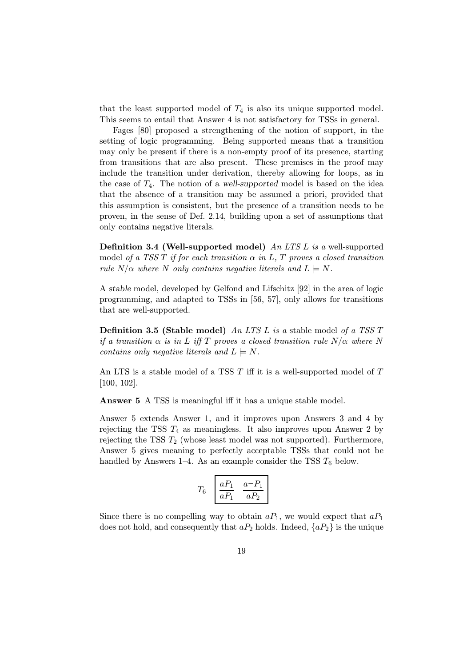that the least supported model of  $T_4$  is also its unique supported model. This seems to entail that Answer 4 is not satisfactory for TSSs in general.

Fages [80] proposed a strengthening of the notion of support, in the setting of logic programming. Being supported means that a transition may only be present if there is a non-empty proof of its presence, starting from transitions that are also present. These premises in the proof may include the transition under derivation, thereby allowing for loops, as in the case of  $T_4$ . The notion of a well-supported model is based on the idea that the absence of a transition may be assumed a priori, provided that this assumption is consistent, but the presence of a transition needs to be proven, in the sense of Def. 2.14, building upon a set of assumptions that only contains negative literals.

Definition 3.4 (Well-supported model) An LTS L is a well-supported model of a TSS T if for each transition  $\alpha$  in L, T proves a closed transition rule  $N/\alpha$  where N only contains negative literals and  $L \models N$ .

A stable model, developed by Gelfond and Lifschitz [92] in the area of logic programming, and adapted to TSSs in [56, 57], only allows for transitions that are well-supported.

**Definition 3.5 (Stable model)** An LTS L is a stable model of a TSS T if a transition  $\alpha$  is in L iff T proves a closed transition rule  $N/\alpha$  where N contains only negative literals and  $L \models N$ .

An LTS is a stable model of a TSS  $T$  iff it is a well-supported model of  $T$ [100, 102].

Answer 5 A TSS is meaningful iff it has a unique stable model.

Answer 5 extends Answer 1, and it improves upon Answers 3 and 4 by rejecting the TSS  $T_4$  as meaningless. It also improves upon Answer 2 by rejecting the TSS  $T_2$  (whose least model was not supported). Furthermore, Answer 5 gives meaning to perfectly acceptable TSSs that could not be handled by Answers 1–4. As an example consider the TSS  $T_6$  below.

$$
T_6 \left[\begin{array}{cc} aP_1 & a\neg P_1 \\ \hline aP_1 & aP_2 \end{array}\right]
$$

Since there is no compelling way to obtain  $aP_1$ , we would expect that  $aP_1$ does not hold, and consequently that  $aP_2$  holds. Indeed,  $\{aP_2\}$  is the unique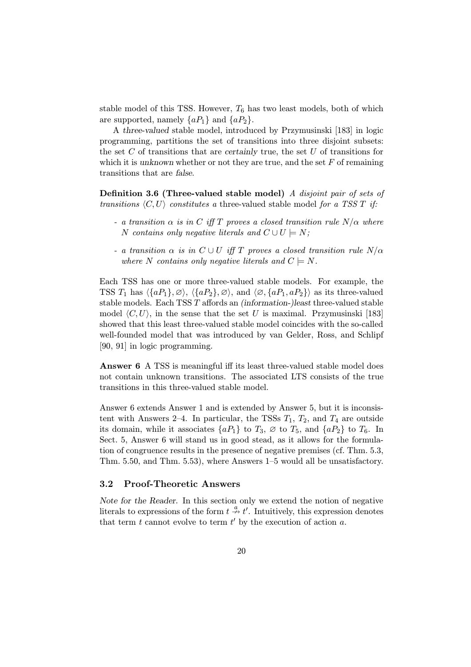stable model of this TSS. However,  $T_6$  has two least models, both of which are supported, namely  $\{aP_1\}$  and  $\{aP_2\}$ .

A three-valued stable model, introduced by Przymusinski [183] in logic programming, partitions the set of transitions into three disjoint subsets: the set  $C$  of transitions that are certainly true, the set  $U$  of transitions for which it is unknown whether or not they are true, and the set  $F$  of remaining transitions that are false.

Definition 3.6 (Three-valued stable model) A disjoint pair of sets of transitions  $\langle C, U \rangle$  constitutes a three-valued stable model for a TSS T if:

- a transition  $\alpha$  is in C iff T proves a closed transition rule  $N/\alpha$  where N contains only negative literals and  $C \cup U \models N$ ;
- a transition  $\alpha$  is in  $C \cup U$  iff T proves a closed transition rule  $N/\alpha$ where N contains only negative literals and  $C \models N$ .

Each TSS has one or more three-valued stable models. For example, the TSS  $T_1$  has  $\langle \{aP_1\}, \emptyset \rangle$ ,  $\langle \{aP_2\}, \emptyset \rangle$ , and  $\langle \emptyset, \{aP_1, aP_2\} \rangle$  as its three-valued stable models. Each TSS T affords an (information-)least three-valued stable model  $\langle C, U \rangle$ , in the sense that the set U is maximal. Przymusinski [183] showed that this least three-valued stable model coincides with the so-called well-founded model that was introduced by van Gelder, Ross, and Schlipf [90, 91] in logic programming.

Answer 6 A TSS is meaningful iff its least three-valued stable model does not contain unknown transitions. The associated LTS consists of the true transitions in this three-valued stable model.

Answer 6 extends Answer 1 and is extended by Answer 5, but it is inconsistent with Answers 2–4. In particular, the TSSs  $T_1$ ,  $T_2$ , and  $T_4$  are outside its domain, while it associates  $\{aP_1\}$  to  $T_3$ ,  $\varnothing$  to  $T_5$ , and  $\{aP_2\}$  to  $T_6$ . In Sect. 5, Answer 6 will stand us in good stead, as it allows for the formulation of congruence results in the presence of negative premises (cf. Thm. 5.3, Thm. 5.50, and Thm. 5.53), where Answers 1–5 would all be unsatisfactory.

#### 3.2 Proof-Theoretic Answers

Note for the Reader. In this section only we extend the notion of negative literals to expressions of the form  $t \stackrel{a}{\nightharpoonup} t'$ . Intuitively, this expression denotes that term  $t$  cannot evolve to term  $t'$  by the execution of action  $a$ .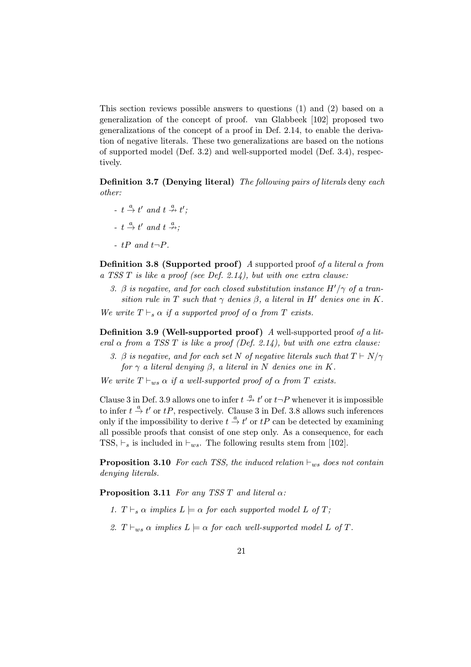This section reviews possible answers to questions (1) and (2) based on a generalization of the concept of proof. van Glabbeek [102] proposed two generalizations of the concept of a proof in Def. 2.14, to enable the derivation of negative literals. These two generalizations are based on the notions of supported model (Def. 3.2) and well-supported model (Def. 3.4), respectively.

Definition 3.7 (Denying literal) The following pairs of literals deny each other:

- $t \stackrel{a}{\rightarrow} t'$  and  $t \stackrel{a}{\nrightarrow} t'$ ;
- $t \stackrel{a}{\rightarrow} t'$  and  $t \stackrel{a}{\nrightarrow}$ ;
- $tP$  and  $t\neg P$ .

**Definition 3.8 (Supported proof)** A supported proof of a literal  $\alpha$  from a TSS  $T$  is like a proof (see Def. 2.14), but with one extra clause:

3.  $\beta$  is negative, and for each closed substitution instance  $H'/\gamma$  of a transition rule in T such that  $\gamma$  denies  $\beta$ , a literal in H' denies one in K.

We write  $T \vdash_s \alpha$  if a supported proof of  $\alpha$  from T exists.

Definition 3.9 (Well-supported proof) A well-supported proof of a literal  $\alpha$  from a TSS T is like a proof (Def. 2.14), but with one extra clause:

3. β is negative, and for each set N of negative literals such that  $T \vdash N/\gamma$ for  $\gamma$  a literal denying  $\beta$ , a literal in N denies one in K.

We write  $T \vdash_{ws} \alpha$  if a well-supported proof of  $\alpha$  from T exists.

Clause 3 in Def. 3.9 allows one to infer  $t \stackrel{a}{\rightarrow} t'$  or  $t\neg P$  whenever it is impossible to infer  $t \stackrel{a}{\rightarrow} t'$  or  $tP$ , respectively. Clause 3 in Def. 3.8 allows such inferences only if the impossibility to derive  $t \stackrel{a}{\rightarrow} t'$  or  $tP$  can be detected by examining all possible proofs that consist of one step only. As a consequence, for each TSS,  $\vdash_s$  is included in  $\vdash_{ws}$ . The following results stem from [102].

**Proposition 3.10** For each TSS, the induced relation  $\vdash_{ws}$  does not contain denying literals.

**Proposition 3.11** For any TSS T and literal  $\alpha$ :

- 1.  $T \vdash_s \alpha$  implies  $L \models \alpha$  for each supported model L of T;
- 2.  $T \vdash_{ws} \alpha$  implies  $L \models \alpha$  for each well-supported model L of T.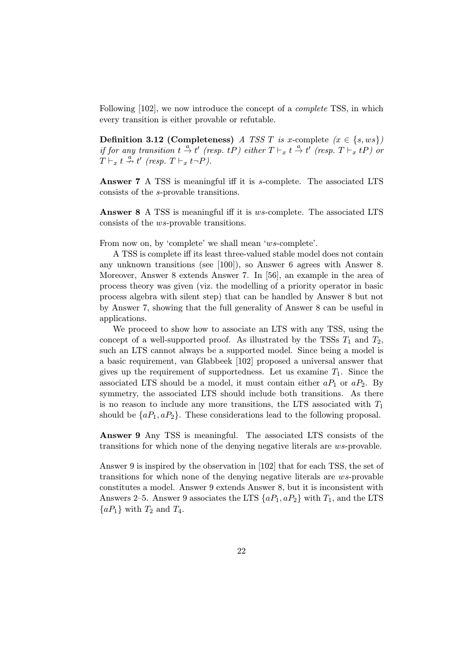Following [102], we now introduce the concept of a *complete* TSS, in which every transition is either provable or refutable.

Definition 3.12 (Completeness) A TSS T is x-complete  $(x \in \{s, ws\})$ if for any transition  $t \stackrel{a}{\rightarrow} t'$  (resp. tP) either  $T \vdash_x t \stackrel{a}{\rightarrow} t'$  (resp.  $T \vdash_x tP$ ) or  $T \vdash_x t \stackrel{a}{\nrightarrow} t'$  (resp.  $T \vdash_x t \neg P$ ).

Answer 7 A TSS is meaningful iff it is s-complete. The associated LTS consists of the s-provable transitions.

Answer 8 A TSS is meaningful iff it is ws-complete. The associated LTS consists of the ws-provable transitions.

From now on, by 'complete' we shall mean 'ws-complete'.

A TSS is complete iff its least three-valued stable model does not contain any unknown transitions (see [100]), so Answer 6 agrees with Answer 8. Moreover, Answer 8 extends Answer 7. In [56], an example in the area of process theory was given (viz. the modelling of a priority operator in basic process algebra with silent step) that can be handled by Answer 8 but not by Answer 7, showing that the full generality of Answer 8 can be useful in applications.

We proceed to show how to associate an LTS with any TSS, using the concept of a well-supported proof. As illustrated by the TSSs  $T_1$  and  $T_2$ , such an LTS cannot always be a supported model. Since being a model is a basic requirement, van Glabbeek [102] proposed a universal answer that gives up the requirement of supportedness. Let us examine  $T_1$ . Since the associated LTS should be a model, it must contain either  $aP_1$  or  $aP_2$ . By symmetry, the associated LTS should include both transitions. As there is no reason to include any more transitions, the LTS associated with  $T_1$ should be  $\{aP_1, aP_2\}$ . These considerations lead to the following proposal.

Answer 9 Any TSS is meaningful. The associated LTS consists of the transitions for which none of the denying negative literals are ws-provable.

Answer 9 is inspired by the observation in [102] that for each TSS, the set of transitions for which none of the denying negative literals are ws-provable constitutes a model. Answer 9 extends Answer 8, but it is inconsistent with Answers 2–5. Answer 9 associates the LTS  $\{aP_1, aP_2\}$  with  $T_1$ , and the LTS  ${aP_1}$  with  $T_2$  and  $T_4$ .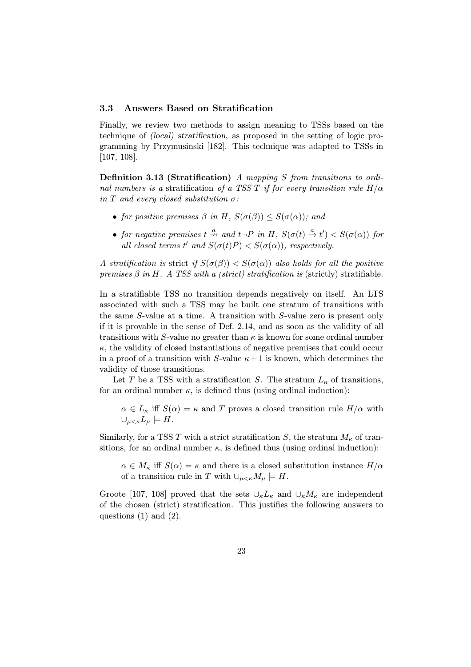#### 3.3 Answers Based on Stratification

Finally, we review two methods to assign meaning to TSSs based on the technique of (local) stratification, as proposed in the setting of logic programming by Przymusinski [182]. This technique was adapted to TSSs in [107, 108].

Definition 3.13 (Stratification) A mapping S from transitions to ordinal numbers is a stratification of a TSS T if for every transition rule  $H/\alpha$ in T and every closed substitution  $\sigma$ :

- for positive premises  $\beta$  in H,  $S(\sigma(\beta)) \leq S(\sigma(\alpha))$ ; and
- for negative premises  $t \stackrel{a}{\nrightarrow}$  and  $t \neg P$  in H,  $S(\sigma(t) \stackrel{a}{\rightarrow} t') < S(\sigma(\alpha))$  for all closed terms t' and  $S(\sigma(t)P) < S(\sigma(\alpha))$ , respectively.

A stratification is strict if  $S(\sigma(\beta)) < S(\sigma(\alpha))$  also holds for all the positive premises  $\beta$  in H. A TSS with a (strict) stratification is (strictly) stratifiable.

In a stratifiable TSS no transition depends negatively on itself. An LTS associated with such a TSS may be built one stratum of transitions with the same S-value at a time. A transition with S-value zero is present only if it is provable in the sense of Def. 2.14, and as soon as the validity of all transitions with S-value no greater than  $\kappa$  is known for some ordinal number  $\kappa$ , the validity of closed instantiations of negative premises that could occur in a proof of a transition with S-value  $\kappa+1$  is known, which determines the validity of those transitions.

Let T be a TSS with a stratification S. The stratum  $L_{\kappa}$  of transitions, for an ordinal number  $\kappa$ , is defined thus (using ordinal induction):

 $\alpha \in L_{\kappa}$  iff  $S(\alpha) = \kappa$  and T proves a closed transition rule  $H/\alpha$  with  $\cup_{\mu<\kappa}L_{\mu}\models H.$ 

Similarly, for a TSS T with a strict stratification S, the stratum  $M_{\kappa}$  of transitions, for an ordinal number  $\kappa$ , is defined thus (using ordinal induction):

 $\alpha \in M_{\kappa}$  iff  $S(\alpha) = \kappa$  and there is a closed substitution instance  $H/\alpha$ of a transition rule in T with  $\cup_{\mu < \kappa} M_{\mu} \models H$ .

Groote [107, 108] proved that the sets  $\cup_{\kappa} L_{\kappa}$  and  $\cup_{\kappa} M_{\kappa}$  are independent of the chosen (strict) stratification. This justifies the following answers to questions (1) and (2).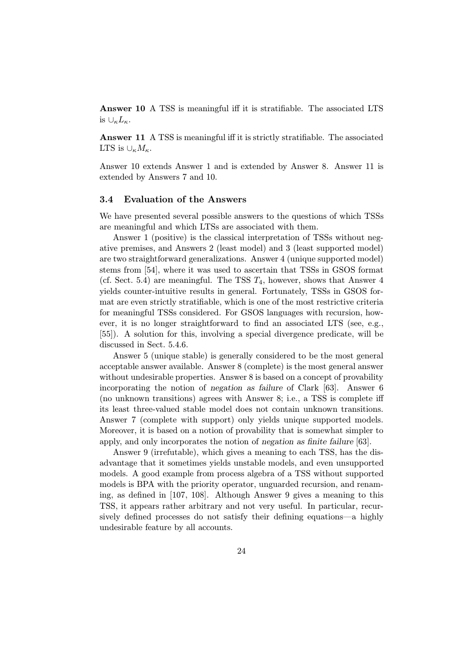Answer 10 A TSS is meaningful iff it is stratifiable. The associated LTS is  $\cup_{\kappa}L_{\kappa}$ .

Answer 11 A TSS is meaningful iff it is strictly stratifiable. The associated LTS is  $\cup_{\kappa} M_{\kappa}$ .

Answer 10 extends Answer 1 and is extended by Answer 8. Answer 11 is extended by Answers 7 and 10.

#### 3.4 Evaluation of the Answers

We have presented several possible answers to the questions of which TSSs are meaningful and which LTSs are associated with them.

Answer 1 (positive) is the classical interpretation of TSSs without negative premises, and Answers 2 (least model) and 3 (least supported model) are two straightforward generalizations. Answer 4 (unique supported model) stems from [54], where it was used to ascertain that TSSs in GSOS format (cf. Sect. 5.4) are meaningful. The TSS  $T_4$ , however, shows that Answer 4 yields counter-intuitive results in general. Fortunately, TSSs in GSOS format are even strictly stratifiable, which is one of the most restrictive criteria for meaningful TSSs considered. For GSOS languages with recursion, however, it is no longer straightforward to find an associated LTS (see, e.g., [55]). A solution for this, involving a special divergence predicate, will be discussed in Sect. 5.4.6.

Answer 5 (unique stable) is generally considered to be the most general acceptable answer available. Answer 8 (complete) is the most general answer without undesirable properties. Answer 8 is based on a concept of provability incorporating the notion of negation as failure of Clark [63]. Answer 6 (no unknown transitions) agrees with Answer 8; i.e., a TSS is complete iff its least three-valued stable model does not contain unknown transitions. Answer 7 (complete with support) only yields unique supported models. Moreover, it is based on a notion of provability that is somewhat simpler to apply, and only incorporates the notion of negation as finite failure [63].

Answer 9 (irrefutable), which gives a meaning to each TSS, has the disadvantage that it sometimes yields unstable models, and even unsupported models. A good example from process algebra of a TSS without supported models is BPA with the priority operator, unguarded recursion, and renaming, as defined in [107, 108]. Although Answer 9 gives a meaning to this TSS, it appears rather arbitrary and not very useful. In particular, recursively defined processes do not satisfy their defining equations—a highly undesirable feature by all accounts.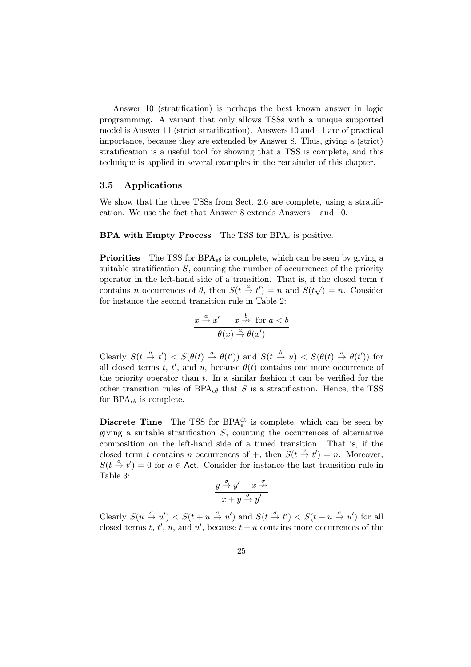Answer 10 (stratification) is perhaps the best known answer in logic programming. A variant that only allows TSSs with a unique supported model is Answer 11 (strict stratification). Answers 10 and 11 are of practical importance, because they are extended by Answer 8. Thus, giving a (strict) stratification is a useful tool for showing that a TSS is complete, and this technique is applied in several examples in the remainder of this chapter.

#### 3.5 Applications

We show that the three TSSs from Sect. 2.6 are complete, using a stratification. We use the fact that Answer 8 extends Answers 1 and 10.

#### **BPA with Empty Process** The TSS for  $BPA_{\epsilon}$  is positive.

**Priorities** The TSS for  $BPA_{\epsilon\theta}$  is complete, which can be seen by giving a suitable stratification  $S$ , counting the number of occurrences of the priority operator in the left-hand side of a transition. That is, if the closed term  $t$ contains *n* occurrences of  $\theta$ , then  $S(t \frac{a}{r} t') = n$  and  $S(t \sqrt{r}) = n$ . Consider for instance the second transition rule in Table 2:

$$
\frac{x \stackrel{a}{\to} x' \quad x \stackrel{b}{\to} \text{ for } a < b}{\theta(x) \stackrel{a}{\to} \theta(x')}
$$

Clearly  $S(t \stackrel{a}{\to} t') < S(\theta(t) \stackrel{a}{\to} \theta(t'))$  and  $S(t \stackrel{b}{\to} u) < S(\theta(t) \stackrel{a}{\to} \theta(t'))$  for all closed terms t, t', and u, because  $\theta(t)$  contains one more occurrence of the priority operator than  $t$ . In a similar fashion it can be verified for the other transition rules of BPA<sub> $\epsilon\theta$ </sub> that S is a stratification. Hence, the TSS for BPA $_{\epsilon\theta}$  is complete.

**Discrete Time** The TSS for BPA<sup>dt</sup> is complete, which can be seen by giving a suitable stratification  $S$ , counting the occurrences of alternative composition on the left-hand side of a timed transition. That is, if the closed term t contains n occurrences of  $+$ , then  $S(t \stackrel{\sigma}{\to} t') = n$ . Moreover,  $S(t \stackrel{a}{\rightarrow} t') = 0$  for  $a \in$  Act. Consider for instance the last transition rule in Table 3:

$$
\frac{y\xrightarrow{\sigma}y' \quad x\xrightarrow{\sigma}}{x+y\xrightarrow{\sigma}y'}
$$

Clearly  $S(u \stackrel{\sigma}{\to} u') < S(t + u \stackrel{\sigma}{\to} u')$  and  $S(t \stackrel{\sigma}{\to} t') < S(t + u \stackrel{\sigma}{\to} u')$  for all closed terms t, t', u, and u', because  $t + u$  contains more occurrences of the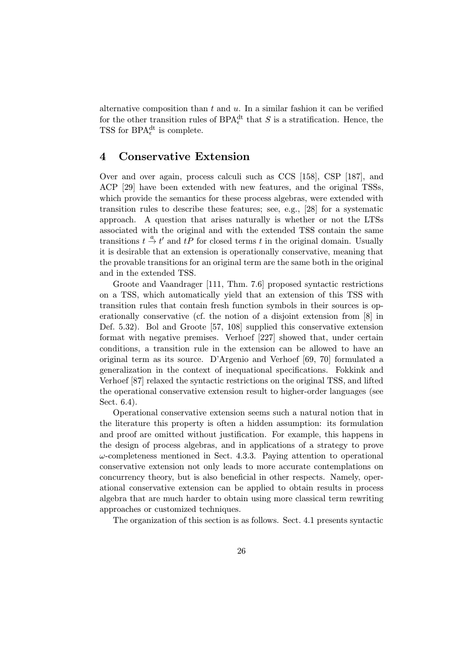alternative composition than  $t$  and  $u$ . In a similar fashion it can be verified for the other transition rules of  $BPA_{\epsilon}^{dt}$  that S is a stratification. Hence, the TSS for  $BPA_{\epsilon}^{dt}$  is complete.

## 4 Conservative Extension

Over and over again, process calculi such as CCS [158], CSP [187], and ACP [29] have been extended with new features, and the original TSSs, which provide the semantics for these process algebras, were extended with transition rules to describe these features; see, e.g., [28] for a systematic approach. A question that arises naturally is whether or not the LTSs associated with the original and with the extended TSS contain the same transitions  $t \stackrel{a}{\rightarrow} t'$  and  $tP$  for closed terms t in the original domain. Usually it is desirable that an extension is operationally conservative, meaning that the provable transitions for an original term are the same both in the original and in the extended TSS.

Groote and Vaandrager [111, Thm. 7.6] proposed syntactic restrictions on a TSS, which automatically yield that an extension of this TSS with transition rules that contain fresh function symbols in their sources is operationally conservative (cf. the notion of a disjoint extension from [8] in Def. 5.32). Bol and Groote [57, 108] supplied this conservative extension format with negative premises. Verhoef [227] showed that, under certain conditions, a transition rule in the extension can be allowed to have an original term as its source. D'Argenio and Verhoef [69, 70] formulated a generalization in the context of inequational specifications. Fokkink and Verhoef [87] relaxed the syntactic restrictions on the original TSS, and lifted the operational conservative extension result to higher-order languages (see Sect. 6.4).

Operational conservative extension seems such a natural notion that in the literature this property is often a hidden assumption: its formulation and proof are omitted without justification. For example, this happens in the design of process algebras, and in applications of a strategy to prove  $\omega$ -completeness mentioned in Sect. 4.3.3. Paying attention to operational conservative extension not only leads to more accurate contemplations on concurrency theory, but is also beneficial in other respects. Namely, operational conservative extension can be applied to obtain results in process algebra that are much harder to obtain using more classical term rewriting approaches or customized techniques.

The organization of this section is as follows. Sect. 4.1 presents syntactic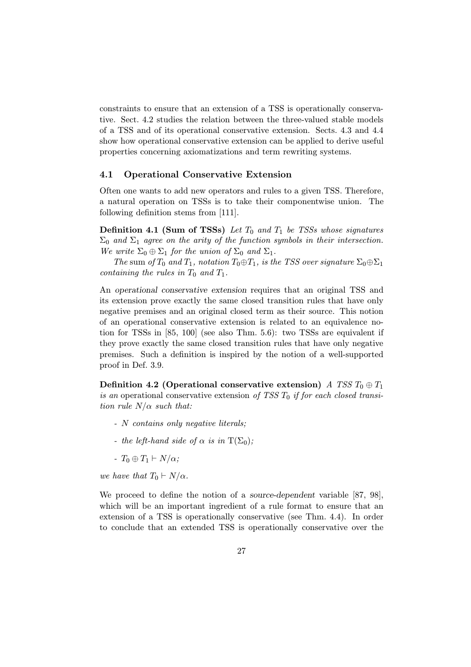constraints to ensure that an extension of a TSS is operationally conservative. Sect. 4.2 studies the relation between the three-valued stable models of a TSS and of its operational conservative extension. Sects. 4.3 and 4.4 show how operational conservative extension can be applied to derive useful properties concerning axiomatizations and term rewriting systems.

#### 4.1 Operational Conservative Extension

Often one wants to add new operators and rules to a given TSS. Therefore, a natural operation on TSSs is to take their componentwise union. The following definition stems from [111].

**Definition 4.1 (Sum of TSSs)** Let  $T_0$  and  $T_1$  be TSSs whose signatures  $\Sigma_0$  and  $\Sigma_1$  agree on the arity of the function symbols in their intersection. We write  $\Sigma_0 \oplus \Sigma_1$  for the union of  $\Sigma_0$  and  $\Sigma_1$ .

The sum of  $T_0$  and  $T_1$ , notation  $T_0 \oplus T_1$ , is the TSS over signature  $\Sigma_0 \oplus \Sigma_1$ containing the rules in  $T_0$  and  $T_1$ .

An operational conservative extension requires that an original TSS and its extension prove exactly the same closed transition rules that have only negative premises and an original closed term as their source. This notion of an operational conservative extension is related to an equivalence notion for TSSs in [85, 100] (see also Thm. 5.6): two TSSs are equivalent if they prove exactly the same closed transition rules that have only negative premises. Such a definition is inspired by the notion of a well-supported proof in Def. 3.9.

Definition 4.2 (Operational conservative extension) A TSS  $T_0 \oplus T_1$ is an operational conservative extension of TSS  $T_0$  if for each closed transition rule  $N/\alpha$  such that:

- N contains only negative literals;
- the left-hand side of  $\alpha$  is in T( $\Sigma_0$ );
- $T_0 \oplus T_1 \vdash N/\alpha;$

we have that  $T_0 \vdash N/\alpha$ .

We proceed to define the notion of a source-dependent variable [87, 98], which will be an important ingredient of a rule format to ensure that an extension of a TSS is operationally conservative (see Thm. 4.4). In order to conclude that an extended TSS is operationally conservative over the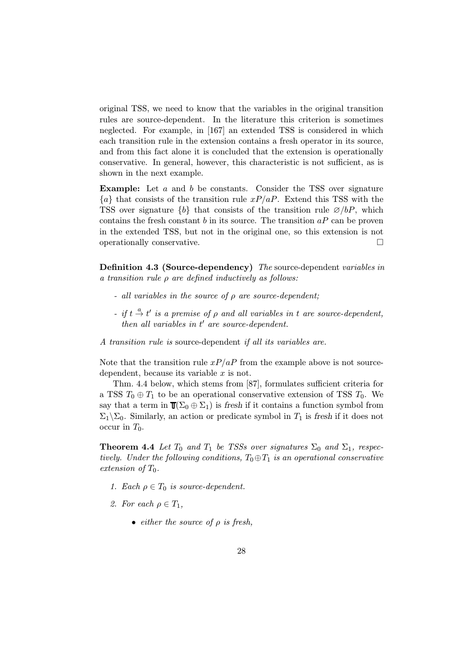original TSS, we need to know that the variables in the original transition rules are source-dependent. In the literature this criterion is sometimes neglected. For example, in [167] an extended TSS is considered in which each transition rule in the extension contains a fresh operator in its source, and from this fact alone it is concluded that the extension is operationally conservative. In general, however, this characteristic is not sufficient, as is shown in the next example.

Example: Let a and b be constants. Consider the TSS over signature  ${a}$  that consists of the transition rule  $xP/aP$ . Extend this TSS with the TSS over signature  $\{b\}$  that consists of the transition rule  $\varnothing/bP$ , which contains the fresh constant  $b$  in its source. The transition  $aP$  can be proven in the extended TSS, but not in the original one, so this extension is not operationally conservative.

Definition 4.3 (Source-dependency) The source-dependent variables in a transition rule  $\rho$  are defined inductively as follows:

- all variables in the source of  $\rho$  are source-dependent;
- if  $t \stackrel{a}{\rightarrow} t'$  is a premise of  $\rho$  and all variables in t are source-dependent, then all variables in  $t'$  are source-dependent.

A transition rule is source-dependent if all its variables are.

Note that the transition rule  $xP/aP$  from the example above is not sourcedependent, because its variable x is not.

Thm. 4.4 below, which stems from [87], formulates sufficient criteria for a TSS  $T_0 \oplus T_1$  to be an operational conservative extension of TSS  $T_0$ . We say that a term in  $\mathbb{T}(\Sigma_0 \oplus \Sigma_1)$  is fresh if it contains a function symbol from  $\Sigma_1\backslash\Sigma_0$ . Similarly, an action or predicate symbol in  $T_1$  is fresh if it does not occur in  $T_0$ .

**Theorem 4.4** Let  $T_0$  and  $T_1$  be TSSs over signatures  $\Sigma_0$  and  $\Sigma_1$ , respectively. Under the following conditions,  $T_0 \oplus T_1$  is an operational conservative extension of  $T_0$ .

- 1. Each  $\rho \in T_0$  is source-dependent.
- 2. For each  $\rho \in T_1$ ,
	- either the source of  $\rho$  is fresh,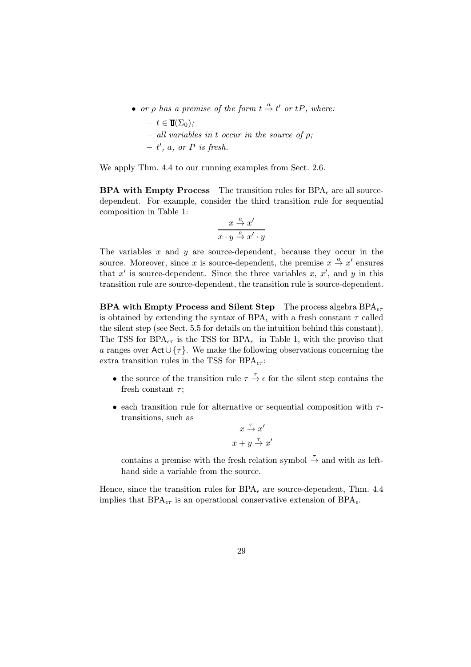- or  $\rho$  has a premise of the form  $t \stackrel{a}{\rightarrow} t'$  or  $tP$ , where:
	- $t \in \mathbb{T}(\Sigma_0)$ ;
	- $-$  all variables in t occur in the source of  $\rho$ ;
	- $t'$ , a, or P is fresh.

We apply Thm. 4.4 to our running examples from Sect. 2.6.

**BPA with Empty Process** The transition rules for  $BPA<sub>e</sub>$  are all sourcedependent. For example, consider the third transition rule for sequential composition in Table 1:

$$
\frac{x \stackrel{a}{\to} x'}{x \cdot y \stackrel{a}{\to} x' \cdot y}
$$

The variables  $x$  and  $y$  are source-dependent, because they occur in the source. Moreover, since x is source-dependent, the premise  $x \stackrel{a}{\rightarrow} x'$  ensures that  $x'$  is source-dependent. Since the three variables  $x, x'$ , and  $y$  in this transition rule are source-dependent, the transition rule is source-dependent.

**BPA with Empty Process and Silent Step** The process algebra  $BPA_{\epsilon\tau}$ is obtained by extending the syntax of  $BPA_{\epsilon}$  with a fresh constant  $\tau$  called the silent step (see Sect. 5.5 for details on the intuition behind this constant). The TSS for BPA<sub> $\epsilon \tau$ </sub> is the TSS for BPA<sub> $\epsilon$ </sub> in Table 1, with the proviso that a ranges over Act∪ $\{\tau\}$ . We make the following observations concerning the extra transition rules in the TSS for  $BPA_{\epsilon\tau}$ :

- the source of the transition rule  $\tau \stackrel{\tau}{\rightarrow} \epsilon$  for the silent step contains the fresh constant  $\tau$ ;
- each transition rule for alternative or sequential composition with  $\tau$ transitions, such as

$$
\frac{x \stackrel{\tau}{\to} x'}{x + y \stackrel{\tau}{\to} x'}
$$

contains a premise with the fresh relation symbol  $\stackrel{\tau}{\to}$  and with as lefthand side a variable from the source.

Hence, since the transition rules for  $BPA_{\epsilon}$  are source-dependent, Thm. 4.4 implies that  $BPA_{\epsilon\tau}$  is an operational conservative extension of  $BPA_{\epsilon}$ .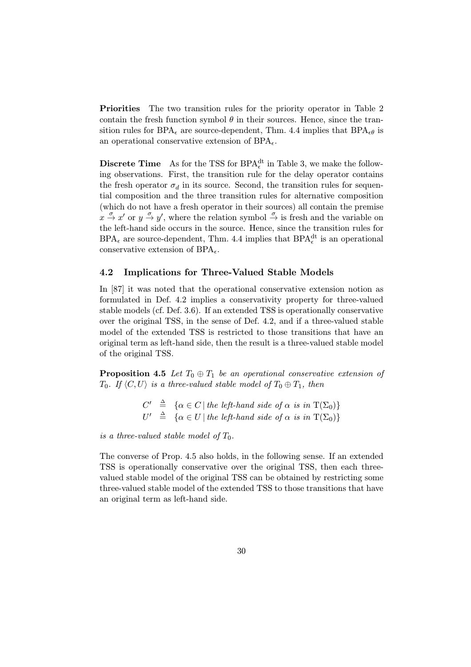Priorities The two transition rules for the priority operator in Table 2 contain the fresh function symbol  $\theta$  in their sources. Hence, since the transition rules for BPA<sub> $\epsilon$ </sub> are source-dependent, Thm. 4.4 implies that BPA $_{\epsilon\theta}$  is an operational conservative extension of  $BPA_{\epsilon}$ .

**Discrete Time** As for the TSS for BPA<sup>dt</sup> in Table 3, we make the following observations. First, the transition rule for the delay operator contains the fresh operator  $\sigma_d$  in its source. Second, the transition rules for sequential composition and the three transition rules for alternative composition (which do not have a fresh operator in their sources) all contain the premise  $x \stackrel{\sigma}{\rightarrow} x'$  or  $y \stackrel{\sigma}{\rightarrow} y'$ , where the relation symbol  $\stackrel{\sigma}{\rightarrow}$  is fresh and the variable on the left-hand side occurs in the source. Hence, since the transition rules for  $BPA_{\epsilon}$  are source-dependent, Thm. 4.4 implies that  $BPA_{\epsilon}^{dt}$  is an operational conservative extension of  $BPA<sub>\epsilon</sub>$ .

#### 4.2 Implications for Three-Valued Stable Models

In [87] it was noted that the operational conservative extension notion as formulated in Def. 4.2 implies a conservativity property for three-valued stable models (cf. Def. 3.6). If an extended TSS is operationally conservative over the original TSS, in the sense of Def. 4.2, and if a three-valued stable model of the extended TSS is restricted to those transitions that have an original term as left-hand side, then the result is a three-valued stable model of the original TSS.

**Proposition 4.5** Let  $T_0 \oplus T_1$  be an operational conservative extension of  $T_0$ . If  $\langle C, U \rangle$  is a three-valued stable model of  $T_0 \oplus T_1$ , then

> $C' \triangleq {\alpha \in C | the \ left-hand \ side \ of \ \alpha \ is \ in \ T(\Sigma_0)}$  $U' \triangleq {\alpha \in U | \text{ the left-hand side of } \alpha \text{ is in } T(\Sigma_0)}$

is a three-valued stable model of  $T_0$ .

The converse of Prop. 4.5 also holds, in the following sense. If an extended TSS is operationally conservative over the original TSS, then each threevalued stable model of the original TSS can be obtained by restricting some three-valued stable model of the extended TSS to those transitions that have an original term as left-hand side.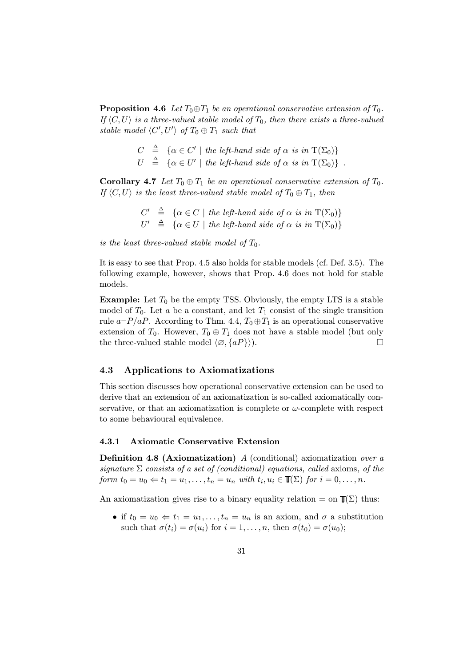**Proposition 4.6** Let  $T_0 \oplus T_1$  be an operational conservative extension of  $T_0$ . If  $\langle C, U \rangle$  is a three-valued stable model of  $T_0$ , then there exists a three-valued stable model  $\langle C', U' \rangle$  of  $T_0 \oplus T_1$  such that

> $C \triangleq {\alpha \in C' \mid the \ left-hand \ side \ of \ \alpha \ is \ in \ T(\Sigma_0)}$  $U \triangleq {\alpha \in U' \mid \textit{the left-hand side of } \alpha \textit{ is in } T(\Sigma_0)}$ .

**Corollary 4.7** Let  $T_0 \oplus T_1$  be an operational conservative extension of  $T_0$ . If  $\langle C, U \rangle$  is the least three-valued stable model of  $T_0 \oplus T_1$ , then

> $C' \triangleq {\alpha \in C \mid \text{the left-hand side of } \alpha \text{ is in } T(\Sigma_0)}$  $U' \triangleq {\alpha \in U \mid the \ left-hand \ side \ of \ \alpha \ is \ in \ T(\Sigma_0)}$

is the least three-valued stable model of  $T_0$ .

It is easy to see that Prop. 4.5 also holds for stable models (cf. Def. 3.5). The following example, however, shows that Prop. 4.6 does not hold for stable models.

**Example:** Let  $T_0$  be the empty TSS. Obviously, the empty LTS is a stable model of  $T_0$ . Let a be a constant, and let  $T_1$  consist of the single transition rule  $a\neg P/aP$ . According to Thm. 4.4,  $T_0 \oplus T_1$  is an operational conservative extension of  $T_0$ . However,  $T_0 \oplus T_1$  does not have a stable model (but only the three-valued stable model  $\langle \emptyset, \{aP\}\rangle$ .

#### 4.3 Applications to Axiomatizations

This section discusses how operational conservative extension can be used to derive that an extension of an axiomatization is so-called axiomatically conservative, or that an axiomatization is complete or  $\omega$ -complete with respect to some behavioural equivalence.

#### 4.3.1 Axiomatic Conservative Extension

**Definition 4.8 (Axiomatization)** A (conditional) axiomatization over a signature  $\Sigma$  consists of a set of (conditional) equations, called axioms, of the form  $t_0 = u_0 \Leftarrow t_1 = u_1, \ldots, t_n = u_n$  with  $t_i, u_i \in \mathbb{T}(\Sigma)$  for  $i = 0, \ldots, n$ .

An axiomatization gives rise to a binary equality relation = on  $T(\Sigma)$  thus:

• if  $t_0 = u_0 \Leftarrow t_1 = u_1, \ldots, t_n = u_n$  is an axiom, and  $\sigma$  a substitution such that  $\sigma(t_i) = \sigma(u_i)$  for  $i = 1, \ldots, n$ , then  $\sigma(t_0) = \sigma(u_0)$ ;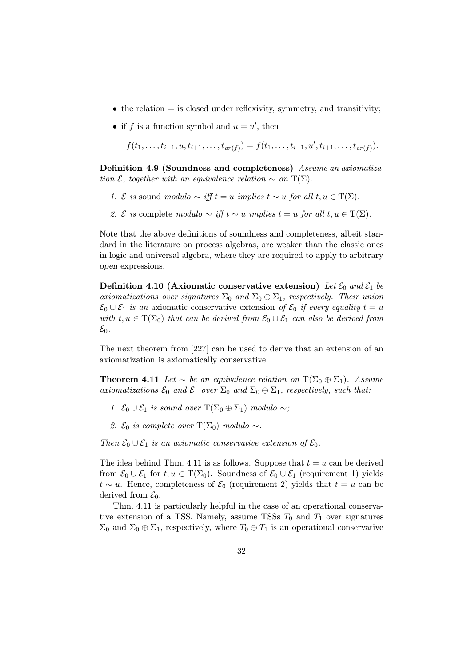- the relation  $=$  is closed under reflexivity, symmetry, and transitivity;
- if f is a function symbol and  $u = u'$ , then

 $f(t_1,\ldots,t_{i-1},u,t_{i+1},\ldots,t_{ar(f)})=f(t_1,\ldots,t_{i-1},u',t_{i+1},\ldots,t_{ar(f)}).$ 

Definition 4.9 (Soundness and completeness) Assume an axiomatization  $\mathcal{E}$ , together with an equivalence relation  $\sim$  on  $T(\Sigma)$ .

- 1. *E* is sound modulo  $\sim$  iff  $t = u$  implies  $t \sim u$  for all  $t, u \in T(\Sigma)$ .
- 2. *E* is complete modulo  $\sim$  iff  $t \sim u$  implies  $t = u$  for all  $t, u \in T(\Sigma)$ .

Note that the above definitions of soundness and completeness, albeit standard in the literature on process algebras, are weaker than the classic ones in logic and universal algebra, where they are required to apply to arbitrary open expressions.

Definition 4.10 (Axiomatic conservative extension) Let  $\mathcal{E}_0$  and  $\mathcal{E}_1$  be axiomatizations over signatures  $\Sigma_0$  and  $\Sigma_0 \oplus \Sigma_1$ , respectively. Their union  $\mathcal{E}_0 \cup \mathcal{E}_1$  is an axiomatic conservative extension of  $\mathcal{E}_0$  if every equality  $t = u$ with  $t, u \in \mathrm{T}(\Sigma_0)$  that can be derived from  $\mathcal{E}_0 \cup \mathcal{E}_1$  can also be derived from  $\mathcal{E}_0$ .

The next theorem from [227] can be used to derive that an extension of an axiomatization is axiomatically conservative.

**Theorem 4.11** Let  $\sim$  be an equivalence relation on  $T(\Sigma_0 \oplus \Sigma_1)$ . Assume axiomatizations  $\mathcal{E}_0$  and  $\mathcal{E}_1$  over  $\Sigma_0$  and  $\Sigma_0 \oplus \Sigma_1$ , respectively, such that:

- 1.  $\mathcal{E}_0 \cup \mathcal{E}_1$  is sound over  $T(\Sigma_0 \oplus \Sigma_1)$  modulo ∼;
- 2.  $\mathcal{E}_0$  is complete over T( $\Sigma_0$ ) modulo ∼.

Then  $\mathcal{E}_0 \cup \mathcal{E}_1$  is an axiomatic conservative extension of  $\mathcal{E}_0$ .

The idea behind Thm. 4.11 is as follows. Suppose that  $t = u$  can be derived from  $\mathcal{E}_0 \cup \mathcal{E}_1$  for  $t, u \in \mathrm{T}(\Sigma_0)$ . Soundness of  $\mathcal{E}_0 \cup \mathcal{E}_1$  (requirement 1) yields  $t \sim u$ . Hence, completeness of  $\mathcal{E}_0$  (requirement 2) yields that  $t = u$  can be derived from  $\mathcal{E}_0$ .

Thm. 4.11 is particularly helpful in the case of an operational conservative extension of a TSS. Namely, assume TSSs  $T_0$  and  $T_1$  over signatures  $\Sigma_0$  and  $\Sigma_0 \oplus \Sigma_1$ , respectively, where  $T_0 \oplus T_1$  is an operational conservative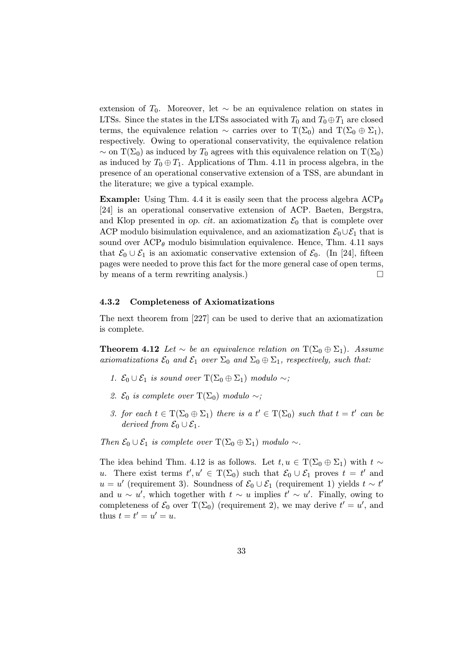extension of  $T_0$ . Moreover, let ∼ be an equivalence relation on states in LTSs. Since the states in the LTSs associated with  $T_0$  and  $T_0 \oplus T_1$  are closed terms, the equivalence relation  $\sim$  carries over to  $T(\Sigma_0)$  and  $T(\Sigma_0 \oplus \Sigma_1)$ , respectively. Owing to operational conservativity, the equivalence relation  $\sim$  on T( $\Sigma_0$ ) as induced by T<sub>0</sub> agrees with this equivalence relation on T( $\Sigma_0$ ) as induced by  $T_0 \oplus T_1$ . Applications of Thm. 4.11 in process algebra, in the presence of an operational conservative extension of a TSS, are abundant in the literature; we give a typical example.

**Example:** Using Thm. 4.4 it is easily seen that the process algebra  $\text{ACP}_{\theta}$ [24] is an operational conservative extension of ACP. Baeten, Bergstra, and Klop presented in op. cit. an axiomatization  $\mathcal{E}_0$  that is complete over ACP modulo bisimulation equivalence, and an axiomatization  $\mathcal{E}_0 \cup \mathcal{E}_1$  that is sound over  $\text{ACP}_{\theta}$  modulo bisimulation equivalence. Hence, Thm. 4.11 says that  $\mathcal{E}_0 \cup \mathcal{E}_1$  is an axiomatic conservative extension of  $\mathcal{E}_0$ . (In [24], fifteen pages were needed to prove this fact for the more general case of open terms, by means of a term rewriting analysis.)

#### 4.3.2 Completeness of Axiomatizations

The next theorem from [227] can be used to derive that an axiomatization is complete.

**Theorem 4.12** Let  $\sim$  be an equivalence relation on  $T(\Sigma_0 \oplus \Sigma_1)$ . Assume axiomatizations  $\mathcal{E}_0$  and  $\mathcal{E}_1$  over  $\Sigma_0$  and  $\Sigma_0 \oplus \Sigma_1$ , respectively, such that:

- 1.  $\mathcal{E}_0 \cup \mathcal{E}_1$  is sound over  $\mathrm{T}(\Sigma_0 \oplus \Sigma_1)$  modulo  $\sim$ ;
- 2.  $\mathcal{E}_0$  is complete over T( $\Sigma_0$ ) modulo ∼;
- 3. for each  $t \in T(\Sigma_0 \oplus \Sigma_1)$  there is a  $t' \in T(\Sigma_0)$  such that  $t = t'$  can be derived from  $\mathcal{E}_0 \cup \mathcal{E}_1$ .

Then  $\mathcal{E}_0 \cup \mathcal{E}_1$  is complete over  $T(\Sigma_0 \oplus \Sigma_1)$  modulo  $\sim$ .

The idea behind Thm. 4.12 is as follows. Let  $t, u \in T(\Sigma_0 \oplus \Sigma_1)$  with  $t \sim$ u. There exist terms  $t', u' \in T(\Sigma_0)$  such that  $\mathcal{E}_0 \cup \mathcal{E}_1$  proves  $t = t'$  and u = u' (requirement 3). Soundness of  $\mathcal{E}_0 \cup \mathcal{E}_1$  (requirement 1) yields  $t \sim t'$ and  $u \sim u'$ , which together with  $t \sim u$  implies  $t' \sim u'$ . Finally, owing to completeness of  $\mathcal{E}_0$  over  $T(\Sigma_0)$  (requirement 2), we may derive  $t' = u'$ , and thus  $t = t' = u' = u$ .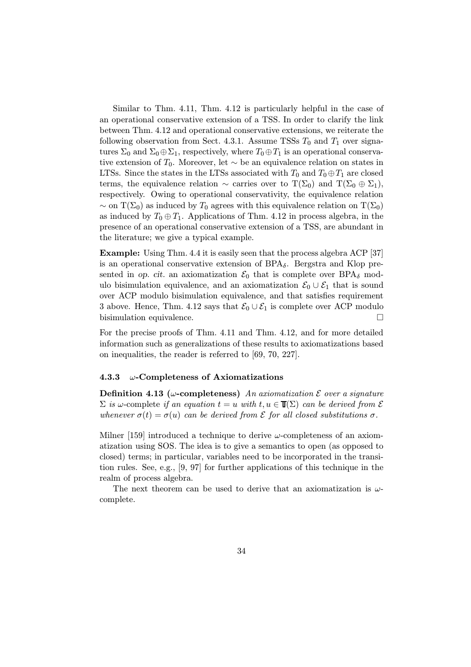Similar to Thm. 4.11, Thm. 4.12 is particularly helpful in the case of an operational conservative extension of a TSS. In order to clarify the link between Thm. 4.12 and operational conservative extensions, we reiterate the following observation from Sect. 4.3.1. Assume TSSs  $T_0$  and  $T_1$  over signatures  $\Sigma_0$  and  $\Sigma_0 \oplus \Sigma_1$ , respectively, where  $T_0 \oplus T_1$  is an operational conservative extension of  $T_0$ . Moreover, let ∼ be an equivalence relation on states in LTSs. Since the states in the LTSs associated with  $T_0$  and  $T_0 \oplus T_1$  are closed terms, the equivalence relation  $\sim$  carries over to  $T(\Sigma_0)$  and  $T(\Sigma_0 \oplus \Sigma_1)$ , respectively. Owing to operational conservativity, the equivalence relation  $\sim$  on T( $\Sigma_0$ ) as induced by T<sub>0</sub> agrees with this equivalence relation on T( $\Sigma_0$ ) as induced by  $T_0 \oplus T_1$ . Applications of Thm. 4.12 in process algebra, in the presence of an operational conservative extension of a TSS, are abundant in the literature; we give a typical example.

Example: Using Thm. 4.4 it is easily seen that the process algebra ACP [37] is an operational conservative extension of  $BPA_{\delta}$ . Bergstra and Klop presented in op. cit. an axiomatization  $\mathcal{E}_0$  that is complete over BPA<sub>δ</sub> modulo bisimulation equivalence, and an axiomatization  $\mathcal{E}_0 \cup \mathcal{E}_1$  that is sound over ACP modulo bisimulation equivalence, and that satisfies requirement 3 above. Hence, Thm. 4.12 says that  $\mathcal{E}_0 \cup \mathcal{E}_1$  is complete over ACP modulo bisimulation equivalence.

For the precise proofs of Thm. 4.11 and Thm. 4.12, and for more detailed information such as generalizations of these results to axiomatizations based on inequalities, the reader is referred to [69, 70, 227].

#### 4.3.3  $\omega$ -Completeness of Axiomatizations

Definition 4.13 ( $\omega$ -completeness) An axiomatization  $\mathcal E$  over a signature  $\Sigma$  is  $\omega$ -complete if an equation  $t = u$  with  $t, u \in \mathbb{T}(\Sigma)$  can be derived from  $\mathcal E$ whenever  $\sigma(t) = \sigma(u)$  can be derived from  $\mathcal E$  for all closed substitutions  $\sigma$ .

Milner [159] introduced a technique to derive  $\omega$ -completeness of an axiomatization using SOS. The idea is to give a semantics to open (as opposed to closed) terms; in particular, variables need to be incorporated in the transition rules. See, e.g., [9, 97] for further applications of this technique in the realm of process algebra.

The next theorem can be used to derive that an axiomatization is  $\omega$ complete.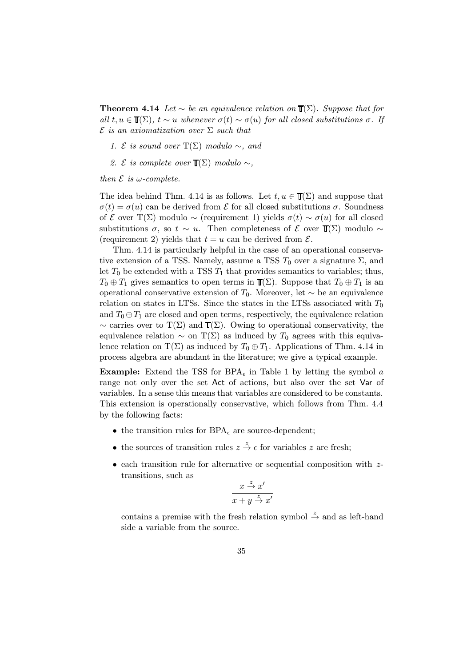**Theorem 4.14** Let  $\sim$  be an equivalence relation on  $\mathbb{T}(\Sigma)$ . Suppose that for all  $t, u \in \mathbb{T}(\Sigma)$ ,  $t \sim u$  whenever  $\sigma(t) \sim \sigma(u)$  for all closed substitutions  $\sigma$ . If  $\mathcal E$  is an axiomatization over  $\Sigma$  such that

- 1. *E* is sound over  $T(\Sigma)$  modulo ∼, and
- 2. *E* is complete over  $\mathbb{T}(\Sigma)$  modulo ∼,

then  $\mathcal E$  is w-complete.

The idea behind Thm. 4.14 is as follows. Let  $t, u \in \mathbb{T}(\Sigma)$  and suppose that  $\sigma(t) = \sigma(u)$  can be derived from  $\mathcal E$  for all closed substitutions  $\sigma$ . Soundness of E over T(∑) modulo  $\sim$  (requirement 1) yields  $\sigma(t) \sim \sigma(u)$  for all closed substitutions  $\sigma$ , so  $t \sim u$ . Then completeness of  $\mathcal E$  over  $\mathbb T(\Sigma)$  modulo ~ (requirement 2) yields that  $t = u$  can be derived from  $\mathcal{E}$ .

Thm. 4.14 is particularly helpful in the case of an operational conservative extension of a TSS. Namely, assume a TSS  $T_0$  over a signature  $\Sigma$ , and let  $T_0$  be extended with a TSS  $T_1$  that provides semantics to variables; thus,  $T_0 \oplus T_1$  gives semantics to open terms in  $\mathbb{T}(\Sigma)$ . Suppose that  $T_0 \oplus T_1$  is an operational conservative extension of  $T_0$ . Moreover, let ∼ be an equivalence relation on states in LTSs. Since the states in the LTSs associated with  $T_0$ and  $T_0 \oplus T_1$  are closed and open terms, respectively, the equivalence relation  $\sim$  carries over to T(Σ) and  $T(\Sigma)$ . Owing to operational conservativity, the equivalence relation  $\sim$  on T( $\Sigma$ ) as induced by T<sub>0</sub> agrees with this equivalence relation on T( $\Sigma$ ) as induced by  $T_0 \oplus T_1$ . Applications of Thm. 4.14 in process algebra are abundant in the literature; we give a typical example.

**Example:** Extend the TSS for BPA<sub> $\epsilon$ </sub> in Table 1 by letting the symbol a range not only over the set Act of actions, but also over the set Var of variables. In a sense this means that variables are considered to be constants. This extension is operationally conservative, which follows from Thm. 4.4 by the following facts:

- the transition rules for  $BPA_{\epsilon}$  are source-dependent;
- the sources of transition rules  $z \stackrel{z}{\rightarrow} \epsilon$  for variables z are fresh;
- each transition rule for alternative or sequential composition with ztransitions, such as

$$
\frac{x \stackrel{z}{\to} x'}{x + y \stackrel{z}{\to} x'}
$$

contains a premise with the fresh relation symbol  $\stackrel{z}{\rightarrow}$  and as left-hand side a variable from the source.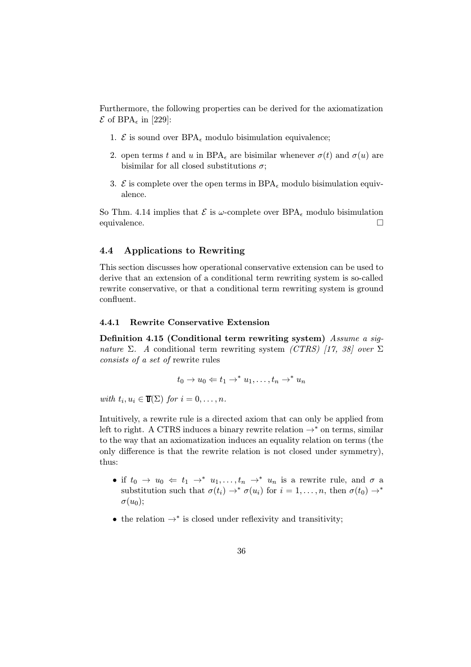Furthermore, the following properties can be derived for the axiomatization  $\mathcal E$  of BPA<sub> $\epsilon$ </sub> in [229]:

- 1.  $\mathcal{E}$  is sound over BPA<sub> $\epsilon$ </sub> modulo bisimulation equivalence;
- 2. open terms t and u in BPA<sub>c</sub> are bisimilar whenever  $\sigma(t)$  and  $\sigma(u)$  are bisimilar for all closed substitutions  $\sigma$ ;
- 3.  $\mathcal{E}$  is complete over the open terms in BPA<sub> $\epsilon$ </sub> modulo bisimulation equivalence.

So Thm. 4.14 implies that  $\mathcal E$  is  $\omega$ -complete over BPA<sub> $\epsilon$ </sub> modulo bisimulation equivalence.

# 4.4 Applications to Rewriting

This section discusses how operational conservative extension can be used to derive that an extension of a conditional term rewriting system is so-called rewrite conservative, or that a conditional term rewriting system is ground confluent.

### 4.4.1 Rewrite Conservative Extension

Definition 4.15 (Conditional term rewriting system) Assume a signature Σ. A conditional term rewriting system (CTRS) [17, 38] over Σ consists of a set of rewrite rules

$$
t_0 \to u_0 \Leftarrow t_1 \to^* u_1, \dots, t_n \to^* u_n
$$

with  $t_i, u_i \in \mathbb{T}(\Sigma)$  for  $i = 0, \ldots, n$ .

Intuitively, a rewrite rule is a directed axiom that can only be applied from left to right. A CTRS induces a binary rewrite relation  $\rightarrow^*$  on terms, similar to the way that an axiomatization induces an equality relation on terms (the only difference is that the rewrite relation is not closed under symmetry), thus:

- if  $t_0 \to u_0 \Leftarrow t_1 \to^* u_1, \ldots, t_n \to^* u_n$  is a rewrite rule, and  $\sigma$  a substitution such that  $\sigma(t_i) \to^* \sigma(u_i)$  for  $i = 1, \ldots, n$ , then  $\sigma(t_0) \to^*$  $\sigma(u_0);$
- the relation  $\rightarrow^*$  is closed under reflexivity and transitivity;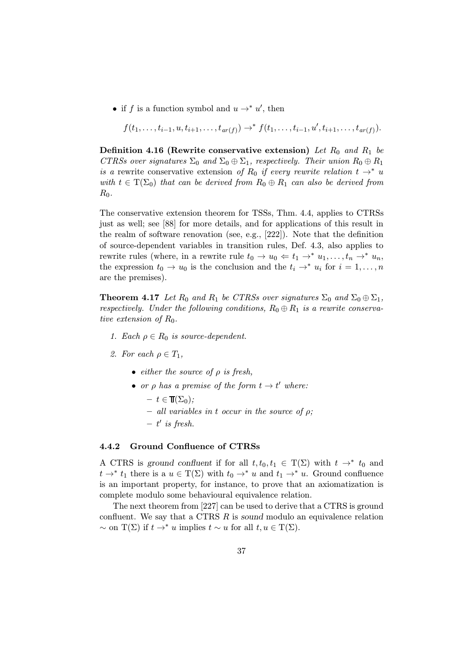• if f is a function symbol and  $u \rightarrow^* u'$ , then

$$
f(t_1,\ldots,t_{i-1},u,t_{i+1},\ldots,t_{ar(f)}) \to^* f(t_1,\ldots,t_{i-1},u',t_{i+1},\ldots,t_{ar(f)}).
$$

Definition 4.16 (Rewrite conservative extension) Let  $R_0$  and  $R_1$  be CTRSs over signatures  $\Sigma_0$  and  $\Sigma_0 \oplus \Sigma_1$ , respectively. Their union  $R_0 \oplus R_1$ is a rewrite conservative extension of R<sub>0</sub> if every rewrite relation  $t \rightarrow^* u$ with  $t \in \mathrm{T}(\Sigma_0)$  that can be derived from  $R_0 \oplus R_1$  can also be derived from  $R_0$ .

The conservative extension theorem for TSSs, Thm. 4.4, applies to CTRSs just as well; see [88] for more details, and for applications of this result in the realm of software renovation (see, e.g., [222]). Note that the definition of source-dependent variables in transition rules, Def. 4.3, also applies to rewrite rules (where, in a rewrite rule  $t_0 \to u_0 \leftarrow t_1 \to^* u_1, \ldots, t_n \to^* u_n$ the expression  $t_0 \to u_0$  is the conclusion and the  $t_i \to^* u_i$  for  $i = 1, \ldots, n$ are the premises).

**Theorem 4.17** Let  $R_0$  and  $R_1$  be CTRSs over signatures  $\Sigma_0$  and  $\Sigma_0 \oplus \Sigma_1$ , respectively. Under the following conditions,  $R_0 \oplus R_1$  is a rewrite conservative extension of  $R_0$ .

- 1. Each  $\rho \in R_0$  is source-dependent.
- 2. For each  $\rho \in T_1$ ,
	- either the source of  $\rho$  is fresh,
	- or  $\rho$  has a premise of the form  $t \to t'$  where:
		- $t \in \mathbb{T}(\Sigma_0)$ ;
		- $-$  all variables in t occur in the source of  $\rho$ ;
		- $t'$  is fresh.

# 4.4.2 Ground Confluence of CTRSs

A CTRS is ground confluent if for all  $t, t_0, t_1 \in \mathcal{T}(\Sigma)$  with  $t \to^* t_0$  and  $t \to^* t_1$  there is a  $u \in T(\Sigma)$  with  $t_0 \to^* u$  and  $t_1 \to^* u$ . Ground confluence is an important property, for instance, to prove that an axiomatization is complete modulo some behavioural equivalence relation.

The next theorem from [227] can be used to derive that a CTRS is ground confluent. We say that a CTRS  $R$  is sound modulo an equivalence relation  $\sim$  on T(∑) if  $t \to^* u$  implies  $t \sim u$  for all  $t, u \in T(\Sigma)$ .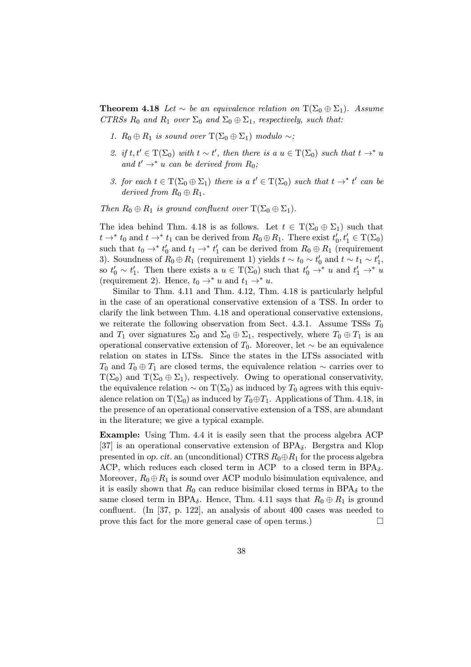**Theorem 4.18** Let  $\sim$  be an equivalence relation on  $T(\Sigma_0 \oplus \Sigma_1)$ . Assume CTRSs  $R_0$  and  $R_1$  over  $\Sigma_0$  and  $\Sigma_0 \oplus \Sigma_1$ , respectively, such that:

- 1.  $R_0 \oplus R_1$  is sound over  $T(\Sigma_0 \oplus \Sigma_1)$  modulo ∼;
- 2. if  $t, t' \in T(\Sigma_0)$  with  $t \sim t'$ , then there is a  $u \in T(\Sigma_0)$  such that  $t \to^* u$ and  $t' \rightarrow^* u$  can be derived from  $R_0$ ;
- 3. for each  $t \in T(\Sigma_0 \oplus \Sigma_1)$  there is a  $t' \in T(\Sigma_0)$  such that  $t \to^* t'$  can be derived from  $R_0 \oplus R_1$ .

Then  $R_0 \oplus R_1$  is ground confluent over  $T(\Sigma_0 \oplus \Sigma_1)$ .

The idea behind Thm. 4.18 is as follows. Let  $t \in \mathrm{T}(\Sigma_0 \oplus \Sigma_1)$  such that  $t \to^* t_0$  and  $t \to^* t_1$  can be derived from  $R_0 \oplus R_1$ . There exist  $t'_0, t'_1 \in \mathrm{T}(\Sigma_0)$ such that  $t_0 \rightarrow^* t'_0$  and  $t_1 \rightarrow^* t'_1$  can be derived from  $R_0 \oplus R_1$  (requirement 3). Soundness of  $R_0 \oplus R_1$  (requirement 1) yields  $t \sim t_0 \sim t'_0$  and  $t \sim t_1 \sim t'_1$ , so  $t'_0 \sim t'_1$ . Then there exists a  $u \in T(\Sigma_0)$  such that  $t'_0 \to^* u$  and  $t'_1 \to^* u$ (requirement 2). Hence,  $t_0 \rightarrow^* u$  and  $t_1 \rightarrow^* u$ .

Similar to Thm. 4.11 and Thm. 4.12, Thm. 4.18 is particularly helpful in the case of an operational conservative extension of a TSS. In order to clarify the link between Thm. 4.18 and operational conservative extensions, we reiterate the following observation from Sect. 4.3.1. Assume TSSs  $T_0$ and  $T_1$  over signatures  $\Sigma_0$  and  $\Sigma_0 \oplus \Sigma_1$ , respectively, where  $T_0 \oplus T_1$  is an operational conservative extension of  $T_0$ . Moreover, let ∼ be an equivalence relation on states in LTSs. Since the states in the LTSs associated with  $T_0$  and  $T_0 \oplus T_1$  are closed terms, the equivalence relation  $\sim$  carries over to  $T(\Sigma_0)$  and  $T(\Sigma_0 \oplus \Sigma_1)$ , respectively. Owing to operational conservativity, the equivalence relation  $\sim$  on T( $\Sigma_0$ ) as induced by T<sub>0</sub> agrees with this equivalence relation on  $T(\Sigma_0)$  as induced by  $T_0 \oplus T_1$ . Applications of Thm. 4.18, in the presence of an operational conservative extension of a TSS, are abundant in the literature; we give a typical example.

Example: Using Thm. 4.4 it is easily seen that the process algebra ACP [37] is an operational conservative extension of  $BPA_{\delta}$ . Bergstra and Klop presented in op. cit. an (unconditional) CTRS  $R_0 \oplus R_1$  for the process algebra ACP, which reduces each closed term in ACP to a closed term in  $BPA_{\delta}$ . Moreover,  $R_0 \oplus R_1$  is sound over ACP modulo bisimulation equivalence, and it is easily shown that  $R_0$  can reduce bisimilar closed terms in BPA $_\delta$  to the same closed term in BPA<sub>δ</sub>. Hence, Thm. 4.11 says that  $R_0 \oplus R_1$  is ground confluent. (In [37, p. 122], an analysis of about 400 cases was needed to prove this fact for the more general case of open terms.)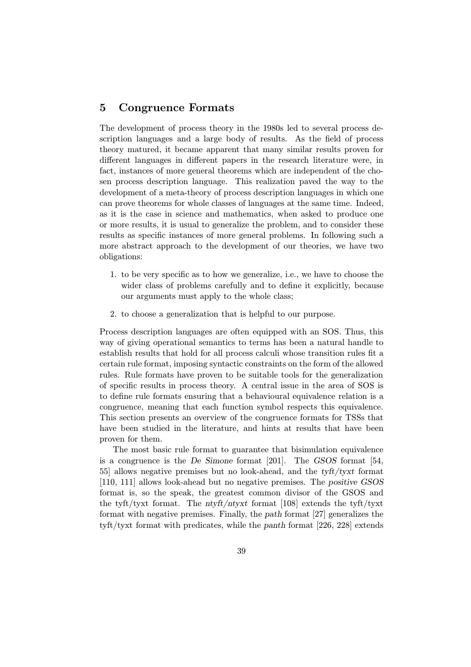# 5 Congruence Formats

The development of process theory in the 1980s led to several process description languages and a large body of results. As the field of process theory matured, it became apparent that many similar results proven for different languages in different papers in the research literature were, in fact, instances of more general theorems which are independent of the chosen process description language. This realization paved the way to the development of a meta-theory of process description languages in which one can prove theorems for whole classes of languages at the same time. Indeed, as it is the case in science and mathematics, when asked to produce one or more results, it is usual to generalize the problem, and to consider these results as specific instances of more general problems. In following such a more abstract approach to the development of our theories, we have two obligations:

- 1. to be very specific as to how we generalize, i.e., we have to choose the wider class of problems carefully and to define it explicitly, because our arguments must apply to the whole class;
- 2. to choose a generalization that is helpful to our purpose.

Process description languages are often equipped with an SOS. Thus, this way of giving operational semantics to terms has been a natural handle to establish results that hold for all process calculi whose transition rules fit a certain rule format, imposing syntactic constraints on the form of the allowed rules. Rule formats have proven to be suitable tools for the generalization of specific results in process theory. A central issue in the area of SOS is to define rule formats ensuring that a behavioural equivalence relation is a congruence, meaning that each function symbol respects this equivalence. This section presents an overview of the congruence formats for TSSs that have been studied in the literature, and hints at results that have been proven for them.

The most basic rule format to guarantee that bisimulation equivalence is a congruence is the De Simone format [201]. The GSOS format [54, 55] allows negative premises but no look-ahead, and the tyft/tyxt format [110, 111] allows look-ahead but no negative premises. The positive GSOS format is, so the speak, the greatest common divisor of the GSOS and the tyft/tyxt format. The ntyft/ntyxt format  $[108]$  extends the tyft/tyxt format with negative premises. Finally, the path format [27] generalizes the tyft/tyxt format with predicates, while the panth format [226, 228] extends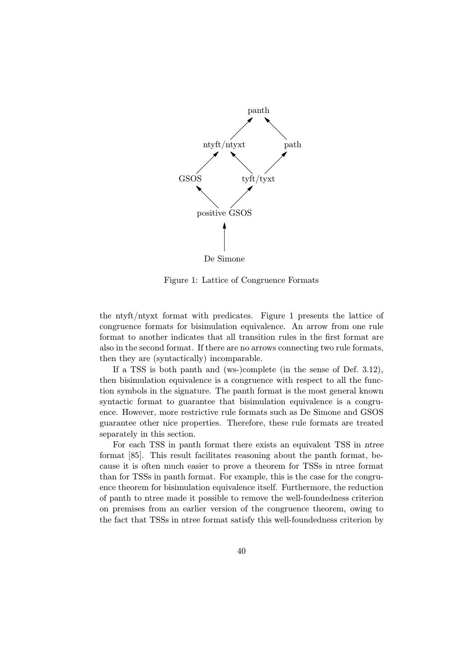

Figure 1: Lattice of Congruence Formats

the ntyft/ntyxt format with predicates. Figure 1 presents the lattice of congruence formats for bisimulation equivalence. An arrow from one rule format to another indicates that all transition rules in the first format are also in the second format. If there are no arrows connecting two rule formats, then they are (syntactically) incomparable.

If a TSS is both panth and (ws-)complete (in the sense of Def. 3.12), then bisimulation equivalence is a congruence with respect to all the function symbols in the signature. The panth format is the most general known syntactic format to guarantee that bisimulation equivalence is a congruence. However, more restrictive rule formats such as De Simone and GSOS guarantee other nice properties. Therefore, these rule formats are treated separately in this section.

For each TSS in panth format there exists an equivalent TSS in ntree format [85]. This result facilitates reasoning about the panth format, because it is often much easier to prove a theorem for TSSs in ntree format than for TSSs in panth format. For example, this is the case for the congruence theorem for bisimulation equivalence itself. Furthermore, the reduction of panth to ntree made it possible to remove the well-foundedness criterion on premises from an earlier version of the congruence theorem, owing to the fact that TSSs in ntree format satisfy this well-foundedness criterion by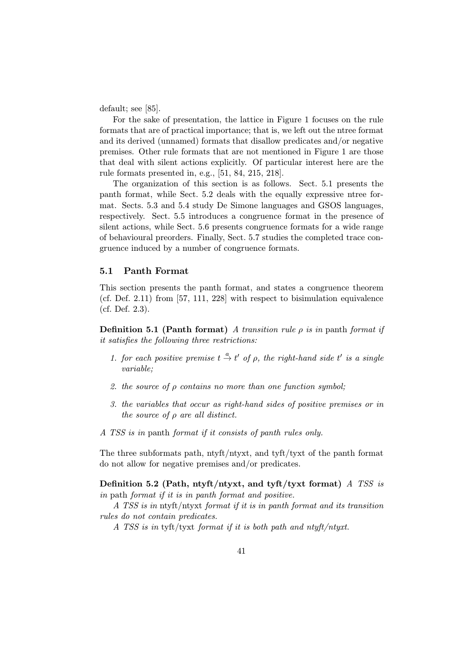default; see [85].

For the sake of presentation, the lattice in Figure 1 focuses on the rule formats that are of practical importance; that is, we left out the ntree format and its derived (unnamed) formats that disallow predicates and/or negative premises. Other rule formats that are not mentioned in Figure 1 are those that deal with silent actions explicitly. Of particular interest here are the rule formats presented in, e.g., [51, 84, 215, 218].

The organization of this section is as follows. Sect. 5.1 presents the panth format, while Sect. 5.2 deals with the equally expressive ntree format. Sects. 5.3 and 5.4 study De Simone languages and GSOS languages, respectively. Sect. 5.5 introduces a congruence format in the presence of silent actions, while Sect. 5.6 presents congruence formats for a wide range of behavioural preorders. Finally, Sect. 5.7 studies the completed trace congruence induced by a number of congruence formats.

### 5.1 Panth Format

This section presents the panth format, and states a congruence theorem (cf. Def. 2.11) from [57, 111, 228] with respect to bisimulation equivalence (cf. Def. 2.3).

**Definition 5.1 (Panth format)** A transition rule  $\rho$  is in panth format if it satisfies the following three restrictions:

- 1. for each positive premise  $t \stackrel{a}{\rightarrow} t'$  of  $\rho$ , the right-hand side  $t'$  is a single variable;
- 2. the source of  $\rho$  contains no more than one function symbol;
- 3. the variables that occur as right-hand sides of positive premises or in the source of  $\rho$  are all distinct.
- A TSS is in panth format if it consists of panth rules only.

The three subformats path, ntyft/ntyxt, and tyft/tyxt of the panth format do not allow for negative premises and/or predicates.

Definition 5.2 (Path, ntyft/ntyxt, and tyft/tyxt format) A TSS is in path format if it is in panth format and positive.

A TSS is in ntyft/ntyxt format if it is in panth format and its transition rules do not contain predicates.

A TSS is in tyft/tyxt format if it is both path and ntyft/ntyxt.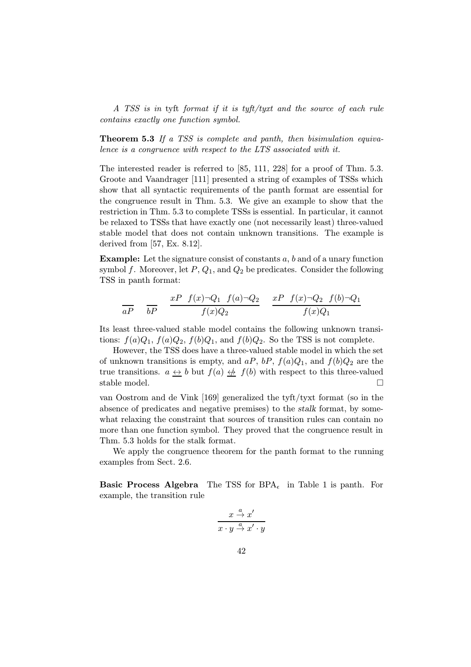A TSS is in tyft format if it is tyft/tyxt and the source of each rule contains exactly one function symbol.

Theorem 5.3 If a TSS is complete and panth, then bisimulation equivalence is a congruence with respect to the LTS associated with it.

The interested reader is referred to [85, 111, 228] for a proof of Thm. 5.3. Groote and Vaandrager [111] presented a string of examples of TSSs which show that all syntactic requirements of the panth format are essential for the congruence result in Thm. 5.3. We give an example to show that the restriction in Thm. 5.3 to complete TSSs is essential. In particular, it cannot be relaxed to TSSs that have exactly one (not necessarily least) three-valued stable model that does not contain unknown transitions. The example is derived from [57, Ex. 8.12].

Example: Let the signature consist of constants a, b and of a unary function symbol f. Moreover, let  $P$ ,  $Q_1$ , and  $Q_2$  be predicates. Consider the following TSS in panth format:

$$
\frac{aP}{aP} \quad \frac{xP}{bP} \quad \frac{f(x)\neg Q_1 \quad f(a)\neg Q_2}{f(x)Q_2} \quad \frac{xP}{f(x)\neg Q_2 \quad f(b)\neg Q_1}{f(x)Q_1}
$$

Its least three-valued stable model contains the following unknown transitions:  $f(a)Q_1$ ,  $f(a)Q_2$ ,  $f(b)Q_1$ , and  $f(b)Q_2$ . So the TSS is not complete.

However, the TSS does have a three-valued stable model in which the set of unknown transitions is empty, and  $aP$ ,  $bP$ ,  $f(a)Q_1$ , and  $f(b)Q_2$  are the true transitions.  $a \leftrightarrow b$  but  $f(a) \leftrightarrow f(b)$  with respect to this three-valued stable model.  $\square$ 

van Oostrom and de Vink [169] generalized the tyft/tyxt format (so in the absence of predicates and negative premises) to the stalk format, by somewhat relaxing the constraint that sources of transition rules can contain no more than one function symbol. They proved that the congruence result in Thm. 5.3 holds for the stalk format.

We apply the congruence theorem for the panth format to the running examples from Sect. 2.6.

**Basic Process Algebra** The TSS for  $BPA<sub>f</sub>$  in Table 1 is panth. For example, the transition rule

$$
\frac{x \stackrel{a}{\to} x'}{x \cdot y \stackrel{a}{\to} x' \cdot y}
$$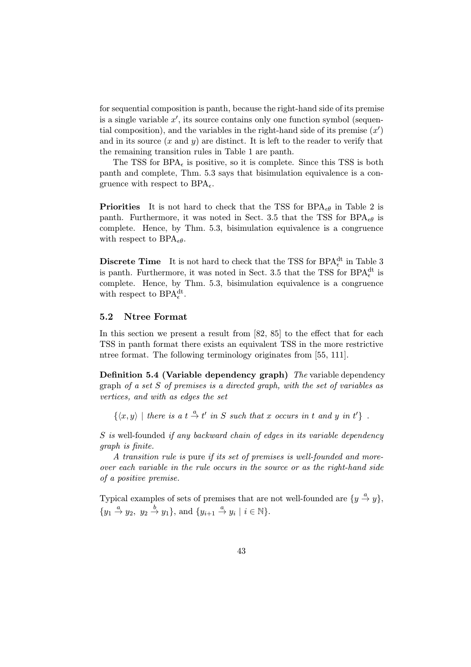for sequential composition is panth, because the right-hand side of its premise is a single variable  $x'$ , its source contains only one function symbol (sequential composition), and the variables in the right-hand side of its premise  $(x')$ and in its source  $(x \text{ and } y)$  are distinct. It is left to the reader to verify that the remaining transition rules in Table 1 are panth.

The TSS for BPA<sub> $\epsilon$ </sub> is positive, so it is complete. Since this TSS is both panth and complete, Thm. 5.3 says that bisimulation equivalence is a congruence with respect to  $BPA<sub>f</sub>$ .

**Priorities** It is not hard to check that the TSS for  $BPA_{\epsilon\theta}$  in Table 2 is panth. Furthermore, it was noted in Sect. 3.5 that the TSS for BPA $_{\epsilon\theta}$  is complete. Hence, by Thm. 5.3, bisimulation equivalence is a congruence with respect to  $BPA_{\epsilon\theta}$ .

**Discrete Time** It is not hard to check that the TSS for BPA<sup>dt</sup> in Table 3 is panth. Furthermore, it was noted in Sect. 3.5 that the TSS for  $\text{BPA}^{\text{dt}}_{\epsilon}$  is complete. Hence, by Thm. 5.3, bisimulation equivalence is a congruence with respect to  $\text{BPA}_{\epsilon}^{\text{dt}}$ .

# 5.2 Ntree Format

In this section we present a result from [82, 85] to the effect that for each TSS in panth format there exists an equivalent TSS in the more restrictive ntree format. The following terminology originates from [55, 111].

Definition 5.4 (Variable dependency graph) The variable dependency graph of a set S of premises is a directed graph, with the set of variables as vertices, and with as edges the set

 $\{\langle x, y \rangle \mid$  there is a  $t \stackrel{a}{\rightarrow} t'$  in S such that x occurs in t and y in  $t'\}$ .

S is well-founded if any backward chain of edges in its variable dependency graph is finite.

A transition rule is pure if its set of premises is well-founded and moreover each variable in the rule occurs in the source or as the right-hand side of a positive premise.

Typical examples of sets of premises that are not well-founded are  $\{y \stackrel{a}{\rightarrow} y\}$ ,  $\{y_1 \stackrel{a}{\rightarrow} y_2, y_2 \stackrel{b}{\rightarrow} y_1\}, \text{ and } \{y_{i+1} \stackrel{a}{\rightarrow} y_i \mid i \in \mathbb{N}\}.$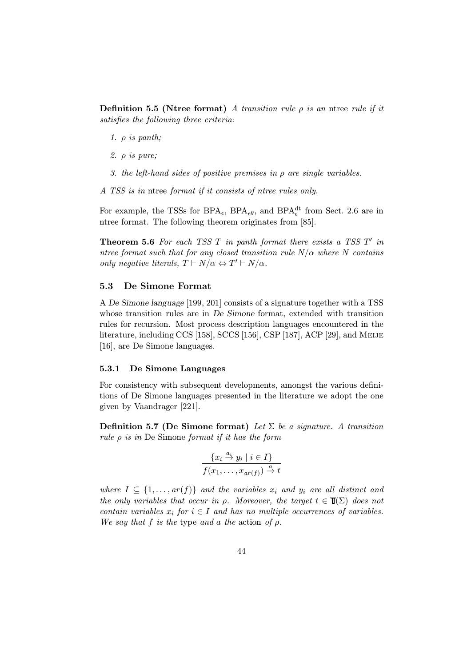**Definition 5.5 (Ntree format)** A transition rule  $\rho$  is an ntree rule if it satisfies the following three criteria:

- 1.  $\rho$  is panth;
- 2. ρ is pure;
- 3. the left-hand sides of positive premises in  $\rho$  are single variables.
- A TSS is in ntree format if it consists of ntree rules only.

For example, the TSSs for  $\text{BPA}_{\epsilon}$ ,  $\text{BPA}_{\epsilon\theta}$ , and  $\text{BPA}_{\epsilon}^{\text{dt}}$  from Sect. 2.6 are in ntree format. The following theorem originates from [85].

**Theorem 5.6** For each TSS  $T$  in panth format there exists a TSS  $T'$  in ntree format such that for any closed transition rule  $N/\alpha$  where N contains only negative literals,  $T \vdash N/\alpha \Leftrightarrow T' \vdash N/\alpha$ .

### 5.3 De Simone Format

A De Simone language [199, 201] consists of a signature together with a TSS whose transition rules are in De Simone format, extended with transition rules for recursion. Most process description languages encountered in the literature, including CCS [158], SCCS [156], CSP [187], ACP [29], and Meije [16], are De Simone languages.

### 5.3.1 De Simone Languages

For consistency with subsequent developments, amongst the various definitions of De Simone languages presented in the literature we adopt the one given by Vaandrager [221].

**Definition 5.7 (De Simone format)** Let  $\Sigma$  be a signature. A transition rule  $\rho$  is in De Simone format if it has the form

$$
\frac{\{x_i \stackrel{a_i}{\to} y_i \mid i \in I\}}{f(x_1, \dots, x_{ar(f)}) \stackrel{a}{\to} t}
$$

where  $I \subseteq \{1, \ldots, ar(f)\}\$  and the variables  $x_i$  and  $y_i$  are all distinct and the only variables that occur in  $\rho$ . Moreover, the target  $t \in \mathbb{T}(\Sigma)$  does not contain variables  $x_i$  for  $i \in I$  and has no multiple occurrences of variables. We say that f is the type and a the action of  $\rho$ .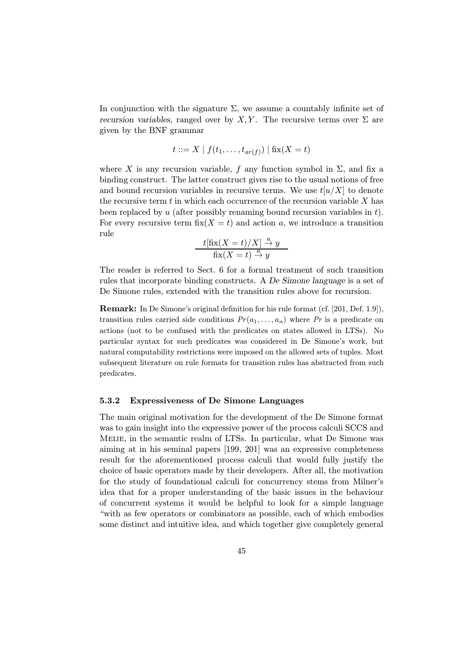In conjunction with the signature  $\Sigma$ , we assume a countably infinite set of recursion variables, ranged over by X, Y. The recursive terms over  $\Sigma$  are given by the BNF grammar

$$
t ::= X | f(t_1, ..., t_{ar(f)}) | fix(X = t)
$$

where X is any recursion variable, f any function symbol in  $\Sigma$ , and fix a binding construct. The latter construct gives rise to the usual notions of free and bound recursion variables in recursive terms. We use  $t[u/X]$  to denote the recursive term  $t$  in which each occurrence of the recursion variable  $X$  has been replaced by  $u$  (after possibly renaming bound recursion variables in  $t$ ). For every recursive term  $fix(X = t)$  and action a, we introduce a transition rule

$$
\frac{t[\text{fix}(X=t)/X] \stackrel{a}{\to} y}{\text{fix}(X=t) \stackrel{a}{\to} y}
$$

The reader is referred to Sect. 6 for a formal treatment of such transition rules that incorporate binding constructs. A De Simone language is a set of De Simone rules, extended with the transition rules above for recursion.

Remark: In De Simone's original definition for his rule format (cf. [201, Def. 1.9]), transition rules carried side conditions  $Pr(a_1,...,a_n)$  where Pr is a predicate on actions (not to be confused with the predicates on states allowed in LTSs). No particular syntax for such predicates was considered in De Simone's work, but natural computability restrictions were imposed on the allowed sets of tuples. Most subsequent literature on rule formats for transition rules has abstracted from such predicates.

### 5.3.2 Expressiveness of De Simone Languages

The main original motivation for the development of the De Simone format was to gain insight into the expressive power of the process calculi SCCS and Meije, in the semantic realm of LTSs. In particular, what De Simone was aiming at in his seminal papers [199, 201] was an expressive completeness result for the aforementioned process calculi that would fully justify the choice of basic operators made by their developers. After all, the motivation for the study of foundational calculi for concurrency stems from Milner's idea that for a proper understanding of the basic issues in the behaviour of concurrent systems it would be helpful to look for a simple language "with as few operators or combinators as possible, each of which embodies some distinct and intuitive idea, and which together give completely general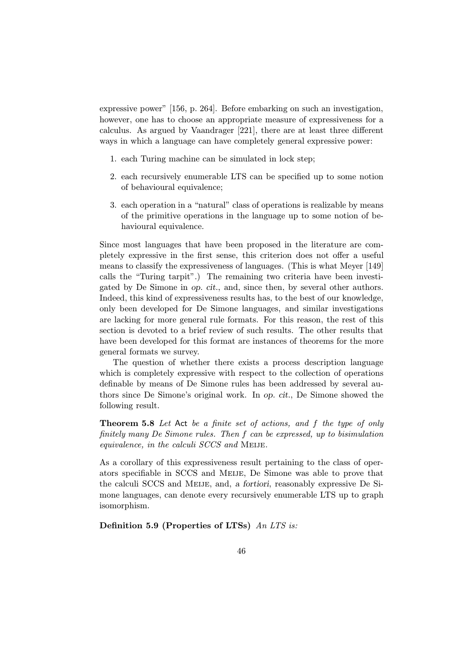expressive power" [156, p. 264]. Before embarking on such an investigation, however, one has to choose an appropriate measure of expressiveness for a calculus. As argued by Vaandrager [221], there are at least three different ways in which a language can have completely general expressive power:

- 1. each Turing machine can be simulated in lock step;
- 2. each recursively enumerable LTS can be specified up to some notion of behavioural equivalence;
- 3. each operation in a "natural" class of operations is realizable by means of the primitive operations in the language up to some notion of behavioural equivalence.

Since most languages that have been proposed in the literature are completely expressive in the first sense, this criterion does not offer a useful means to classify the expressiveness of languages. (This is what Meyer [149] calls the "Turing tarpit".) The remaining two criteria have been investigated by De Simone in op. cit., and, since then, by several other authors. Indeed, this kind of expressiveness results has, to the best of our knowledge, only been developed for De Simone languages, and similar investigations are lacking for more general rule formats. For this reason, the rest of this section is devoted to a brief review of such results. The other results that have been developed for this format are instances of theorems for the more general formats we survey.

The question of whether there exists a process description language which is completely expressive with respect to the collection of operations definable by means of De Simone rules has been addressed by several authors since De Simone's original work. In op. cit., De Simone showed the following result.

Theorem 5.8 Let Act be a finite set of actions, and f the type of only finitely many De Simone rules. Then f can be expressed, up to bisimulation equivalence, in the calculi SCCS and MEIJE.

As a corollary of this expressiveness result pertaining to the class of operators specifiable in SCCS and Meije, De Simone was able to prove that the calculi SCCS and Meije, and, a fortiori, reasonably expressive De Simone languages, can denote every recursively enumerable LTS up to graph isomorphism.

Definition 5.9 (Properties of LTSs) An LTS is: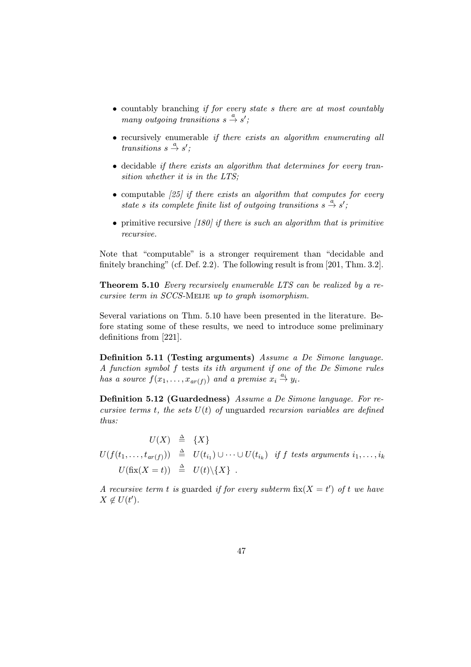- countably branching *if for every state s there are at most countably* many outgoing transitions  $s \stackrel{a}{\rightarrow} s'$ ;
- recursively enumerable *if there exists an algorithm enumerating all* transitions  $s \stackrel{a}{\rightarrow} s'$ ;
- decidable if there exists an algorithm that determines for every transition whether it is in the LTS;
- computable  $(25)$  if there exists an algorithm that computes for every state s its complete finite list of outgoing transitions  $s \stackrel{a}{\rightarrow} s'$ ;
- primitive recursive  $(180)$  if there is such an algorithm that is primitive recursive.

Note that "computable" is a stronger requirement than "decidable and finitely branching" (cf. Def. 2.2). The following result is from [201, Thm. 3.2].

Theorem 5.10 Every recursively enumerable LTS can be realized by a re $cursive$  term in  $SCCS$ -MEIJE up to graph isomorphism.

Several variations on Thm. 5.10 have been presented in the literature. Before stating some of these results, we need to introduce some preliminary definitions from [221].

Definition 5.11 (Testing arguments) Assume a De Simone language. A function symbol f tests its ith argument if one of the De Simone rules has a source  $f(x_1,...,x_{ar(f)})$  and a premise  $x_i \stackrel{a_i}{\rightarrow} y_i$ .

Definition 5.12 (Guardedness) Assume a De Simone language. For recursive terms t, the sets  $U(t)$  of unguarded recursion variables are defined thus:

 $U(X) \triangleq \{X\}$  $U(f(t_1,\dots,t_{ar(f)}))\;\;\triangleq \;\; U(t_{i_1}) \cup \dots \cup U(t_{i_k}) \;\; \textit{if $f$ tests arguments $i_1,\dots,i_k$}$  $U(\text{fix}(X = t)) \triangleq U(t) \backslash \{X\}$ .

A recursive term t is guarded if for every subterm  $fix(X = t')$  of t we have  $X \notin U(t')$ .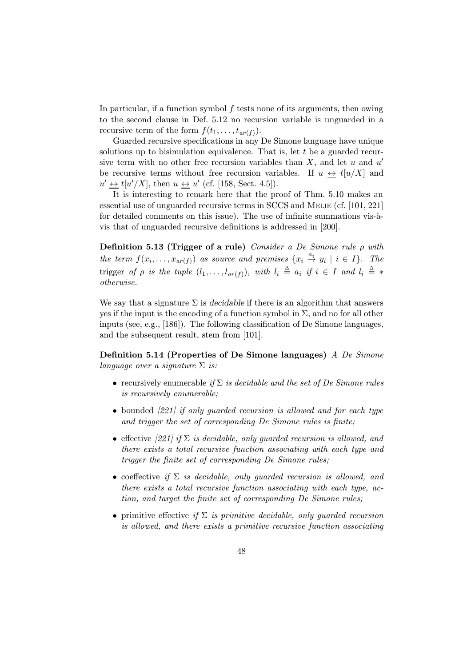In particular, if a function symbol  $f$  tests none of its arguments, then owing to the second clause in Def. 5.12 no recursion variable is unguarded in a recursive term of the form  $f(t_1,\ldots,t_{ar(f)})$ .

Guarded recursive specifications in any De Simone language have unique solutions up to bisimulation equivalence. That is, let  $t$  be a guarded recursive term with no other free recursion variables than  $X$ , and let u and u' be recursive terms without free recursion variables. If  $u \leftrightarrow t[u/X]$  and  $u' \leftrightarrow t[u'/X]$ , then  $u \leftrightarrow u'$  (cf. [158, Sect. 4.5]).

It is interesting to remark here that the proof of Thm. 5.10 makes an essential use of unguarded recursive terms in SCCS and MEIJE (cf. [101, 221] for detailed comments on this issue). The use of infinite summations vis-àvis that of unguarded recursive definitions is addressed in [200].

Definition 5.13 (Trigger of a rule) Consider a De Simone rule  $\rho$  with the term  $f(x_i, \ldots, x_{ar(f)})$  as source and premises  $\{x_i \stackrel{a_i}{\rightarrow} y_i \mid i \in I\}$ . The trigger of  $\rho$  is the tuple  $(l_1,\ldots,l_{ar(f)})$ , with  $l_i \triangleq a_i$  if  $i \in I$  and  $l_i \triangleq *$ otherwise.

We say that a signature  $\Sigma$  is decidable if there is an algorithm that answers yes if the input is the encoding of a function symbol in  $\Sigma$ , and no for all other inputs (see, e.g., [186]). The following classification of De Simone languages, and the subsequent result, stem from [101].

Definition 5.14 (Properties of De Simone languages) A De Simone language over a signature  $\Sigma$  is:

- recursively enumerable if  $\Sigma$  is decidable and the set of De Simone rules is recursively enumerable;
- bounded [221] if only guarded recursion is allowed and for each type and trigger the set of corresponding De Simone rules is finite;
- effective [221] if  $\Sigma$  is decidable, only quarded recursion is allowed, and there exists a total recursive function associating with each type and trigger the finite set of corresponding De Simone rules;
- coeffective if  $\Sigma$  is decidable, only guarded recursion is allowed, and there exists a total recursive function associating with each type, action, and target the finite set of corresponding De Simone rules;
- primitive effective if  $\Sigma$  is primitive decidable, only guarded recursion is allowed, and there exists a primitive recursive function associating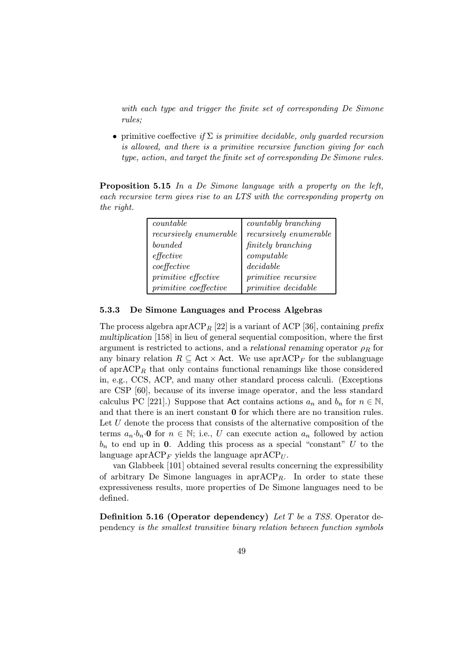with each type and trigger the finite set of corresponding De Simone rules;

• primitive coeffective if  $\Sigma$  is primitive decidable, only guarded recursion is allowed, and there is a primitive recursive function giving for each type, action, and target the finite set of corresponding De Simone rules.

Proposition 5.15 In a De Simone language with a property on the left, each recursive term gives rise to an LTS with the corresponding property on the right.

| countable                    | countably branching        |
|------------------------------|----------------------------|
| $recursively\; enumerate$    | recursively enumerable     |
| bounded                      | <i>finitely</i> branching  |
| effective                    | computable                 |
| coeffective                  | decidable                  |
| primitive effective          | <i>primitive recursive</i> |
| <i>primitive</i> coeffective | <i>primitive decidable</i> |

# 5.3.3 De Simone Languages and Process Algebras

The process algebra apr $ACP_R$  [22] is a variant of ACP [36], containing prefix multiplication [158] in lieu of general sequential composition, where the first argument is restricted to actions, and a relational renaming operator  $\rho_R$  for any binary relation  $R \subseteq \text{Act} \times \text{Act}$ . We use apr $\text{ACP}_F$  for the sublanguage of apr $ACP_R$  that only contains functional renamings like those considered in, e.g., CCS, ACP, and many other standard process calculi. (Exceptions are CSP [60], because of its inverse image operator, and the less standard calculus PC [221].) Suppose that Act contains actions  $a_n$  and  $b_n$  for  $n \in \mathbb{N}$ , and that there is an inert constant 0 for which there are no transition rules. Let  $U$  denote the process that consists of the alternative composition of the terms  $a_n \cdot b_n \cdot 0$  for  $n \in \mathbb{N}$ ; i.e., U can execute action  $a_n$  followed by action  $b_n$  to end up in 0. Adding this process as a special "constant" U to the language apr $ACP_F$  yields the language apr $ACP_U$ .

van Glabbeek [101] obtained several results concerning the expressibility of arbitrary De Simone languages in  $aprACP_R$ . In order to state these expressiveness results, more properties of De Simone languages need to be defined.

**Definition 5.16 (Operator dependency)** Let T be a TSS. Operator dependency is the smallest transitive binary relation between function symbols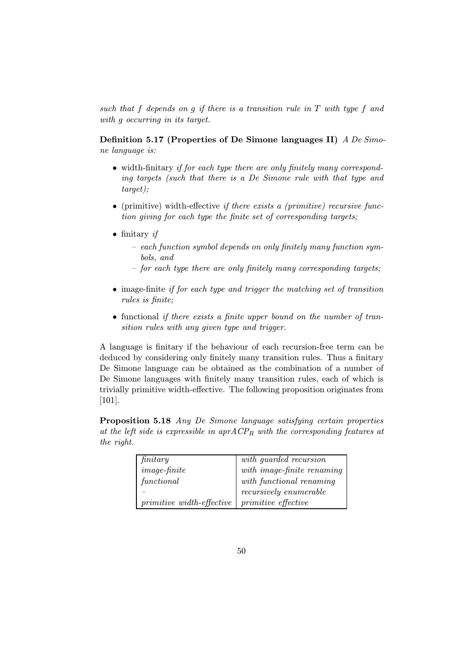such that f depends on g if there is a transition rule in T with type f and with *q* occurring in its target.

Definition 5.17 (Properties of De Simone languages II) A De Simone language is:

- width-finitary if for each type there are only finitely many corresponding targets (such that there is a De Simone rule with that type and target);
- (primitive) width-effective if there exists a (primitive) recursive function giving for each type the finite set of corresponding targets;
- finitary if
	- each function symbol depends on only finitely many function symbols, and
	- for each type there are only finitely many corresponding targets;
- image-finite if for each type and trigger the matching set of transition rules is finite;
- functional *if there exists a finite upper bound on the number of tran*sition rules with any given type and trigger.

A language is finitary if the behaviour of each recursion-free term can be deduced by considering only finitely many transition rules. Thus a finitary De Simone language can be obtained as the combination of a number of De Simone languages with finitely many transition rules, each of which is trivially primitive width-effective. The following proposition originates from [101].

Proposition 5.18 Any De Simone language satisfying certain properties at the left side is expressible in  $aprACP_R$  with the corresponding features at the right.

| finitary                         | with guarded recursion                                   |
|----------------------------------|----------------------------------------------------------|
| $image\text{-}finite$            | $\label{eq:optimal} \textit{with image-finite renaming}$ |
| functional                       | $with\ functional\ renaming$                             |
|                                  | recursively enumerable                                   |
| <i>primitive width-effective</i> | <i>primitive effective</i>                               |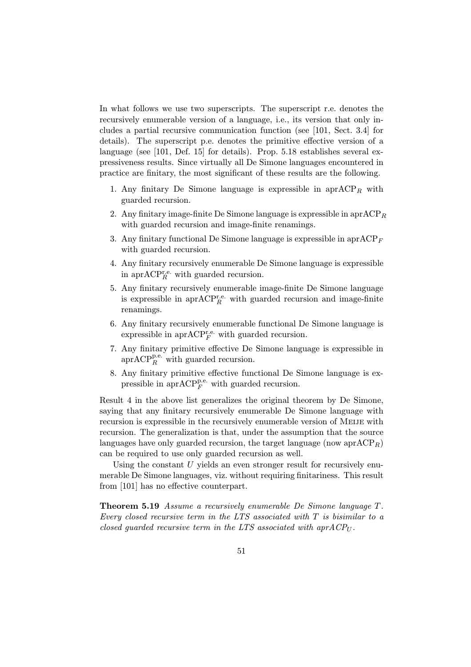In what follows we use two superscripts. The superscript r.e. denotes the recursively enumerable version of a language, i.e., its version that only includes a partial recursive communication function (see [101, Sect. 3.4] for details). The superscript p.e. denotes the primitive effective version of a language (see [101, Def. 15] for details). Prop. 5.18 establishes several expressiveness results. Since virtually all De Simone languages encountered in practice are finitary, the most significant of these results are the following.

- 1. Any finitary De Simone language is expressible in  $aprACP<sub>R</sub>$  with guarded recursion.
- 2. Any finitary image-finite De Simone language is expressible in  $aprACP_R$ with guarded recursion and image-finite renamings.
- 3. Any finitary functional De Simone language is expressible in apr $ACP_F$ with guarded recursion.
- 4. Any finitary recursively enumerable De Simone language is expressible in apr $\mathrm{ACP}_R^{\mathrm{r.e.}}$  with guarded recursion.
- 5. Any finitary recursively enumerable image-finite De Simone language is expressible in apr $\text{ACP}_R^{\text{r.e.}}$  with guarded recursion and image-finite renamings.
- 6. Any finitary recursively enumerable functional De Simone language is expressible in apr $\text{ACP}_F^{\text{r.e.}}$  with guarded recursion.
- 7. Any finitary primitive effective De Simone language is expressible in apr $\mathrm{ACP}_R^{\mathrm{p.e.}}$  with guarded recursion.
- 8. Any finitary primitive effective functional De Simone language is expressible in  $apr{ACP_F^{p.e.}}$  with guarded recursion.

Result 4 in the above list generalizes the original theorem by De Simone, saying that any finitary recursively enumerable De Simone language with recursion is expressible in the recursively enumerable version of Meije with recursion. The generalization is that, under the assumption that the source languages have only guarded recursion, the target language (now  $aprACP_R$ ) can be required to use only guarded recursion as well.

Using the constant  $U$  yields an even stronger result for recursively enumerable De Simone languages, viz. without requiring finitariness. This result from [101] has no effective counterpart.

Theorem 5.19 Assume a recursively enumerable De Simone language T. Every closed recursive term in the LTS associated with  $T$  is bisimilar to a closed guarded recursive term in the LTS associated with apr $ACP_U$ .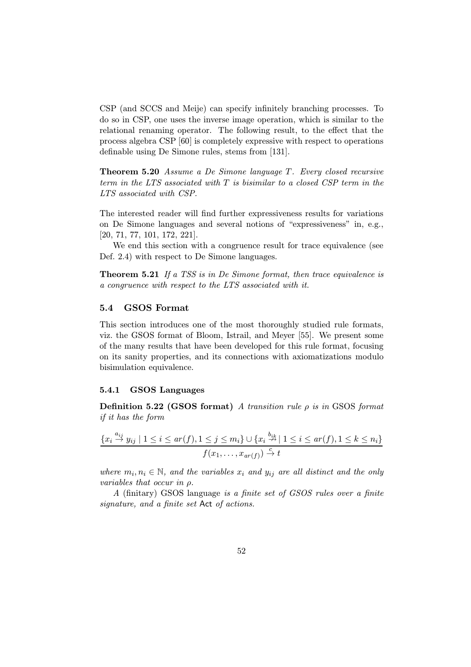CSP (and SCCS and Meije) can specify infinitely branching processes. To do so in CSP, one uses the inverse image operation, which is similar to the relational renaming operator. The following result, to the effect that the process algebra CSP [60] is completely expressive with respect to operations definable using De Simone rules, stems from [131].

Theorem 5.20 Assume a De Simone language T. Every closed recursive term in the LTS associated with T is bisimilar to a closed CSP term in the LTS associated with CSP.

The interested reader will find further expressiveness results for variations on De Simone languages and several notions of "expressiveness" in, e.g., [20, 71, 77, 101, 172, 221].

We end this section with a congruence result for trace equivalence (see Def. 2.4) with respect to De Simone languages.

Theorem 5.21 If a TSS is in De Simone format, then trace equivalence is a congruence with respect to the LTS associated with it.

# 5.4 GSOS Format

This section introduces one of the most thoroughly studied rule formats, viz. the GSOS format of Bloom, Istrail, and Meyer [55]. We present some of the many results that have been developed for this rule format, focusing on its sanity properties, and its connections with axiomatizations modulo bisimulation equivalence.

### 5.4.1 GSOS Languages

Definition 5.22 (GSOS format) A transition rule  $\rho$  is in GSOS format if it has the form

$$
\frac{\{x_i \stackrel{a_{ij}}{\rightarrow} y_{ij} \mid 1 \leq i \leq ar(f), 1 \leq j \leq m_i\} \cup \{x_i \stackrel{b_{ik}}{\rightarrow} \mid 1 \leq i \leq ar(f), 1 \leq k \leq n_i\}}{f(x_1, \ldots, x_{ar(f)}) \stackrel{c}{\rightarrow} t}
$$

where  $m_i, n_i \in \mathbb{N}$ , and the variables  $x_i$  and  $y_{ij}$  are all distinct and the only variables that occur in ρ.

A (finitary) GSOS language is a finite set of GSOS rules over a finite signature, and a finite set Act of actions.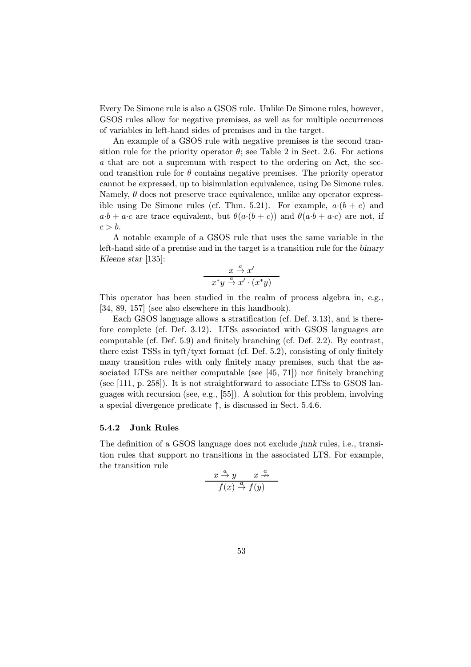Every De Simone rule is also a GSOS rule. Unlike De Simone rules, however, GSOS rules allow for negative premises, as well as for multiple occurrences of variables in left-hand sides of premises and in the target.

An example of a GSOS rule with negative premises is the second transition rule for the priority operator  $\theta$ ; see Table 2 in Sect. 2.6. For actions a that are not a supremum with respect to the ordering on Act, the second transition rule for  $\theta$  contains negative premises. The priority operator cannot be expressed, up to bisimulation equivalence, using De Simone rules. Namely,  $\theta$  does not preserve trace equivalence, unlike any operator expressible using De Simone rules (cf. Thm. 5.21). For example,  $a \cdot (b + c)$  and  $a \cdot b + a \cdot c$  are trace equivalent, but  $\theta(a \cdot (b + c))$  and  $\theta(a \cdot b + a \cdot c)$  are not, if  $c>b.$ 

A notable example of a GSOS rule that uses the same variable in the left-hand side of a premise and in the target is a transition rule for the binary Kleene star [135]:

$$
\frac{x \stackrel{a}{\rightarrow} x'}{x^*y \stackrel{a}{\rightarrow} x' \cdot (x^*y)}
$$

This operator has been studied in the realm of process algebra in, e.g., [34, 89, 157] (see also elsewhere in this handbook).

Each GSOS language allows a stratification (cf. Def. 3.13), and is therefore complete (cf. Def. 3.12). LTSs associated with GSOS languages are computable (cf. Def. 5.9) and finitely branching (cf. Def. 2.2). By contrast, there exist TSSs in tyft/tyxt format (cf. Def. 5.2), consisting of only finitely many transition rules with only finitely many premises, such that the associated LTSs are neither computable (see [45, 71]) nor finitely branching (see [111, p. 258]). It is not straightforward to associate LTSs to GSOS languages with recursion (see, e.g., [55]). A solution for this problem, involving a special divergence predicate ↑, is discussed in Sect. 5.4.6.

## 5.4.2 Junk Rules

The definition of a GSOS language does not exclude junk rules, i.e., transition rules that support no transitions in the associated LTS. For example, the transition rule

$$
\frac{x \stackrel{a}{\rightarrow} y \qquad x \stackrel{a}{\rightarrow}}{f(x) \stackrel{a}{\rightarrow} f(y)}
$$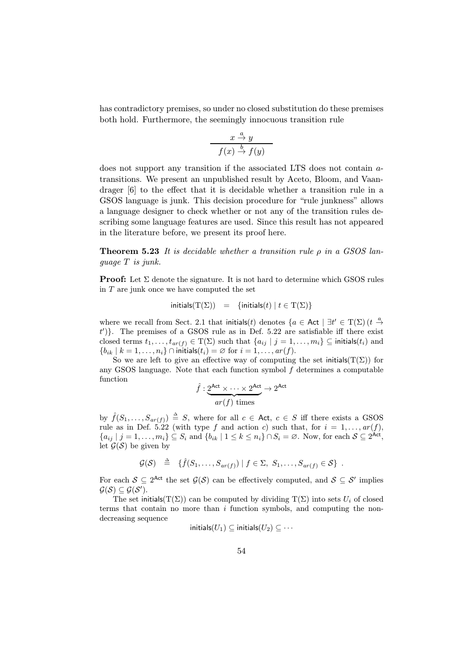has contradictory premises, so under no closed substitution do these premises both hold. Furthermore, the seemingly innocuous transition rule

$$
\begin{array}{c}\n x \stackrel{a}{\rightarrow} y \\
 f(x) \stackrel{b}{\rightarrow} f(y)\n\end{array}
$$

does not support any transition if the associated LTS does not contain atransitions. We present an unpublished result by Aceto, Bloom, and Vaandrager [6] to the effect that it is decidable whether a transition rule in a GSOS language is junk. This decision procedure for "rule junkness" allows a language designer to check whether or not any of the transition rules describing some language features are used. Since this result has not appeared in the literature before, we present its proof here.

**Theorem 5.23** It is decidable whether a transition rule  $\rho$  in a GSOS language T is junk.

**Proof:** Let  $\Sigma$  denote the signature. It is not hard to determine which GSOS rules in  $T$  are junk once we have computed the set

$$
\text{initials}(\mathrm{T}(\Sigma)) = \{ \text{initials}(t) \mid t \in \mathrm{T}(\Sigma) \}
$$

where we recall from Sect. 2.1 that initials(t) denotes  $\{a \in \text{Act} \mid \exists t' \in T(\Sigma)\ (t \stackrel{a}{\rightarrow} t')\}$  $(t')$ . The premises of a GSOS rule as in Def. 5.22 are satisfiable iff there exist closed terms  $t_1,\ldots,t_{ar(f)} \in T(\Sigma)$  such that  $\{a_{ij} \mid j=1,\ldots,m_i\} \subseteq \text{initial}(t_i)$  and  ${b_{ik} | k = 1, \ldots, n_i} \cap$  initials $(t_i) = \emptyset$  for  $i = 1, \ldots, ar(f)$ .

So we are left to give an effective way of computing the set initials( $T(\Sigma)$ ) for any GSOS language. Note that each function symbol  $f$  determines a computable function  $\hat{f}: 2^{\mathsf{Act}} \times \cdots \times 2^{\mathsf{Act}}$ 

$$
\hat{f} : \underbrace{2^{\text{Act}} \times \dots \times 2^{\text{Act}}}_{ar(f) \text{ times}} \to 2^{\text{Act}}
$$

by  $\hat{f}(S_1,\ldots,S_{ar(f)}) \triangleq S$ , where for all  $c \in \mathsf{Act}, c \in S$  iff there exists a GSOS rule as in Def. 5.22 (with type f and action c) such that, for  $i = 1, \ldots, ar(f)$ ,  ${a_{ij} | j = 1, \ldots, m_i} \subseteq S_i$  and  ${b_{ik} | 1 \le k \le n_i} \cap S_i = \emptyset$ . Now, for each  $S \subseteq 2^{\text{Act}}$ , let  $\mathcal{G}(\mathcal{S})$  be given by

$$
\mathcal{G}(\mathcal{S}) \triangleq \{ \hat{f}(S_1,\ldots,S_{ar(f)}) \mid f \in \Sigma, S_1,\ldots,S_{ar(f)} \in \mathcal{S} \} .
$$

For each  $S \subseteq 2^{\text{Act}}$  the set  $\mathcal{G}(S)$  can be effectively computed, and  $S \subseteq S'$  implies  $\mathcal{G}(\mathcal{S})\subseteq \mathcal{G}(\mathcal{S}').$ 

The set initials( $T(\Sigma)$ ) can be computed by dividing  $T(\Sigma)$  into sets  $U_i$  of closed terms that contain no more than i function symbols, and computing the nondecreasing sequence

$$
\mathsf{initials}(U_1) \subseteq \mathsf{initials}(U_2) \subseteq \cdots
$$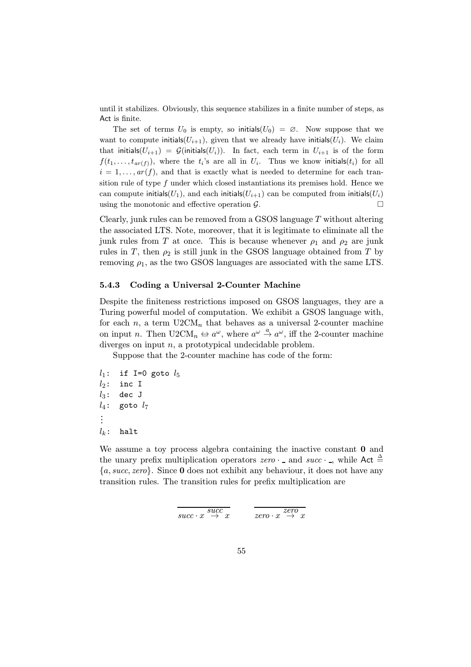until it stabilizes. Obviously, this sequence stabilizes in a finite number of steps, as Act is finite.

The set of terms  $U_0$  is empty, so initials( $U_0$ ) = ∅. Now suppose that we want to compute initials( $U_{i+1}$ ), given that we already have initials( $U_i$ ). We claim that initials( $U_{i+1}$ ) =  $\mathcal{G}$ (initials( $U_i$ )). In fact, each term in  $U_{i+1}$  is of the form  $f(t_1,...,t_{ar(f)})$ , where the  $t_i$ 's are all in  $U_i$ . Thus we know initials $(t_i)$  for all  $i = 1, \ldots, ar(f)$ , and that is exactly what is needed to determine for each transition rule of type  $f$  under which closed instantiations its premises hold. Hence we can compute initials( $U_1$ ), and each initials( $U_{i+1}$ ) can be computed from initials( $U_i$ ) using the monotonic and effective operation  $\mathcal{G}$ .

Clearly, junk rules can be removed from a GSOS language  $T$  without altering the associated LTS. Note, moreover, that it is legitimate to eliminate all the junk rules from T at once. This is because whenever  $\rho_1$  and  $\rho_2$  are junk rules in T, then  $\rho_2$  is still junk in the GSOS language obtained from T by removing  $\rho_1$ , as the two GSOS languages are associated with the same LTS.

### 5.4.3 Coding a Universal 2-Counter Machine

Despite the finiteness restrictions imposed on GSOS languages, they are a Turing powerful model of computation. We exhibit a GSOS language with, for each  $n$ , a term  $U2CM_n$  that behaves as a universal 2-counter machine on input *n*. Then  $U2CM_n \leftrightarrow a^{\omega}$ , where  $a^{\omega} \stackrel{a}{\rightarrow} a^{\omega}$ , iff the 2-counter machine diverges on input  $n$ , a prototypical undecidable problem.

Suppose that the 2-counter machine has code of the form:

```
l_1: if I=0 goto l_5l_2: inc I
l_3: dec J
l_4: goto l_7...
l_k: halt
```
We assume a toy process algebra containing the inactive constant  $\bf{0}$  and the unary prefix multiplication operators  $zero \cdot$  – and  $succ \cdot$  –, while Act  $\triangleq$  ${a, succ, zero}$ . Since **0** does not exhibit any behaviour, it does not have any transition rules. The transition rules for prefix multiplication are

$$
\overline{succ \cdot x \overset{succ}{\rightarrow} x}
$$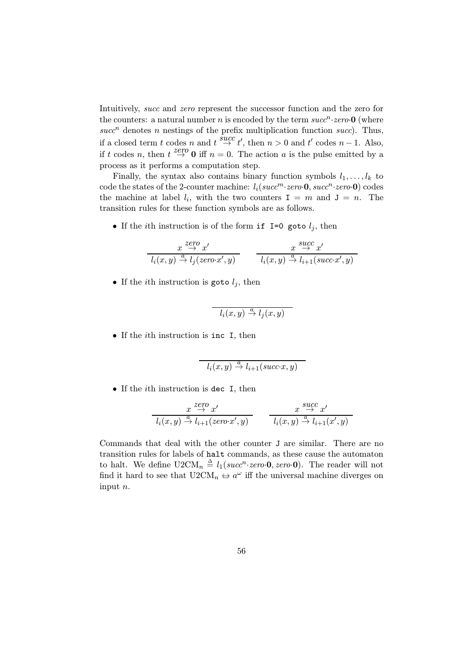Intuitively, succ and zero represent the successor function and the zero for the counters: a natural number n is encoded by the term  $succ<sup>n</sup>$  : zero **0** (where  $succ<sup>n</sup>$  denotes n nestings of the prefix multiplication function succ). Thus, if a closed term t codes n and  $t \stackrel{\text{succ}}{\rightarrow} t'$ , then  $n > 0$  and  $t'$  codes  $n - 1$ . Also, if t codes n, then  $t \stackrel{\text{zero}}{\rightarrow} 0$  iff  $n = 0$ . The action a is the pulse emitted by a process as it performs a computation step.

Finally, the syntax also contains binary function symbols  $l_1, \ldots, l_k$  to code the states of the 2-counter machine:  $l_i(succ^m \text{·zero-0}, succ^n \text{·zero-0})$  codes the machine at label  $l_i$ , with the two counters  $I = m$  and  $J = n$ . The transition rules for these function symbols are as follows.

• If the *i*th instruction is of the form if  $I=0$  goto  $l_j$ , then

$$
\frac{x \stackrel{zero}{\rightarrow} x'}{l_i(x,y) \stackrel{a}{\rightarrow} l_j(zero \cdot x',y)} \qquad \frac{x \stackrel{succ}{\rightarrow} x'}{l_i(x,y) \stackrel{a}{\rightarrow} l_{i+1}(succ \cdot x',y)}
$$

• If the *i*th instruction is goto  $l_i$ , then

$$
l_i(x,y) \stackrel{a}{\to} l_j(x,y)
$$

• If the ith instruction is inc I, then

$$
l_i(x,y) \stackrel{a}{\to} l_{i+1}(succ.x,y)
$$

• If the *i*th instruction is dec I, then

$$
\frac{x \stackrel{zero}{\rightarrow} x'}{l_i(x,y) \stackrel{a}{\rightarrow} l_{i+1}(zero \cdot x',y)} \qquad \frac{x \stackrel{succ}{\rightarrow} x'}{l_i(x,y) \stackrel{a}{\rightarrow} l_{i+1}(x',y)}
$$

Commands that deal with the other counter J are similar. There are no transition rules for labels of halt commands, as these cause the automaton to halt. We define  $U2CM_n \triangleq l_1(succ^n \text{·zero-0}, zero \cdot 0)$ . The reader will not find it hard to see that  $U2CM_n \leftrightarrow a^{\omega}$  iff the universal machine diverges on input n.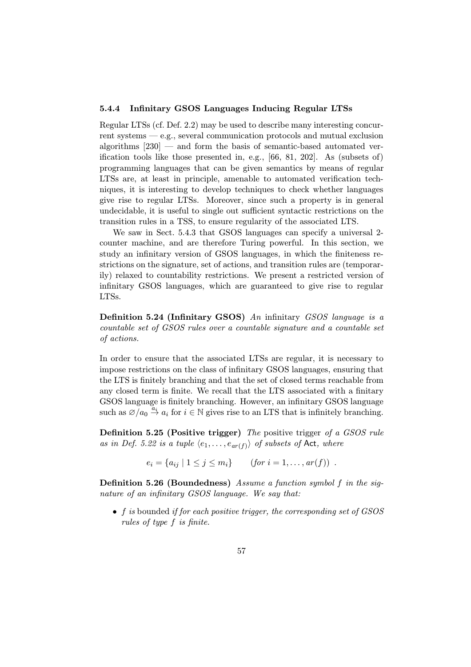# 5.4.4 Infinitary GSOS Languages Inducing Regular LTSs

Regular LTSs (cf. Def. 2.2) may be used to describe many interesting concurrent systems — e.g., several communication protocols and mutual exclusion algorithms [230] — and form the basis of semantic-based automated verification tools like those presented in, e.g., [66, 81, 202]. As (subsets of) programming languages that can be given semantics by means of regular LTSs are, at least in principle, amenable to automated verification techniques, it is interesting to develop techniques to check whether languages give rise to regular LTSs. Moreover, since such a property is in general undecidable, it is useful to single out sufficient syntactic restrictions on the transition rules in a TSS, to ensure regularity of the associated LTS.

We saw in Sect. 5.4.3 that GSOS languages can specify a universal 2 counter machine, and are therefore Turing powerful. In this section, we study an infinitary version of GSOS languages, in which the finiteness restrictions on the signature, set of actions, and transition rules are (temporarily) relaxed to countability restrictions. We present a restricted version of infinitary GSOS languages, which are guaranteed to give rise to regular LTSs.

Definition 5.24 (Infinitary GSOS) An infinitary GSOS language is a countable set of GSOS rules over a countable signature and a countable set of actions.

In order to ensure that the associated LTSs are regular, it is necessary to impose restrictions on the class of infinitary GSOS languages, ensuring that the LTS is finitely branching and that the set of closed terms reachable from any closed term is finite. We recall that the LTS associated with a finitary GSOS language is finitely branching. However, an infinitary GSOS language such as  $\emptyset/a_0 \stackrel{a_i}{\rightarrow} a_i$  for  $i \in \mathbb{N}$  gives rise to an LTS that is infinitely branching.

Definition 5.25 (Positive trigger) The positive trigger of a GSOS rule as in Def. 5.22 is a tuple  $\langle e_1,\ldots,e_{ar(f)}\rangle$  of subsets of Act, where

$$
e_i = \{a_{ij} \mid 1 \leq j \leq m_i\} \qquad (for \ i = 1, \dots, ar(f)) \ .
$$

Definition 5.26 (Boundedness) Assume a function symbol f in the signature of an infinitary GSOS language. We say that:

• f is bounded if for each positive trigger, the corresponding set of GSOS rules of type f is finite.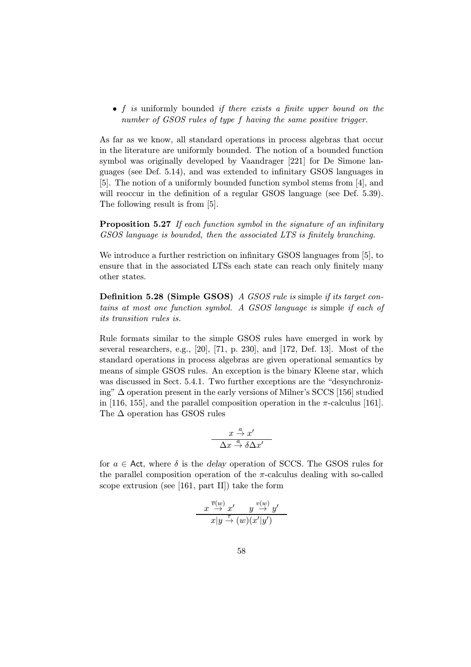• f is uniformly bounded if there exists a finite upper bound on the number of GSOS rules of type f having the same positive trigger.

As far as we know, all standard operations in process algebras that occur in the literature are uniformly bounded. The notion of a bounded function symbol was originally developed by Vaandrager [221] for De Simone languages (see Def. 5.14), and was extended to infinitary GSOS languages in [5]. The notion of a uniformly bounded function symbol stems from [4], and will reoccur in the definition of a regular GSOS language (see Def. 5.39). The following result is from [5].

**Proposition 5.27** If each function symbol in the signature of an infinitary GSOS language is bounded, then the associated LTS is finitely branching.

We introduce a further restriction on infinitary GSOS languages from [5], to ensure that in the associated LTSs each state can reach only finitely many other states.

Definition 5.28 (Simple GSOS) A GSOS rule is simple if its target contains at most one function symbol. A GSOS language is simple if each of its transition rules is.

Rule formats similar to the simple GSOS rules have emerged in work by several researchers, e.g., [20], [71, p. 230], and [172, Def. 13]. Most of the standard operations in process algebras are given operational semantics by means of simple GSOS rules. An exception is the binary Kleene star, which was discussed in Sect. 5.4.1. Two further exceptions are the "desynchronizing" ∆ operation present in the early versions of Milner's SCCS [156] studied in [116, 155], and the parallel composition operation in the  $\pi$ -calculus [161]. The ∆ operation has GSOS rules

$$
\frac{x \stackrel{a}{\rightarrow} x'}{\Delta x \stackrel{a}{\rightarrow} \delta \Delta x'}
$$

for  $a \in$  Act, where  $\delta$  is the delay operation of SCCS. The GSOS rules for the parallel composition operation of the  $\pi$ -calculus dealing with so-called scope extrusion (see [161, part II]) take the form

$$
\frac{x \overset{\overline{v}(w)}{\rightarrow} x' \qquad y \overset{v(w)}{\rightarrow} y'}{x|y \overset{\tau}{\rightarrow} (w)(x'|y')}
$$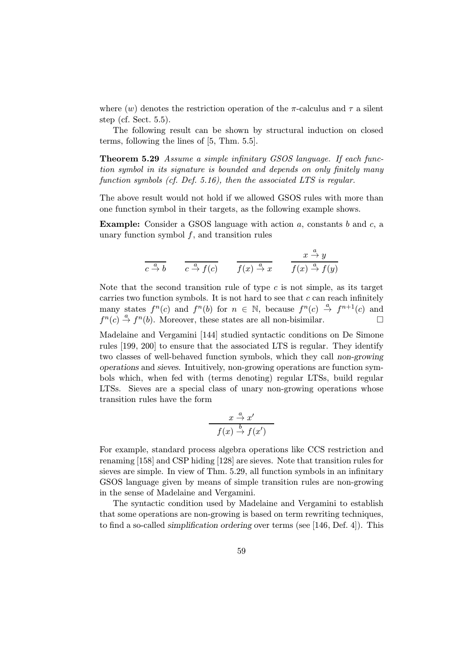where  $(w)$  denotes the restriction operation of the  $\pi$ -calculus and  $\tau$  a silent step (cf. Sect. 5.5).

The following result can be shown by structural induction on closed terms, following the lines of [5, Thm. 5.5].

Theorem 5.29 Assume a simple infinitary GSOS language. If each function symbol in its signature is bounded and depends on only finitely many function symbols (cf. Def. 5.16), then the associated LTS is regular.

The above result would not hold if we allowed GSOS rules with more than one function symbol in their targets, as the following example shows.

**Example:** Consider a GSOS language with action  $a$ , constants  $b$  and  $c$ , a unary function symbol  $f$ , and transition rules

$$
\frac{x}{c} \xrightarrow{a} b \qquad \frac{a}{c} \xrightarrow{a} f(c) \qquad \frac{x}{f(x) \xrightarrow{a} x} \qquad \frac{x \xrightarrow{a} y}{f(x) \xrightarrow{a} f(y)}
$$

Note that the second transition rule of type  $c$  is not simple, as its target carries two function symbols. It is not hard to see that  $c$  can reach infinitely many states  $f^n(c)$  and  $f^n(b)$  for  $n \in \mathbb{N}$ , because  $f^n(c) \stackrel{a}{\rightarrow} f^{n+1}(c)$  and  $f^{n}(c) \stackrel{a}{\rightarrow} f^{n}(b)$ . Moreover, these states are all non-bisimilar.

Madelaine and Vergamini [144] studied syntactic conditions on De Simone rules [199, 200] to ensure that the associated LTS is regular. They identify two classes of well-behaved function symbols, which they call non-growing operations and sieves. Intuitively, non-growing operations are function symbols which, when fed with (terms denoting) regular LTSs, build regular LTSs. Sieves are a special class of unary non-growing operations whose transition rules have the form

$$
\frac{x \stackrel{a}{\rightarrow} x'}{f(x) \stackrel{b}{\rightarrow} f(x')}
$$

For example, standard process algebra operations like CCS restriction and renaming [158] and CSP hiding [128] are sieves. Note that transition rules for sieves are simple. In view of Thm. 5.29, all function symbols in an infinitary GSOS language given by means of simple transition rules are non-growing in the sense of Madelaine and Vergamini.

The syntactic condition used by Madelaine and Vergamini to establish that some operations are non-growing is based on term rewriting techniques, to find a so-called simplification ordering over terms (see [146, Def. 4]). This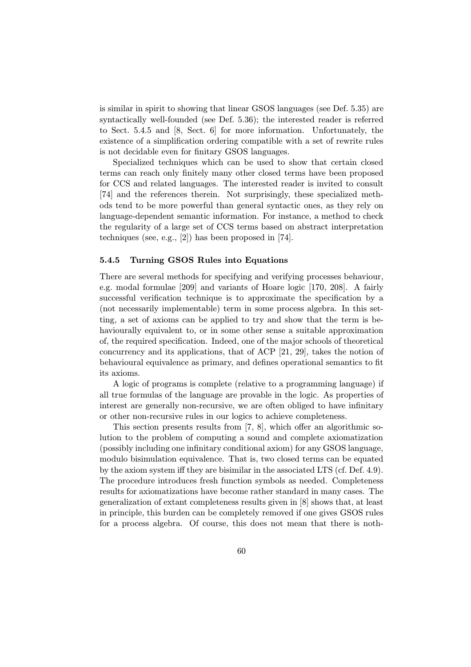is similar in spirit to showing that linear GSOS languages (see Def. 5.35) are syntactically well-founded (see Def. 5.36); the interested reader is referred to Sect. 5.4.5 and [8, Sect. 6] for more information. Unfortunately, the existence of a simplification ordering compatible with a set of rewrite rules is not decidable even for finitary GSOS languages.

Specialized techniques which can be used to show that certain closed terms can reach only finitely many other closed terms have been proposed for CCS and related languages. The interested reader is invited to consult [74] and the references therein. Not surprisingly, these specialized methods tend to be more powerful than general syntactic ones, as they rely on language-dependent semantic information. For instance, a method to check the regularity of a large set of CCS terms based on abstract interpretation techniques (see, e.g., [2]) has been proposed in [74].

## 5.4.5 Turning GSOS Rules into Equations

There are several methods for specifying and verifying processes behaviour, e.g. modal formulae [209] and variants of Hoare logic [170, 208]. A fairly successful verification technique is to approximate the specification by a (not necessarily implementable) term in some process algebra. In this setting, a set of axioms can be applied to try and show that the term is behaviourally equivalent to, or in some other sense a suitable approximation of, the required specification. Indeed, one of the major schools of theoretical concurrency and its applications, that of ACP [21, 29], takes the notion of behavioural equivalence as primary, and defines operational semantics to fit its axioms.

A logic of programs is complete (relative to a programming language) if all true formulas of the language are provable in the logic. As properties of interest are generally non-recursive, we are often obliged to have infinitary or other non-recursive rules in our logics to achieve completeness.

This section presents results from [7, 8], which offer an algorithmic solution to the problem of computing a sound and complete axiomatization (possibly including one infinitary conditional axiom) for any GSOS language, modulo bisimulation equivalence. That is, two closed terms can be equated by the axiom system iff they are bisimilar in the associated LTS (cf. Def. 4.9). The procedure introduces fresh function symbols as needed. Completeness results for axiomatizations have become rather standard in many cases. The generalization of extant completeness results given in [8] shows that, at least in principle, this burden can be completely removed if one gives GSOS rules for a process algebra. Of course, this does not mean that there is noth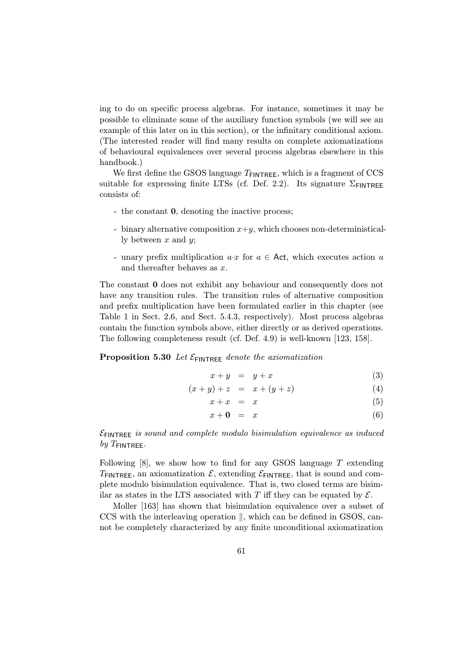ing to do on specific process algebras. For instance, sometimes it may be possible to eliminate some of the auxiliary function symbols (we will see an example of this later on in this section), or the infinitary conditional axiom. (The interested reader will find many results on complete axiomatizations of behavioural equivalences over several process algebras elsewhere in this handbook.)

We first define the GSOS language  $T_{\text{FINTREE}}$ , which is a fragment of CCS suitable for expressing finite LTSs (cf. Def. 2.2). Its signature  $\Sigma$ FINTREE consists of:

- the constant 0, denoting the inactive process;
- binary alternative composition  $x+y$ , which chooses non-deterministically between  $x$  and  $y$ ;
- unary prefix multiplication  $a \cdot x$  for  $a \in$  Act, which executes action a and thereafter behaves as x.

The constant 0 does not exhibit any behaviour and consequently does not have any transition rules. The transition rules of alternative composition and prefix multiplication have been formulated earlier in this chapter (see Table 1 in Sect. 2.6, and Sect. 5.4.3, respectively). Most process algebras contain the function symbols above, either directly or as derived operations. The following completeness result (cf. Def. 4.9) is well-known [123, 158].

# Proposition 5.30 Let  $\mathcal{E}_{\text{FINTREE}}$  denote the axiomatization

$$
x + y = y + x \tag{3}
$$

$$
(x + y) + z = x + (y + z)
$$
 (4)

$$
x + x = x \tag{5}
$$

$$
x + \mathbf{0} = x \tag{6}
$$

 $\mathcal{E}_{\text{ENTREF}}$  is sound and complete modulo bisimulation equivalence as induced by  $T_{\sf FINTREE}$ .

Following  $[8]$ , we show how to find for any GSOS language T extending  $T_{\text{FINTREE}}$ , an axiomatization  $\mathcal{E}$ , extending  $\mathcal{E}_{\text{FINTREE}}$ , that is sound and complete modulo bisimulation equivalence. That is, two closed terms are bisimilar as states in the LTS associated with T iff they can be equated by  $\mathcal{E}$ .

Moller [163] has shown that bisimulation equivalence over a subset of  $CCS$  with the interleaving operation  $\parallel$ , which can be defined in GSOS, cannot be completely characterized by any finite unconditional axiomatization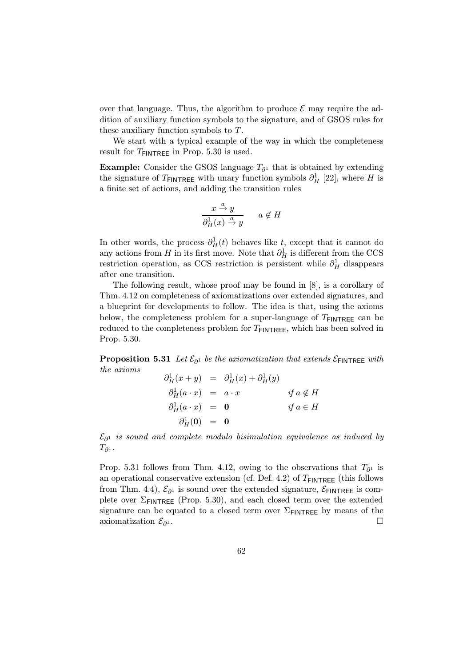over that language. Thus, the algorithm to produce  $\mathcal E$  may require the addition of auxiliary function symbols to the signature, and of GSOS rules for these auxiliary function symbols to T.

We start with a typical example of the way in which the completeness result for  $T_{\text{FINTREE}}$  in Prop. 5.30 is used.

**Example:** Consider the GSOS language  $T_{\partial^1}$  that is obtained by extending the signature of  $T_{\text{FINTREE}}$  with unary function symbols  $\partial_H^1$  [22], where H is a finite set of actions, and adding the transition rules

$$
\frac{x \stackrel{a}{\rightarrow} y}{\partial_H^1(x) \stackrel{a}{\rightarrow} y} \quad a \notin H
$$

In other words, the process  $\partial_H^1(t)$  behaves like t, except that it cannot do any actions from H in its first move. Note that  $\partial_H^1$  is different from the CCS restriction operation, as CCS restriction is persistent while  $\partial_H^1$  disappears after one transition.

The following result, whose proof may be found in [8], is a corollary of Thm. 4.12 on completeness of axiomatizations over extended signatures, and a blueprint for developments to follow. The idea is that, using the axioms below, the completeness problem for a super-language of  $T_{\text{FINTREE}}$  can be reduced to the completeness problem for  $T_{\text{FINTREE}}$ , which has been solved in Prop. 5.30.

**Proposition 5.31** Let  $\mathcal{E}_{\partial^1}$  be the axiomatization that extends  $\mathcal{E}_{\text{FINTREE}}$  with the axioms

$$
\partial_H^1(x + y) = \partial_H^1(x) + \partial_H^1(y)
$$
  
\n
$$
\partial_H^1(a \cdot x) = a \cdot x \qquad \text{if } a \notin H
$$
  
\n
$$
\partial_H^1(a \cdot x) = 0 \qquad \text{if } a \in H
$$
  
\n
$$
\partial_H^1(0) = 0
$$

 $\mathcal{E}_{\partial^1}$  is sound and complete modulo bisimulation equivalence as induced by  $T_{\partial^1}$ .

Prop. 5.31 follows from Thm. 4.12, owing to the observations that  $T_{\partial^1}$  is an operational conservative extension (cf. Def. 4.2) of  $T_{\text{FINTREE}}$  (this follows from Thm. 4.4),  $\mathcal{E}_{\partial^1}$  is sound over the extended signature,  $\mathcal{E}_{\text{FINTREE}}$  is complete over  $\Sigma_{\text{FINTREE}}$  (Prop. 5.30), and each closed term over the extended signature can be equated to a closed term over  $\Sigma$ <sub>FINTREE</sub> by means of the axiomatization  $\mathcal{E}_{\partial^1}$ .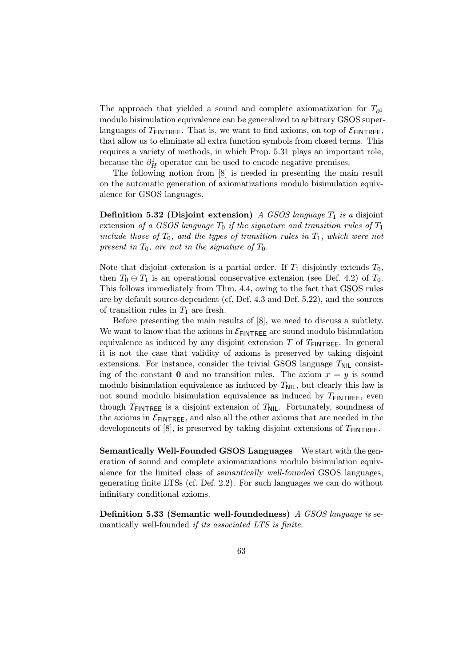The approach that yielded a sound and complete axiomatization for  $T_{\partial^1}$ modulo bisimulation equivalence can be generalized to arbitrary GSOS superlanguages of  $T_{\text{FINTREF}}$ . That is, we want to find axioms, on top of  $\mathcal{E}_{\text{FINTREF}}$ , that allow us to eliminate all extra function symbols from closed terms. This requires a variety of methods, in which Prop. 5.31 plays an important role, because the  $\partial_H^1$  operator can be used to encode negative premises.

The following notion from [8] is needed in presenting the main result on the automatic generation of axiomatizations modulo bisimulation equivalence for GSOS languages.

**Definition 5.32 (Disjoint extension)** A GSOS language  $T_1$  is a disjoint extension of a GSOS language  $T_0$  if the signature and transition rules of  $T_1$ include those of  $T_0$ , and the types of transition rules in  $T_1$ , which were not present in  $T_0$ , are not in the signature of  $T_0$ .

Note that disjoint extension is a partial order. If  $T_1$  disjointly extends  $T_0$ , then  $T_0 \oplus T_1$  is an operational conservative extension (see Def. 4.2) of  $T_0$ . This follows immediately from Thm. 4.4, owing to the fact that GSOS rules are by default source-dependent (cf. Def. 4.3 and Def. 5.22), and the sources of transition rules in  $T_1$  are fresh.

Before presenting the main results of [8], we need to discuss a subtlety. We want to know that the axioms in  $\mathcal{E}_{\text{FINTREE}}$  are sound modulo bisimulation equivalence as induced by any disjoint extension  $T$  of  $T_{\text{FINTREF}}$ . In general it is not the case that validity of axioms is preserved by taking disjoint extensions. For instance, consider the trivial GSOS language  $T_{\text{NIL}}$  consisting of the constant 0 and no transition rules. The axiom  $x = y$  is sound modulo bisimulation equivalence as induced by  $T_{\text{NIL}}$ , but clearly this law is not sound modulo bisimulation equivalence as induced by  $T_{\text{FINTREE}}$ , even though  $T_{\text{FINTREE}}$  is a disjoint extension of  $T_{\text{NIL}}$ . Fortunately, soundness of the axioms in  $\mathcal{E}_{\mathsf{FINTREE}},$  and also all the other axioms that are needed in the developments of [8], is preserved by taking disjoint extensions of  $T_{\text{FINTREE}}$ .

Semantically Well-Founded GSOS Languages We start with the generation of sound and complete axiomatizations modulo bisimulation equivalence for the limited class of semantically well-founded GSOS languages, generating finite LTSs (cf. Def. 2.2). For such languages we can do without infinitary conditional axioms.

Definition 5.33 (Semantic well-foundedness) A GSOS language is semantically well-founded if its associated LTS is finite.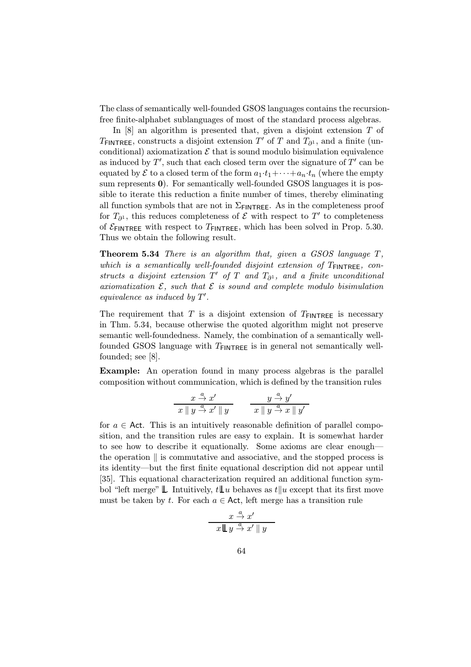The class of semantically well-founded GSOS languages contains the recursionfree finite-alphabet sublanguages of most of the standard process algebras.

In  $[8]$  an algorithm is presented that, given a disjoint extension  $T$  of  $T_{\text{FINTREE}}$ , constructs a disjoint extension T' of T and  $T_{\partial^1}$ , and a finite (unconditional) axiomatization  $\mathcal E$  that is sound modulo bisimulation equivalence as induced by  $T'$ , such that each closed term over the signature of  $T'$  can be equated by  $\mathcal E$  to a closed term of the form  $a_1 \cdot t_1 + \cdots + a_n \cdot t_n$  (where the empty sum represents 0). For semantically well-founded GSOS languages it is possible to iterate this reduction a finite number of times, thereby eliminating all function symbols that are not in  $\Sigma$ <sub>FINTREE</sub>. As in the completeness proof for  $T_{\partial^1}$ , this reduces completeness of  $\mathcal E$  with respect to  $T'$  to completeness of  $\mathcal{E}_{\text{FINTREE}}$  with respect to  $T_{\text{FINTREE}}$ , which has been solved in Prop. 5.30. Thus we obtain the following result.

Theorem 5.34 There is an algorithm that, given a GSOS language T, which is a semantically well-founded disjoint extension of  $T_{\text{FINTREE}}$ , constructs a disjoint extension  $T'$  of  $T$  and  $T_{\partial^1}$ , and a finite unconditional axiomatization  $\mathcal{E}$ , such that  $\mathcal{E}$  is sound and complete modulo bisimulation equivalence as induced by  $T'$ .

The requirement that T is a disjoint extension of  $T_{\text{FINTREE}}$  is necessary in Thm. 5.34, because otherwise the quoted algorithm might not preserve semantic well-foundedness. Namely, the combination of a semantically wellfounded GSOS language with  $T_{\text{FINTREE}}$  is in general not semantically wellfounded; see [8].

Example: An operation found in many process algebras is the parallel composition without communication, which is defined by the transition rules

$$
\frac{x \stackrel{a}{\rightarrow} x'}{x \parallel y \stackrel{a}{\rightarrow} x' \parallel y} \qquad \frac{y \stackrel{a}{\rightarrow} y'}{x \parallel y \stackrel{a}{\rightarrow} x \parallel y'}
$$

for  $a \in$  Act. This is an intuitively reasonable definition of parallel composition, and the transition rules are easy to explain. It is somewhat harder to see how to describe it equationally. Some axioms are clear enough the operation  $\parallel$  is commutative and associative, and the stopped process is its identity—but the first finite equational description did not appear until [35]. This equational characterization required an additional function symbol "left merge"  $\mathbb L$ . Intuitively,  $t\mathbb L u$  behaves as  $t\|u$  except that its first move must be taken by t. For each  $a \in \mathsf{Act}$ , left merge has a transition rule

$$
\frac{x \stackrel{a}{\rightarrow} x'}{x \bigsqcup y \stackrel{a}{\rightarrow} x' \parallel y}
$$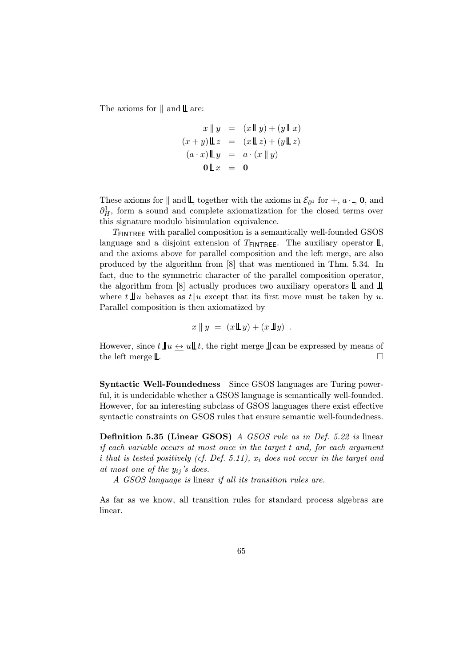The axioms for  $\parallel$  and  $\parallel$  are:

$$
x \parallel y = (x \mathbb{L}y) + (y \mathbb{L}x)
$$

$$
(x+y) \mathbb{L}z = (x \mathbb{L}z) + (y \mathbb{L}z)
$$

$$
(a \cdot x) \mathbb{L}y = a \cdot (x \parallel y)
$$

$$
0 \mathbb{L}x = 0
$$

These axioms for  $\parallel$  and  $\parallel$ , together with the axioms in  $\mathcal{E}_{\partial^1}$  for +, a·, 0, and  $\partial_H^1$ , form a sound and complete axiomatization for the closed terms over this signature modulo bisimulation equivalence.

 $T_{\text{FINTREE}}$  with parallel composition is a semantically well-founded GSOS language and a disjoint extension of  $T_{\text{FINTREE}}$ . The auxiliary operator  $\mathbb{L}$ , and the axioms above for parallel composition and the left merge, are also produced by the algorithm from [8] that was mentioned in Thm. 5.34. In fact, due to the symmetric character of the parallel composition operator, the algorithm from [8] actually produces two auxiliary operators  $\mathbb L$  and  $\mathbb I$ , where  $t \perp u$  behaves as  $t||u$  except that its first move must be taken by u. Parallel composition is then axiomatized by

$$
x \parallel y = (x \mathop{\perp\!\!\!\!\perp} y) + (x \mathop{\perp\!\!\!\!\perp} y) \enspace .
$$

However, since  $t \mathop{\parallel} u \leftrightarrow u \mathop{\parallel} t$ , the right merge  $\mathop{\parallel}$  can be expressed by means of the left merge  $\mathbb{L}$ .

Syntactic Well-Foundedness Since GSOS languages are Turing powerful, it is undecidable whether a GSOS language is semantically well-founded. However, for an interesting subclass of GSOS languages there exist effective syntactic constraints on GSOS rules that ensure semantic well-foundedness.

Definition 5.35 (Linear GSOS) A GSOS rule as in Def. 5.22 is linear if each variable occurs at most once in the target t and, for each argument i that is tested positively (cf. Def. 5.11),  $x_i$  does not occur in the target and at most one of the  $y_{ij}$ 's does.

A GSOS language is linear if all its transition rules are.

As far as we know, all transition rules for standard process algebras are linear.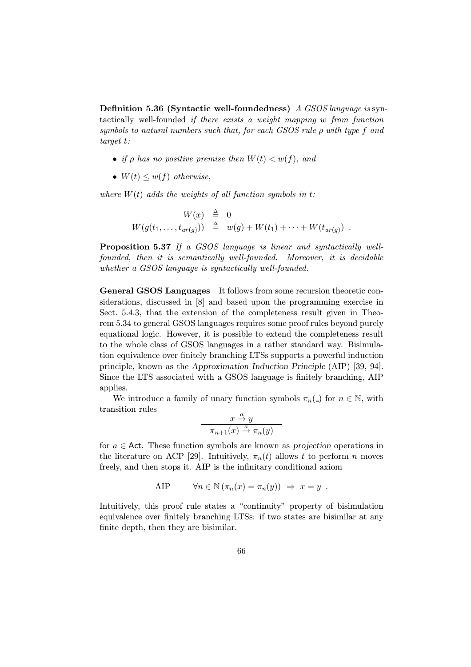Definition 5.36 (Syntactic well-foundedness) A GSOS language is syntactically well-founded if there exists a weight mapping w from function symbols to natural numbers such that, for each  $GSS$  rule  $\rho$  with type f and target t:

- if  $\rho$  has no positive premise then  $W(t) < w(f)$ , and
- $W(t) \leq w(f)$  otherwise,

where  $W(t)$  adds the weights of all function symbols in t:

$$
W(x) \triangleq 0
$$
  
 
$$
W(g(t_1,\ldots,t_{ar(g)})) \triangleq w(g) + W(t_1) + \cdots + W(t_{ar(g)})
$$
.

Proposition 5.37 If a GSOS language is linear and syntactically wellfounded, then it is semantically well-founded. Moreover, it is decidable whether a GSOS language is syntactically well-founded.

General GSOS Languages It follows from some recursion theoretic considerations, discussed in [8] and based upon the programming exercise in Sect. 5.4.3, that the extension of the completeness result given in Theorem 5.34 to general GSOS languages requires some proof rules beyond purely equational logic. However, it is possible to extend the completeness result to the whole class of GSOS languages in a rather standard way. Bisimulation equivalence over finitely branching LTSs supports a powerful induction principle, known as the Approximation Induction Principle (AIP) [39, 94]. Since the LTS associated with a GSOS language is finitely branching, AIP applies.

We introduce a family of unary function symbols  $\pi_n(\_)$  for  $n \in \mathbb{N}$ , with transition rules

$$
\frac{x \stackrel{a}{\to} y}{\pi_{n+1}(x) \stackrel{a}{\to} \pi_n(y)}
$$

for  $a \in$  Act. These function symbols are known as projection operations in the literature on ACP [29]. Intuitively,  $\pi_n(t)$  allows t to perform n moves freely, and then stops it. AIP is the infinitary conditional axiom

$$
AIP \t\t \forall n \in \mathbb{N} \left( \pi_n(x) = \pi_n(y) \right) \Rightarrow x = y.
$$

Intuitively, this proof rule states a "continuity" property of bisimulation equivalence over finitely branching LTSs: if two states are bisimilar at any finite depth, then they are bisimilar.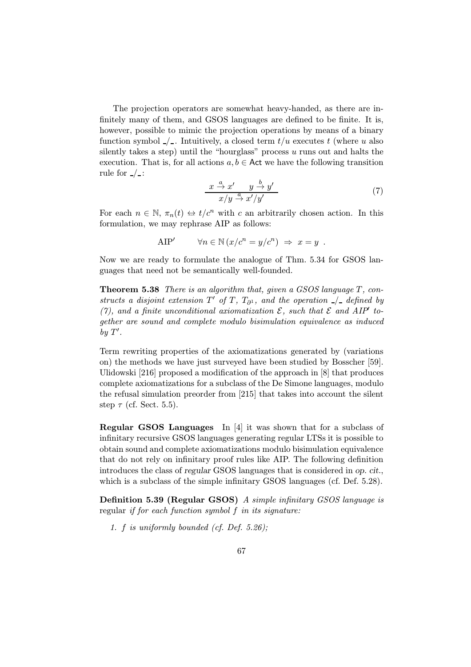The projection operators are somewhat heavy-handed, as there are infinitely many of them, and GSOS languages are defined to be finite. It is, however, possible to mimic the projection operations by means of a binary function symbol  $\angle$ . Intuitively, a closed term  $t/u$  executes t (where u also silently takes a step) until the "hourglass" process  $u$  runs out and halts the execution. That is, for all actions  $a, b \in \mathsf{Act}$  we have the following transition rule for  $\angle$ :

$$
\frac{x \stackrel{a}{\rightarrow} x'}{x/y \stackrel{a}{\rightarrow} x'/y'}
$$
 (7)

For each  $n \in \mathbb{N}$ ,  $\pi_n(t) \leftrightarrow t/c^n$  with c an arbitrarily chosen action. In this formulation, we may rephrase AIP as follows:

AIP'  $\forall n \in \mathbb{N}$   $(x/c^n = y/c^n) \Rightarrow x = y$ .

Now we are ready to formulate the analogue of Thm. 5.34 for GSOS languages that need not be semantically well-founded.

Theorem 5.38 There is an algorithm that, given a GSOS language T, constructs a disjoint extension  $T'$  of T,  $T_{\partial^1}$ , and the operation  $\angle$  defined by (7), and a finite unconditional axiomatization  $\mathcal{E}$ , such that  $\mathcal{E}$  and AIP<sup> $\prime$ </sup> together are sound and complete modulo bisimulation equivalence as induced by  $T'$ .

Term rewriting properties of the axiomatizations generated by (variations on) the methods we have just surveyed have been studied by Bosscher [59]. Ulidowski [216] proposed a modification of the approach in [8] that produces complete axiomatizations for a subclass of the De Simone languages, modulo the refusal simulation preorder from [215] that takes into account the silent step  $\tau$  (cf. Sect. 5.5).

Regular GSOS Languages In [4] it was shown that for a subclass of infinitary recursive GSOS languages generating regular LTSs it is possible to obtain sound and complete axiomatizations modulo bisimulation equivalence that do not rely on infinitary proof rules like AIP. The following definition introduces the class of regular GSOS languages that is considered in op. cit., which is a subclass of the simple infinitary GSOS languages (cf. Def. 5.28).

Definition 5.39 (Regular GSOS) A simple infinitary GSOS language is regular if for each function symbol f in its signature:

1. f is uniformly bounded (cf. Def. 5.26);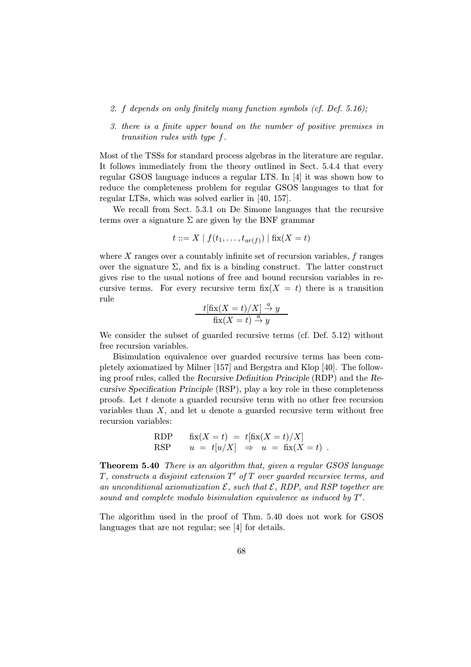- 2. f depends on only finitely many function symbols (cf. Def. 5.16);
- 3. there is a finite upper bound on the number of positive premises in transition rules with type f.

Most of the TSSs for standard process algebras in the literature are regular. It follows immediately from the theory outlined in Sect. 5.4.4 that every regular GSOS language induces a regular LTS. In [4] it was shown how to reduce the completeness problem for regular GSOS languages to that for regular LTSs, which was solved earlier in [40, 157].

We recall from Sect. 5.3.1 on De Simone languages that the recursive terms over a signature  $\Sigma$  are given by the BNF grammar

$$
t ::= X | f(t_1, ..., t_{ar(f)}) | fix(X = t)
$$

where  $X$  ranges over a countably infinite set of recursion variables,  $f$  ranges over the signature  $\Sigma$ , and fix is a binding construct. The latter construct gives rise to the usual notions of free and bound recursion variables in recursive terms. For every recursive term  $fix(X = t)$  there is a transition rule

$$
\frac{t[\text{fix}(X=t)/X] \stackrel{a}{\to} y}{\text{fix}(X=t) \stackrel{a}{\to} y}
$$

We consider the subset of guarded recursive terms (cf. Def. 5.12) without free recursion variables.

Bisimulation equivalence over guarded recursive terms has been completely axiomatized by Milner [157] and Bergstra and Klop [40]. The following proof rules, called the Recursive Definition Principle (RDP) and the Recursive Specification Principle (RSP), play a key role in these completeness proofs. Let t denote a guarded recursive term with no other free recursion variables than  $X$ , and let  $u$  denote a guarded recursive term without free recursion variables:

RDP 
$$
\begin{array}{rcl}\n\text{fix}(X=t) &=& t[\text{fix}(X=t)/X] \\
\text{RSP} & & u = t[u/X] \Rightarrow u = \text{fix}(X=t)\n\end{array}.
$$

Theorem 5.40 There is an algorithm that, given a regular GSOS language  $T$ , constructs a disjoint extension  $T'$  of  $T$  over guarded recursive terms, and an unconditional axiomatization  $\mathcal{E}$ , such that  $\mathcal{E}$ , RDP, and RSP together are sound and complete modulo bisimulation equivalence as induced by  $T'$ .

The algorithm used in the proof of Thm. 5.40 does not work for GSOS languages that are not regular; see [4] for details.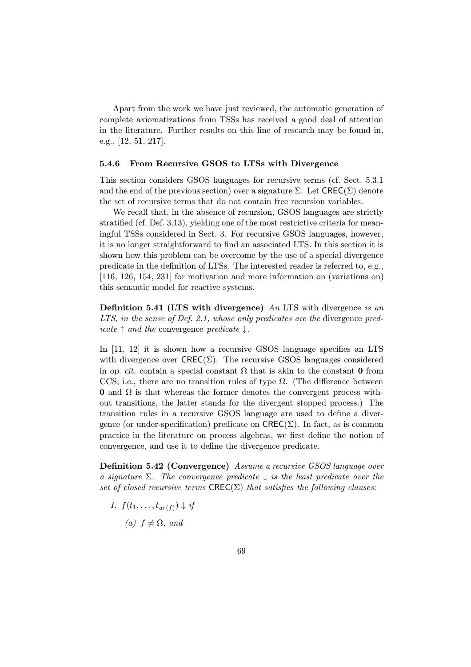Apart from the work we have just reviewed, the automatic generation of complete axiomatizations from TSSs has received a good deal of attention in the literature. Further results on this line of research may be found in, e.g., [12, 51, 217].

#### 5.4.6 From Recursive GSOS to LTSs with Divergence

This section considers GSOS languages for recursive terms (cf. Sect. 5.3.1 and the end of the previous section) over a signature  $\Sigma$ . Let  $\mathsf{CREC}(\Sigma)$  denote the set of recursive terms that do not contain free recursion variables.

We recall that, in the absence of recursion, GSOS languages are strictly stratified (cf. Def. 3.13), yielding one of the most restrictive criteria for meaningful TSSs considered in Sect. 3. For recursive GSOS languages, however, it is no longer straightforward to find an associated LTS. In this section it is shown how this problem can be overcome by the use of a special divergence predicate in the definition of LTSs. The interested reader is referred to, e.g., [116, 126, 154, 231] for motivation and more information on (variations on) this semantic model for reactive systems.

**Definition 5.41 (LTS with divergence)** An LTS with divergence is an LTS, in the sense of Def. 2.1, whose only predicates are the divergence pred*icate*  $\uparrow$  *and the convergence predicate*  $\downarrow$ .

In [11, 12] it is shown how a recursive GSOS language specifies an LTS with divergence over  $\mathsf{CREC}(\Sigma)$ . The recursive GSOS languages considered in op. cit. contain a special constant  $\Omega$  that is akin to the constant **0** from CCS; i.e., there are no transition rules of type  $\Omega$ . (The difference between 0 and  $\Omega$  is that whereas the former denotes the convergent process without transitions, the latter stands for the divergent stopped process.) The transition rules in a recursive GSOS language are used to define a divergence (or under-specification) predicate on  $\mathsf{CREC}(\Sigma)$ . In fact, as is common practice in the literature on process algebras, we first define the notion of convergence, and use it to define the divergence predicate.

Definition 5.42 (Convergence) Assume a recursive GSOS language over a signature  $\Sigma$ . The convergence predicate  $\downarrow$  is the least predicate over the set of closed recursive terms  $\mathsf{CREC}(\Sigma)$  that satisfies the following clauses:

- 1.  $f(t_1,...,t_{ar(f)}) \downarrow \text{if}$ 
	- (a)  $f \neq \Omega$ , and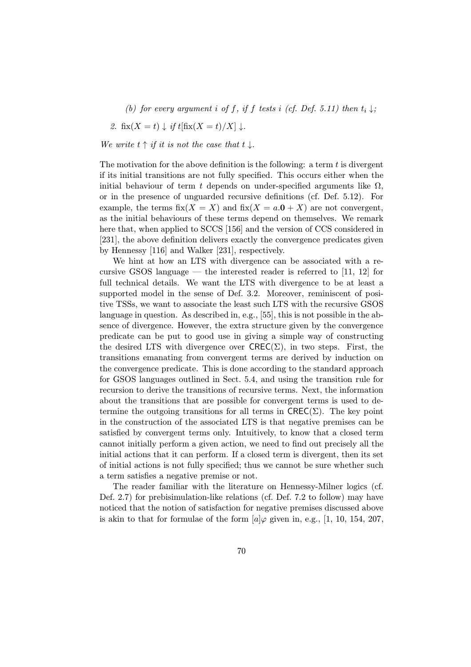(b) for every argument i of f, if f tests i (cf. Def. 5.11) then  $t_i \downarrow$ ;

2. 
$$
\text{fix}(X = t) \downarrow \text{if } t[\text{fix}(X = t)/X] \downarrow.
$$

We write  $t \uparrow$  if it is not the case that  $t \downarrow$ .

The motivation for the above definition is the following: a term t is divergent if its initial transitions are not fully specified. This occurs either when the initial behaviour of term t depends on under-specified arguments like  $\Omega$ , or in the presence of unguarded recursive definitions (cf. Def. 5.12). For example, the terms  $fix(X = X)$  and  $fix(X = a.0 + X)$  are not convergent, as the initial behaviours of these terms depend on themselves. We remark here that, when applied to SCCS [156] and the version of CCS considered in [231], the above definition delivers exactly the convergence predicates given by Hennessy [116] and Walker [231], respectively.

We hint at how an LTS with divergence can be associated with a recursive GSOS language — the interested reader is referred to  $[11, 12]$  for full technical details. We want the LTS with divergence to be at least a supported model in the sense of Def. 3.2. Moreover, reminiscent of positive TSSs, we want to associate the least such LTS with the recursive GSOS language in question. As described in, e.g., [55], this is not possible in the absence of divergence. However, the extra structure given by the convergence predicate can be put to good use in giving a simple way of constructing the desired LTS with divergence over  $\mathsf{CRE}(\Sigma)$ , in two steps. First, the transitions emanating from convergent terms are derived by induction on the convergence predicate. This is done according to the standard approach for GSOS languages outlined in Sect. 5.4, and using the transition rule for recursion to derive the transitions of recursive terms. Next, the information about the transitions that are possible for convergent terms is used to determine the outgoing transitions for all terms in  $\mathsf{CREC}(\Sigma)$ . The key point in the construction of the associated LTS is that negative premises can be satisfied by convergent terms only. Intuitively, to know that a closed term cannot initially perform a given action, we need to find out precisely all the initial actions that it can perform. If a closed term is divergent, then its set of initial actions is not fully specified; thus we cannot be sure whether such a term satisfies a negative premise or not.

The reader familiar with the literature on Hennessy-Milner logics (cf. Def. 2.7) for prebisimulation-like relations (cf. Def. 7.2 to follow) may have noticed that the notion of satisfaction for negative premises discussed above is akin to that for formulae of the form  $[a]\varphi$  given in, e.g., [1, 10, 154, 207,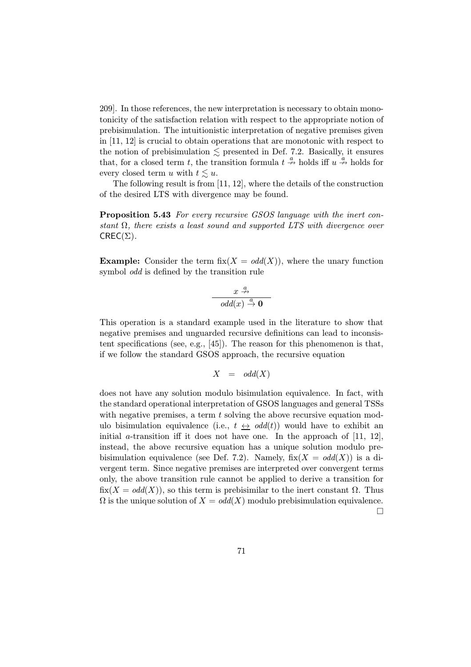209]. In those references, the new interpretation is necessary to obtain monotonicity of the satisfaction relation with respect to the appropriate notion of prebisimulation. The intuitionistic interpretation of negative premises given in [11, 12] is crucial to obtain operations that are monotonic with respect to the notion of prebisimulation  $\leq$  presented in Def. 7.2. Basically, it ensures that, for a closed term t, the transition formula  $t \stackrel{a}{\nrightarrow}$  holds iff  $u \stackrel{a}{\nrightarrow}$  holds for every closed term u with  $t \lesssim u$ .

The following result is from [11, 12], where the details of the construction of the desired LTS with divergence may be found.

Proposition 5.43 For every recursive GSOS language with the inert constant  $\Omega$ , there exists a least sound and supported LTS with divergence over  $CREC(\Sigma)$ .

**Example:** Consider the term fix( $X = \text{odd}(X)$ ), where the unary function symbol odd is defined by the transition rule

$$
\begin{array}{c}\n x \xrightarrow{a} \\
 \hline\n odd(x) \xrightarrow{a} 0\n \end{array}
$$

This operation is a standard example used in the literature to show that negative premises and unguarded recursive definitions can lead to inconsistent specifications (see, e.g., [45]). The reason for this phenomenon is that, if we follow the standard GSOS approach, the recursive equation

$$
X \quad = \quad odd(X)
$$

does not have any solution modulo bisimulation equivalence. In fact, with the standard operational interpretation of GSOS languages and general TSSs with negative premises, a term  $t$  solving the above recursive equation modulo bisimulation equivalence (i.e.,  $t \leftrightarrow \text{odd}(t)$ ) would have to exhibit an initial a-transition iff it does not have one. In the approach of  $[11, 12]$ , instead, the above recursive equation has a unique solution modulo prebisimulation equivalence (see Def. 7.2). Namely,  $fix(X = odd(X))$  is a divergent term. Since negative premises are interpreted over convergent terms only, the above transition rule cannot be applied to derive a transition for  $fix(X = odd(X))$ , so this term is prebisimilar to the inert constant  $\Omega$ . Thus  $\Omega$  is the unique solution of  $X = \text{odd}(X)$  modulo prebisimulation equivalence.  $\Box$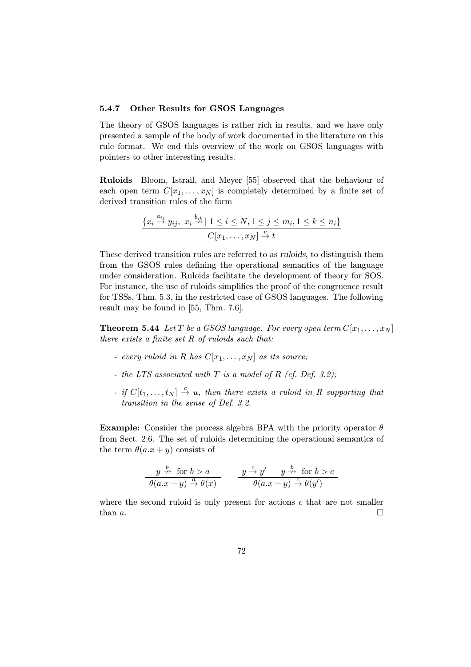## 5.4.7 Other Results for GSOS Languages

The theory of GSOS languages is rather rich in results, and we have only presented a sample of the body of work documented in the literature on this rule format. We end this overview of the work on GSOS languages with pointers to other interesting results.

Ruloids Bloom, Istrail, and Meyer [55] observed that the behaviour of each open term  $C[x_1,\ldots,x_N]$  is completely determined by a finite set of derived transition rules of the form

$$
\frac{\{x_i \stackrel{a_{ij}}{\rightarrow} y_{ij}, \ x_i \stackrel{b_{ik}}{\rightarrow} | 1 \le i \le N, 1 \le j \le m_i, 1 \le k \le n_i\}}{C[x_1, \dots, x_N] \stackrel{c}{\rightarrow} t}
$$

These derived transition rules are referred to as ruloids, to distinguish them from the GSOS rules defining the operational semantics of the language under consideration. Ruloids facilitate the development of theory for SOS. For instance, the use of ruloids simplifies the proof of the congruence result for TSSs, Thm. 5.3, in the restricted case of GSOS languages. The following result may be found in [55, Thm. 7.6].

**Theorem 5.44** Let T be a GSOS language. For every open term  $C[x_1,\ldots,x_N]$ there exists a finite set  $R$  of ruloids such that:

- every ruloid in R has  $C[x_1,...,x_N]$  as its source;
- the LTS associated with  $T$  is a model of  $R$  (cf. Def. 3.2);
- if  $C[t_1,\ldots,t_N] \stackrel{c}{\rightarrow} u$ , then there exists a ruloid in R supporting that transition in the sense of Def. 3.2.

**Example:** Consider the process algebra BPA with the priority operator  $\theta$ from Sect. 2.6. The set of ruloids determining the operational semantics of the term  $\theta(a.x + y)$  consists of

$$
\frac{y \stackrel{b}{\nrightarrow} \text{ for } b > a}{\theta(a.x+y) \stackrel{a}{\nrightarrow} \theta(x)} \qquad \frac{y \stackrel{c}{\nrightarrow} y'}{\theta(a.x+y) \stackrel{b}{\nrightarrow} \theta(y')} \text{ for } b > c
$$

where the second ruloid is only present for actions  $c$  that are not smaller than  $a$ .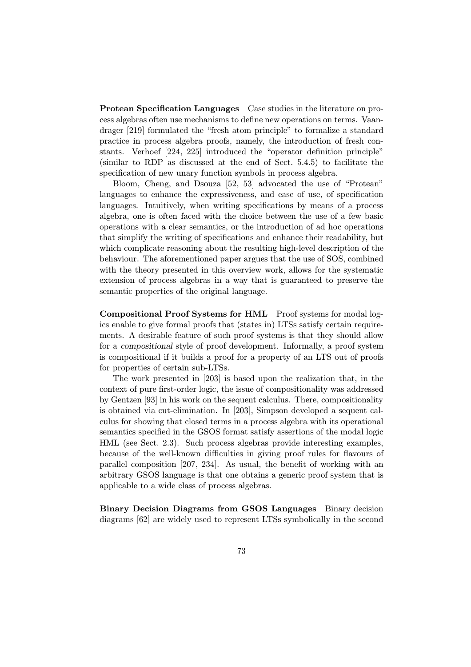Protean Specification Languages Case studies in the literature on process algebras often use mechanisms to define new operations on terms. Vaandrager [219] formulated the "fresh atom principle" to formalize a standard practice in process algebra proofs, namely, the introduction of fresh constants. Verhoef [224, 225] introduced the "operator definition principle" (similar to RDP as discussed at the end of Sect. 5.4.5) to facilitate the specification of new unary function symbols in process algebra.

Bloom, Cheng, and Dsouza [52, 53] advocated the use of "Protean" languages to enhance the expressiveness, and ease of use, of specification languages. Intuitively, when writing specifications by means of a process algebra, one is often faced with the choice between the use of a few basic operations with a clear semantics, or the introduction of ad hoc operations that simplify the writing of specifications and enhance their readability, but which complicate reasoning about the resulting high-level description of the behaviour. The aforementioned paper argues that the use of SOS, combined with the theory presented in this overview work, allows for the systematic extension of process algebras in a way that is guaranteed to preserve the semantic properties of the original language.

Compositional Proof Systems for HML Proof systems for modal logics enable to give formal proofs that (states in) LTSs satisfy certain requirements. A desirable feature of such proof systems is that they should allow for a compositional style of proof development. Informally, a proof system is compositional if it builds a proof for a property of an LTS out of proofs for properties of certain sub-LTSs.

The work presented in [203] is based upon the realization that, in the context of pure first-order logic, the issue of compositionality was addressed by Gentzen [93] in his work on the sequent calculus. There, compositionality is obtained via cut-elimination. In [203], Simpson developed a sequent calculus for showing that closed terms in a process algebra with its operational semantics specified in the GSOS format satisfy assertions of the modal logic HML (see Sect. 2.3). Such process algebras provide interesting examples, because of the well-known difficulties in giving proof rules for flavours of parallel composition [207, 234]. As usual, the benefit of working with an arbitrary GSOS language is that one obtains a generic proof system that is applicable to a wide class of process algebras.

Binary Decision Diagrams from GSOS Languages Binary decision diagrams [62] are widely used to represent LTSs symbolically in the second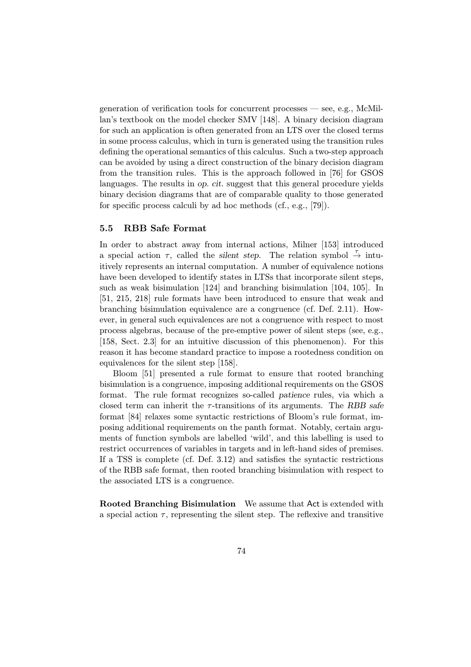generation of verification tools for concurrent processes — see, e.g., McMillan's textbook on the model checker SMV [148]. A binary decision diagram for such an application is often generated from an LTS over the closed terms in some process calculus, which in turn is generated using the transition rules defining the operational semantics of this calculus. Such a two-step approach can be avoided by using a direct construction of the binary decision diagram from the transition rules. This is the approach followed in [76] for GSOS languages. The results in op. cit. suggest that this general procedure yields binary decision diagrams that are of comparable quality to those generated for specific process calculi by ad hoc methods (cf., e.g., [79]).

#### 5.5 RBB Safe Format

In order to abstract away from internal actions, Milner [153] introduced a special action  $\tau$ , called the *silent step*. The relation symbol  $\frac{\tau}{\gamma}$  intuitively represents an internal computation. A number of equivalence notions have been developed to identify states in LTSs that incorporate silent steps, such as weak bisimulation [124] and branching bisimulation [104, 105]. In [51, 215, 218] rule formats have been introduced to ensure that weak and branching bisimulation equivalence are a congruence (cf. Def. 2.11). However, in general such equivalences are not a congruence with respect to most process algebras, because of the pre-emptive power of silent steps (see, e.g., [158, Sect. 2.3] for an intuitive discussion of this phenomenon). For this reason it has become standard practice to impose a rootedness condition on equivalences for the silent step [158].

Bloom [51] presented a rule format to ensure that rooted branching bisimulation is a congruence, imposing additional requirements on the GSOS format. The rule format recognizes so-called patience rules, via which a closed term can inherit the  $\tau$ -transitions of its arguments. The RBB safe format [84] relaxes some syntactic restrictions of Bloom's rule format, imposing additional requirements on the panth format. Notably, certain arguments of function symbols are labelled 'wild', and this labelling is used to restrict occurrences of variables in targets and in left-hand sides of premises. If a TSS is complete (cf. Def. 3.12) and satisfies the syntactic restrictions of the RBB safe format, then rooted branching bisimulation with respect to the associated LTS is a congruence.

Rooted Branching Bisimulation We assume that Act is extended with a special action  $\tau$ , representing the silent step. The reflexive and transitive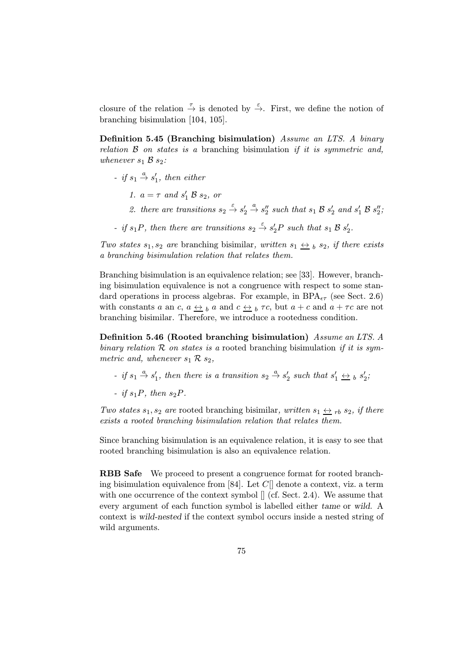closure of the relation  $\stackrel{\tau}{\rightarrow}$  is denoted by  $\stackrel{\varepsilon}{\rightarrow}$ . First, we define the notion of branching bisimulation [104, 105].

Definition 5.45 (Branching bisimulation) Assume an LTS. A binary relation  $\beta$  on states is a branching bisimulation if it is symmetric and, whenever  $s_1 \, \mathcal{B} \, s_2$ :

- if  $s_1 \stackrel{a}{\rightarrow} s'_1$ , then either
	- 1.  $a = \tau$  and  $s_1'$   $\mathcal{B}$   $s_2$ , or
	- 2. there are transitions  $s_2 \stackrel{\varepsilon}{\rightarrow} s'_2$  $\stackrel{a}{\rightarrow}$  s'' such that s<sub>1</sub> B s'<sub>2</sub> and s'<sub>1</sub> B s''<sub>2</sub>;
- if  $s_1P$ , then there are transitions  $s_2 \stackrel{\varepsilon}{\rightarrow} s_2'P$  such that  $s_1 \mathcal{B} s_2'.$

Two states  $s_1, s_2$  are branching bisimilar, written  $s_1 \leftrightarrow b s_2$ , if there exists a branching bisimulation relation that relates them.

Branching bisimulation is an equivalence relation; see [33]. However, branching bisimulation equivalence is not a congruence with respect to some standard operations in process algebras. For example, in  $BPA_{\epsilon\tau}$  (see Sect. 2.6) with constants a an c,  $a \leftrightarrow b$  a and  $c \leftrightarrow b$   $\tau c$ , but  $a + c$  and  $a + \tau c$  are not branching bisimilar. Therefore, we introduce a rootedness condition.

Definition 5.46 (Rooted branching bisimulation) Assume an LTS. A binary relation  $R$  on states is a rooted branching bisimulation if it is symmetric and, whenever  $s_1 \mathcal{R} s_2$ ,

- if  $s_1 \stackrel{a}{\rightarrow} s'_1$ , then there is a transition  $s_2 \stackrel{a}{\rightarrow} s'_2$  such that  $s'_1 \stackrel{\leftrightarrow}{\rightarrow} s'_2$ ;
- if  $s_1P$ , then  $s_2P$ .

Two states  $s_1, s_2$  are rooted branching bisimilar, written  $s_1 \leftrightarrow s_2$ , if there exists a rooted branching bisimulation relation that relates them.

Since branching bisimulation is an equivalence relation, it is easy to see that rooted branching bisimulation is also an equivalence relation.

RBB Safe We proceed to present a congruence format for rooted branching bisimulation equivalence from [84]. Let  $C$ [] denote a context, viz. a term with one occurrence of the context symbol  $\parallel$  (cf. Sect. 2.4). We assume that every argument of each function symbol is labelled either tame or wild. A context is wild-nested if the context symbol occurs inside a nested string of wild arguments.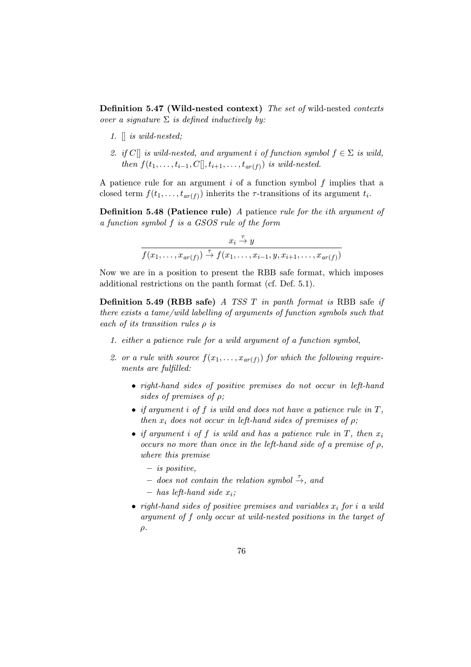Definition 5.47 (Wild-nested context) The set of wild-nested contexts over a signature  $\Sigma$  is defined inductively by:

- 1. [] is wild-nested;
- 2. if C[] is wild-nested, and argument i of function symbol  $f \in \Sigma$  is wild, then  $f(t_1,\ldots,t_{i-1},C\vert, t_{i+1},\ldots,t_{ar(f)})$  is wild-nested.

A patience rule for an argument  $i$  of a function symbol  $f$  implies that a closed term  $f(t_1,\ldots,t_{ar(f)})$  inherits the  $\tau$ -transitions of its argument  $t_i$ .

Definition 5.48 (Patience rule) A patience rule for the ith argument of a function symbol f is a GSOS rule of the form

$$
x_i \stackrel{\tau}{\rightarrow} y
$$
  

$$
f(x_1, \ldots, x_{ar(f)}) \stackrel{\tau}{\rightarrow} f(x_1, \ldots, x_{i-1}, y, x_{i+1}, \ldots, x_{ar(f)})
$$

Now we are in a position to present the RBB safe format, which imposes additional restrictions on the panth format (cf. Def. 5.1).

**Definition 5.49 (RBB safe)** A TSS T in panth format is RBB safe if there exists a tame/wild labelling of arguments of function symbols such that each of its transition rules  $\rho$  is

- 1. either a patience rule for a wild argument of a function symbol,
- 2. or a rule with source  $f(x_1,...,x_{ar(f)})$  for which the following requirements are fulfilled:
	- right-hand sides of positive premises do not occur in left-hand sides of premises of  $\rho$ ;
	- if argument i of f is wild and does not have a patience rule in  $T$ , then  $x_i$  does not occur in left-hand sides of premises of  $\rho$ ;
	- if argument i of f is wild and has a patience rule in  $T$ , then  $x_i$ occurs no more than once in the left-hand side of a premise of  $\rho$ , where this premise
		- $-$  is positive,
		- $-$  does not contain the relation symbol  $\stackrel{\tau}{\rightarrow}$ , and
		- $-$  has left-hand side  $x_i$ ;
	- right-hand sides of positive premises and variables  $x_i$  for i a wild argument of f only occur at wild-nested positions in the target of  $\rho$ .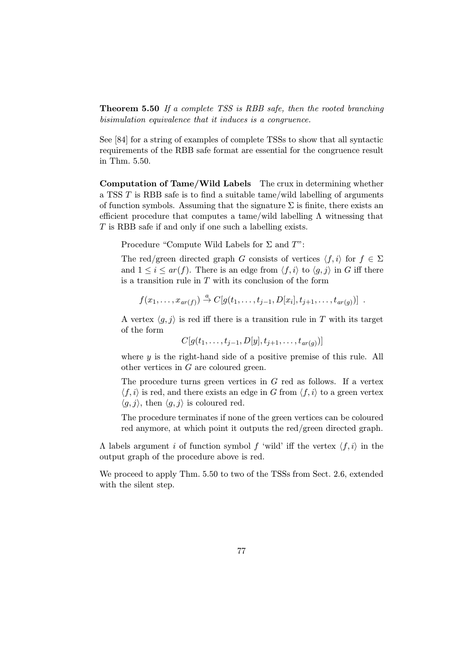Theorem 5.50 If a complete TSS is RBB safe, then the rooted branching bisimulation equivalence that it induces is a congruence.

See [84] for a string of examples of complete TSSs to show that all syntactic requirements of the RBB safe format are essential for the congruence result in Thm. 5.50.

Computation of Tame/Wild Labels The crux in determining whether a TSS T is RBB safe is to find a suitable tame/wild labelling of arguments of function symbols. Assuming that the signature  $\Sigma$  is finite, there exists an efficient procedure that computes a tame/wild labelling  $\Lambda$  witnessing that T is RBB safe if and only if one such a labelling exists.

Procedure "Compute Wild Labels for  $\Sigma$  and  $T$ ":

The red/green directed graph G consists of vertices  $\langle f, i \rangle$  for  $f \in \Sigma$ and  $1 \leq i \leq ar(f)$ . There is an edge from  $\langle f, i \rangle$  to  $\langle g, j \rangle$  in G iff there is a transition rule in  $T$  with its conclusion of the form

$$
f(x_1,\ldots,x_{ar(f)}) \stackrel{a}{\rightarrow} C[g(t_1,\ldots,t_{j-1},D[x_i],t_{j+1},\ldots,t_{ar(g)})] .
$$

A vertex  $\langle q, j \rangle$  is red iff there is a transition rule in T with its target of the form

$$
C[g(t_1,...,t_{j-1},D[y],t_{j+1},...,t_{ar(g)})]
$$

where  $y$  is the right-hand side of a positive premise of this rule. All other vertices in G are coloured green.

The procedure turns green vertices in  $G$  red as follows. If a vertex  $\langle f, i \rangle$  is red, and there exists an edge in G from  $\langle f, i \rangle$  to a green vertex  $\langle g, j \rangle$ , then  $\langle g, j \rangle$  is coloured red.

The procedure terminates if none of the green vertices can be coloured red anymore, at which point it outputs the red/green directed graph.

Λ labels argument *i* of function symbol f 'wild' iff the vertex  $\langle f, i \rangle$  in the output graph of the procedure above is red.

We proceed to apply Thm. 5.50 to two of the TSSs from Sect. 2.6, extended with the silent step.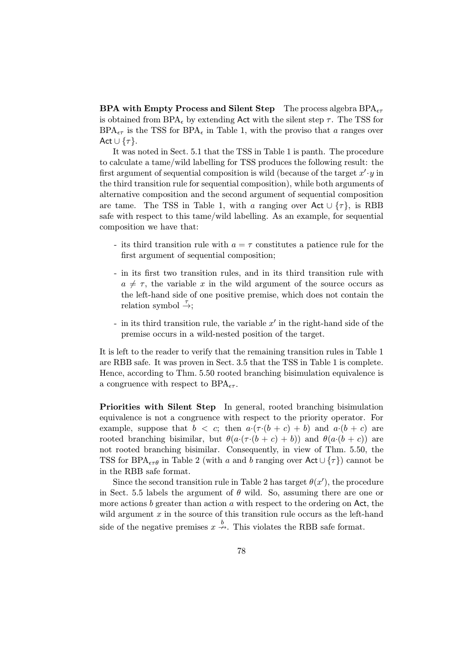**BPA with Empty Process and Silent Step** The process algebra  $BPA_{\epsilon\tau}$ is obtained from BPA<sub> $\epsilon$ </sub> by extending Act with the silent step  $\tau$ . The TSS for  $BPA_{\epsilon\tau}$  is the TSS for  $BPA_{\epsilon}$  in Table 1, with the proviso that a ranges over Act  $\cup$  { $\tau$ }.

It was noted in Sect. 5.1 that the TSS in Table 1 is panth. The procedure to calculate a tame/wild labelling for TSS produces the following result: the first argument of sequential composition is wild (because of the target  $x' \cdot y$  in the third transition rule for sequential composition), while both arguments of alternative composition and the second argument of sequential composition are tame. The TSS in Table 1, with a ranging over Act  $\cup \{\tau\}$ , is RBB safe with respect to this tame/wild labelling. As an example, for sequential composition we have that:

- its third transition rule with  $a = \tau$  constitutes a patience rule for the first argument of sequential composition;
- in its first two transition rules, and in its third transition rule with  $a \neq \tau$ , the variable x in the wild argument of the source occurs as the left-hand side of one positive premise, which does not contain the relation symbol  $\stackrel{\tau}{\rightarrow}$ ;
- in its third transition rule, the variable  $x'$  in the right-hand side of the premise occurs in a wild-nested position of the target.

It is left to the reader to verify that the remaining transition rules in Table 1 are RBB safe. It was proven in Sect. 3.5 that the TSS in Table 1 is complete. Hence, according to Thm. 5.50 rooted branching bisimulation equivalence is a congruence with respect to  $BPA_{\epsilon\tau}$ .

Priorities with Silent Step In general, rooted branching bisimulation equivalence is not a congruence with respect to the priority operator. For example, suppose that  $b < c$ ; then  $a \cdot (\tau \cdot (b + c) + b)$  and  $a \cdot (b + c)$  are rooted branching bisimilar, but  $\theta(a \cdot (\tau \cdot (b + c) + b))$  and  $\theta(a \cdot (b + c))$  are not rooted branching bisimilar. Consequently, in view of Thm. 5.50, the TSS for BPA<sub> $\epsilon\tau\theta$ </sub> in Table 2 (with a and b ranging over Act ∪ { $\tau$ }) cannot be in the RBB safe format.

Since the second transition rule in Table 2 has target  $\theta(x')$ , the procedure in Sect. 5.5 labels the argument of  $\theta$  wild. So, assuming there are one or more actions  $b$  greater than action  $a$  with respect to the ordering on Act, the wild argument  $x$  in the source of this transition rule occurs as the left-hand side of the negative premises  $x \stackrel{b}{\rightarrow}$ . This violates the RBB safe format.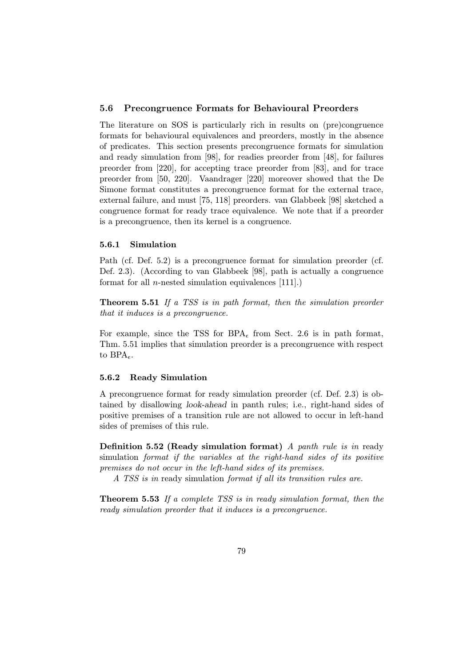#### 5.6 Precongruence Formats for Behavioural Preorders

The literature on SOS is particularly rich in results on (pre)congruence formats for behavioural equivalences and preorders, mostly in the absence of predicates. This section presents precongruence formats for simulation and ready simulation from [98], for readies preorder from [48], for failures preorder from [220], for accepting trace preorder from [83], and for trace preorder from [50, 220]. Vaandrager [220] moreover showed that the De Simone format constitutes a precongruence format for the external trace, external failure, and must [75, 118] preorders. van Glabbeek [98] sketched a congruence format for ready trace equivalence. We note that if a preorder is a precongruence, then its kernel is a congruence.

#### 5.6.1 Simulation

Path (cf. Def. 5.2) is a precongruence format for simulation preorder (cf. Def. 2.3). (According to van Glabbeek [98], path is actually a congruence format for all *n*-nested simulation equivalences  $[111]$ .)

Theorem 5.51 If a TSS is in path format, then the simulation preorder that it induces is a precongruence.

For example, since the TSS for BPA<sub> $\epsilon$ </sub> from Sect. 2.6 is in path format, Thm. 5.51 implies that simulation preorder is a precongruence with respect to  $BPA_{\epsilon}$ .

#### 5.6.2 Ready Simulation

A precongruence format for ready simulation preorder (cf. Def. 2.3) is obtained by disallowing look-ahead in panth rules; i.e., right-hand sides of positive premises of a transition rule are not allowed to occur in left-hand sides of premises of this rule.

Definition 5.52 (Ready simulation format) A panth rule is in ready simulation format if the variables at the right-hand sides of its positive premises do not occur in the left-hand sides of its premises.

A TSS is in ready simulation format if all its transition rules are.

Theorem 5.53 If a complete TSS is in ready simulation format, then the ready simulation preorder that it induces is a precongruence.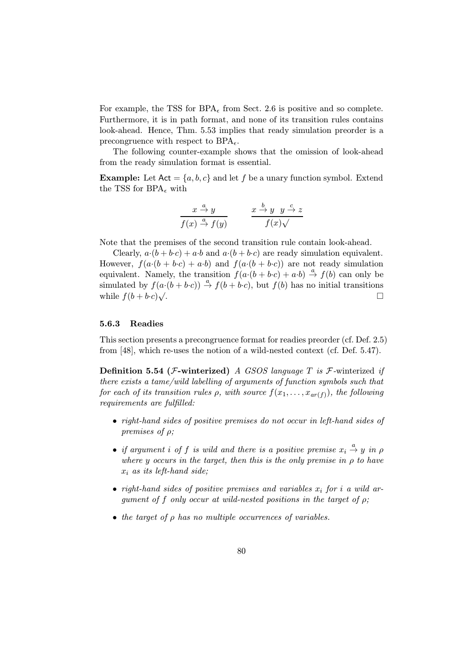For example, the TSS for BPA<sub> $\epsilon$ </sub> from Sect. 2.6 is positive and so complete. Furthermore, it is in path format, and none of its transition rules contains look-ahead. Hence, Thm. 5.53 implies that ready simulation preorder is a precongruence with respect to  $BPA_{\epsilon}$ .

The following counter-example shows that the omission of look-ahead from the ready simulation format is essential.

**Example:** Let  $Act = \{a, b, c\}$  and let f be a unary function symbol. Extend the TSS for  $BPA_{\epsilon}$  with

$$
\frac{x \stackrel{a}{\rightarrow} y}{f(x) \stackrel{a}{\rightarrow} f(y)} \qquad \frac{x \stackrel{b}{\rightarrow} y \quad y \stackrel{c}{\rightarrow} z}{f(x)\sqrt{}}
$$

Note that the premises of the second transition rule contain look-ahead.

Clearly,  $a \cdot (b + b \cdot c) + a \cdot b$  and  $a \cdot (b + b \cdot c)$  are ready simulation equivalent. However,  $f(a \cdot (b + b \cdot c) + a \cdot b)$  and  $f(a \cdot (b + b \cdot c))$  are not ready simulation equivalent. Namely, the transition  $f(a \cdot (b + b \cdot c) + a \cdot b) \stackrel{a}{\rightarrow} f(b)$  can only be simulated by  $f(a \cdot (b + b \cdot c)) \stackrel{a}{\rightarrow} f(b + b \cdot c)$ , but  $f(b)$  has no initial transitions while  $f(b + b \cdot c) \sqrt{ }$ . while  $f(b + b \cdot c)\sqrt{ }$ .

#### 5.6.3 Readies

This section presents a precongruence format for readies preorder (cf. Def. 2.5) from [48], which re-uses the notion of a wild-nested context (cf. Def. 5.47).

**Definition 5.54 (F-winterized)** A GSOS language T is F-winterized if there exists a tame/wild labelling of arguments of function symbols such that for each of its transition rules  $\rho$ , with source  $f(x_1,...,x_{ar(f)})$ , the following requirements are fulfilled:

- right-hand sides of positive premises do not occur in left-hand sides of premises of ρ;
- if argument i of f is wild and there is a positive premise  $x_i \stackrel{a}{\rightarrow} y$  in  $\rho$ where y occurs in the target, then this is the only premise in  $\rho$  to have  $x_i$  as its left-hand side;
- right-hand sides of positive premises and variables  $x_i$  for i a wild argument of f only occur at wild-nested positions in the target of  $\rho$ ;
- the target of  $\rho$  has no multiple occurrences of variables.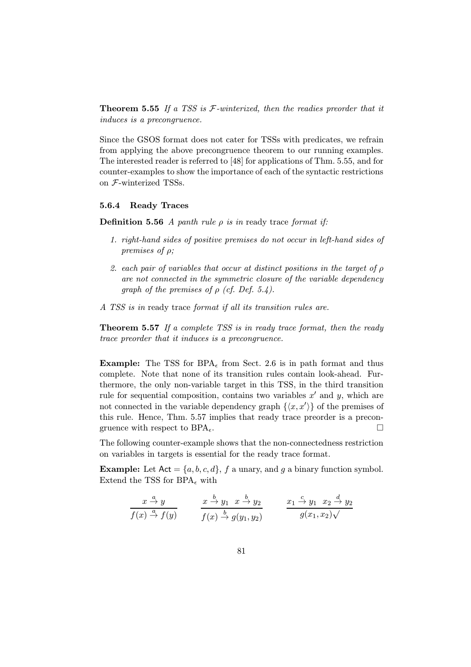**Theorem 5.55** If a TSS is  $F$ -winterized, then the readies preorder that it induces is a precongruence.

Since the GSOS format does not cater for TSSs with predicates, we refrain from applying the above precongruence theorem to our running examples. The interested reader is referred to [48] for applications of Thm. 5.55, and for counter-examples to show the importance of each of the syntactic restrictions on F-winterized TSSs.

## 5.6.4 Ready Traces

**Definition 5.56** A panth rule  $\rho$  is in ready trace format if:

- 1. right-hand sides of positive premises do not occur in left-hand sides of premises of ρ;
- 2. each pair of variables that occur at distinct positions in the target of ρ are not connected in the symmetric closure of the variable dependency graph of the premises of  $\rho$  (cf. Def. 5.4).
- A TSS is in ready trace format if all its transition rules are.

Theorem 5.57 If a complete TSS is in ready trace format, then the ready trace preorder that it induces is a precongruence.

**Example:** The TSS for BPA<sub> $\epsilon$ </sub> from Sect. 2.6 is in path format and thus complete. Note that none of its transition rules contain look-ahead. Furthermore, the only non-variable target in this TSS, in the third transition rule for sequential composition, contains two variables  $x'$  and y, which are not connected in the variable dependency graph  $\{\langle x, x'\rangle\}$  of the premises of this rule. Hence, Thm. 5.57 implies that ready trace preorder is a precongruence with respect to  $BPA_{\epsilon}$ .

The following counter-example shows that the non-connectedness restriction on variables in targets is essential for the ready trace format.

**Example:** Let  $Act = \{a, b, c, d\}$ , f a unary, and g a binary function symbol. Extend the TSS for  $BPA_{\epsilon}$  with

$$
\frac{x \stackrel{a}{\rightarrow} y}{f(x) \stackrel{a}{\rightarrow} f(y)} \qquad \frac{x \stackrel{b}{\rightarrow} y_1 \quad x \stackrel{b}{\rightarrow} y_2}{f(x) \stackrel{b}{\rightarrow} g(y_1, y_2)} \qquad \frac{x_1 \stackrel{c}{\rightarrow} y_1 \quad x_2 \stackrel{d}{\rightarrow} y_2}{g(x_1, x_2)\sqrt{}}
$$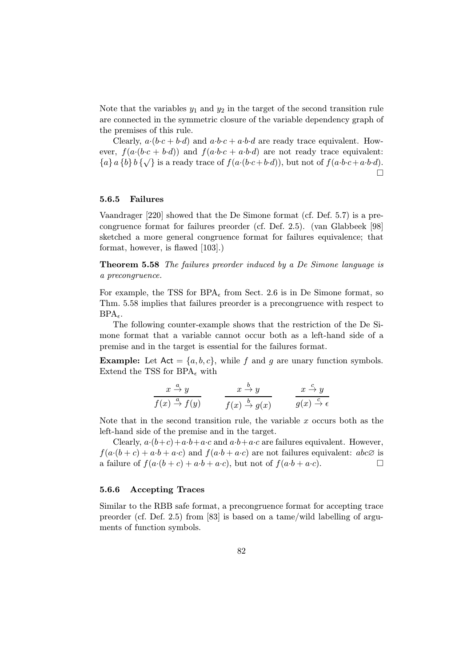Note that the variables  $y_1$  and  $y_2$  in the target of the second transition rule are connected in the symmetric closure of the variable dependency graph of the premises of this rule.

Clearly,  $a \cdot (b \cdot c + b \cdot d)$  and  $a \cdot b \cdot c + a \cdot b \cdot d$  are ready trace equivalent. However,  $f(a \cdot (b \cdot c + b \cdot d))$  and  $f(a \cdot b \cdot c + a \cdot b \cdot d)$  are not ready trace equivalent:  ${a}$  a {b} b { $\sqrt{}$  is a ready trace of  $f(a \cdot (b \cdot c + b \cdot d))$ , but not of  $f(a \cdot b \cdot c + a \cdot b \cdot d)$ .  $\Box$ 

#### 5.6.5 Failures

Vaandrager [220] showed that the De Simone format (cf. Def. 5.7) is a precongruence format for failures preorder (cf. Def. 2.5). (van Glabbeek [98] sketched a more general congruence format for failures equivalence; that format, however, is flawed [103].)

Theorem 5.58 The failures preorder induced by a De Simone language is a precongruence.

For example, the TSS for  $BPA_{\epsilon}$  from Sect. 2.6 is in De Simone format, so Thm. 5.58 implies that failures preorder is a precongruence with respect to  $BPA_{\epsilon}$ .

The following counter-example shows that the restriction of the De Simone format that a variable cannot occur both as a left-hand side of a premise and in the target is essential for the failures format.

**Example:** Let  $Act = \{a, b, c\}$ , while f and g are unary function symbols. Extend the TSS for  $BPA_{\epsilon}$  with

$$
\frac{x \stackrel{a}{\rightarrow} y}{f(x) \stackrel{a}{\rightarrow} f(y)} \qquad \frac{x \stackrel{b}{\rightarrow} y}{f(x) \stackrel{b}{\rightarrow} g(x)} \qquad \frac{x \stackrel{c}{\rightarrow} y}{g(x) \stackrel{c}{\rightarrow} \epsilon}
$$

Note that in the second transition rule, the variable  $x$  occurs both as the left-hand side of the premise and in the target.

Clearly,  $a\cdot(b+c)+a\cdot b+a\cdot c$  and  $a\cdot b+a\cdot c$  are failures equivalent. However,  $f(a\cdot(b+c)+a\cdot b+a\cdot c)$  and  $f(a\cdot b+a\cdot c)$  are not failures equivalent:  $abc\varnothing$  is a failure of  $f(a\cdot(b+c)+a\cdot b+a\cdot c)$ , but not of  $f(a\cdot b+a\cdot c)$ .

## 5.6.6 Accepting Traces

Similar to the RBB safe format, a precongruence format for accepting trace preorder (cf. Def. 2.5) from [83] is based on a tame/wild labelling of arguments of function symbols.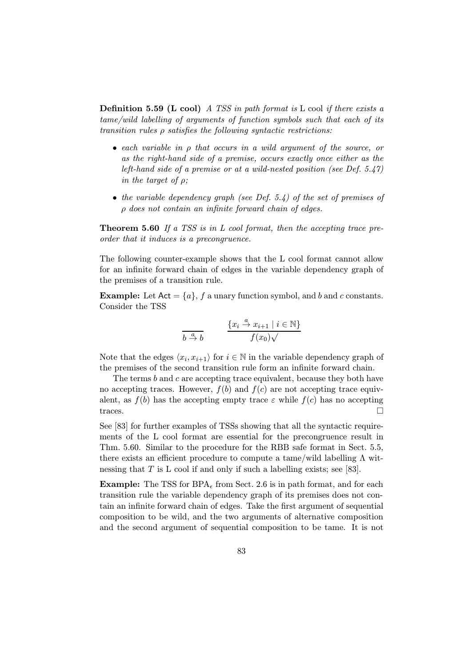**Definition 5.59 (L cool)** A TSS in path format is L cool if there exists a tame/wild labelling of arguments of function symbols such that each of its transition rules  $\rho$  satisfies the following syntactic restrictions:

- each variable in ρ that occurs in a wild argument of the source, or as the right-hand side of a premise, occurs exactly once either as the left-hand side of a premise or at a wild-nested position (see Def. 5.47) in the target of  $\rho$ ;
- the variable dependency graph (see Def. 5.4) of the set of premises of ρ does not contain an infinite forward chain of edges.

**Theorem 5.60** If a TSS is in L cool format, then the accepting trace preorder that it induces is a precongruence.

The following counter-example shows that the L cool format cannot allow for an infinite forward chain of edges in the variable dependency graph of the premises of a transition rule.

**Example:** Let  $Act = \{a\}, f$  a unary function symbol, and b and c constants. Consider the TSS

$$
\frac{\{x_i \stackrel{a}{\to} x_{i+1} \mid i \in \mathbb{N}\}}{b \stackrel{a}{\to} b}
$$

Note that the edges  $\langle x_i, x_{i+1} \rangle$  for  $i \in \mathbb{N}$  in the variable dependency graph of the premises of the second transition rule form an infinite forward chain.

The terms  $b$  and  $c$  are accepting trace equivalent, because they both have no accepting traces. However,  $f(b)$  and  $f(c)$  are not accepting trace equivalent, as  $f(b)$  has the accepting empty trace  $\varepsilon$  while  $f(c)$  has no accepting traces.

See [83] for further examples of TSSs showing that all the syntactic requirements of the L cool format are essential for the precongruence result in Thm. 5.60. Similar to the procedure for the RBB safe format in Sect. 5.5, there exists an efficient procedure to compute a tame/wild labelling  $\Lambda$  witnessing that  $T$  is  $L \text{ cool if and only if such a labelling exists; see } [83].$ 

**Example:** The TSS for  $BPA_{\epsilon}$  from Sect. 2.6 is in path format, and for each transition rule the variable dependency graph of its premises does not contain an infinite forward chain of edges. Take the first argument of sequential composition to be wild, and the two arguments of alternative composition and the second argument of sequential composition to be tame. It is not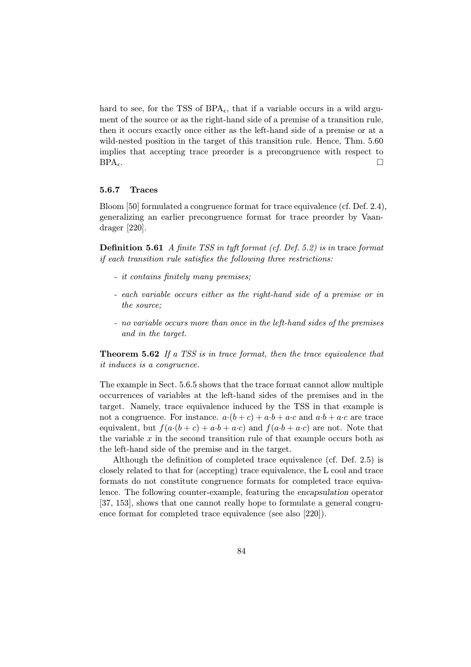hard to see, for the TSS of  $BPA_{\epsilon}$ , that if a variable occurs in a wild argument of the source or as the right-hand side of a premise of a transition rule, then it occurs exactly once either as the left-hand side of a premise or at a wild-nested position in the target of this transition rule. Hence, Thm. 5.60 implies that accepting trace preorder is a precongruence with respect to  $BPA_{\epsilon}$ .

#### 5.6.7 Traces

Bloom [50] formulated a congruence format for trace equivalence (cf. Def. 2.4), generalizing an earlier precongruence format for trace preorder by Vaandrager [220].

Definition 5.61 A finite TSS in tyft format (cf. Def. 5.2) is in trace format if each transition rule satisfies the following three restrictions:

- it contains finitely many premises;
- each variable occurs either as the right-hand side of a premise or in the source;
- no variable occurs more than once in the left-hand sides of the premises and in the target.

Theorem 5.62 If a TSS is in trace format, then the trace equivalence that it induces is a congruence.

The example in Sect. 5.6.5 shows that the trace format cannot allow multiple occurrences of variables at the left-hand sides of the premises and in the target. Namely, trace equivalence induced by the TSS in that example is not a congruence. For instance.  $a \cdot (b + c) + a \cdot b + a \cdot c$  and  $a \cdot b + a \cdot c$  are trace equivalent, but  $f(a \cdot (b + c) + a \cdot b + a \cdot c)$  and  $f(a \cdot b + a \cdot c)$  are not. Note that the variable  $x$  in the second transition rule of that example occurs both as the left-hand side of the premise and in the target.

Although the definition of completed trace equivalence (cf. Def. 2.5) is closely related to that for (accepting) trace equivalence, the L cool and trace formats do not constitute congruence formats for completed trace equivalence. The following counter-example, featuring the encapsulation operator [37, 153], shows that one cannot really hope to formulate a general congruence format for completed trace equivalence (see also [220]).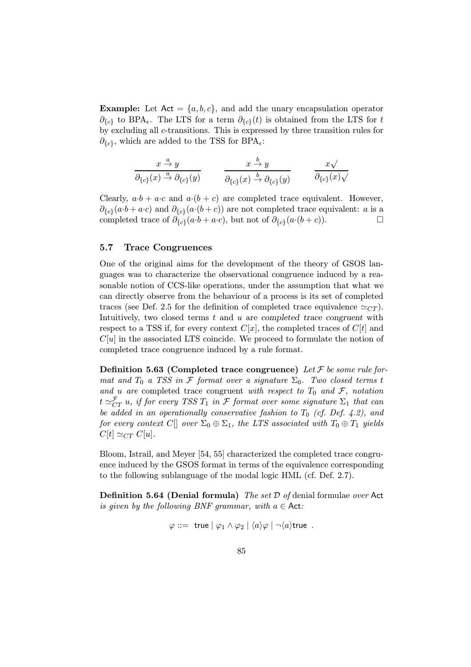**Example:** Let  $Act = \{a, b, c\}$ , and add the unary encapsulation operator  $\partial_{\{c\}}$  to BPA<sub> $\epsilon$ </sub>. The LTS for a term  $\partial_{\{c\}}(t)$  is obtained from the LTS for t by excluding all c-transitions. This is expressed by three transition rules for  $\partial_{\{\epsilon\}}$ , which are added to the TSS for BPA<sub> $\epsilon$ </sub>:

$$
\frac{x \stackrel{a}{\rightarrow} y}{\partial_{\{c\}}(x) \stackrel{a}{\rightarrow} \partial_{\{c\}}(y)} \qquad \frac{x \stackrel{b}{\rightarrow} y}{\partial_{\{c\}}(x) \stackrel{b}{\rightarrow} \partial_{\{c\}}(y)} \qquad \frac{x \sqrt{y}}{\partial_{\{c\}}(x) \sqrt{y}}
$$

Clearly,  $a \cdot b + a \cdot c$  and  $a \cdot (b + c)$  are completed trace equivalent. However,  $\partial_{\{c\}}(a \cdot b + a \cdot c)$  and  $\partial_{\{c\}}(a \cdot (b + c))$  are not completed trace equivalent: a is a completed trace of  $\partial_{\{c\}}(a \cdot b + a \cdot c)$ , but not of  $\partial_{\{c\}}(a \cdot (b + c))$ .

## 5.7 Trace Congruences

One of the original aims for the development of the theory of GSOS languages was to characterize the observational congruence induced by a reasonable notion of CCS-like operations, under the assumption that what we can directly observe from the behaviour of a process is its set of completed traces (see Def. 2.5 for the definition of completed trace equivalence  $\simeq_{CT}$ ). Intuitively, two closed terms  $t$  and  $u$  are completed trace congruent with respect to a TSS if, for every context  $C[x]$ , the completed traces of  $C[t]$  and  $C[u]$  in the associated LTS coincide. We proceed to formulate the notion of completed trace congruence induced by a rule format.

**Definition 5.63 (Completed trace congruence)** Let  $\mathcal F$  be some rule format and  $T_0$  a TSS in F format over a signature  $\Sigma_0$ . Two closed terms t and u are completed trace congruent with respect to  $T_0$  and  $\mathcal{F}$ , notation  $t \simeq_{CT}^{\mathcal{F}} u$ , if for every TSS  $T_1$  in  ${\mathcal{F}}$  format over some signature  $\Sigma_1$  that can be added in an operationally conservative fashion to  $T_0$  (cf. Def. 4.2), and for every context C[] over  $\Sigma_0 \oplus \Sigma_1$ , the LTS associated with  $T_0 \oplus T_1$  yields  $C[t] \simeq_{CT} C[u].$ 

Bloom, Istrail, and Meyer [54, 55] characterized the completed trace congruence induced by the GSOS format in terms of the equivalence corresponding to the following sublanguage of the modal logic HML (cf. Def. 2.7).

**Definition 5.64 (Denial formula)** The set  $D$  of denial formulae over Act is given by the following BNF grammar, with  $a \in \mathsf{Act}$ :

$$
\varphi ::= \mathsf{ true} \mid \varphi_1 \land \varphi_2 \mid \langle a \rangle \varphi \mid \neg \langle a \rangle \mathsf{ true} \enspace .
$$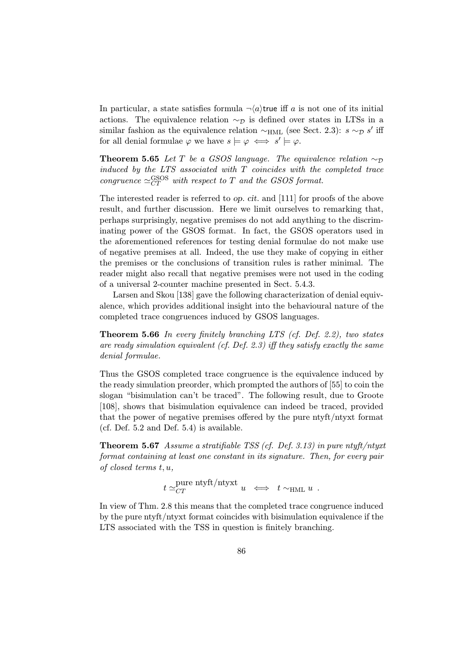In particular, a state satisfies formula  $\neg(a)$ true iff a is not one of its initial actions. The equivalence relation  $\sim_{\mathcal{D}}$  is defined over states in LTSs in a similar fashion as the equivalence relation  $\sim_{HML}$  (see Sect. 2.3):  $s \sim_{\mathcal{D}} s'$  iff for all denial formulae  $\varphi$  we have  $s \models \varphi \iff s' \models \varphi$ .

**Theorem 5.65** Let T be a GSOS language. The equivalence relation  $\sim_{\mathcal{D}}$ induced by the LTS associated with  $T$  coincides with the completed trace congruence  $\simeq_{CT}^{GSOS}$  with respect to T and the GSOS format.

The interested reader is referred to op. cit. and [111] for proofs of the above result, and further discussion. Here we limit ourselves to remarking that, perhaps surprisingly, negative premises do not add anything to the discriminating power of the GSOS format. In fact, the GSOS operators used in the aforementioned references for testing denial formulae do not make use of negative premises at all. Indeed, the use they make of copying in either the premises or the conclusions of transition rules is rather minimal. The reader might also recall that negative premises were not used in the coding of a universal 2-counter machine presented in Sect. 5.4.3.

Larsen and Skou [138] gave the following characterization of denial equivalence, which provides additional insight into the behavioural nature of the completed trace congruences induced by GSOS languages.

Theorem 5.66 In every finitely branching LTS (cf. Def. 2.2), two states are ready simulation equivalent (cf. Def. 2.3) iff they satisfy exactly the same denial formulae.

Thus the GSOS completed trace congruence is the equivalence induced by the ready simulation preorder, which prompted the authors of [55] to coin the slogan "bisimulation can't be traced". The following result, due to Groote [108], shows that bisimulation equivalence can indeed be traced, provided that the power of negative premises offered by the pure ntyft/ntyxt format (cf. Def. 5.2 and Def. 5.4) is available.

Theorem 5.67 Assume a stratifiable TSS (cf. Def. 3.13) in pure ntyft/ntyxt format containing at least one constant in its signature. Then, for every pair of closed terms t, u,

$$
t \simeq_{CT}^{\text{pure ntyft/ntyxt}} u \iff t \sim_{\text{HML}} u.
$$

In view of Thm. 2.8 this means that the completed trace congruence induced by the pure ntyft/ntyxt format coincides with bisimulation equivalence if the LTS associated with the TSS in question is finitely branching.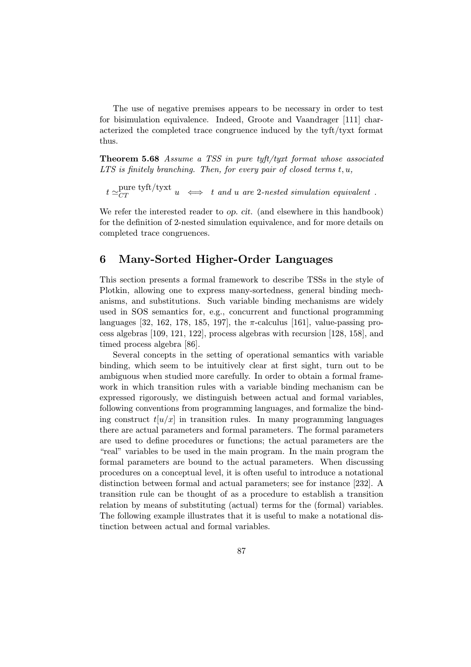The use of negative premises appears to be necessary in order to test for bisimulation equivalence. Indeed, Groote and Vaandrager [111] characterized the completed trace congruence induced by the tyft/tyxt format thus.

Theorem 5.68 Assume a TSS in pure tyft/tyxt format whose associated  $LTS$  is finitely branching. Then, for every pair of closed terms  $t, u$ ,

 $t \simeq_{CT}^{\text{pure tyft/tyxt}} u \iff t \text{ and } u \text{ are 2-nested simulation equivalent }.$ 

We refer the interested reader to op. cit. (and elsewhere in this handbook) for the definition of 2-nested simulation equivalence, and for more details on completed trace congruences.

## 6 Many-Sorted Higher-Order Languages

This section presents a formal framework to describe TSSs in the style of Plotkin, allowing one to express many-sortedness, general binding mechanisms, and substitutions. Such variable binding mechanisms are widely used in SOS semantics for, e.g., concurrent and functional programming languages [32, 162, 178, 185, 197], the  $\pi$ -calculus [161], value-passing process algebras [109, 121, 122], process algebras with recursion [128, 158], and timed process algebra [86].

Several concepts in the setting of operational semantics with variable binding, which seem to be intuitively clear at first sight, turn out to be ambiguous when studied more carefully. In order to obtain a formal framework in which transition rules with a variable binding mechanism can be expressed rigorously, we distinguish between actual and formal variables, following conventions from programming languages, and formalize the binding construct  $t[u/x]$  in transition rules. In many programming languages there are actual parameters and formal parameters. The formal parameters are used to define procedures or functions; the actual parameters are the "real" variables to be used in the main program. In the main program the formal parameters are bound to the actual parameters. When discussing procedures on a conceptual level, it is often useful to introduce a notational distinction between formal and actual parameters; see for instance [232]. A transition rule can be thought of as a procedure to establish a transition relation by means of substituting (actual) terms for the (formal) variables. The following example illustrates that it is useful to make a notational distinction between actual and formal variables.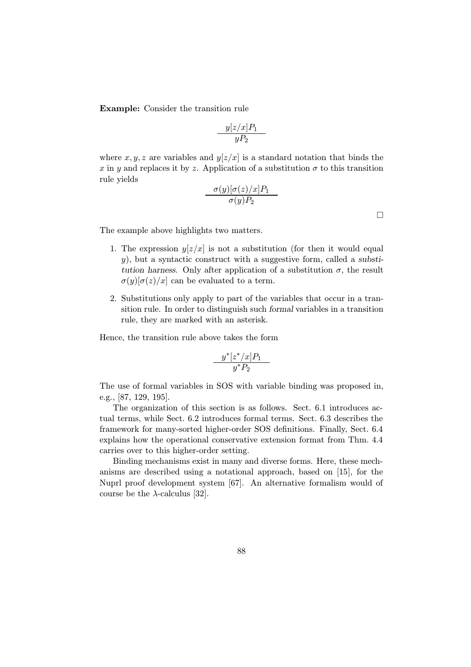Example: Consider the transition rule

$$
\frac{y[z/x]P_1}{yP_2}
$$

where  $x, y, z$  are variables and  $y[z/x]$  is a standard notation that binds the x in y and replaces it by z. Application of a substitution  $\sigma$  to this transition rule yields

$$
\frac{\sigma(y)[\sigma(z)/x]P_1}{\sigma(y)P_2}
$$

 $\Box$ 

The example above highlights two matters.

- 1. The expression  $y[z/x]$  is not a substitution (for then it would equal  $y$ ), but a syntactic construct with a suggestive form, called a substitution harness. Only after application of a substitution  $\sigma$ , the result  $\sigma(y)[\sigma(z)/x]$  can be evaluated to a term.
- 2. Substitutions only apply to part of the variables that occur in a transition rule. In order to distinguish such formal variables in a transition rule, they are marked with an asterisk.

Hence, the transition rule above takes the form

$$
\frac{y^*[z^*/x]P_1}{y^*P_2}
$$

The use of formal variables in SOS with variable binding was proposed in, e.g., [87, 129, 195].

The organization of this section is as follows. Sect. 6.1 introduces actual terms, while Sect. 6.2 introduces formal terms. Sect. 6.3 describes the framework for many-sorted higher-order SOS definitions. Finally, Sect. 6.4 explains how the operational conservative extension format from Thm. 4.4 carries over to this higher-order setting.

Binding mechanisms exist in many and diverse forms. Here, these mechanisms are described using a notational approach, based on [15], for the Nuprl proof development system [67]. An alternative formalism would of course be the  $\lambda$ -calculus [32].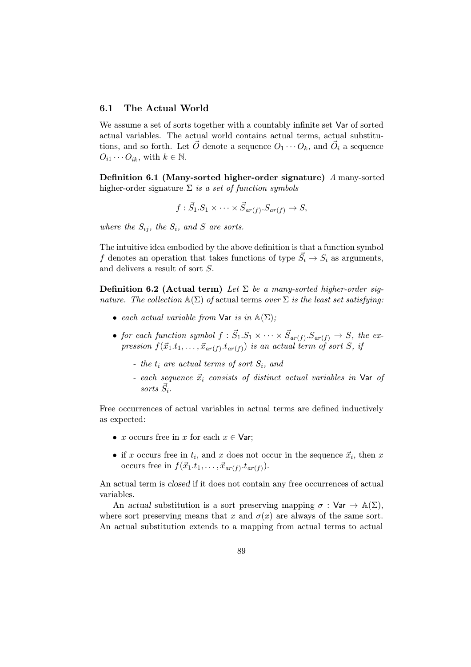## 6.1 The Actual World

We assume a set of sorts together with a countably infinite set Var of sorted actual variables. The actual world contains actual terms, actual substitutions, and so forth. Let  $\overrightarrow{O}$  denote a sequence  $O_1 \cdots O_k$ , and  $\overrightarrow{O}_i$  a sequence  $O_{i1} \cdots O_{ik}$ , with  $k \in \mathbb{N}$ .

Definition 6.1 (Many-sorted higher-order signature) A many-sorted higher-order signature  $\Sigma$  is a set of function symbols

$$
f: \vec{S}_1.S_1 \times \cdots \times \vec{S}_{ar(f)}.S_{ar(f)} \to S,
$$

where the  $S_{ij}$ , the  $S_i$ , and S are sorts.

The intuitive idea embodied by the above definition is that a function symbol f denotes an operation that takes functions of type  $\vec{S}_i \rightarrow S_i$  as arguments, and delivers a result of sort S.

**Definition 6.2 (Actual term)** Let  $\Sigma$  be a many-sorted higher-order signature. The collection  $\mathbb{A}(\Sigma)$  of actual terms over  $\Sigma$  is the least set satisfying:

- each actual variable from Var is in  $\mathbb{A}(\Sigma)$ ;
- for each function symbol  $f : \vec{S}_1.S_1 \times \cdots \times \vec{S}_{ar(f)}.S_{ar(f)} \rightarrow S$ , the expression  $f(\vec{x}_1,t_1,\ldots,\vec{x}_{ar (f)}.t_{ar (f)})$  is an actual term of sort S, if
	- the  $t_i$  are actual terms of sort  $S_i$ , and
	- each sequence  $\vec{x}_i$  consists of distinct actual variables in Var of sorts  $S_i$ .

Free occurrences of actual variables in actual terms are defined inductively as expected:

- x occurs free in x for each  $x \in \mathsf{Var}$ ;
- if x occurs free in  $t_i$ , and x does not occur in the sequence  $\vec{x}_i$ , then x occurs free in  $f(\vec{x}_1,t_1,\ldots,\vec{x}_{ar(f)}t_{ar(f)}).$

An actual term is closed if it does not contain any free occurrences of actual variables.

An actual substitution is a sort preserving mapping  $\sigma : \mathsf{Var} \to \mathbb{A}(\Sigma)$ , where sort preserving means that x and  $\sigma(x)$  are always of the same sort. An actual substitution extends to a mapping from actual terms to actual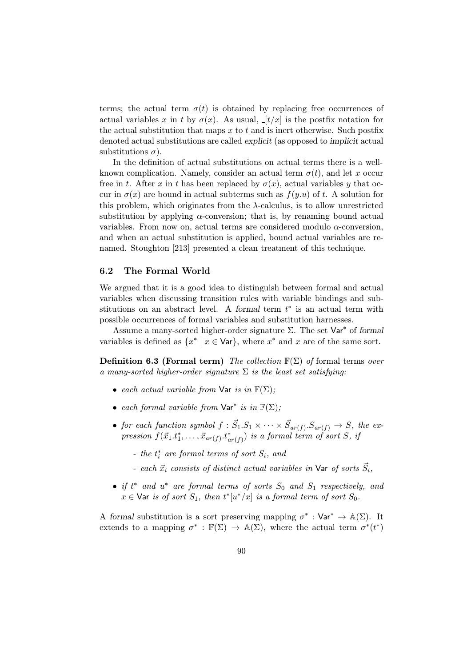terms; the actual term  $\sigma(t)$  is obtained by replacing free occurrences of actual variables x in t by  $\sigma(x)$ . As usual,  $[t/x]$  is the postfix notation for the actual substitution that maps  $x$  to  $t$  and is inert otherwise. Such postfix denoted actual substitutions are called explicit (as opposed to implicit actual substitutions  $\sigma$ ).

In the definition of actual substitutions on actual terms there is a wellknown complication. Namely, consider an actual term  $\sigma(t)$ , and let x occur free in t. After x in t has been replaced by  $\sigma(x)$ , actual variables y that occur in  $\sigma(x)$  are bound in actual subterms such as  $f(y,u)$  of t. A solution for this problem, which originates from the  $\lambda$ -calculus, is to allow unrestricted substitution by applying  $\alpha$ -conversion; that is, by renaming bound actual variables. From now on, actual terms are considered modulo α-conversion, and when an actual substitution is applied, bound actual variables are renamed. Stoughton [213] presented a clean treatment of this technique.

#### 6.2 The Formal World

We argued that it is a good idea to distinguish between formal and actual variables when discussing transition rules with variable bindings and substitutions on an abstract level. A formal term  $t^*$  is an actual term with possible occurrences of formal variables and substitution harnesses.

Assume a many-sorted higher-order signature  $\Sigma$ . The set  $\text{Var}^*$  of formal variables is defined as  $\{x^* \mid x \in \mathsf{Var}\}\$ , where  $x^*$  and  $x$  are of the same sort.

**Definition 6.3 (Formal term)** The collection  $\mathbb{F}(\Sigma)$  of formal terms over a many-sorted higher-order signature  $\Sigma$  is the least set satisfying:

- each actual variable from Var is in  $\mathbb{F}(\Sigma)$ ;
- each formal variable from  $\text{Var}^*$  is in  $\mathbb{F}(\Sigma)$ ;
- for each function symbol  $f : \vec{S}_1.S_1 \times \cdots \times \vec{S}_{ar(f)}.S_{ar(f)} \rightarrow S$ , the expression  $f(\vec{x}_1.t_1^*, \ldots, \vec{x}_{ar(f)}.t_{ar(f)}^*)$  is a formal term of sort S, if
	- the  $t_i^*$  are formal terms of sort  $S_i$ , and
	- each  $\vec{x}_i$  consists of distinct actual variables in **Var** of sorts  $\vec{S}_i$ ,
- if  $t^*$  and  $u^*$  are formal terms of sorts  $S_0$  and  $S_1$  respectively, and  $x \in \text{Var}$  is of sort  $S_1$ , then  $t^* [u^*/x]$  is a formal term of sort  $S_0$ .

A formal substitution is a sort preserving mapping  $\sigma^* : \text{Var}^* \to \mathbb{A}(\Sigma)$ . It extends to a mapping  $\sigma^* : \mathbb{F}(\Sigma) \to \mathbb{A}(\Sigma)$ , where the actual term  $\sigma^*(t^*)$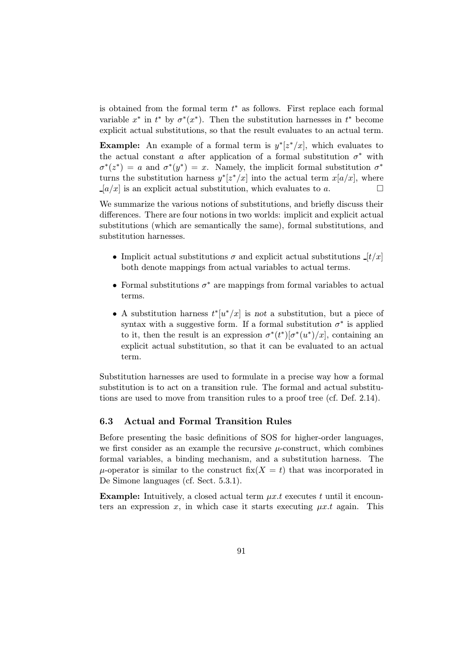is obtained from the formal term  $t<sup>*</sup>$  as follows. First replace each formal variable  $x^*$  in  $t^*$  by  $\sigma^*(x^*)$ . Then the substitution harnesses in  $t^*$  become explicit actual substitutions, so that the result evaluates to an actual term.

**Example:** An example of a formal term is  $y^*[z^*/x]$ , which evaluates to the actual constant a after application of a formal substitution  $\sigma^*$  with  $\sigma^*(z^*) = a$  and  $\sigma^*(y^*) = x$ . Namely, the implicit formal substitution  $\sigma^*$ turns the substitution harness  $y^*z^*/x$  into the actual term  $x[a/x]$ , where  $\Box [a/x]$  is an explicit actual substitution, which evaluates to a.

We summarize the various notions of substitutions, and briefly discuss their differences. There are four notions in two worlds: implicit and explicit actual substitutions (which are semantically the same), formal substitutions, and substitution harnesses.

- Implicit actual substitutions  $\sigma$  and explicit actual substitutions  $[t/x]$ both denote mappings from actual variables to actual terms.
- Formal substitutions  $\sigma^*$  are mappings from formal variables to actual terms.
- A substitution harness  $t^*[u^*/x]$  is not a substitution, but a piece of syntax with a suggestive form. If a formal substitution  $\sigma^*$  is applied to it, then the result is an expression  $\sigma^*(t^*)[\sigma^*(u^*)/x]$ , containing an explicit actual substitution, so that it can be evaluated to an actual term.

Substitution harnesses are used to formulate in a precise way how a formal substitution is to act on a transition rule. The formal and actual substitutions are used to move from transition rules to a proof tree (cf. Def. 2.14).

## 6.3 Actual and Formal Transition Rules

Before presenting the basic definitions of SOS for higher-order languages, we first consider as an example the recursive  $\mu$ -construct, which combines formal variables, a binding mechanism, and a substitution harness. The  $\mu$ -operator is similar to the construct fix( $X = t$ ) that was incorporated in De Simone languages (cf. Sect. 5.3.1).

**Example:** Intuitively, a closed actual term  $\mu x.t$  executes t until it encounters an expression x, in which case it starts executing  $\mu x.t$  again. This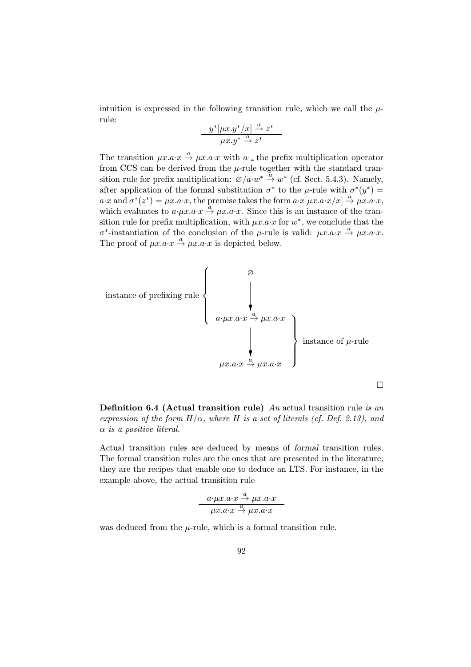intuition is expressed in the following transition rule, which we call the  $\mu$ rule:

$$
\frac{y^*[\mu x.y^*/x] \stackrel{a}{\to} z^*}{\mu x.y^* \stackrel{a}{\to} z^*}
$$

The transition  $\mu x.a \cdot x \stackrel{a}{\rightarrow} \mu x.a \cdot x$  with a the prefix multiplication operator from CCS can be derived from the  $\mu$ -rule together with the standard transition rule for prefix multiplication:  $\mathcal{O}/a \cdot w^* \stackrel{a}{\rightarrow} w^*$  (cf. Sect. 5.4.3). Namely, after application of the formal substitution  $\sigma^*$  to the *µ*-rule with  $\sigma^*(y^*)$  =  $a \cdot x$  and  $\sigma^*(z^*) = \mu x.a \cdot x$ , the premise takes the form  $a \cdot x[\mu x.a \cdot x/x] \stackrel{a}{\rightarrow} \mu x.a \cdot x$ , which evaluates to  $a \cdot \mu x \cdot a \cdot x \stackrel{\hat{a}}{\rightarrow} \mu x \cdot a \cdot x$ . Since this is an instance of the transition rule for prefix multiplication, with  $\mu x.a\cdot x$  for w<sup>\*</sup>, we conclude that the  $\sigma^*$ -instantiation of the conclusion of the μ-rule is valid: μx.a·x  $\stackrel{a}{\rightarrow} \mu x.a·x$ . The proof of  $\mu x.a\cdot x \stackrel{a}{\rightarrow} \mu x.a\cdot x$  is depicted below.



**Definition 6.4 (Actual transition rule)** An actual transition rule is an expression of the form  $H/\alpha$ , where H is a set of literals (cf. Def. 2.13), and  $\alpha$  is a positive literal.

Actual transition rules are deduced by means of formal transition rules. The formal transition rules are the ones that are presented in the literature; they are the recipes that enable one to deduce an LTS. For instance, in the example above, the actual transition rule

$$
\frac{a \cdot \mu x.a \cdot x \stackrel{a}{\rightarrow} \mu x.a \cdot x}{\mu x.a \cdot x \stackrel{a}{\rightarrow} \mu x.a \cdot x}
$$

was deduced from the  $\mu$ -rule, which is a formal transition rule.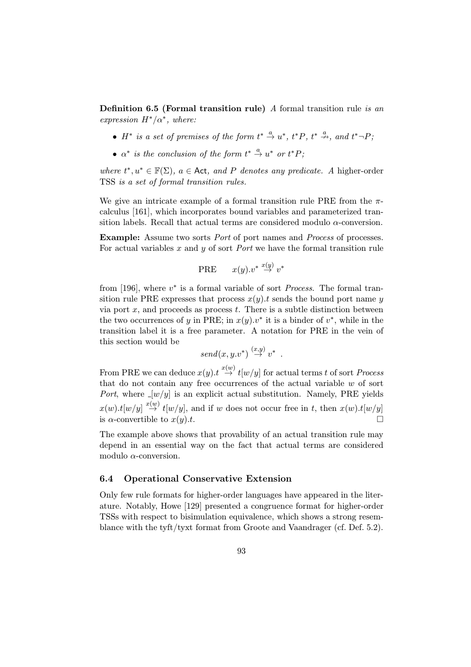**Definition 6.5 (Formal transition rule)** A formal transition rule is an expression  $H^*/\alpha^*$ , where:

- $H^*$  is a set of premises of the form  $t^* \stackrel{a}{\rightarrow} u^*$ ,  $t^*P$ ,  $t^* \stackrel{a}{\rightarrow}$ , and  $t^* \neg P$ ;
- $\alpha^*$  is the conclusion of the form  $t^* \stackrel{a}{\rightarrow} u^*$  or  $t^*P$ ;

where  $t^*, u^* \in \mathbb{F}(\Sigma)$ ,  $a \in \text{Act}, \text{ and } P$  denotes any predicate. A higher-order TSS is a set of formal transition rules.

We give an intricate example of a formal transition rule PRE from the  $\pi$ calculus [161], which incorporates bound variables and parameterized transition labels. Recall that actual terms are considered modulo  $\alpha$ -conversion.

**Example:** Assume two sorts *Port* of port names and *Process* of processes. For actual variables x and y of sort *Port* we have the formal transition rule

$$
\text{PRE} \qquad x(y).v^* \stackrel{x(y)}{\rightarrow} v^*
$$

from [196], where  $v^*$  is a formal variable of sort *Process*. The formal transition rule PRE expresses that process  $x(y)$ . t sends the bound port name y via port  $x$ , and proceeds as process  $t$ . There is a subtle distinction between the two occurrences of y in PRE; in  $x(y) \cdot v^*$  it is a binder of  $v^*$ , while in the transition label it is a free parameter. A notation for PRE in the vein of this section would be

$$
send(x, y.v^*) \stackrel{(x,y)}{\rightarrow} v^* .
$$

From PRE we can deduce  $x(y) \to x^{(w)}(w/y)$  for actual terms t of sort *Process* that do not contain any free occurrences of the actual variable  $w$  of sort Port, where  $[w/y]$  is an explicit actual substitution. Namely, PRE yields  $x(w).t[w/y] \stackrel{x(w)}{\rightarrow} t[w/y]$ , and if w does not occur free in t, then  $x(w).t[w/y]$ is  $\alpha$ -convertible to  $x(y).t$ .

The example above shows that provability of an actual transition rule may depend in an essential way on the fact that actual terms are considered modulo  $\alpha$ -conversion.

#### 6.4 Operational Conservative Extension

Only few rule formats for higher-order languages have appeared in the literature. Notably, Howe [129] presented a congruence format for higher-order TSSs with respect to bisimulation equivalence, which shows a strong resemblance with the tyft/tyxt format from Groote and Vaandrager (cf. Def. 5.2).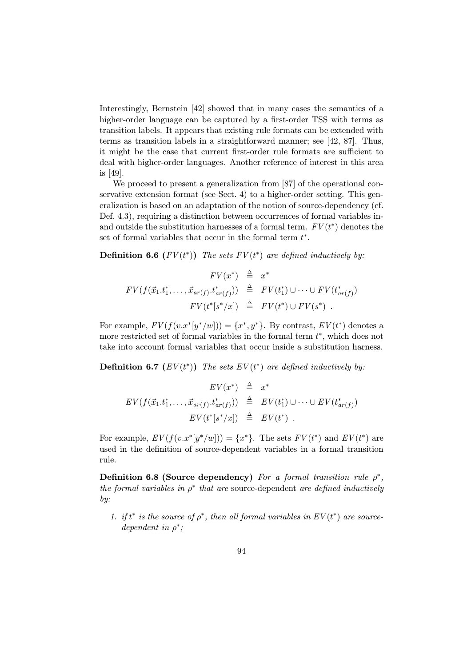Interestingly, Bernstein [42] showed that in many cases the semantics of a higher-order language can be captured by a first-order TSS with terms as transition labels. It appears that existing rule formats can be extended with terms as transition labels in a straightforward manner; see [42, 87]. Thus, it might be the case that current first-order rule formats are sufficient to deal with higher-order languages. Another reference of interest in this area is [49].

We proceed to present a generalization from [87] of the operational conservative extension format (see Sect. 4) to a higher-order setting. This generalization is based on an adaptation of the notion of source-dependency (cf. Def. 4.3), requiring a distinction between occurrences of formal variables inand outside the substitution harnesses of a formal term.  $FV(t^*)$  denotes the set of formal variables that occur in the formal term  $t^*$ .

**Definition 6.6**  $(FV(t^*))$  The sets  $FV(t^*)$  are defined inductively by:

$$
FV(x^*) \triangleq x^*
$$
  
\n
$$
FV(f(\vec{x}_1 \cdot t_1^*, \dots, \vec{x}_{ar(f)} \cdot t_{ar(f)}^*)) \triangleq FV(t_1^*) \cup \dots \cup FV(t_{ar(f)}^*)
$$
  
\n
$$
FV(t^*[s^*/x]) \triangleq FV(t^*) \cup FV(s^*) .
$$

For example,  $FV(f(v.x^*|y^*/w])) = \{x^*, y^*\}$ . By contrast,  $EV(t^*)$  denotes a more restricted set of formal variables in the formal term  $t^*$ , which does not take into account formal variables that occur inside a substitution harness.

**Definition 6.7**  $(EV(t^*))$  The sets  $EV(t^*)$  are defined inductively by:

$$
EV(x^*) \stackrel{\triangle}{=} x^*
$$
  
\n
$$
EV(f(\vec{x}_1 \cdot t_1^*, \ldots, \vec{x}_{ar(f)} \cdot t_{ar(f)}^*)) \stackrel{\triangle}{=} EV(t_1^*) \cup \cdots \cup EV(t_{ar(f)}^*)
$$
  
\n
$$
EV(t^*[s^*/x]) \stackrel{\triangle}{=} EV(t^*) .
$$

For example,  $EV(f(v.x^*[y^*/w])) = \{x^*\}$ . The sets  $FV(t^*)$  and  $EV(t^*)$  are used in the definition of source-dependent variables in a formal transition rule.

Definition 6.8 (Source dependency) For a formal transition rule  $\rho^*$ , the formal variables in  $\rho^*$  that are source-dependent are defined inductively by:

1. if  $t^*$  is the source of  $\rho^*$ , then all formal variables in  $EV(t^*)$  are sourcedependent in  $\rho^*$ ;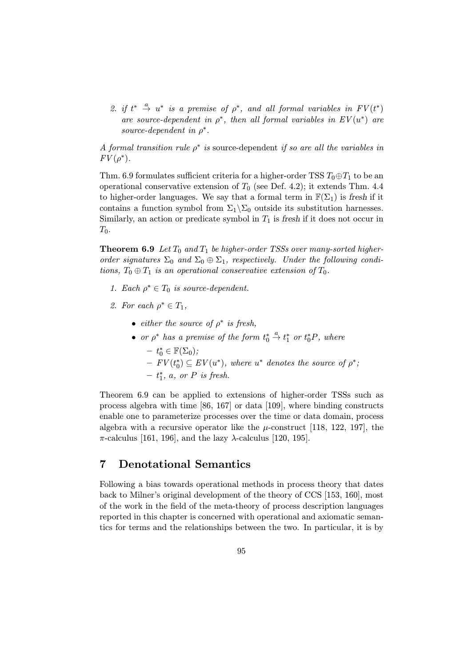2. if  $t^* \stackrel{a}{\rightarrow} u^*$  is a premise of  $\rho^*$ , and all formal variables in  $FV(t^*)$ are source-dependent in  $\rho^*$ , then all formal variables in  $EV(u^*)$  are source-dependent in  $\rho^*$ .

A formal transition rule  $\rho^*$  is source-dependent if so are all the variables in  $FV(\rho^*).$ 

Thm. 6.9 formulates sufficient criteria for a higher-order TSS  $T_0 \oplus T_1$  to be an operational conservative extension of  $T_0$  (see Def. 4.2); it extends Thm. 4.4 to higher-order languages. We say that a formal term in  $\mathbb{F}(\Sigma_1)$  is fresh if it contains a function symbol from  $\Sigma_1 \backslash \Sigma_0$  outside its substitution harnesses. Similarly, an action or predicate symbol in  $T_1$  is fresh if it does not occur in  $T_0$ .

**Theorem 6.9** Let  $T_0$  and  $T_1$  be higher-order TSSs over many-sorted higherorder signatures  $\Sigma_0$  and  $\Sigma_0 \oplus \Sigma_1$ , respectively. Under the following conditions,  $T_0 \oplus T_1$  is an operational conservative extension of  $T_0$ .

- 1. Each  $\rho^* \in T_0$  is source-dependent.
- 2. For each  $\rho^* \in T_1$ ,
	- either the source of  $\rho^*$  is fresh,
	- or  $\rho^*$  has a premise of the form  $t_0^*$  $\stackrel{a}{\rightarrow} t_1^*$  or  $t_0^*P$ , where  $- t_0^* \in \mathbb{F}(\Sigma_0);$  $- FV(t_0^*) \subseteq EV(u^*)$ , where  $u^*$  denotes the source of  $\rho^*$ ;  $- t_1^*$ , a, or P is fresh.

Theorem 6.9 can be applied to extensions of higher-order TSSs such as process algebra with time [86, 167] or data [109], where binding constructs enable one to parameterize processes over the time or data domain, process algebra with a recursive operator like the  $\mu$ -construct [118, 122, 197], the  $\pi$ -calculus [161, 196], and the lazy  $\lambda$ -calculus [120, 195].

# 7 Denotational Semantics

Following a bias towards operational methods in process theory that dates back to Milner's original development of the theory of CCS [153, 160], most of the work in the field of the meta-theory of process description languages reported in this chapter is concerned with operational and axiomatic semantics for terms and the relationships between the two. In particular, it is by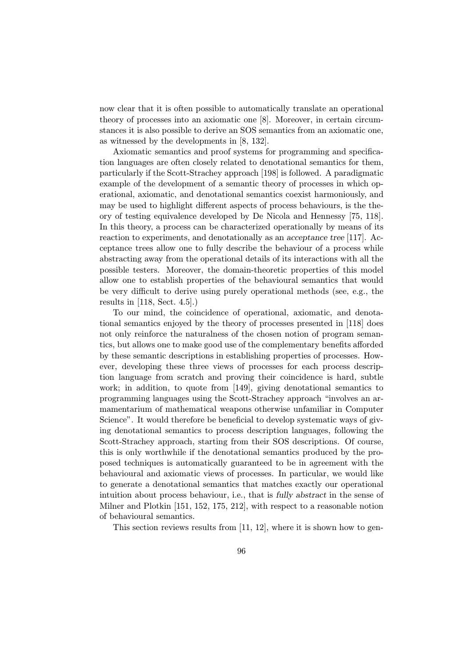now clear that it is often possible to automatically translate an operational theory of processes into an axiomatic one [8]. Moreover, in certain circumstances it is also possible to derive an SOS semantics from an axiomatic one, as witnessed by the developments in [8, 132].

Axiomatic semantics and proof systems for programming and specification languages are often closely related to denotational semantics for them, particularly if the Scott-Strachey approach [198] is followed. A paradigmatic example of the development of a semantic theory of processes in which operational, axiomatic, and denotational semantics coexist harmoniously, and may be used to highlight different aspects of process behaviours, is the theory of testing equivalence developed by De Nicola and Hennessy [75, 118]. In this theory, a process can be characterized operationally by means of its reaction to experiments, and denotationally as an acceptance tree [117]. Acceptance trees allow one to fully describe the behaviour of a process while abstracting away from the operational details of its interactions with all the possible testers. Moreover, the domain-theoretic properties of this model allow one to establish properties of the behavioural semantics that would be very difficult to derive using purely operational methods (see, e.g., the results in [118, Sect. 4.5].)

To our mind, the coincidence of operational, axiomatic, and denotational semantics enjoyed by the theory of processes presented in [118] does not only reinforce the naturalness of the chosen notion of program semantics, but allows one to make good use of the complementary benefits afforded by these semantic descriptions in establishing properties of processes. However, developing these three views of processes for each process description language from scratch and proving their coincidence is hard, subtle work; in addition, to quote from [149], giving denotational semantics to programming languages using the Scott-Strachey approach "involves an armamentarium of mathematical weapons otherwise unfamiliar in Computer Science". It would therefore be beneficial to develop systematic ways of giving denotational semantics to process description languages, following the Scott-Strachey approach, starting from their SOS descriptions. Of course, this is only worthwhile if the denotational semantics produced by the proposed techniques is automatically guaranteed to be in agreement with the behavioural and axiomatic views of processes. In particular, we would like to generate a denotational semantics that matches exactly our operational intuition about process behaviour, i.e., that is fully abstract in the sense of Milner and Plotkin [151, 152, 175, 212], with respect to a reasonable notion of behavioural semantics.

This section reviews results from [11, 12], where it is shown how to gen-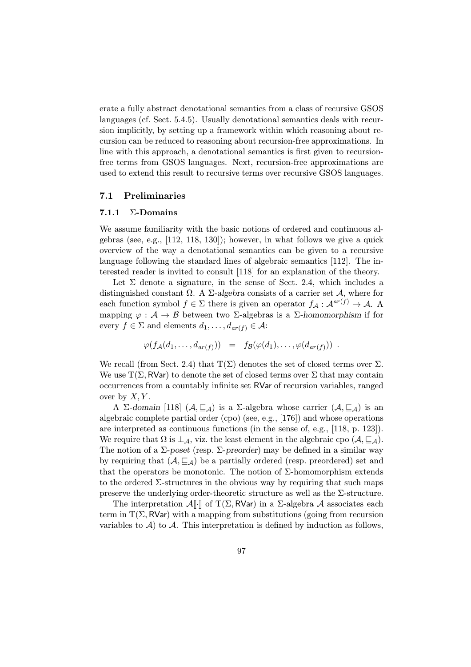erate a fully abstract denotational semantics from a class of recursive GSOS languages (cf. Sect. 5.4.5). Usually denotational semantics deals with recursion implicitly, by setting up a framework within which reasoning about recursion can be reduced to reasoning about recursion-free approximations. In line with this approach, a denotational semantics is first given to recursionfree terms from GSOS languages. Next, recursion-free approximations are used to extend this result to recursive terms over recursive GSOS languages.

#### 7.1 Preliminaries

#### 7.1.1  $\Sigma$ -Domains

We assume familiarity with the basic notions of ordered and continuous algebras (see, e.g., [112, 118, 130]); however, in what follows we give a quick overview of the way a denotational semantics can be given to a recursive language following the standard lines of algebraic semantics [112]. The interested reader is invited to consult [118] for an explanation of the theory.

Let  $\Sigma$  denote a signature, in the sense of Sect. 2.4, which includes a distinguished constant  $\Omega$ . A  $\Sigma$ -algebra consists of a carrier set A, where for each function symbol  $f \in \Sigma$  there is given an operator  $f_{\mathcal{A}} : \mathcal{A}^{ar(f)} \to \mathcal{A}$ . A mapping  $\varphi : \mathcal{A} \to \mathcal{B}$  between two  $\Sigma$ -algebras is a  $\Sigma$ -homomorphism if for every  $f \in \Sigma$  and elements  $d_1, \ldots, d_{ar(f)} \in \mathcal{A}$ :

$$
\varphi(f_{\mathcal{A}}(d_1,\ldots,d_{ar(f)})) = f_{\mathcal{B}}(\varphi(d_1),\ldots,\varphi(d_{ar(f)})) .
$$

We recall (from Sect. 2.4) that  $T(\Sigma)$  denotes the set of closed terms over  $\Sigma$ . We use  $T(\Sigma, \text{RVar})$  to denote the set of closed terms over  $\Sigma$  that may contain occurrences from a countably infinite set RVar of recursion variables, ranged over by  $X, Y$ .

A Σ-domain [118]  $(A, \subseteq_{\mathcal{A}})$  is a Σ-algebra whose carrier  $(A, \subseteq_{\mathcal{A}})$  is an algebraic complete partial order (cpo) (see, e.g., [176]) and whose operations are interpreted as continuous functions (in the sense of, e.g., [118, p. 123]). We require that  $\Omega$  is  $\perp_A$ , viz. the least element in the algebraic cpo  $(\mathcal{A}, \sqsubseteq_{\mathcal{A}})$ . The notion of a  $\Sigma$ -poset (resp.  $\Sigma$ -preorder) may be defined in a similar way by requiring that  $(A, \subseteq_{\mathcal{A}})$  be a partially ordered (resp. preordered) set and that the operators be monotonic. The notion of  $\Sigma$ -homomorphism extends to the ordered Σ-structures in the obvious way by requiring that such maps preserve the underlying order-theoretic structure as well as the  $\Sigma$ -structure.

The interpretation  $\mathcal{A}[\cdot]$  of T( $\Sigma$ , RVar) in a  $\Sigma$ -algebra  $\mathcal A$  associates each term in  $T(\Sigma, RVar)$  with a mapping from substitutions (going from recursion variables to  $A$ ) to  $A$ . This interpretation is defined by induction as follows,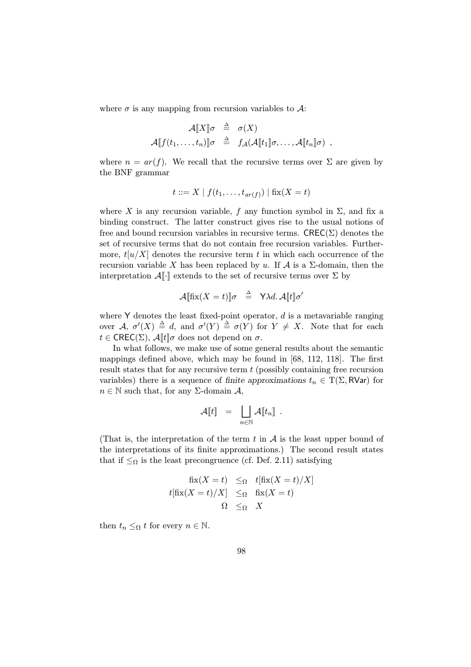where  $\sigma$  is any mapping from recursion variables to  $\mathcal{A}$ :

$$
\mathcal{A}[\![X]\!] \sigma \triangleq \sigma(X)
$$
  

$$
\mathcal{A}[\![f(t_1,\ldots,t_n)]\!] \sigma \triangleq f_{\mathcal{A}}(\mathcal{A}[\![t_1]\!] \sigma,\ldots,\mathcal{A}[\![t_n]\!] \sigma) ,
$$

where  $n = ar(f)$ . We recall that the recursive terms over  $\Sigma$  are given by the BNF grammar

$$
t ::= X \mid f(t_1, \ldots, t_{ar(f)}) \mid \text{fix}(X = t)
$$

where X is any recursion variable, f any function symbol in  $\Sigma$ , and fix a binding construct. The latter construct gives rise to the usual notions of free and bound recursion variables in recursive terms.  $\mathsf{CREC}(\Sigma)$  denotes the set of recursive terms that do not contain free recursion variables. Furthermore,  $t[u/X]$  denotes the recursive term t in which each occurrence of the recursion variable X has been replaced by u. If  $\mathcal A$  is a  $\Sigma$ -domain, then the interpretation  $\mathcal{A}[\cdot]$  extends to the set of recursive terms over  $\Sigma$  by

$$
\mathcal{A}[\text{fix}(X=t)]\sigma \triangleq \text{Y}\lambda d. \mathcal{A}[t]\sigma'
$$

where  $Y$  denotes the least fixed-point operator,  $d$  is a metavariable ranging over  $\mathcal{A}, \sigma'(X) \triangleq d$ , and  $\sigma'(Y) \triangleq \sigma(Y)$  for  $Y \neq X$ . Note that for each  $t \in \text{CREC}(\Sigma)$ ,  $\mathcal{A}[[t]]\sigma$  does not depend on  $\sigma$ .

In what follows, we make use of some general results about the semantic mappings defined above, which may be found in [68, 112, 118]. The first result states that for any recursive term t (possibly containing free recursion variables) there is a sequence of finite approximations  $t_n \in T(\Sigma, \text{RVar})$  for  $n \in \mathbb{N}$  such that, for any  $\Sigma$ -domain A,

$$
\mathcal{A}\llbracket t\rrbracket\;\;=\;\; \bigsqcup_{n\in\mathbb{N}}\mathcal{A}\llbracket t_n\rrbracket\;\;.
$$

(That is, the interpretation of the term t in  $A$  is the least upper bound of the interpretations of its finite approximations.) The second result states that if  $\leq_{\Omega}$  is the least precongruence (cf. Def. 2.11) satisfying

$$
\begin{array}{rcl}\n\operatorname{fix}(X=t) & \leq_{\Omega} & t[\operatorname{fix}(X=t)/X] \\
t[\operatorname{fix}(X=t)/X] & \leq_{\Omega} & \operatorname{fix}(X=t) \\
& \Omega & \leq_{\Omega} & X\n\end{array}
$$

then  $t_n \leq_{\Omega} t$  for every  $n \in \mathbb{N}$ .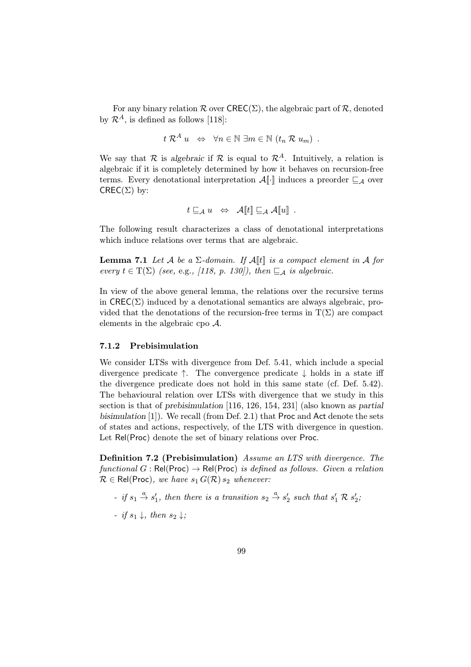For any binary relation  $\mathcal R$  over  $\mathsf{CREC}(\Sigma)$ , the algebraic part of  $\mathcal R$ , denoted by  $\mathcal{R}^A$ , is defined as follows [118]:

$$
t R^{A} u \Leftrightarrow \forall n \in \mathbb{N} \exists m \in \mathbb{N} (t_{n} R u_{m}) .
$$

We say that R is algebraic if R is equal to  $\mathcal{R}^A$ . Intuitively, a relation is algebraic if it is completely determined by how it behaves on recursion-free terms. Every denotational interpretation  $\mathcal{A}[\cdot]$  induces a preorder  $\sqsubseteq_{\mathcal{A}}$  over  $CREC(\Sigma)$  by:

$$
t\sqsubseteq_{\mathcal{A}} u \;\; \Leftrightarrow \;\; \mathcal{A}[\![t]\!] \sqsubseteq_{\mathcal{A}} \mathcal{A}[\![u]\!] \enspace .
$$

The following result characterizes a class of denotational interpretations which induce relations over terms that are algebraic.

**Lemma 7.1** Let A be a  $\Sigma$ -domain. If  $\mathcal{A}[[t]]$  is a compact element in A for every  $t \in T(\Sigma)$  (see, e.g., [118, p. 130]), then  $\sqsubseteq_{\mathcal{A}}$  is algebraic.

In view of the above general lemma, the relations over the recursive terms in  $\text{CREC}(\Sigma)$  induced by a denotational semantics are always algebraic, provided that the denotations of the recursion-free terms in  $T(\Sigma)$  are compact elements in the algebraic cpo A.

#### 7.1.2 Prebisimulation

We consider LTSs with divergence from Def. 5.41, which include a special divergence predicate  $\uparrow$ . The convergence predicate  $\downarrow$  holds in a state iff the divergence predicate does not hold in this same state (cf. Def. 5.42). The behavioural relation over LTSs with divergence that we study in this section is that of prebisimulation [116, 126, 154, 231] (also known as partial bisimulation [1]). We recall (from Def. 2.1) that Proc and Act denote the sets of states and actions, respectively, of the LTS with divergence in question. Let Rel(Proc) denote the set of binary relations over Proc.

Definition 7.2 (Prebisimulation) Assume an LTS with divergence. The functional G : Rel(Proc)  $\rightarrow$  Rel(Proc) is defined as follows. Given a relation  $\mathcal{R} \in \text{Rel}(\text{Proc})$ , we have  $s_1 G(\mathcal{R}) s_2$  whenever:

- if  $s_1 \stackrel{a}{\rightarrow} s'_1$ , then there is a transition  $s_2 \stackrel{a}{\rightarrow} s'_2$  such that  $s'_1 \mathcal{R} s'_2$ ;
- $-$  if  $s_1 \downarrow$ , then  $s_2 \downarrow$ ;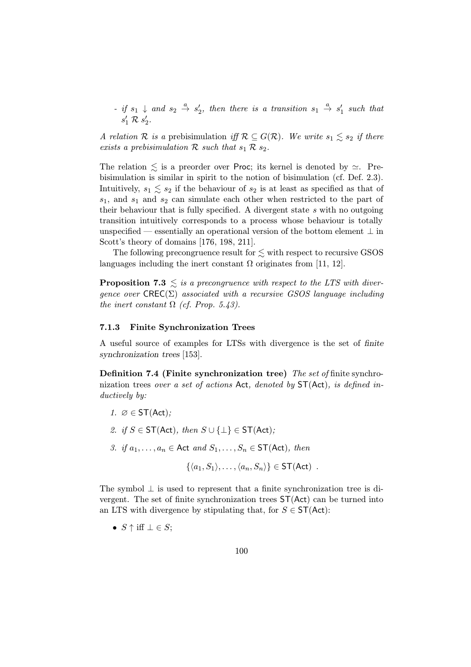$-$  if  $s_1 \downarrow$  and  $s_2 \stackrel{a}{\rightarrow} s_2'$ , then there is a transition  $s_1 \stackrel{a}{\rightarrow} s_1'$  such that  $s'_1 \mathrel{\mathcal{R}} s'_2.$ 

A relation R is a prebisimulation if  $\mathcal{R} \subseteq G(\mathcal{R})$ . We write  $s_1 \leq s_2$  if there exists a prebisimulation  $R$  such that  $s_1 R s_2$ .

The relation  $\lesssim$  is a preorder over Proc; its kernel is denoted by  $\simeq$ . Prebisimulation is similar in spirit to the notion of bisimulation (cf. Def. 2.3). Intuitively,  $s_1 \leq s_2$  if the behaviour of  $s_2$  is at least as specified as that of  $s_1$ , and  $s_1$  and  $s_2$  can simulate each other when restricted to the part of their behaviour that is fully specified. A divergent state s with no outgoing transition intuitively corresponds to a process whose behaviour is totally unspecified — essentially an operational version of the bottom element  $\perp$  in Scott's theory of domains [176, 198, 211].

The following precongruence result for  $\lesssim$  with respect to recursive GSOS languages including the inert constant  $\Omega$  originates from [11, 12].

**Proposition 7.3**  $\leq$  is a precongruence with respect to the LTS with divergence over  $\mathsf{CREC}(\Sigma)$  associated with a recursive GSOS language including the inert constant  $\Omega$  (cf. Prop. 5.43).

## 7.1.3 Finite Synchronization Trees

A useful source of examples for LTSs with divergence is the set of finite synchronization trees [153].

Definition 7.4 (Finite synchronization tree) The set of finite synchronization trees over a set of actions Act, denoted by ST(Act), is defined inductively by:

- 1.  $\varnothing \in \mathsf{ST}(\mathsf{Act})$ :
- 2. if  $S \in ST(Act)$ , then  $S \cup \{\perp\} \in ST(Act)$ ;
- 3. if  $a_1, \ldots, a_n \in \text{Act}$  and  $S_1, \ldots, S_n \in \text{ST}(\text{Act})$ , then

 $\{\langle a_1, S_1\rangle, \ldots, \langle a_n, S_n\rangle\} \in \mathsf{ST}(\mathsf{Act})$ .

The symbol  $\perp$  is used to represent that a finite synchronization tree is divergent. The set of finite synchronization trees ST(Act) can be turned into an LTS with divergence by stipulating that, for  $S \in ST(\text{Act})$ :

•  $S \uparrow \text{iff } \perp \in S$ ;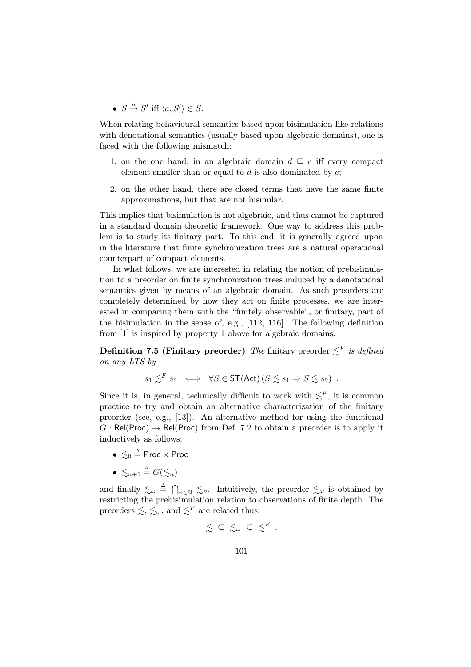•  $S \stackrel{a}{\rightarrow} S'$  iff  $\langle a, S' \rangle \in S$ .

When relating behavioural semantics based upon bisimulation-like relations with denotational semantics (usually based upon algebraic domains), one is faced with the following mismatch:

- 1. on the one hand, in an algebraic domain  $d \sqsubseteq e$  iff every compact element smaller than or equal to  $d$  is also dominated by  $e$ ;
- 2. on the other hand, there are closed terms that have the same finite approximations, but that are not bisimilar.

This implies that bisimulation is not algebraic, and thus cannot be captured in a standard domain theoretic framework. One way to address this problem is to study its finitary part. To this end, it is generally agreed upon in the literature that finite synchronization trees are a natural operational counterpart of compact elements.

In what follows, we are interested in relating the notion of prebisimulation to a preorder on finite synchronization trees induced by a denotational semantics given by means of an algebraic domain. As such preorders are completely determined by how they act on finite processes, we are interested in comparing them with the "finitely observable", or finitary, part of the bisimulation in the sense of, e.g., [112, 116]. The following definition from [1] is inspired by property 1 above for algebraic domains.

**Definition 7.5 (Finitary preorder)** The finitary preorder  $\leq^F$  is defined on any LTS by

$$
s_1 \lesssim^F s_2 \iff \forall S \in \mathsf{ST}(\mathsf{Act}) \, (S \lesssim s_1 \Rightarrow S \lesssim s_2) \; .
$$

Since it is, in general, technically difficult to work with  $\leq^F$ , it is common practice to try and obtain an alternative characterization of the finitary preorder (see, e.g., [13]). An alternative method for using the functional  $G : Rel(Proc) \rightarrow Rel(Proc)$  from Def. 7.2 to obtain a preorder is to apply it inductively as follows:

- $\bullet \ \lesssim_0 \stackrel{\Delta}{=}$  Proc  $\times$  Proc
- $\bullet \ \lesssim_{n+1} \triangleq G(\lesssim_n)$

and finally  $\leq_{\omega} \triangleq \bigcap_{n \in \mathbb{N}} \leq_n$ . Intuitively, the preorder  $\leq_{\omega}$  is obtained by restricting the prebisimulation relation to observations of finite depth. The preorders  $\lesssim, \lesssim_\omega$ , and  $\lesssim^F$  are related thus:

$$
\lesssim \ \ \subseteq \ \lesssim_\omega \ \ \subseteq \ \lesssim^F \ .
$$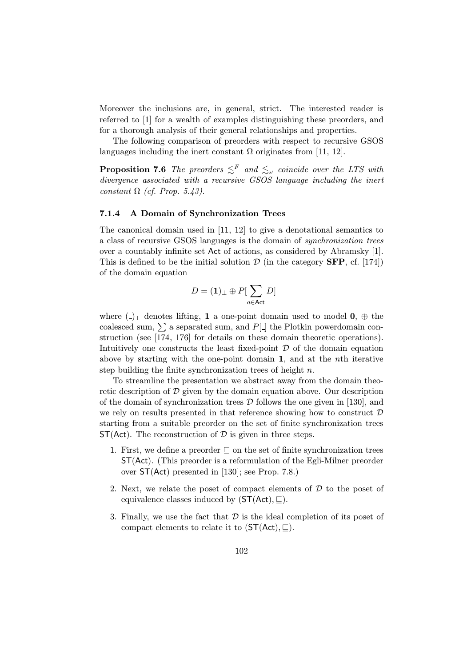Moreover the inclusions are, in general, strict. The interested reader is referred to [1] for a wealth of examples distinguishing these preorders, and for a thorough analysis of their general relationships and properties.

The following comparison of preorders with respect to recursive GSOS languages including the inert constant  $\Omega$  originates from [11, 12].

**Proposition 7.6** The preorders  $\leq^F$  and  $\leq_\omega$  coincide over the LTS with divergence associated with a recursive GSOS language including the inert constant  $\Omega$  (cf. Prop. 5.43).

## 7.1.4 A Domain of Synchronization Trees

The canonical domain used in [11, 12] to give a denotational semantics to a class of recursive GSOS languages is the domain of synchronization trees over a countably infinite set Act of actions, as considered by Abramsky [1]. This is defined to be the initial solution  $\mathcal{D}$  (in the category **SFP**, cf. [174]) of the domain equation

$$
D=(\mathbf{1})_\perp\oplus P[\sum_{a\in\mathsf{Act}}D]
$$

where  $( )_{\perp}$  denotes lifting, 1 a one-point domain used to model 0,  $\oplus$  the coalesced sum,  $\Sigma$  a separated sum, and P[ $\Box$ ] the Plotkin powerdomain construction (see [174, 176] for details on these domain theoretic operations). Intuitively one constructs the least fixed-point  $\mathcal D$  of the domain equation above by starting with the one-point domain 1, and at the nth iterative step building the finite synchronization trees of height  $n$ .

To streamline the presentation we abstract away from the domain theoretic description of  $\mathcal D$  given by the domain equation above. Our description of the domain of synchronization trees  $\mathcal D$  follows the one given in [130], and we rely on results presented in that reference showing how to construct  $\mathcal D$ starting from a suitable preorder on the set of finite synchronization trees  $ST(\text{Act})$ . The reconstruction of  $D$  is given in three steps.

- 1. First, we define a preorder  $\subseteq$  on the set of finite synchronization trees ST(Act). (This preorder is a reformulation of the Egli-Milner preorder over ST(Act) presented in [130]; see Prop. 7.8.)
- 2. Next, we relate the poset of compact elements of  $D$  to the poset of equivalence classes induced by  $(ST(\text{Act}), \square)$ .
- 3. Finally, we use the fact that  $D$  is the ideal completion of its poset of compact elements to relate it to  $(ST(\text{Act}), \subseteq)$ .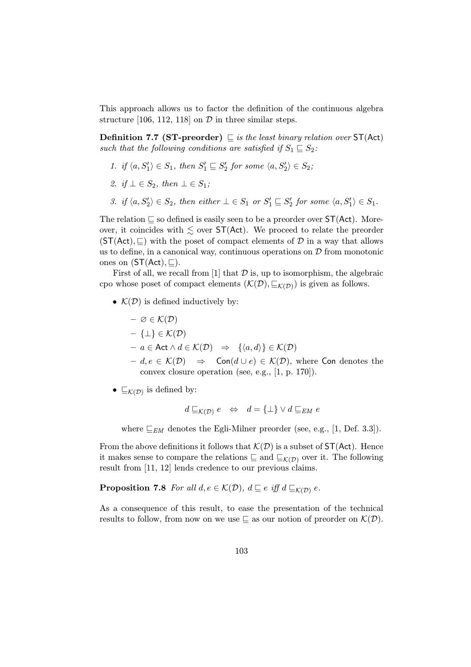This approach allows us to factor the definition of the continuous algebra structure [106, 112, 118] on  $\mathcal D$  in three similar steps.

**Definition 7.7 (ST-preorder)**  $\subseteq$  is the least binary relation over  $ST(Act)$ such that the following conditions are satisfied if  $S_1 \sqsubseteq S_2$ :

- 1. if  $\langle a, S'_1 \rangle \in S_1$ , then  $S'_1 \sqsubseteq S'_2$  for some  $\langle a, S'_2 \rangle \in S_2$ ;
- 2. if  $\bot \in S_2$ , then  $\bot \in S_1$ ;
- 3. if  $\langle a, S'_2 \rangle \in S_2$ , then either  $\bot \in S_1$  or  $S'_1 \sqsubseteq S'_2$  for some  $\langle a, S'_1 \rangle \in S_1$ .

The relation  $\sqsubseteq$  so defined is easily seen to be a preorder over  $ST(\mathsf{Act})$ . Moreover, it coincides with  $\leq$  over ST(Act). We proceed to relate the preorder  $(ST(Act), \Box)$  with the poset of compact elements of  $D$  in a way that allows us to define, in a canonical way, continuous operations on  $D$  from monotonic ones on  $(ST(Act), \square)$ .

First of all, we recall from [1] that  $\mathcal D$  is, up to isomorphism, the algebraic cpo whose poset of compact elements  $(\mathcal{K}(\mathcal{D}), \sqsubseteq_{\mathcal{K}(\mathcal{D})})$  is given as follows.

•  $\mathcal{K}(\mathcal{D})$  is defined inductively by:

$$
- \varnothing \in \mathcal{K}(\mathcal{D})
$$

- {⊥} ∈ K(D)
- $a \in \mathsf{Act} \land d \in \mathcal{K}(\mathcal{D}) \Rightarrow \{\langle a, d \rangle\} \in \mathcal{K}(\mathcal{D})$
- $d, e \in \mathcal{K}(\mathcal{D}) \Rightarrow$  Con $(d \cup e) \in \mathcal{K}(\mathcal{D})$ , where Con denotes the convex closure operation (see, e.g., [1, p. 170]).
- $\sqsubseteq_{\mathcal{K}(\mathcal{D})}$  is defined by:

$$
d \sqsubseteq_{\mathcal{K}(\mathcal{D})} e \iff d = {\perp} \lor d \sqsubseteq_{EM} e
$$

where  $E_{EM}$  denotes the Egli-Milner preorder (see, e.g., [1, Def. 3.3]).

From the above definitions it follows that  $\mathcal{K}(\mathcal{D})$  is a subset of  $ST(\mathsf{Act})$ . Hence it makes sense to compare the relations  $\subseteq$  and  $\subseteq$ <sub>K(D)</sub> over it. The following result from [11, 12] lends credence to our previous claims.

**Proposition 7.8** For all  $d, e \in \mathcal{K}(\mathcal{D})$ ,  $d \sqsubseteq e$  iff  $d \sqsubseteq_{\mathcal{K}(\mathcal{D})} e$ .

As a consequence of this result, to ease the presentation of the technical results to follow, from now on we use  $\subseteq$  as our notion of preorder on  $\mathcal{K}(\mathcal{D})$ .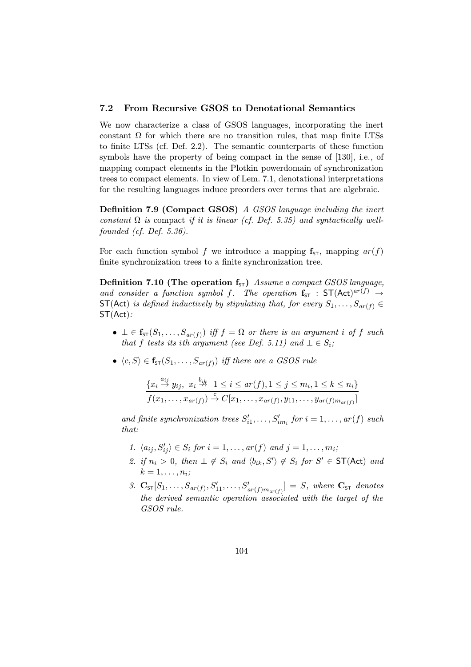## 7.2 From Recursive GSOS to Denotational Semantics

We now characterize a class of GSOS languages, incorporating the inert constant  $\Omega$  for which there are no transition rules, that map finite LTSs to finite LTSs (cf. Def. 2.2). The semantic counterparts of these function symbols have the property of being compact in the sense of [130], i.e., of mapping compact elements in the Plotkin powerdomain of synchronization trees to compact elements. In view of Lem. 7.1, denotational interpretations for the resulting languages induce preorders over terms that are algebraic.

Definition 7.9 (Compact GSOS) A GSOS language including the inert constant  $\Omega$  is compact if it is linear (cf. Def. 5.35) and syntactically wellfounded (cf. Def. 5.36).

For each function symbol f we introduce a mapping  $f_{ST}$ , mapping  $ar(f)$ finite synchronization trees to a finite synchronization tree.

**Definition 7.10 (The operation f**<sub>5T</sub>) Assume a compact GSOS language, and consider a function symbol f. The operation  $f_{ST}$ :  $ST(\text{Act})^{ar(f)} \rightarrow$  $ST(\text{Act})$  is defined inductively by stipulating that, for every  $S_1, \ldots, S_{ar(f)} \in$ ST(Act):

- $\bot \in \mathbf{f}_{s}(S_1,\ldots,S_{ar(f)})$  iff  $f = \Omega$  or there is an argument i of f such that f tests its ith argument (see Def. 5.11) and  $\bot \in S_i$ ;
- $\langle c, S \rangle \in \mathbf{f}_{ST}(S_1,\ldots,S_{ar(f)})$  iff there are a GSOS rule

$$
\frac{\{x_i \stackrel{a_{ij}}{\rightarrow} y_{ij}, x_i \stackrel{b_{ik}}{\rightarrow} | 1 \leq i \leq ar(f), 1 \leq j \leq m_i, 1 \leq k \leq n_i\}}{f(x_1, \ldots, x_{ar(f)}) \stackrel{c}{\rightarrow} C[x_1, \ldots, x_{ar(f)}, y_{11}, \ldots, y_{ar(f)m_{ar(f)}}]}
$$

and finite synchronization trees  $S'_{i1}, \ldots, S'_{im_i}$  for  $i = 1, \ldots, ar(f)$  such that:

- 1.  $\langle a_{ij}, S'_{ij} \rangle \in S_i$  for  $i = 1, \ldots, ar(f)$  and  $j = 1, \ldots, m_i;$
- 2. if  $n_i > 0$ , then  $\perp \notin S_i$  and  $\langle b_{ik}, S' \rangle \notin S_i$  for  $S' \in ST(\text{Act})$  and  $k=1,\ldots,n_i;$
- 3.  $\mathbf{C}_{\text{ST}}[S_1,\ldots,S_{ar(f)},S'_{11},\ldots,S'_{ar(f)m_{ar(f)}}] = S$ , where  $\mathbf{C}_{\text{ST}}$  denotes the derived semantic operation associated with the target of the GSOS rule.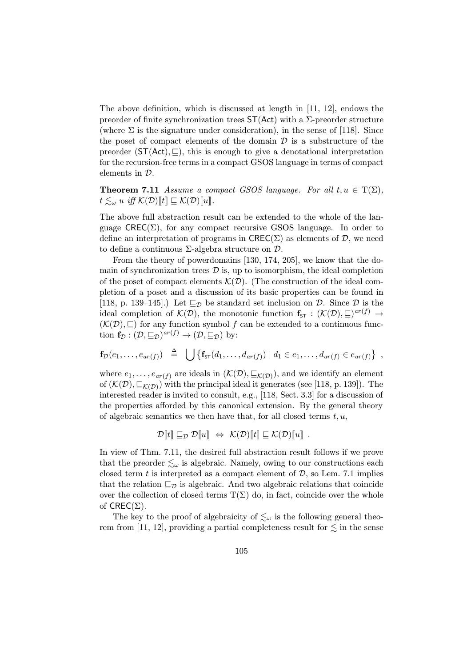The above definition, which is discussed at length in [11, 12], endows the preorder of finite synchronization trees  $ST(Act)$  with a  $\Sigma$ -preorder structure (where  $\Sigma$  is the signature under consideration), in the sense of [118]. Since the poset of compact elements of the domain  $\mathcal D$  is a substructure of the preorder  $(ST(Act), \underline{\sqsubset})$ , this is enough to give a denotational interpretation for the recursion-free terms in a compact GSOS language in terms of compact elements in D.

**Theorem 7.11** Assume a compact GSOS language. For all  $t, u \in T(\Sigma)$ ,  $t \lesssim_{\omega} u \text{ iff } \mathcal{K}(\mathcal{D})[\![t]\!] \subseteq \mathcal{K}(\mathcal{D})[\![u]\!]$ .

The above full abstraction result can be extended to the whole of the language  $\text{CREC}(\Sigma)$ , for any compact recursive GSOS language. In order to define an interpretation of programs in  $\mathsf{CREC}(\Sigma)$  as elements of D, we need to define a continuous  $\Sigma$ -algebra structure on  $\mathcal{D}$ .

From the theory of powerdomains [130, 174, 205], we know that the domain of synchronization trees  $\mathcal D$  is, up to isomorphism, the ideal completion of the poset of compact elements  $\mathcal{K}(D)$ . (The construction of the ideal completion of a poset and a discussion of its basic properties can be found in [118, p. 139–145].) Let  $\sqsubseteq_{\mathcal{D}}$  be standard set inclusion on  $\mathcal{D}$ . Since  $\mathcal{D}$  is the ideal completion of  $\mathcal{K}(\mathcal{D})$ , the monotonic function  $\mathbf{f}_{s\tau} : (\mathcal{K}(\mathcal{D}), \sqsubseteq)^{ar(f)} \to$  $(K(\mathcal{D}), \subseteq)$  for any function symbol f can be extended to a continuous function  $f_{\mathcal{D}} : (\mathcal{D}, \underline{\sqsubseteq}_{\mathcal{D}})^{ar(f)} \to (\mathcal{D}, \underline{\sqsubseteq}_{\mathcal{D}})$  by:

$$
\mathbf{f}_{\mathcal{D}}(e_1,\ldots,e_{ar(f)}) \triangleq \bigcup \{ \mathbf{f}_{\mathsf{ST}}(d_1,\ldots,d_{ar(f)}) \mid d_1 \in e_1,\ldots,d_{ar(f)} \in e_{ar(f)} \},
$$

where  $e_1,\ldots,e_{ar(f)}$  are ideals in  $(\mathcal{K}(\mathcal{D}),\subseteq_{\mathcal{K}(\mathcal{D})})$ , and we identify an element of  $(\mathcal{K}(\mathcal{D}), \underline{\sqsubset}_{\mathcal{K}(\mathcal{D})})$  with the principal ideal it generates (see [118, p. 139]). The interested reader is invited to consult, e.g., [118, Sect. 3.3] for a discussion of the properties afforded by this canonical extension. By the general theory of algebraic semantics we then have that, for all closed terms  $t, u$ ,

$$
\mathcal{D}[\![t]\!] \sqsubseteq_{\mathcal{D}} \mathcal{D}[\![u]\!] \Leftrightarrow \mathcal{K}(\mathcal{D})[\![t]\!] \sqsubseteq \mathcal{K}(\mathcal{D})[\![u]\!] \ .
$$

In view of Thm. 7.11, the desired full abstraction result follows if we prove that the preorder  $\leq_{\omega}$  is algebraic. Namely, owing to our constructions each closed term  $t$  is interpreted as a compact element of  $D$ , so Lem. 7.1 implies that the relation  $\sqsubseteq_{\mathcal{D}}$  is algebraic. And two algebraic relations that coincide over the collection of closed terms  $T(\Sigma)$  do, in fact, coincide over the whole of  $CREC(\Sigma)$ .

The key to the proof of algebraicity of  $\leq_{\omega}$  is the following general theorem from [11, 12], providing a partial completeness result for  $\lesssim$  in the sense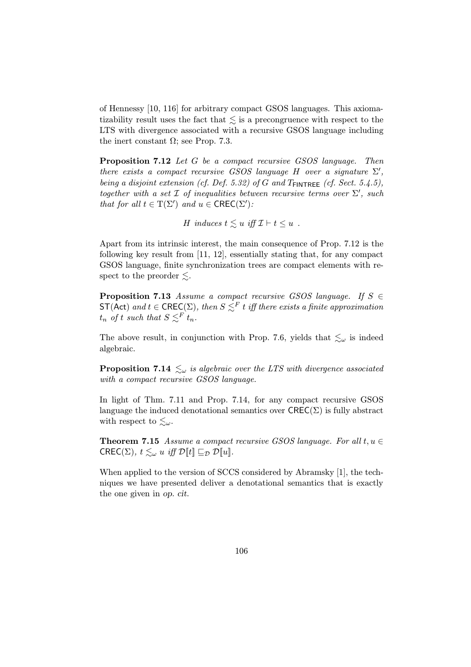of Hennessy [10, 116] for arbitrary compact GSOS languages. This axiomatizability result uses the fact that  $\lesssim$  is a precongruence with respect to the LTS with divergence associated with a recursive GSOS language including the inert constant  $\Omega$ ; see Prop. 7.3.

Proposition 7.12 Let G be a compact recursive GSOS language. Then there exists a compact recursive GSOS language H over a signature  $\Sigma'$ , being a disjoint extension (cf. Def. 5.32) of G and  $T_{\text{FINTREE}}$  (cf. Sect. 5.4.5), together with a set  $\mathcal I$  of inequalities between recursive terms over  $\Sigma'$ , such that for all  $t \in T(\Sigma')$  and  $u \in \text{CREC}(\Sigma')$ :

H induces  $t \leq u$  iff  $\mathcal{I} \vdash t \leq u$ .

Apart from its intrinsic interest, the main consequence of Prop. 7.12 is the following key result from [11, 12], essentially stating that, for any compact GSOS language, finite synchronization trees are compact elements with respect to the preorder  $\leq$ .

**Proposition 7.13** Assume a compact recursive GSOS language. If  $S \in$  $ST(\text{Act})$  and  $t \in \text{CREC}(\Sigma)$ , then  $S \leq^F t$  iff there exists a finite approximation  $t_n$  of t such that  $S \leq^F t_n$ .

The above result, in conjunction with Prop. 7.6, yields that  $\lesssim_{\omega}$  is indeed algebraic.

**Proposition 7.14**  $\leq_{\omega}$  is algebraic over the LTS with divergence associated with a compact recursive GSOS language.

In light of Thm. 7.11 and Prop. 7.14, for any compact recursive GSOS language the induced denotational semantics over  $\mathsf{CREC}(\Sigma)$  is fully abstract with respect to  $\lesssim_\omega$ .

**Theorem 7.15** Assume a compact recursive GSOS language. For all  $t, u \in$  $\mathsf{CREC}(\Sigma)$ ,  $t \leq \omega u$  iff  $\mathcal{D}[t] \sqsubseteq_{\mathcal{D}} \mathcal{D}[u]$ .

When applied to the version of SCCS considered by Abramsky [1], the techniques we have presented deliver a denotational semantics that is exactly the one given in op. cit.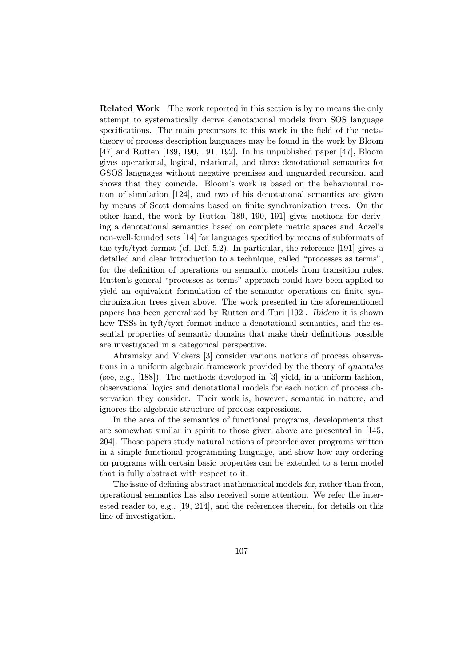Related Work The work reported in this section is by no means the only attempt to systematically derive denotational models from SOS language specifications. The main precursors to this work in the field of the metatheory of process description languages may be found in the work by Bloom [47] and Rutten [189, 190, 191, 192]. In his unpublished paper [47], Bloom gives operational, logical, relational, and three denotational semantics for GSOS languages without negative premises and unguarded recursion, and shows that they coincide. Bloom's work is based on the behavioural notion of simulation [124], and two of his denotational semantics are given by means of Scott domains based on finite synchronization trees. On the other hand, the work by Rutten [189, 190, 191] gives methods for deriving a denotational semantics based on complete metric spaces and Aczel's non-well-founded sets [14] for languages specified by means of subformats of the tyft/tyxt format (cf. Def. 5.2). In particular, the reference [191] gives a detailed and clear introduction to a technique, called "processes as terms", for the definition of operations on semantic models from transition rules. Rutten's general "processes as terms" approach could have been applied to yield an equivalent formulation of the semantic operations on finite synchronization trees given above. The work presented in the aforementioned papers has been generalized by Rutten and Turi [192]. Ibidem it is shown how TSSs in tyft/tyxt format induce a denotational semantics, and the essential properties of semantic domains that make their definitions possible are investigated in a categorical perspective.

Abramsky and Vickers [3] consider various notions of process observations in a uniform algebraic framework provided by the theory of quantales (see, e.g., [188]). The methods developed in [3] yield, in a uniform fashion, observational logics and denotational models for each notion of process observation they consider. Their work is, however, semantic in nature, and ignores the algebraic structure of process expressions.

In the area of the semantics of functional programs, developments that are somewhat similar in spirit to those given above are presented in [145, 204]. Those papers study natural notions of preorder over programs written in a simple functional programming language, and show how any ordering on programs with certain basic properties can be extended to a term model that is fully abstract with respect to it.

The issue of defining abstract mathematical models for, rather than from, operational semantics has also received some attention. We refer the interested reader to, e.g., [19, 214], and the references therein, for details on this line of investigation.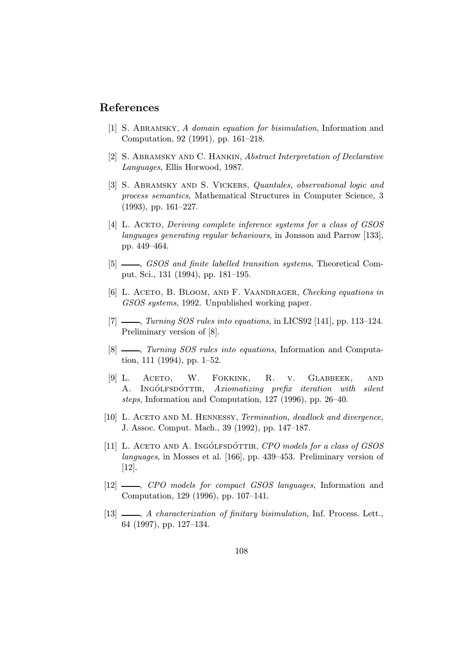## References

- [1] S. Abramsky, A domain equation for bisimulation, Information and Computation, 92 (1991), pp. 161–218.
- [2] S. ABRAMSKY AND C. HANKIN, Abstract Interpretation of Declarative Languages, Ellis Horwood, 1987.
- [3] S. ABRAMSKY AND S. VICKERS, Quantales, observational logic and process semantics, Mathematical Structures in Computer Science, 3 (1993), pp. 161–227.
- [4] L. ACETO, Deriving complete inference systems for a class of GSOS languages generating regular behaviours, in Jonsson and Parrow [133], pp. 449–464.
- [5]  $\frac{1}{10}$ , GSOS and finite labelled transition systems, Theoretical Comput. Sci., 131 (1994), pp. 181–195.
- [6] L. ACETO, B. BLOOM, AND F. VAANDRAGER, Checking equations in GSOS systems, 1992. Unpublished working paper.
- $[7]$   $\_\_\_\_\_\$  Turning SOS rules into equations, in LICS92 [141], pp. 113–124. Preliminary version of [8].
- [8]  $\frac{1}{10}$ , Turning SOS rules into equations, Information and Computation, 111 (1994), pp. 1–52.
- [9] L. Aceto, W. Fokkink, R. v. Glabbeek, and A. INGÓLFSDÓTTIR, Axiomatizing prefix iteration with silent steps, Information and Computation, 127 (1996), pp. 26–40.
- [10] L. ACETO AND M. HENNESSY, Termination, deadlock and divergence, J. Assoc. Comput. Mach., 39 (1992), pp. 147–187.
- [11] L. ACETO AND A. INGÓLFSDÓTTIR,  $CPO$  models for a class of GSOS languages, in Mosses et al. [166], pp. 439–453. Preliminary version of [12].
- [12]  $\_\_$ , CPO models for compact GSOS languages, Information and Computation, 129 (1996), pp. 107–141.
- [13]  $\_\_\_\_\$  A characterization of finitary bisimulation, Inf. Process. Lett., 64 (1997), pp. 127–134.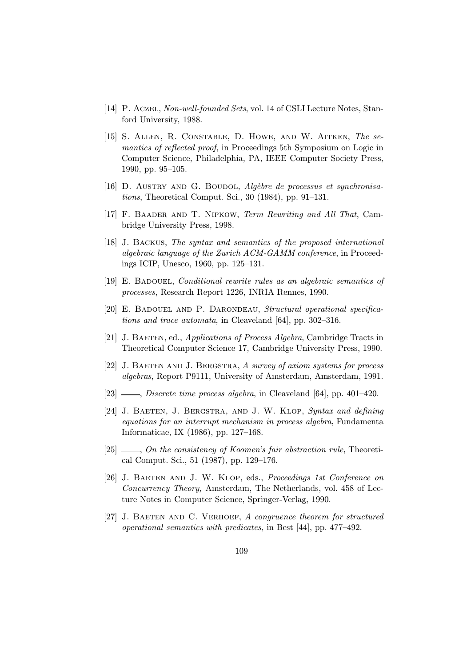- [14] P. Aczel, Non-well-founded Sets, vol. 14 of CSLI Lecture Notes, Stanford University, 1988.
- [15] S. Allen, R. Constable, D. Howe, and W. Aitken, The semantics of reflected proof, in Proceedings 5th Symposium on Logic in Computer Science, Philadelphia, PA, IEEE Computer Society Press, 1990, pp. 95–105.
- [16] D. AUSTRY AND G. BOUDOL,  $Alg\`{e}bre\`{e}e\`{p}rocessus\`{e}tsynchronousa$ tions, Theoretical Comput. Sci., 30 (1984), pp. 91–131.
- [17] F. BAADER AND T. NIPKOW, Term Rewriting and All That, Cambridge University Press, 1998.
- [18] J. Backus, The syntax and semantics of the proposed international algebraic language of the Zurich ACM-GAMM conference, in Proceedings ICIP, Unesco, 1960, pp. 125–131.
- [19] E. BADOUEL, *Conditional rewrite rules as an algebraic semantics of* processes, Research Report 1226, INRIA Rennes, 1990.
- [20] E. BADOUEL AND P. DARONDEAU, Structural operational specifications and trace automata, in Cleaveland [64], pp. 302–316.
- [21] J. Baeten, ed., Applications of Process Algebra, Cambridge Tracts in Theoretical Computer Science 17, Cambridge University Press, 1990.
- [22] J. BAETEN AND J. BERGSTRA, A survey of axiom systems for process algebras, Report P9111, University of Amsterdam, Amsterdam, 1991.
- $[23]$  , *Discrete time process algebra*, in Cleaveland  $[64]$ , pp. 401–420.
- [24] J. BAETEN, J. BERGSTRA, AND J. W. KLOP, Syntax and defining equations for an interrupt mechanism in process algebra, Fundamenta Informaticae, IX (1986), pp. 127–168.
- $[25]$   $\_\_\_\_\_$ , On the consistency of Koomen's fair abstraction rule, Theoretical Comput. Sci., 51 (1987), pp. 129–176.
- [26] J. Baeten and J. W. Klop, eds., Proceedings 1st Conference on Concurrency Theory, Amsterdam, The Netherlands, vol. 458 of Lecture Notes in Computer Science, Springer-Verlag, 1990.
- [27] J. BAETEN AND C. VERHOEF, A congruence theorem for structured operational semantics with predicates, in Best [44], pp. 477–492.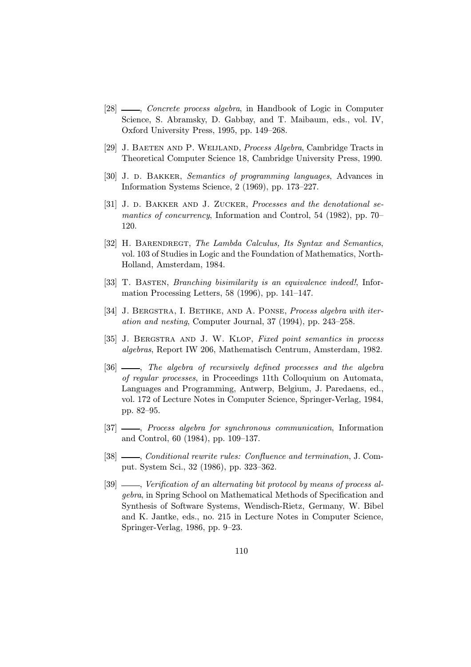- [28]  $\frac{1}{28}$  *Concrete process algebra*, in Handbook of Logic in Computer Science, S. Abramsky, D. Gabbay, and T. Maibaum, eds., vol. IV, Oxford University Press, 1995, pp. 149–268.
- [29] J. BAETEN AND P. WEIJLAND, *Process Algebra*, Cambridge Tracts in Theoretical Computer Science 18, Cambridge University Press, 1990.
- [30] J. D. BAKKER, Semantics of programming languages, Advances in Information Systems Science, 2 (1969), pp. 173–227.
- [31] J. D. BAKKER AND J. ZUCKER, Processes and the denotational semantics of concurrency, Information and Control, 54 (1982), pp. 70– 120.
- [32] H. BARENDREGT, The Lambda Calculus, Its Syntax and Semantics, vol. 103 of Studies in Logic and the Foundation of Mathematics, North-Holland, Amsterdam, 1984.
- [33] T. Basten, Branching bisimilarity is an equivalence indeed!, Information Processing Letters, 58 (1996), pp. 141–147.
- [34] J. BERGSTRA, I. BETHKE, AND A. PONSE, *Process algebra with iter*ation and nesting, Computer Journal, 37 (1994), pp. 243–258.
- [35] J. BERGSTRA AND J. W. KLOP, Fixed point semantics in process algebras, Report IW 206, Mathematisch Centrum, Amsterdam, 1982.
- [36]  $\_\_$ , The algebra of recursively defined processes and the algebra of regular processes, in Proceedings 11th Colloquium on Automata, Languages and Programming, Antwerp, Belgium, J. Paredaens, ed., vol. 172 of Lecture Notes in Computer Science, Springer-Verlag, 1984, pp. 82–95.
- [37]  $\frac{1}{27}$ , Process algebra for synchronous communication, Information and Control, 60 (1984), pp. 109–137.
- [38]  $\_\_\_\_\_$ Conditional rewrite rules: Confluence and termination, J. Comput. System Sci., 32 (1986), pp. 323–362.
- [39]  $\frac{1}{2}$ , Verification of an alternating bit protocol by means of process algebra, in Spring School on Mathematical Methods of Specification and Synthesis of Software Systems, Wendisch-Rietz, Germany, W. Bibel and K. Jantke, eds., no. 215 in Lecture Notes in Computer Science, Springer-Verlag, 1986, pp. 9–23.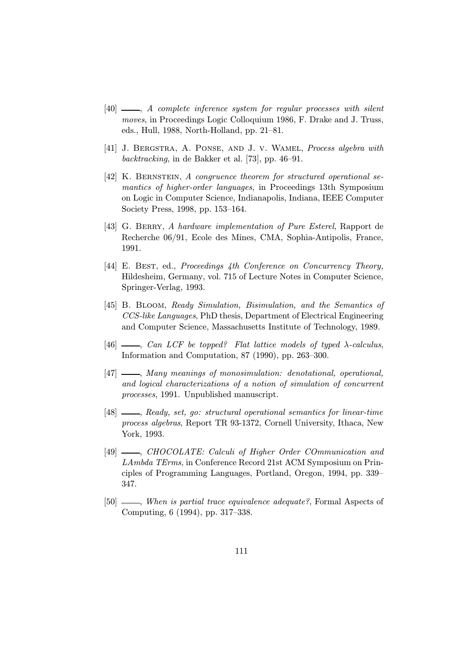- [40]  $\longrightarrow$ , A complete inference system for regular processes with silent moves, in Proceedings Logic Colloquium 1986, F. Drake and J. Truss, eds., Hull, 1988, North-Holland, pp. 21–81.
- [41] J. Bergstra, A. Ponse, and J. v. Wamel, Process algebra with backtracking, in de Bakker et al. [73], pp. 46–91.
- [42] K. BERNSTEIN, A congruence theorem for structured operational semantics of higher-order languages, in Proceedings 13th Symposium on Logic in Computer Science, Indianapolis, Indiana, IEEE Computer Society Press, 1998, pp. 153–164.
- [43] G. BERRY, A hardware implementation of Pure Esterel, Rapport de Recherche 06/91, Ecole des Mines, CMA, Sophia-Antipolis, France, 1991.
- [44] E. BEST, ed., *Proceedings 4th Conference on Concurrency Theory*, Hildesheim, Germany, vol. 715 of Lecture Notes in Computer Science, Springer-Verlag, 1993.
- [45] B. BLOOM, Ready Simulation, Bisimulation, and the Semantics of CCS-like Languages, PhD thesis, Department of Electrical Engineering and Computer Science, Massachusetts Institute of Technology, 1989.
- $[46]$  , Can LCF be topped? Flat lattice models of typed  $\lambda$ -calculus, Information and Computation, 87 (1990), pp. 263–300.
- [47]  $\qquad \qquad$ , Many meanings of monosimulation: denotational, operational, and logical characterizations of a notion of simulation of concurrent processes, 1991. Unpublished manuscript.
- [48] , Ready, set, go: structural operational semantics for linear-time process algebras, Report TR 93-1372, Cornell University, Ithaca, New York, 1993.
- [49]  $\frac{1}{2}$ , CHOCOLATE: Calculi of Higher Order COmmunication and LAmbda TErms, in Conference Record 21st ACM Symposium on Principles of Programming Languages, Portland, Oregon, 1994, pp. 339– 347.
- [50]  $\_\_\_\_\_\$  When is partial trace equivalence adequate?, Formal Aspects of Computing, 6 (1994), pp. 317–338.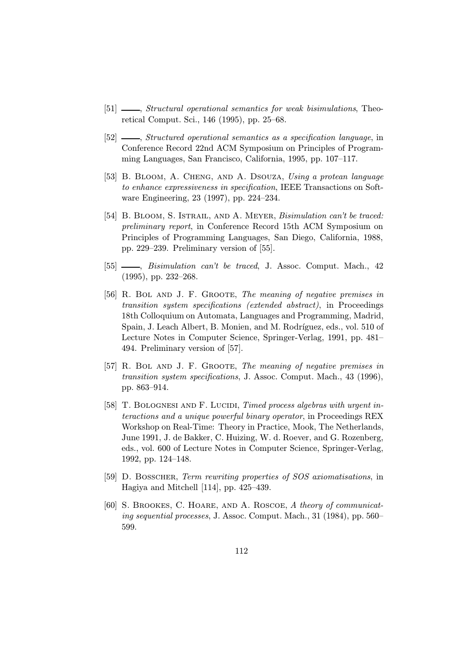- [51]  $\frac{1}{\sqrt{2}}$ , Structural operational semantics for weak bisimulations, Theoretical Comput. Sci., 146 (1995), pp. 25–68.
- [52]  $\frac{1}{2}$ , Structured operational semantics as a specification language, in Conference Record 22nd ACM Symposium on Principles of Programming Languages, San Francisco, California, 1995, pp. 107–117.
- [53] B. BLOOM, A. CHENG, AND A. DSOUZA, Using a protean language to enhance expressiveness in specification, IEEE Transactions on Software Engineering, 23 (1997), pp. 224–234.
- [54] B. BLOOM, S. ISTRAIL, AND A. MEYER, *Bisimulation can't be traced:* preliminary report, in Conference Record 15th ACM Symposium on Principles of Programming Languages, San Diego, California, 1988, pp. 229–239. Preliminary version of [55].
- [55]  $\_\_\_\_\_\$  Bisimulation can't be traced, J. Assoc. Comput. Mach., 42 (1995), pp. 232–268.
- [56] R. Bol and J. F. Groote, The meaning of negative premises in transition system specifications (extended abstract), in Proceedings 18th Colloquium on Automata, Languages and Programming, Madrid, Spain, J. Leach Albert, B. Monien, and M. Rodríguez, eds., vol. 510 of Lecture Notes in Computer Science, Springer-Verlag, 1991, pp. 481– 494. Preliminary version of [57].
- [57] R. Bol and J. F. Groote, The meaning of negative premises in transition system specifications, J. Assoc. Comput. Mach., 43 (1996), pp. 863–914.
- [58] T. BOLOGNESI AND F. LUCIDI, Timed process algebras with urgent interactions and a unique powerful binary operator, in Proceedings REX Workshop on Real-Time: Theory in Practice, Mook, The Netherlands, June 1991, J. de Bakker, C. Huizing, W. d. Roever, and G. Rozenberg, eds., vol. 600 of Lecture Notes in Computer Science, Springer-Verlag, 1992, pp. 124–148.
- [59] D. Bosscher, Term rewriting properties of SOS axiomatisations, in Hagiya and Mitchell [114], pp. 425–439.
- [60] S. BROOKES, C. HOARE, AND A. ROSCOE, A theory of communicating sequential processes, J. Assoc. Comput. Mach., 31 (1984), pp. 560– 599.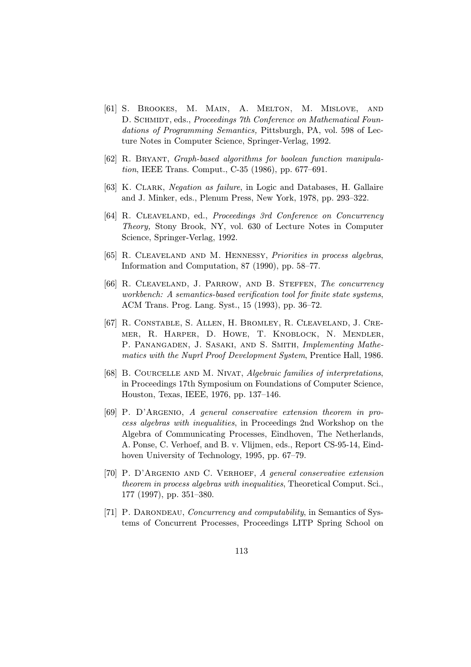- [61] S. Brookes, M. Main, A. Melton, M. Mislove, and D. SCHMIDT, eds., *Proceedings 7th Conference on Mathematical Foun*dations of Programming Semantics, Pittsburgh, PA, vol. 598 of Lecture Notes in Computer Science, Springer-Verlag, 1992.
- [62] R. Bryant, Graph-based algorithms for boolean function manipulation, IEEE Trans. Comput., C-35 (1986), pp. 677–691.
- [63] K. Clark, Negation as failure, in Logic and Databases, H. Gallaire and J. Minker, eds., Plenum Press, New York, 1978, pp. 293–322.
- [64] R. CLEAVELAND, ed., *Proceedings 3rd Conference on Concurrency* Theory, Stony Brook, NY, vol. 630 of Lecture Notes in Computer Science, Springer-Verlag, 1992.
- [65] R. CLEAVELAND AND M. HENNESSY, Priorities in process algebras, Information and Computation, 87 (1990), pp. 58–77.
- [66] R. CLEAVELAND, J. PARROW, AND B. STEFFEN, The concurrency workbench: A semantics-based verification tool for finite state systems, ACM Trans. Prog. Lang. Syst., 15 (1993), pp. 36–72.
- [67] R. Constable, S. Allen, H. Bromley, R. Cleaveland, J. Cremer, R. Harper, D. Howe, T. Knoblock, N. Mendler, P. PANANGADEN, J. SASAKI, AND S. SMITH, Implementing Mathematics with the Nuprl Proof Development System, Prentice Hall, 1986.
- [68] B. COURCELLE AND M. NIVAT, Algebraic families of interpretations, in Proceedings 17th Symposium on Foundations of Computer Science, Houston, Texas, IEEE, 1976, pp. 137–146.
- [69] P. D'Argenio, A general conservative extension theorem in process algebras with inequalities, in Proceedings 2nd Workshop on the Algebra of Communicating Processes, Eindhoven, The Netherlands, A. Ponse, C. Verhoef, and B. v. Vlijmen, eds., Report CS-95-14, Eindhoven University of Technology, 1995, pp. 67–79.
- [70] P. D'Argenio and C. Verhoef, A general conservative extension theorem in process algebras with inequalities, Theoretical Comput. Sci., 177 (1997), pp. 351–380.
- [71] P. DARONDEAU, *Concurrency and computability*, in Semantics of Systems of Concurrent Processes, Proceedings LITP Spring School on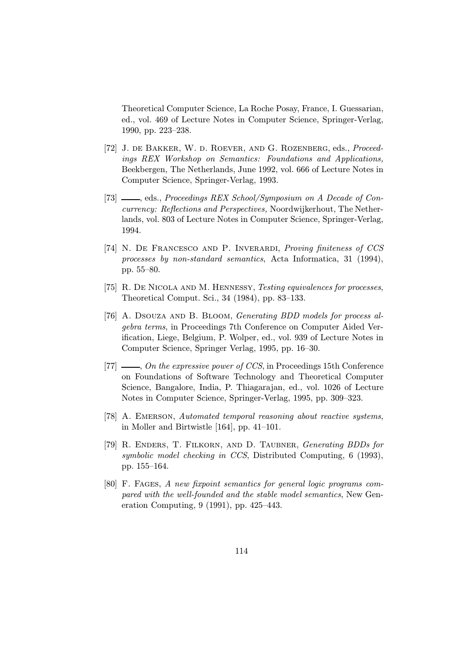Theoretical Computer Science, La Roche Posay, France, I. Guessarian, ed., vol. 469 of Lecture Notes in Computer Science, Springer-Verlag, 1990, pp. 223–238.

- [72] J. de Bakker, W. d. Roever, and G. Rozenberg, eds., Proceedings REX Workshop on Semantics: Foundations and Applications, Beekbergen, The Netherlands, June 1992, vol. 666 of Lecture Notes in Computer Science, Springer-Verlag, 1993.
- [73]  $\_\_\_\$ cds., Proceedings REX School/Symposium on A Decade of Concurrency: Reflections and Perspectives, Noordwijkerhout, The Netherlands, vol. 803 of Lecture Notes in Computer Science, Springer-Verlag, 1994.
- [74] N. DE FRANCESCO AND P. INVERARDI, Proving finiteness of CCS processes by non-standard semantics, Acta Informatica, 31 (1994), pp. 55–80.
- [75] R. De Nicola and M. Hennessy, Testing equivalences for processes, Theoretical Comput. Sci., 34 (1984), pp. 83–133.
- [76] A. DSOUZA AND B. BLOOM, Generating BDD models for process algebra terms, in Proceedings 7th Conference on Computer Aided Verification, Liege, Belgium, P. Wolper, ed., vol. 939 of Lecture Notes in Computer Science, Springer Verlag, 1995, pp. 16–30.
- [77]  $\_\_\_\_$  On the expressive power of CCS, in Proceedings 15th Conference on Foundations of Software Technology and Theoretical Computer Science, Bangalore, India, P. Thiagarajan, ed., vol. 1026 of Lecture Notes in Computer Science, Springer-Verlag, 1995, pp. 309–323.
- [78] A. EMERSON, Automated temporal reasoning about reactive systems, in Moller and Birtwistle [164], pp. 41–101.
- [79] R. Enders, T. Filkorn, and D. Taubner, Generating BDDs for symbolic model checking in CCS, Distributed Computing, 6 (1993), pp. 155–164.
- [80] F. Fages, A new fixpoint semantics for general logic programs compared with the well-founded and the stable model semantics, New Generation Computing, 9 (1991), pp. 425–443.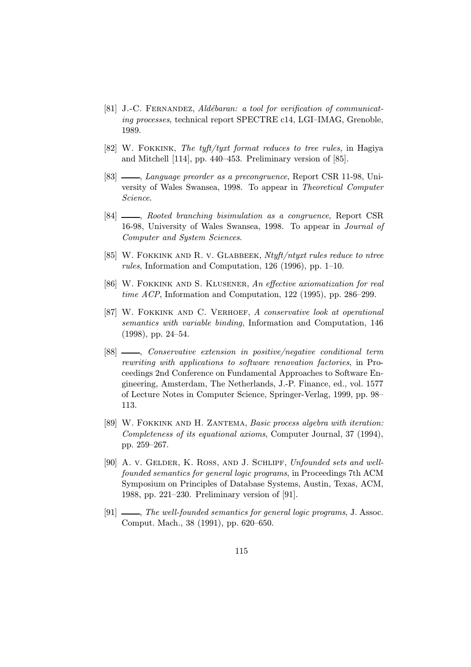- [81] J.-C. FERNANDEZ, Aldébaran: a tool for verification of communicating processes, technical report SPECTRE c14, LGI–IMAG, Grenoble, 1989.
- [82] W. Fokkink, The tyft/tyxt format reduces to tree rules, in Hagiya and Mitchell [114], pp. 440–453. Preliminary version of [85].
- [83]  $\_\_\_\_\_\_\_\_\_\_\_\.\$  Language preorder as a precongruence, Report CSR 11-98, University of Wales Swansea, 1998. To appear in Theoretical Computer Science.
- [84]  $\_\_\_\_\$ n, Rooted branching bisimulation as a congruence, Report CSR 16-98, University of Wales Swansea, 1998. To appear in Journal of Computer and System Sciences.
- [85] W. FOKKINK AND R. V. GLABBEEK, Ntyft/ntyxt rules reduce to ntree rules, Information and Computation, 126 (1996), pp. 1–10.
- [86] W. FOKKINK AND S. KLUSENER, An effective axiomatization for real time ACP, Information and Computation, 122 (1995), pp. 286–299.
- [87] W. Fokkink and C. Verhoef, A conservative look at operational semantics with variable binding, Information and Computation, 146 (1998), pp. 24–54.
- [88]  $\_\_\_\_\_\_\_\_\_\.\$  Conservative extension in positive/negative conditional term rewriting with applications to software renovation factories, in Proceedings 2nd Conference on Fundamental Approaches to Software Engineering, Amsterdam, The Netherlands, J.-P. Finance, ed., vol. 1577 of Lecture Notes in Computer Science, Springer-Verlag, 1999, pp. 98– 113.
- [89] W. FOKKINK AND H. ZANTEMA, Basic process algebra with iteration: Completeness of its equational axioms, Computer Journal, 37 (1994), pp. 259–267.
- [90] A. v. GELDER, K. ROSS, AND J. SCHLIPF, Unfounded sets and wellfounded semantics for general logic programs, in Proceedings 7th ACM Symposium on Principles of Database Systems, Austin, Texas, ACM, 1988, pp. 221–230. Preliminary version of [91].
- $[91]$  , The well-founded semantics for general logic programs, J. Assoc. Comput. Mach., 38 (1991), pp. 620–650.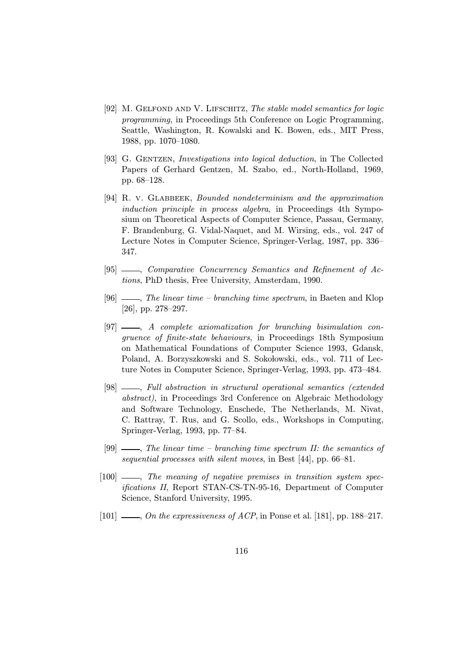- [92] M. Gelfond and V. Lifschitz, The stable model semantics for logic programming, in Proceedings 5th Conference on Logic Programming, Seattle, Washington, R. Kowalski and K. Bowen, eds., MIT Press, 1988, pp. 1070–1080.
- [93] G. GENTZEN, *Investigations into logical deduction*, in The Collected Papers of Gerhard Gentzen, M. Szabo, ed., North-Holland, 1969, pp. 68–128.
- [94] R. v. Glabbeek, Bounded nondeterminism and the approximation induction principle in process algebra, in Proceedings 4th Symposium on Theoretical Aspects of Computer Science, Passau, Germany, F. Brandenburg, G. Vidal-Naquet, and M. Wirsing, eds., vol. 247 of Lecture Notes in Computer Science, Springer-Verlag, 1987, pp. 336– 347.
- [95] , Comparative Concurrency Semantics and Refinement of Actions, PhD thesis, Free University, Amsterdam, 1990.
- [96]  $\_\_\_\_\_\_\_\$  The linear time branching time spectrum, in Baeten and Klop [26], pp. 278–297.
- $[97]$   $\longrightarrow$ , A complete axiomatization for branching bisimulation congruence of finite-state behaviours, in Proceedings 18th Symposium on Mathematical Foundations of Computer Science 1993, Gdansk, Poland, A. Borzyszkowski and S. Sokołowski, eds., vol. 711 of Lecture Notes in Computer Science, Springer-Verlag, 1993, pp. 473–484.
- [98] , Full abstraction in structural operational semantics (extended abstract), in Proceedings 3rd Conference on Algebraic Methodology and Software Technology, Enschede, The Netherlands, M. Nivat, C. Rattray, T. Rus, and G. Scollo, eds., Workshops in Computing, Springer-Verlag, 1993, pp. 77–84.
- $[99]$   $\_\_$ . The linear time branching time spectrum II: the semantics of sequential processes with silent moves, in Best [44], pp. 66–81.
- $[100]$   $\longrightarrow$ , The meaning of negative premises in transition system specifications II, Report STAN-CS-TN-95-16, Department of Computer Science, Stanford University, 1995.
- $[101]$   $\_\_\_\_$ , On the expressiveness of ACP, in Ponse et al. [181], pp. 188–217.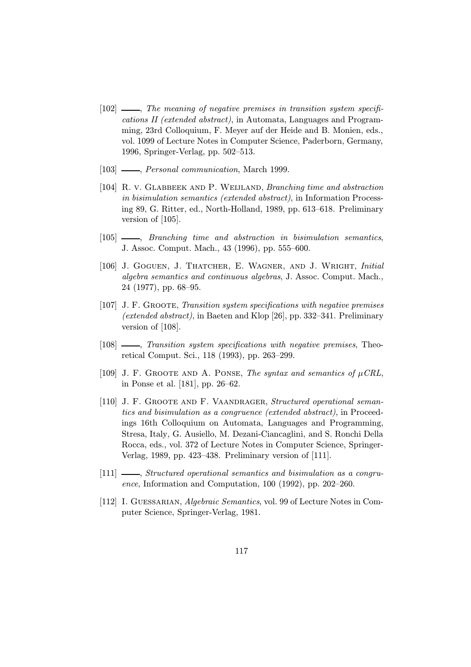- $[102]$   $\_\_\_\_\_\$ n. The meaning of negative premises in transition system specifications II (extended abstract), in Automata, Languages and Programming, 23rd Colloquium, F. Meyer auf der Heide and B. Monien, eds., vol. 1099 of Lecture Notes in Computer Science, Paderborn, Germany, 1996, Springer-Verlag, pp. 502–513.
- [103] , *Personal communication*, March 1999.
- [104] R. V. GLABBEEK AND P. WEIJLAND, Branching time and abstraction in bisimulation semantics (extended abstract), in Information Processing 89, G. Ritter, ed., North-Holland, 1989, pp. 613–618. Preliminary version of [105].
- [105]  $\_\_\_\_\_\$  Branching time and abstraction in bisimulation semantics, J. Assoc. Comput. Mach., 43 (1996), pp. 555–600.
- [106] J. Goguen, J. Thatcher, E. Wagner, and J. Wright, Initial algebra semantics and continuous algebras, J. Assoc. Comput. Mach., 24 (1977), pp. 68–95.
- [107] J. F. Groote, Transition system specifications with negative premises (extended abstract), in Baeten and Klop [26], pp. 332–341. Preliminary version of [108].
- [108]  $\_\_\_\_\$  Transition system specifications with negative premises, Theoretical Comput. Sci., 118 (1993), pp. 263–299.
- [109] J. F. GROOTE AND A. PONSE, The syntax and semantics of  $\mu$ CRL, in Ponse et al. [181], pp. 26–62.
- [110] J. F. GROOTE AND F. VAANDRAGER, Structured operational semantics and bisimulation as a congruence (extended abstract), in Proceedings 16th Colloquium on Automata, Languages and Programming, Stresa, Italy, G. Ausiello, M. Dezani-Ciancaglini, and S. Ronchi Della Rocca, eds., vol. 372 of Lecture Notes in Computer Science, Springer-Verlag, 1989, pp. 423–438. Preliminary version of [111].
- $[111]$   $\longrightarrow$ , Structured operational semantics and bisimulation as a congruence, Information and Computation, 100 (1992), pp. 202–260.
- [112] I. GUESSARIAN, Algebraic Semantics, vol. 99 of Lecture Notes in Computer Science, Springer-Verlag, 1981.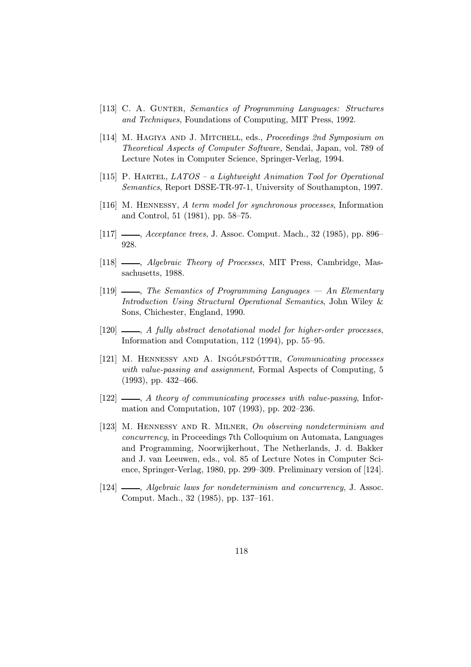- [113] C. A. GUNTER, Semantics of Programming Languages: Structures and Techniques, Foundations of Computing, MIT Press, 1992.
- [114] M. HAGIYA AND J. MITCHELL, eds., *Proceedings 2nd Symposium on* Theoretical Aspects of Computer Software, Sendai, Japan, vol. 789 of Lecture Notes in Computer Science, Springer-Verlag, 1994.
- [115] P. HARTEL,  $LATOS a$  Lightweight Animation Tool for Operational Semantics, Report DSSE-TR-97-1, University of Southampton, 1997.
- [116] M. Hennessy, A term model for synchronous processes, Information and Control, 51 (1981), pp. 58–75.
- [117] *Acceptance trees*, J. Assoc. Comput. Mach., 32 (1985), pp. 896– 928.
- [118]  $\_\_\_\_\$  Algebraic Theory of Processes, MIT Press, Cambridge, Massachusetts, 1988.
- $[119]$   $\longrightarrow$ , The Semantics of Programming Languages  $\rightarrow$  An Elementary Introduction Using Structural Operational Semantics, John Wiley & Sons, Chichester, England, 1990.
- [120]  $\longrightarrow$ , A fully abstract denotational model for higher-order processes, Information and Computation, 112 (1994), pp. 55–95.
- [121] M. HENNESSY AND A. INGÓLFSDÓTTIR, Communicating processes with value-passing and assignment, Formal Aspects of Computing, 5 (1993), pp. 432–466.
- $[122]$   $\_\_\_\_\$  A theory of communicating processes with value-passing, Information and Computation, 107 (1993), pp. 202–236.
- [123] M. Hennessy and R. Milner, On observing nondeterminism and concurrency, in Proceedings 7th Colloquium on Automata, Languages and Programming, Noorwijkerhout, The Netherlands, J. d. Bakker and J. van Leeuwen, eds., vol. 85 of Lecture Notes in Computer Science, Springer-Verlag, 1980, pp. 299–309. Preliminary version of [124].
- [124]  $\_\_\_\_\$  Algebraic laws for nondeterminism and concurrency, J. Assoc. Comput. Mach., 32 (1985), pp. 137–161.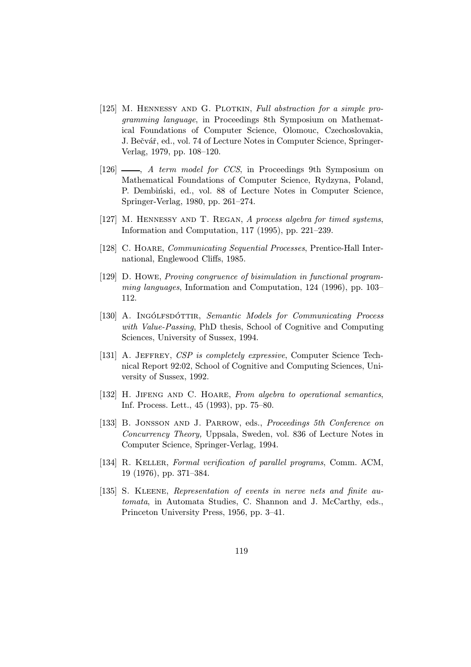- [125] M. HENNESSY AND G. PLOTKIN, Full abstraction for a simple programming language, in Proceedings 8th Symposium on Mathematical Foundations of Computer Science, Olomouc, Czechoslovakia, J. Bečvář, ed., vol. 74 of Lecture Notes in Computer Science, Springer-Verlag, 1979, pp. 108–120.
- [126]  $\qquad \qquad$ , A term model for CCS, in Proceedings 9th Symposium on Mathematical Foundations of Computer Science, Rydzyna, Poland, P. Dembinski, ed., vol. 88 of Lecture Notes in Computer Science, Springer-Verlag, 1980, pp. 261–274.
- [127] M. HENNESSY AND T. REGAN, A process algebra for timed systems, Information and Computation, 117 (1995), pp. 221–239.
- [128] C. Hoare, Communicating Sequential Processes, Prentice-Hall International, Englewood Cliffs, 1985.
- [129] D. Howe, Proving congruence of bisimulation in functional programming languages, Information and Computation, 124 (1996), pp. 103– 112.
- [130] A. INGÓLFSDÓTTIR, Semantic Models for Communicating Process with Value-Passing, PhD thesis, School of Cognitive and Computing Sciences, University of Sussex, 1994.
- [131] A. JEFFREY, CSP is completely expressive, Computer Science Technical Report 92:02, School of Cognitive and Computing Sciences, University of Sussex, 1992.
- [132] H. JIFENG AND C. HOARE, From algebra to operational semantics, Inf. Process. Lett., 45 (1993), pp. 75–80.
- [133] B. JONSSON AND J. PARROW, eds., Proceedings 5th Conference on Concurrency Theory, Uppsala, Sweden, vol. 836 of Lecture Notes in Computer Science, Springer-Verlag, 1994.
- [134] R. KELLER, Formal verification of parallel programs, Comm. ACM, 19 (1976), pp. 371–384.
- [135] S. Kleene, Representation of events in nerve nets and finite automata, in Automata Studies, C. Shannon and J. McCarthy, eds., Princeton University Press, 1956, pp. 3–41.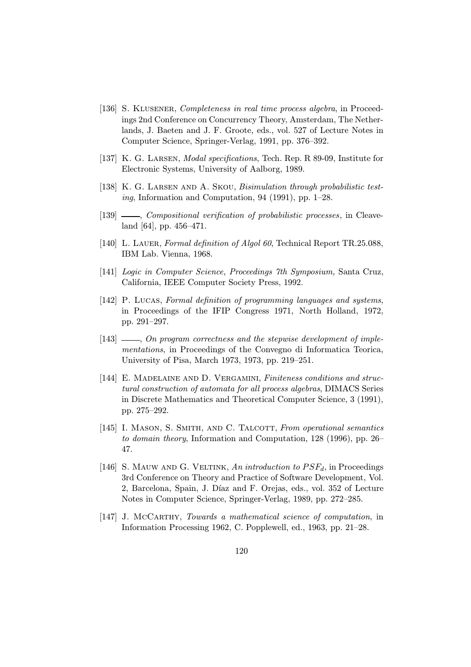- [136] S. KLUSENER, Completeness in real time process algebra, in Proceedings 2nd Conference on Concurrency Theory, Amsterdam, The Netherlands, J. Baeten and J. F. Groote, eds., vol. 527 of Lecture Notes in Computer Science, Springer-Verlag, 1991, pp. 376–392.
- [137] K. G. LARSEN, *Modal specifications*, Tech. Rep. R 89-09, Institute for Electronic Systems, University of Aalborg, 1989.
- [138] K. G. LARSEN AND A. SKOU, *Bisimulation through probabilistic test*ing, Information and Computation, 94 (1991), pp. 1–28.
- [139]  $\_\_\_\_\_\_\_\_\_\_\_\_\_\_\_\_\_\_\_\_\_\_\_\_\_\_\_\_\.\_$ land [64], pp. 456–471.
- [140] L. LAUER, Formal definition of Algol 60, Technical Report TR.25.088, IBM Lab. Vienna, 1968.
- [141] Logic in Computer Science, Proceedings 7th Symposium, Santa Cruz, California, IEEE Computer Society Press, 1992.
- [142] P. LUCAS, Formal definition of programming languages and systems, in Proceedings of the IFIP Congress 1971, North Holland, 1972, pp. 291–297.
- $[143]$   $\longrightarrow$ , On program correctness and the stepwise development of implementations, in Proceedings of the Convegno di Informatica Teorica, University of Pisa, March 1973, 1973, pp. 219–251.
- [144] E. MADELAINE AND D. VERGAMINI, Finiteness conditions and structural construction of automata for all process algebras, DIMACS Series in Discrete Mathematics and Theoretical Computer Science, 3 (1991), pp. 275–292.
- [145] I. MASON, S. SMITH, AND C. TALCOTT, From operational semantics to domain theory, Information and Computation, 128 (1996), pp. 26– 47.
- [146] S. MAUW AND G. VELTINK, An introduction to  $PSF<sub>d</sub>$ , in Proceedings 3rd Conference on Theory and Practice of Software Development, Vol. 2, Barcelona, Spain, J. Díaz and F. Orejas, eds., vol. 352 of Lecture Notes in Computer Science, Springer-Verlag, 1989, pp. 272–285.
- [147] J. McCARTHY, Towards a mathematical science of computation, in Information Processing 1962, C. Popplewell, ed., 1963, pp. 21–28.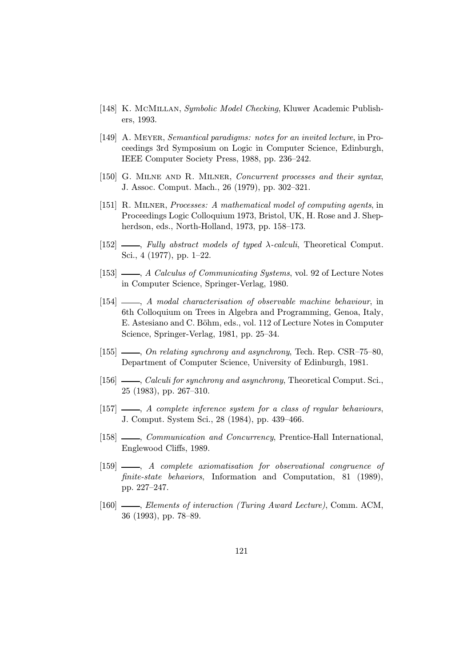- [148] K. McMillan, Symbolic Model Checking, Kluwer Academic Publishers, 1993.
- [149] A. Meyer, Semantical paradigms: notes for an invited lecture, in Proceedings 3rd Symposium on Logic in Computer Science, Edinburgh, IEEE Computer Society Press, 1988, pp. 236–242.
- [150] G. MILNE AND R. MILNER, Concurrent processes and their syntax, J. Assoc. Comput. Mach., 26 (1979), pp. 302–321.
- [151] R. Milner, Processes: A mathematical model of computing agents, in Proceedings Logic Colloquium 1973, Bristol, UK, H. Rose and J. Shepherdson, eds., North-Holland, 1973, pp. 158–173.
- [152]  $\_\_\_\_\_\_\_\_\$  Fully abstract models of typed  $\lambda$ -calculi, Theoretical Comput. Sci., 4 (1977), pp. 1–22.
- [153]  $\_\_\_\_\$  A Calculus of Communicating Systems, vol. 92 of Lecture Notes in Computer Science, Springer-Verlag, 1980.
- [154]  $\qquad \qquad$ , A modal characterisation of observable machine behaviour, in 6th Colloquium on Trees in Algebra and Programming, Genoa, Italy, E. Astesiano and C. Böhm, eds., vol. 112 of Lecture Notes in Computer Science, Springer-Verlag, 1981, pp. 25–34.
- [155]  $\frac{155}{155}$   $\frac{155}{155}$   $\frac{155}{155}$   $\frac{155}{155}$   $\frac{155}{155}$   $\frac{155}{155}$   $\frac{155}{155}$   $\frac{155}{155}$   $\frac{155}{155}$   $\frac{155}{155}$   $\frac{155}{155}$   $\frac{155}{155}$   $\frac{155}{155}$   $\frac{155}{155}$   $\frac{155}{155}$   $\frac{15$ Department of Computer Science, University of Edinburgh, 1981.
- [156]  $\frac{156}{156}$   $\frac{156}{156}$   $\frac{156}{156}$   $\frac{156}{156}$   $\frac{156}{156}$   $\frac{156}{156}$   $\frac{156}{156}$ 25 (1983), pp. 267–310.
- $[157]$  , A complete inference system for a class of regular behaviours, J. Comput. System Sci., 28 (1984), pp. 439–466.
- [158]  $\_\_\_\_\_\_\_\_\_\_\_\.\$  Communication and Concurrency, Prentice-Hall International, Englewood Cliffs, 1989.
- [159]  $\longrightarrow$ , A complete axiomatisation for observational congruence of finite-state behaviors, Information and Computation, 81 (1989), pp. 227–247.
- [160]  $\_\_\_\_\_\$  Elements of interaction (Turing Award Lecture), Comm. ACM, 36 (1993), pp. 78–89.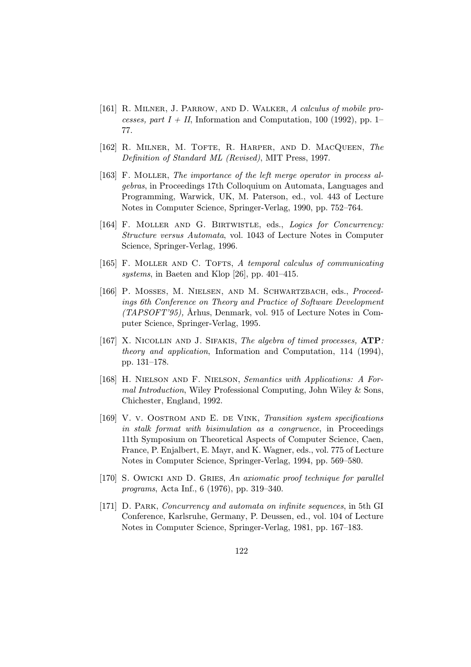- [161] R. MILNER, J. PARROW, AND D. WALKER, A calculus of mobile processes, part  $I + II$ , Information and Computation, 100 (1992), pp. 1– 77.
- [162] R. Milner, M. Tofte, R. Harper, and D. MacQueen, The Definition of Standard ML (Revised), MIT Press, 1997.
- [163] F. Moller, The importance of the left merge operator in process algebras, in Proceedings 17th Colloquium on Automata, Languages and Programming, Warwick, UK, M. Paterson, ed., vol. 443 of Lecture Notes in Computer Science, Springer-Verlag, 1990, pp. 752–764.
- [164] F. MOLLER AND G. BIRTWISTLE, eds., *Logics for Concurrency:* Structure versus Automata, vol. 1043 of Lecture Notes in Computer Science, Springer-Verlag, 1996.
- [165] F. MOLLER AND C. TOFTS, A temporal calculus of communicating systems, in Baeten and Klop [26], pp. 401–415.
- [166] P. MOSSES, M. NIELSEN, AND M. SCHWARTZBACH, eds., Proceedings 6th Conference on Theory and Practice of Software Development  $(TAPSOFT'95)$ ,  $\overline{Arhus}$ , Denmark, vol. 915 of Lecture Notes in Computer Science, Springer-Verlag, 1995.
- [167] X. NICOLLIN AND J. SIFAKIS, The algebra of timed processes, ATP: theory and application, Information and Computation, 114 (1994), pp. 131–178.
- [168] H. NIELSON AND F. NIELSON, Semantics with Applications: A Formal Introduction, Wiley Professional Computing, John Wiley & Sons, Chichester, England, 1992.
- [169] V. v. Oostrom and E. de Vink, Transition system specifications in stalk format with bisimulation as a congruence, in Proceedings 11th Symposium on Theoretical Aspects of Computer Science, Caen, France, P. Enjalbert, E. Mayr, and K. Wagner, eds., vol. 775 of Lecture Notes in Computer Science, Springer-Verlag, 1994, pp. 569–580.
- [170] S. Owicki and D. Gries, An axiomatic proof technique for parallel programs, Acta Inf., 6 (1976), pp. 319–340.
- [171] D. Park, Concurrency and automata on infinite sequences, in 5th GI Conference, Karlsruhe, Germany, P. Deussen, ed., vol. 104 of Lecture Notes in Computer Science, Springer-Verlag, 1981, pp. 167–183.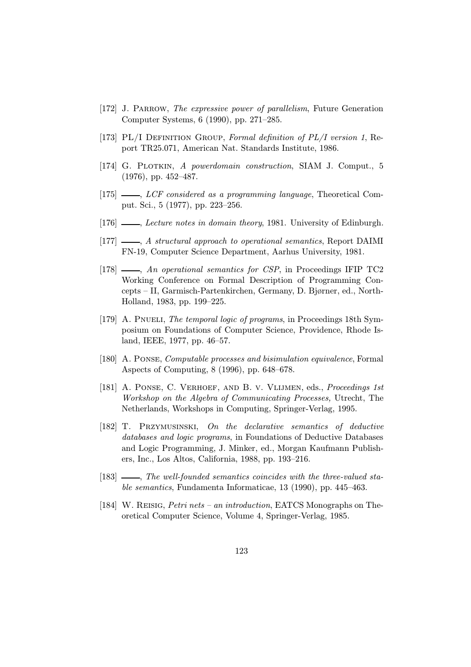- [172] J. Parrow, The expressive power of parallelism, Future Generation Computer Systems, 6 (1990), pp. 271–285.
- [173] PL/I DEFINITION GROUP, Formal definition of PL/I version 1, Report TR25.071, American Nat. Standards Institute, 1986.
- [174] G. PLOTKIN, A powerdomain construction, SIAM J. Comput., 5 (1976), pp. 452–487.
- [175]  $\frac{1}{5}$ , LCF considered as a programming language, Theoretical Comput. Sci., 5 (1977), pp. 223–256.
- [176] , Lecture notes in domain theory, 1981. University of Edinburgh.
- [177]  $\_\_\_\_\_\$  A structural approach to operational semantics, Report DAIMI FN-19, Computer Science Department, Aarhus University, 1981.
- [178]  $\qquad \qquad$ , An operational semantics for CSP, in Proceedings IFIP TC2 Working Conference on Formal Description of Programming Concepts – II, Garmisch-Partenkirchen, Germany, D. Bjørner, ed., North-Holland, 1983, pp. 199–225.
- [179] A. PNUELI, The temporal logic of programs, in Proceedings 18th Symposium on Foundations of Computer Science, Providence, Rhode Island, IEEE, 1977, pp. 46–57.
- [180] A. Ponse, Computable processes and bisimulation equivalence, Formal Aspects of Computing, 8 (1996), pp. 648–678.
- [181] A. PONSE, C. VERHOEF, AND B. V. VLIJMEN, eds., Proceedings 1st Workshop on the Algebra of Communicating Processes, Utrecht, The Netherlands, Workshops in Computing, Springer-Verlag, 1995.
- [182] T. Przymusinski, On the declarative semantics of deductive databases and logic programs, in Foundations of Deductive Databases and Logic Programming, J. Minker, ed., Morgan Kaufmann Publishers, Inc., Los Altos, California, 1988, pp. 193–216.
- [183]  $\frac{1}{8}$ , The well-founded semantics coincides with the three-valued stable semantics, Fundamenta Informaticae, 13 (1990), pp. 445–463.
- [184] W. Reisig, Petri nets an introduction, EATCS Monographs on Theoretical Computer Science, Volume 4, Springer-Verlag, 1985.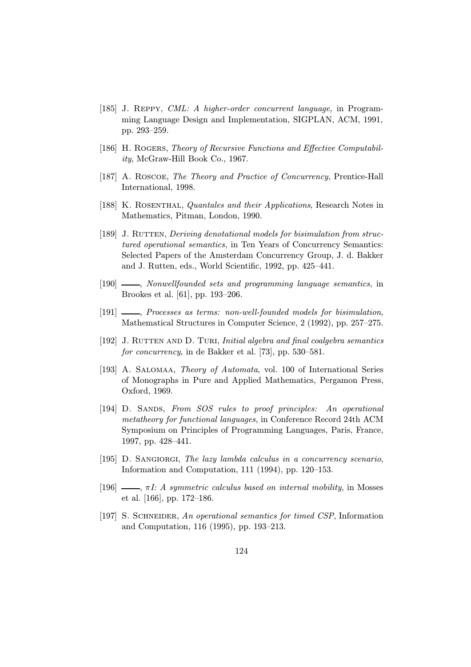- [185] J. Reppy, CML: A higher-order concurrent language, in Programming Language Design and Implementation, SIGPLAN, ACM, 1991, pp. 293–259.
- [186] H. ROGERS, Theory of Recursive Functions and Effective Computability, McGraw-Hill Book Co., 1967.
- [187] A. ROSCOE, The Theory and Practice of Concurrency, Prentice-Hall International, 1998.
- [188] K. ROSENTHAL, Quantales and their Applications, Research Notes in Mathematics, Pitman, London, 1990.
- [189] J. RUTTEN, *Deriving denotational models for bisimulation from struc*tured operational semantics, in Ten Years of Concurrency Semantics: Selected Papers of the Amsterdam Concurrency Group, J. d. Bakker and J. Rutten, eds., World Scientific, 1992, pp. 425–441.
- [190] , Nonwellfounded sets and programming language semantics, in Brookes et al. [61], pp. 193–206.
- [191]  $\_\_\_\_\_\_\$  Processes as terms: non-well-founded models for bisimulation, Mathematical Structures in Computer Science, 2 (1992), pp. 257–275.
- [192] J. RUTTEN AND D. TURI, *Initial algebra and final coalgebra semantics* for concurrency, in de Bakker et al. [73], pp. 530–581.
- [193] A. SALOMAA, *Theory of Automata*, vol. 100 of International Series of Monographs in Pure and Applied Mathematics, Pergamon Press, Oxford, 1969.
- [194] D. SANDS, From SOS rules to proof principles: An operational metatheory for functional languages, in Conference Record 24th ACM Symposium on Principles of Programming Languages, Paris, France, 1997, pp. 428–441.
- [195] D. SANGIORGI, The lazy lambda calculus in a concurrency scenario, Information and Computation, 111 (1994), pp. 120–153.
- [196]  $\ldots$ ,  $\pi I: A$  symmetric calculus based on internal mobility, in Mosses et al. [166], pp. 172–186.
- [197] S. SCHNEIDER, An operational semantics for timed CSP, Information and Computation, 116 (1995), pp. 193–213.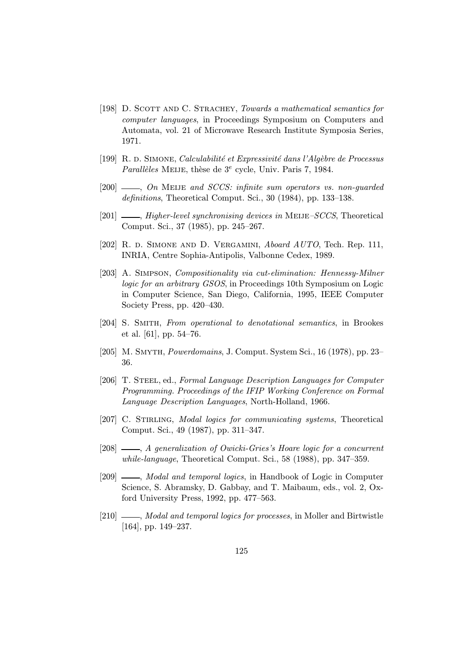- [198] D. Scott and C. Strachey, Towards a mathematical semantics for computer languages, in Proceedings Symposium on Computers and Automata, vol. 21 of Microwave Research Institute Symposia Series, 1971.
- [199] R. d. Simone, *Calculabilité et Expressivité dans l'Algèbre de Processus* Parallèles MEIJE, thèse de  $3^e$  cycle, Univ. Paris 7, 1984.
- [200]  $\_\_\_\_\_\_\_\$  On MEIJE and SCCS: infinite sum operators vs. non-guarded definitions, Theoretical Comput. Sci., 30 (1984), pp. 133–138.
- $[201]$  , Higher-level synchronising devices in MEIJE–SCCS, Theoretical Comput. Sci., 37 (1985), pp. 245–267.
- [202] R. d. SIMONE AND D. VERGAMINI, *Aboard AUTO*, Tech. Rep. 111, INRIA, Centre Sophia-Antipolis, Valbonne Cedex, 1989.
- [203] A. Simpson, Compositionality via cut-elimination: Hennessy-Milner logic for an arbitrary GSOS, in Proceedings 10th Symposium on Logic in Computer Science, San Diego, California, 1995, IEEE Computer Society Press, pp. 420–430.
- [204] S. Smith, From operational to denotational semantics, in Brookes et al. [61], pp. 54–76.
- [205] M. Smyth, Powerdomains, J. Comput. System Sci., 16 (1978), pp. 23– 36.
- [206] T. STEEL, ed., Formal Language Description Languages for Computer Programming. Proceedings of the IFIP Working Conference on Formal Language Description Languages, North-Holland, 1966.
- [207] C. STIRLING, Modal logics for communicating systems, Theoretical Comput. Sci., 49 (1987), pp. 311–347.
- [208]  $\_\_\_\_\_\_\_\$  A generalization of Owicki-Gries's Hoare logic for a concurrent while-language, Theoretical Comput. Sci., 58 (1988), pp. 347–359.
- [209]  $\_\_\_\_\_\$  Modal and temporal logics, in Handbook of Logic in Computer Science, S. Abramsky, D. Gabbay, and T. Maibaum, eds., vol. 2, Oxford University Press, 1992, pp. 477–563.
- [210]  $\_\_\_\_\_\$  *Modal and temporal logics for processes*, in Moller and Birtwistle [164], pp. 149–237.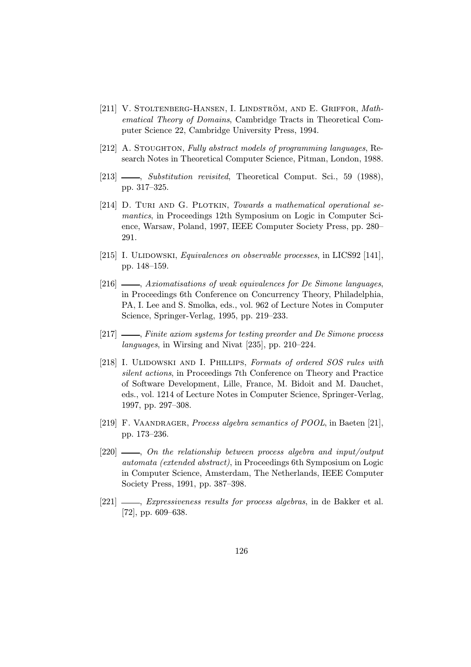- [211] V. STOLTENBERG-HANSEN, I. LINDSTRÖM, AND E. GRIFFOR,  $Math$ ematical Theory of Domains, Cambridge Tracts in Theoretical Computer Science 22, Cambridge University Press, 1994.
- [212] A. Stoughton, Fully abstract models of programming languages, Research Notes in Theoretical Computer Science, Pitman, London, 1988.
- [213]  $\frac{1}{213}$   $\frac{1}{213}$   $\frac{1}{213}$   $\frac{1}{213}$   $\frac{1}{213}$   $\frac{1}{213}$   $\frac{1}{213}$   $\frac{1}{213}$   $\frac{1}{213}$   $\frac{1}{213}$   $\frac{1}{213}$   $\frac{1}{213}$   $\frac{1}{213}$   $\frac{1}{213}$   $\frac{1}{213}$   $\frac{1}{213}$   $\frac{1}{213}$   $\frac{1}{213}$  pp. 317–325.
- [214] D. TURI AND G. PLOTKIN, Towards a mathematical operational semantics, in Proceedings 12th Symposium on Logic in Computer Science, Warsaw, Poland, 1997, IEEE Computer Society Press, pp. 280– 291.
- [215] I. ULIDOWSKI, Equivalences on observable processes, in LICS92 [141], pp. 148–159.
- [216]  $\_\_\_\_\$  Axiomatisations of weak equivalences for De Simone languages, in Proceedings 6th Conference on Concurrency Theory, Philadelphia, PA, I. Lee and S. Smolka, eds., vol. 962 of Lecture Notes in Computer Science, Springer-Verlag, 1995, pp. 219–233.
- $[217]$   $\_\_\_\_\$ nite axiom systems for testing preorder and De Simone process languages, in Wirsing and Nivat [235], pp. 210–224.
- [218] I. ULIDOWSKI AND I. PHILLIPS, Formats of ordered SOS rules with silent actions, in Proceedings 7th Conference on Theory and Practice of Software Development, Lille, France, M. Bidoit and M. Dauchet, eds., vol. 1214 of Lecture Notes in Computer Science, Springer-Verlag, 1997, pp. 297–308.
- [219] F. VAANDRAGER, Process algebra semantics of POOL, in Baeten [21], pp. 173–236.
- $[220]$   $\longrightarrow$ , On the relationship between process algebra and input/output automata (extended abstract), in Proceedings 6th Symposium on Logic in Computer Science, Amsterdam, The Netherlands, IEEE Computer Society Press, 1991, pp. 387–398.
- [221]  $\_\_\_\_\_\$  Expressiveness results for process algebras, in de Bakker et al. [72], pp. 609–638.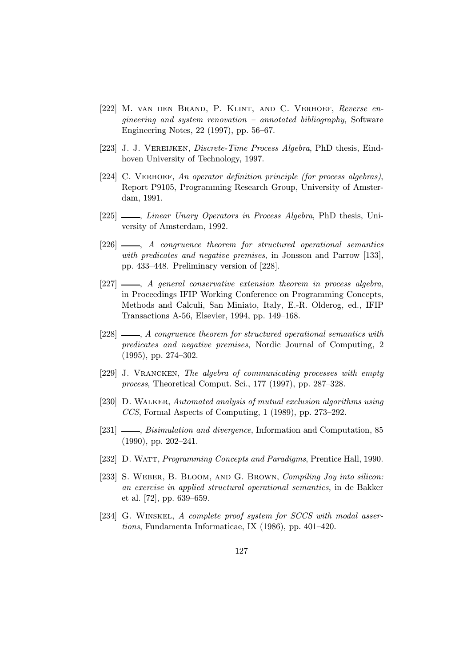- [222] M. van den Brand, P. Klint, and C. Verhoef, Reverse engineering and system renovation – annotated bibliography, Software Engineering Notes, 22 (1997), pp. 56–67.
- [223] J. J. Vereijken, Discrete-Time Process Algebra, PhD thesis, Eindhoven University of Technology, 1997.
- [224] C. VERHOEF, An operator definition principle (for process algebras), Report P9105, Programming Research Group, University of Amsterdam, 1991.
- [225]  $\frac{1}{225}$ , Linear Unary Operators in Process Algebra, PhD thesis, University of Amsterdam, 1992.
- $[226]$   $\longrightarrow$ , A congruence theorem for structured operational semantics with predicates and negative premises, in Jonsson and Parrow [133], pp. 433–448. Preliminary version of [228].
- $[227]$  , A general conservative extension theorem in process algebra, in Proceedings IFIP Working Conference on Programming Concepts, Methods and Calculi, San Miniato, Italy, E.-R. Olderog, ed., IFIP Transactions A-56, Elsevier, 1994, pp. 149–168.
- $[228]$   $\longrightarrow$ , A congruence theorem for structured operational semantics with predicates and negative premises, Nordic Journal of Computing, 2 (1995), pp. 274–302.
- [229] J. Vrancken, The algebra of communicating processes with empty process, Theoretical Comput. Sci., 177 (1997), pp. 287–328.
- [230] D. WALKER, Automated analysis of mutual exclusion algorithms using CCS, Formal Aspects of Computing, 1 (1989), pp. 273–292.
- [231]  $\_\_\_\_\$ n, Bisimulation and divergence, Information and Computation, 85 (1990), pp. 202–241.
- [232] D. WATT, Programming Concepts and Paradigms, Prentice Hall, 1990.
- [233] S. WEBER, B. BLOOM, AND G. BROWN, Compiling Joy into silicon: an exercise in applied structural operational semantics, in de Bakker et al. [72], pp. 639–659.
- [234] G. WINSKEL, A complete proof system for SCCS with modal assertions, Fundamenta Informaticae, IX (1986), pp. 401–420.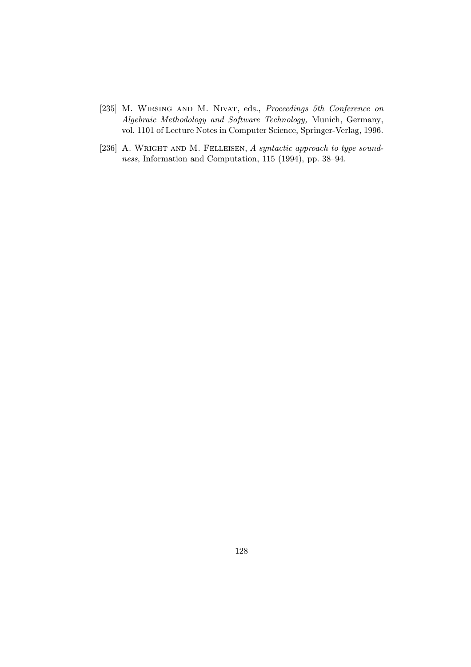- [235] M. WIRSING AND M. NIVAT, eds., Proceedings 5th Conference on Algebraic Methodology and Software Technology, Munich, Germany, vol. 1101 of Lecture Notes in Computer Science, Springer-Verlag, 1996.
- [236] A. WRIGHT AND M. FELLEISEN, A syntactic approach to type soundness, Information and Computation, 115 (1994), pp. 38–94.